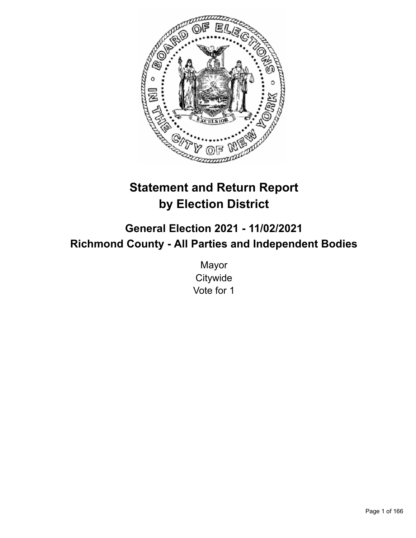

# **Statement and Return Report by Election District**

**General Election 2021 - 11/02/2021 Richmond County - All Parties and Independent Bodies**

> Mayor **Citywide** Vote for 1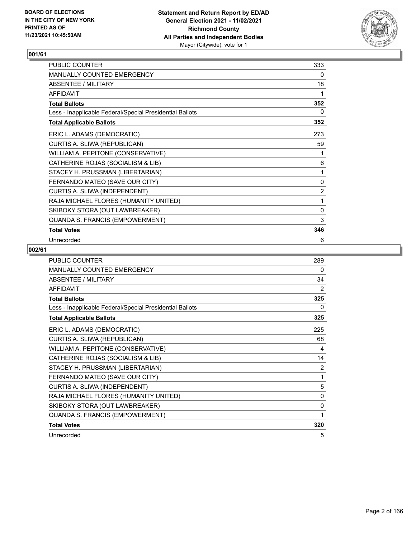

| PUBLIC COUNTER                                           | 333            |
|----------------------------------------------------------|----------------|
| <b>MANUALLY COUNTED EMERGENCY</b>                        | 0              |
| ABSENTEE / MILITARY                                      | 18             |
| <b>AFFIDAVIT</b>                                         | 1              |
| <b>Total Ballots</b>                                     | 352            |
| Less - Inapplicable Federal/Special Presidential Ballots | 0              |
| <b>Total Applicable Ballots</b>                          | 352            |
| ERIC L. ADAMS (DEMOCRATIC)                               | 273            |
| CURTIS A. SLIWA (REPUBLICAN)                             | 59             |
| WILLIAM A. PEPITONE (CONSERVATIVE)                       | 1              |
| CATHERINE ROJAS (SOCIALISM & LIB)                        | 6              |
| STACEY H. PRUSSMAN (LIBERTARIAN)                         | 1              |
| FERNANDO MATEO (SAVE OUR CITY)                           | 0              |
| CURTIS A. SLIWA (INDEPENDENT)                            | $\overline{2}$ |
| RAJA MICHAEL FLORES (HUMANITY UNITED)                    | 1              |
| SKIBOKY STORA (OUT LAWBREAKER)                           | $\mathbf 0$    |
| QUANDA S. FRANCIS (EMPOWERMENT)                          | 3              |
| <b>Total Votes</b>                                       | 346            |
| Unrecorded                                               | 6              |

| <b>PUBLIC COUNTER</b>                                    | 289            |
|----------------------------------------------------------|----------------|
| <b>MANUALLY COUNTED EMERGENCY</b>                        | 0              |
| ABSENTEE / MILITARY                                      | 34             |
| <b>AFFIDAVIT</b>                                         | 2              |
| <b>Total Ballots</b>                                     | 325            |
| Less - Inapplicable Federal/Special Presidential Ballots | 0              |
| <b>Total Applicable Ballots</b>                          | 325            |
| ERIC L. ADAMS (DEMOCRATIC)                               | 225            |
| CURTIS A. SLIWA (REPUBLICAN)                             | 68             |
| WILLIAM A. PEPITONE (CONSERVATIVE)                       | 4              |
| CATHERINE ROJAS (SOCIALISM & LIB)                        | 14             |
| STACEY H. PRUSSMAN (LIBERTARIAN)                         | $\overline{2}$ |
| FERNANDO MATEO (SAVE OUR CITY)                           | 1              |
| CURTIS A. SLIWA (INDEPENDENT)                            | 5              |
| RAJA MICHAEL FLORES (HUMANITY UNITED)                    | 0              |
| SKIBOKY STORA (OUT LAWBREAKER)                           | 0              |
| QUANDA S. FRANCIS (EMPOWERMENT)                          | 1              |
| <b>Total Votes</b>                                       | 320            |
| Unrecorded                                               | 5              |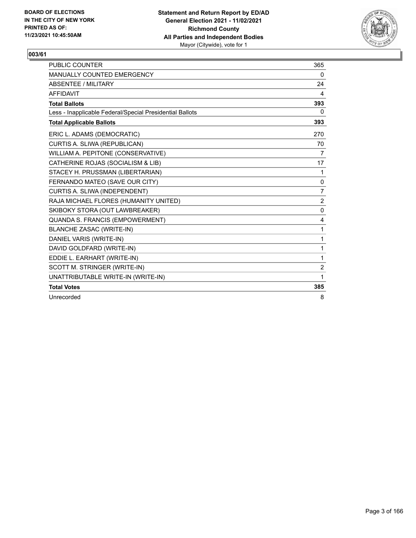

| <b>PUBLIC COUNTER</b>                                    | 365            |
|----------------------------------------------------------|----------------|
| MANUALLY COUNTED EMERGENCY                               | 0              |
| <b>ABSENTEE / MILITARY</b>                               | 24             |
| <b>AFFIDAVIT</b>                                         | 4              |
| <b>Total Ballots</b>                                     | 393            |
| Less - Inapplicable Federal/Special Presidential Ballots | 0              |
| <b>Total Applicable Ballots</b>                          | 393            |
| ERIC L. ADAMS (DEMOCRATIC)                               | 270            |
| CURTIS A. SLIWA (REPUBLICAN)                             | 70             |
| WILLIAM A. PEPITONE (CONSERVATIVE)                       | 7              |
| CATHERINE ROJAS (SOCIALISM & LIB)                        | 17             |
| STACEY H. PRUSSMAN (LIBERTARIAN)                         | 1              |
| FERNANDO MATEO (SAVE OUR CITY)                           | 0              |
| CURTIS A. SLIWA (INDEPENDENT)                            | $\overline{7}$ |
| RAJA MICHAEL FLORES (HUMANITY UNITED)                    | $\overline{2}$ |
| SKIBOKY STORA (OUT LAWBREAKER)                           | 0              |
| QUANDA S. FRANCIS (EMPOWERMENT)                          | 4              |
| <b>BLANCHE ZASAC (WRITE-IN)</b>                          | 1              |
| DANIEL VARIS (WRITE-IN)                                  | 1              |
| DAVID GOLDFARD (WRITE-IN)                                | 1              |
| EDDIE L. EARHART (WRITE-IN)                              | 1              |
| SCOTT M. STRINGER (WRITE-IN)                             | $\overline{c}$ |
| UNATTRIBUTABLE WRITE-IN (WRITE-IN)                       | 1              |
| <b>Total Votes</b>                                       | 385            |
| Unrecorded                                               | 8              |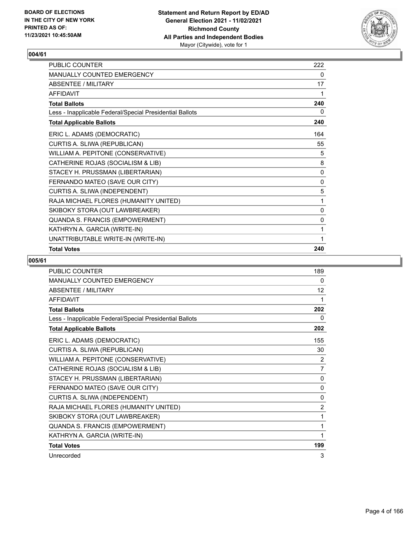

| PUBLIC COUNTER                                           | 222 |
|----------------------------------------------------------|-----|
| <b>MANUALLY COUNTED EMERGENCY</b>                        | 0   |
| ABSENTEE / MILITARY                                      | 17  |
| <b>AFFIDAVIT</b>                                         | 1   |
| <b>Total Ballots</b>                                     | 240 |
| Less - Inapplicable Federal/Special Presidential Ballots | 0   |
| <b>Total Applicable Ballots</b>                          | 240 |
| ERIC L. ADAMS (DEMOCRATIC)                               | 164 |
| CURTIS A. SLIWA (REPUBLICAN)                             | 55  |
| WILLIAM A. PEPITONE (CONSERVATIVE)                       | 5   |
| CATHERINE ROJAS (SOCIALISM & LIB)                        | 8   |
| STACEY H. PRUSSMAN (LIBERTARIAN)                         | 0   |
| FERNANDO MATEO (SAVE OUR CITY)                           | 0   |
| CURTIS A. SLIWA (INDEPENDENT)                            | 5   |
| RAJA MICHAEL FLORES (HUMANITY UNITED)                    | 1   |
| SKIBOKY STORA (OUT LAWBREAKER)                           | 0   |
| QUANDA S. FRANCIS (EMPOWERMENT)                          | 0   |
| KATHRYN A. GARCIA (WRITE-IN)                             | 1   |
| UNATTRIBUTABLE WRITE-IN (WRITE-IN)                       | 1   |
| <b>Total Votes</b>                                       | 240 |

| PUBLIC COUNTER                                           | 189            |
|----------------------------------------------------------|----------------|
| MANUALLY COUNTED EMERGENCY                               | 0              |
| <b>ABSENTEE / MILITARY</b>                               | 12             |
| <b>AFFIDAVIT</b>                                         | 1              |
| <b>Total Ballots</b>                                     | 202            |
| Less - Inapplicable Federal/Special Presidential Ballots | 0              |
| <b>Total Applicable Ballots</b>                          | 202            |
| ERIC L. ADAMS (DEMOCRATIC)                               | 155            |
| CURTIS A. SLIWA (REPUBLICAN)                             | 30             |
| WILLIAM A. PEPITONE (CONSERVATIVE)                       | 2              |
| CATHERINE ROJAS (SOCIALISM & LIB)                        | 7              |
| STACEY H. PRUSSMAN (LIBERTARIAN)                         | 0              |
| FERNANDO MATEO (SAVE OUR CITY)                           | 0              |
| CURTIS A. SLIWA (INDEPENDENT)                            | 0              |
| RAJA MICHAEL FLORES (HUMANITY UNITED)                    | $\overline{2}$ |
| SKIBOKY STORA (OUT LAWBREAKER)                           | 1              |
| QUANDA S. FRANCIS (EMPOWERMENT)                          | 1              |
| KATHRYN A. GARCIA (WRITE-IN)                             | 1              |
| <b>Total Votes</b>                                       | 199            |
| Unrecorded                                               | 3              |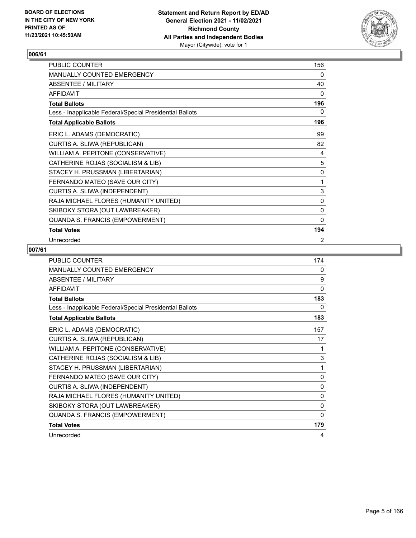

| PUBLIC COUNTER                                           | 156          |
|----------------------------------------------------------|--------------|
| MANUALLY COUNTED EMERGENCY                               | 0            |
| <b>ABSENTEE / MILITARY</b>                               | 40           |
| <b>AFFIDAVIT</b>                                         | $\mathbf{0}$ |
| <b>Total Ballots</b>                                     | 196          |
| Less - Inapplicable Federal/Special Presidential Ballots | 0            |
| <b>Total Applicable Ballots</b>                          | 196          |
| ERIC L. ADAMS (DEMOCRATIC)                               | 99           |
| CURTIS A. SLIWA (REPUBLICAN)                             | 82           |
| WILLIAM A. PEPITONE (CONSERVATIVE)                       | 4            |
| CATHERINE ROJAS (SOCIALISM & LIB)                        | 5            |
| STACEY H. PRUSSMAN (LIBERTARIAN)                         | 0            |
| FERNANDO MATEO (SAVE OUR CITY)                           | 1            |
| CURTIS A. SLIWA (INDEPENDENT)                            | 3            |
| RAJA MICHAEL FLORES (HUMANITY UNITED)                    | 0            |
| SKIBOKY STORA (OUT LAWBREAKER)                           | 0            |
| QUANDA S. FRANCIS (EMPOWERMENT)                          | $\Omega$     |
| <b>Total Votes</b>                                       | 194          |
| Unrecorded                                               | 2            |

| <b>PUBLIC COUNTER</b>                                    | 174          |
|----------------------------------------------------------|--------------|
| <b>MANUALLY COUNTED EMERGENCY</b>                        | 0            |
| <b>ABSENTEE / MILITARY</b>                               | 9            |
| <b>AFFIDAVIT</b>                                         | $\mathbf{0}$ |
| <b>Total Ballots</b>                                     | 183          |
| Less - Inapplicable Federal/Special Presidential Ballots | 0            |
| <b>Total Applicable Ballots</b>                          | 183          |
| ERIC L. ADAMS (DEMOCRATIC)                               | 157          |
| CURTIS A. SLIWA (REPUBLICAN)                             | 17           |
| WILLIAM A. PEPITONE (CONSERVATIVE)                       | 1            |
| CATHERINE ROJAS (SOCIALISM & LIB)                        | 3            |
| STACEY H. PRUSSMAN (LIBERTARIAN)                         | 1            |
| FERNANDO MATEO (SAVE OUR CITY)                           | $\mathbf{0}$ |
| CURTIS A. SLIWA (INDEPENDENT)                            | $\mathbf{0}$ |
| RAJA MICHAEL FLORES (HUMANITY UNITED)                    | $\mathbf{0}$ |
| SKIBOKY STORA (OUT LAWBREAKER)                           | $\mathbf{0}$ |
| QUANDA S. FRANCIS (EMPOWERMENT)                          | $\Omega$     |
| <b>Total Votes</b>                                       | 179          |
| Unrecorded                                               | 4            |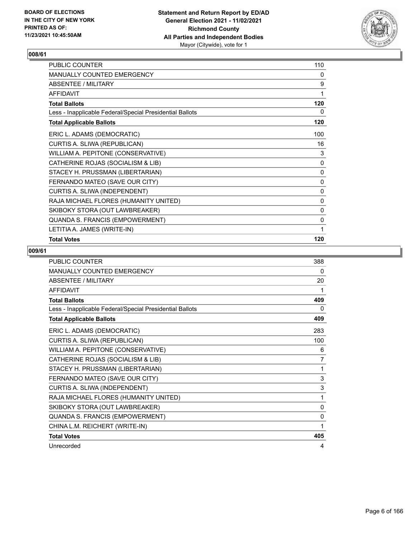

| PUBLIC COUNTER                                           | 110 |
|----------------------------------------------------------|-----|
| MANUALLY COUNTED EMERGENCY                               | 0   |
| <b>ABSENTEE / MILITARY</b>                               | 9   |
| <b>AFFIDAVIT</b>                                         | 1   |
| <b>Total Ballots</b>                                     | 120 |
| Less - Inapplicable Federal/Special Presidential Ballots | 0   |
| <b>Total Applicable Ballots</b>                          | 120 |
| ERIC L. ADAMS (DEMOCRATIC)                               | 100 |
| CURTIS A. SLIWA (REPUBLICAN)                             | 16  |
| WILLIAM A. PEPITONE (CONSERVATIVE)                       | 3   |
| CATHERINE ROJAS (SOCIALISM & LIB)                        | 0   |
| STACEY H. PRUSSMAN (LIBERTARIAN)                         | 0   |
| FERNANDO MATEO (SAVE OUR CITY)                           | 0   |
| CURTIS A. SLIWA (INDEPENDENT)                            | 0   |
| RAJA MICHAEL FLORES (HUMANITY UNITED)                    | 0   |
| SKIBOKY STORA (OUT LAWBREAKER)                           | 0   |
| QUANDA S. FRANCIS (EMPOWERMENT)                          | 0   |
| LETITIA A. JAMES (WRITE-IN)                              |     |
| <b>Total Votes</b>                                       | 120 |

| <b>PUBLIC COUNTER</b>                                    | 388            |
|----------------------------------------------------------|----------------|
| MANUALLY COUNTED EMERGENCY                               | 0              |
| <b>ABSENTEE / MILITARY</b>                               | 20             |
| <b>AFFIDAVIT</b>                                         | 1              |
| <b>Total Ballots</b>                                     | 409            |
| Less - Inapplicable Federal/Special Presidential Ballots | 0              |
| <b>Total Applicable Ballots</b>                          | 409            |
| ERIC L. ADAMS (DEMOCRATIC)                               | 283            |
| CURTIS A. SLIWA (REPUBLICAN)                             | 100            |
| WILLIAM A. PEPITONE (CONSERVATIVE)                       | 6              |
| CATHERINE ROJAS (SOCIALISM & LIB)                        | $\overline{7}$ |
| STACEY H. PRUSSMAN (LIBERTARIAN)                         | 1              |
| FERNANDO MATEO (SAVE OUR CITY)                           | 3              |
| CURTIS A. SLIWA (INDEPENDENT)                            | 3              |
| RAJA MICHAEL FLORES (HUMANITY UNITED)                    | 1              |
| SKIBOKY STORA (OUT LAWBREAKER)                           | $\mathbf{0}$   |
| QUANDA S. FRANCIS (EMPOWERMENT)                          | $\mathbf{0}$   |
| CHINA L.M. REICHERT (WRITE-IN)                           | 1              |
| <b>Total Votes</b>                                       | 405            |
| Unrecorded                                               | 4              |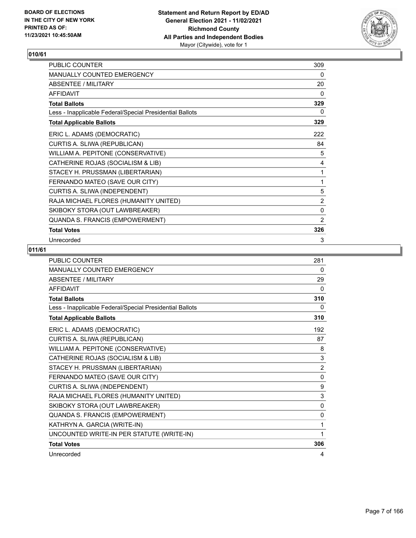

| PUBLIC COUNTER                                           | 309            |
|----------------------------------------------------------|----------------|
| MANUALLY COUNTED EMERGENCY                               | 0              |
| ABSENTEE / MILITARY                                      | 20             |
| <b>AFFIDAVIT</b>                                         | 0              |
| <b>Total Ballots</b>                                     | 329            |
| Less - Inapplicable Federal/Special Presidential Ballots | 0              |
| <b>Total Applicable Ballots</b>                          | 329            |
| ERIC L. ADAMS (DEMOCRATIC)                               | 222            |
| CURTIS A. SLIWA (REPUBLICAN)                             | 84             |
| WILLIAM A. PEPITONE (CONSERVATIVE)                       | 5              |
| CATHERINE ROJAS (SOCIALISM & LIB)                        | 4              |
| STACEY H. PRUSSMAN (LIBERTARIAN)                         | 1              |
| FERNANDO MATEO (SAVE OUR CITY)                           | 1              |
| CURTIS A. SLIWA (INDEPENDENT)                            | 5              |
| RAJA MICHAEL FLORES (HUMANITY UNITED)                    | $\overline{2}$ |
| SKIBOKY STORA (OUT LAWBREAKER)                           | $\mathbf 0$    |
| QUANDA S. FRANCIS (EMPOWERMENT)                          | $\overline{2}$ |
| <b>Total Votes</b>                                       | 326            |
| Unrecorded                                               | 3              |

| <b>PUBLIC COUNTER</b>                                    | 281            |
|----------------------------------------------------------|----------------|
| MANUALLY COUNTED EMERGENCY                               | 0              |
| <b>ABSENTEE / MILITARY</b>                               | 29             |
| <b>AFFIDAVIT</b>                                         | 0              |
| <b>Total Ballots</b>                                     | 310            |
| Less - Inapplicable Federal/Special Presidential Ballots | 0              |
| <b>Total Applicable Ballots</b>                          | 310            |
| ERIC L. ADAMS (DEMOCRATIC)                               | 192            |
| CURTIS A. SLIWA (REPUBLICAN)                             | 87             |
| WILLIAM A. PEPITONE (CONSERVATIVE)                       | 8              |
| CATHERINE ROJAS (SOCIALISM & LIB)                        | 3              |
| STACEY H. PRUSSMAN (LIBERTARIAN)                         | $\overline{2}$ |
| FERNANDO MATEO (SAVE OUR CITY)                           | $\mathbf{0}$   |
| CURTIS A. SLIWA (INDEPENDENT)                            | 9              |
| RAJA MICHAEL FLORES (HUMANITY UNITED)                    | 3              |
| SKIBOKY STORA (OUT LAWBREAKER)                           | $\mathbf{0}$   |
| <b>QUANDA S. FRANCIS (EMPOWERMENT)</b>                   | $\mathbf{0}$   |
| KATHRYN A. GARCIA (WRITE-IN)                             | 1              |
| UNCOUNTED WRITE-IN PER STATUTE (WRITE-IN)                | 1              |
| <b>Total Votes</b>                                       | 306            |
| Unrecorded                                               | 4              |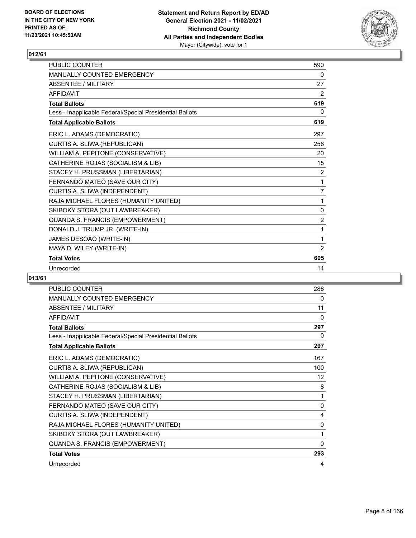

| <b>PUBLIC COUNTER</b>                                    | 590            |
|----------------------------------------------------------|----------------|
| <b>MANUALLY COUNTED EMERGENCY</b>                        | 0              |
| <b>ABSENTEE / MILITARY</b>                               | 27             |
| <b>AFFIDAVIT</b>                                         | 2              |
| <b>Total Ballots</b>                                     | 619            |
| Less - Inapplicable Federal/Special Presidential Ballots | $\Omega$       |
| <b>Total Applicable Ballots</b>                          | 619            |
| ERIC L. ADAMS (DEMOCRATIC)                               | 297            |
| CURTIS A. SLIWA (REPUBLICAN)                             | 256            |
| WILLIAM A. PEPITONE (CONSERVATIVE)                       | 20             |
| CATHERINE ROJAS (SOCIALISM & LIB)                        | 15             |
| STACEY H. PRUSSMAN (LIBERTARIAN)                         | 2              |
| FERNANDO MATEO (SAVE OUR CITY)                           | 1              |
| CURTIS A. SLIWA (INDEPENDENT)                            | 7              |
| RAJA MICHAEL FLORES (HUMANITY UNITED)                    | 1              |
| SKIBOKY STORA (OUT LAWBREAKER)                           | 0              |
| QUANDA S. FRANCIS (EMPOWERMENT)                          | $\overline{2}$ |
| DONALD J. TRUMP JR. (WRITE-IN)                           | 1              |
| JAMES DESOAO (WRITE-IN)                                  | 1              |
| MAYA D. WILEY (WRITE-IN)                                 | 2              |
| <b>Total Votes</b>                                       | 605            |
| Unrecorded                                               | 14             |

| PUBLIC COUNTER                                           | 286      |
|----------------------------------------------------------|----------|
| <b>MANUALLY COUNTED EMERGENCY</b>                        | 0        |
| <b>ABSENTEE / MILITARY</b>                               | 11       |
| <b>AFFIDAVIT</b>                                         | 0        |
| <b>Total Ballots</b>                                     | 297      |
| Less - Inapplicable Federal/Special Presidential Ballots | $\Omega$ |
| <b>Total Applicable Ballots</b>                          | 297      |
| ERIC L. ADAMS (DEMOCRATIC)                               | 167      |
| CURTIS A. SLIWA (REPUBLICAN)                             | 100      |
| WILLIAM A. PEPITONE (CONSERVATIVE)                       | 12       |
| CATHERINE ROJAS (SOCIALISM & LIB)                        | 8        |
| STACEY H. PRUSSMAN (LIBERTARIAN)                         | 1        |
| FERNANDO MATEO (SAVE OUR CITY)                           | 0        |
| CURTIS A. SLIWA (INDEPENDENT)                            | 4        |
| RAJA MICHAEL FLORES (HUMANITY UNITED)                    | 0        |
| SKIBOKY STORA (OUT LAWBREAKER)                           | 1        |
| QUANDA S. FRANCIS (EMPOWERMENT)                          | 0        |
| <b>Total Votes</b>                                       | 293      |
| Unrecorded                                               | 4        |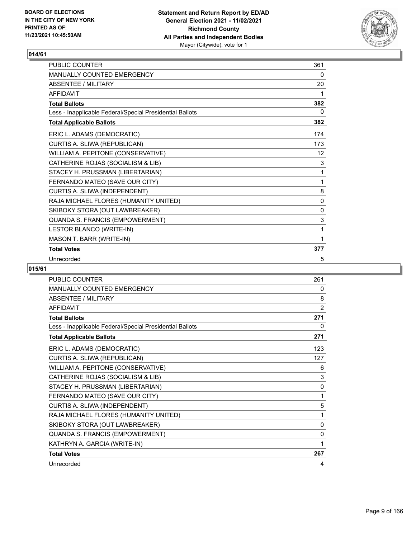

| PUBLIC COUNTER                                           | 361          |
|----------------------------------------------------------|--------------|
| <b>MANUALLY COUNTED EMERGENCY</b>                        | 0            |
| <b>ABSENTEE / MILITARY</b>                               | 20           |
| <b>AFFIDAVIT</b>                                         | 1            |
| <b>Total Ballots</b>                                     | 382          |
| Less - Inapplicable Federal/Special Presidential Ballots | 0            |
| <b>Total Applicable Ballots</b>                          | 382          |
| ERIC L. ADAMS (DEMOCRATIC)                               | 174          |
| CURTIS A. SLIWA (REPUBLICAN)                             | 173          |
| WILLIAM A. PEPITONE (CONSERVATIVE)                       | 12           |
| CATHERINE ROJAS (SOCIALISM & LIB)                        | 3            |
| STACEY H. PRUSSMAN (LIBERTARIAN)                         | 1            |
| FERNANDO MATEO (SAVE OUR CITY)                           | 1            |
| CURTIS A. SLIWA (INDEPENDENT)                            | 8            |
| RAJA MICHAEL FLORES (HUMANITY UNITED)                    | 0            |
| SKIBOKY STORA (OUT LAWBREAKER)                           | $\mathbf{0}$ |
| QUANDA S. FRANCIS (EMPOWERMENT)                          | 3            |
| LESTOR BLANCO (WRITE-IN)                                 | 1            |
| MASON T. BARR (WRITE-IN)                                 | 1            |
| <b>Total Votes</b>                                       | 377          |
| Unrecorded                                               | 5            |

| PUBLIC COUNTER                                           | 261            |
|----------------------------------------------------------|----------------|
| MANUALLY COUNTED EMERGENCY                               | 0              |
| ABSENTEE / MILITARY                                      | 8              |
| <b>AFFIDAVIT</b>                                         | $\overline{2}$ |
| <b>Total Ballots</b>                                     | 271            |
| Less - Inapplicable Federal/Special Presidential Ballots | 0              |
| <b>Total Applicable Ballots</b>                          | 271            |
| ERIC L. ADAMS (DEMOCRATIC)                               | 123            |
| CURTIS A. SLIWA (REPUBLICAN)                             | 127            |
| WILLIAM A. PEPITONE (CONSERVATIVE)                       | 6              |
| CATHERINE ROJAS (SOCIALISM & LIB)                        | $\sqrt{3}$     |
| STACEY H. PRUSSMAN (LIBERTARIAN)                         | 0              |
| FERNANDO MATEO (SAVE OUR CITY)                           | 1              |
| CURTIS A. SLIWA (INDEPENDENT)                            | 5              |
| RAJA MICHAEL FLORES (HUMANITY UNITED)                    | 1              |
| SKIBOKY STORA (OUT LAWBREAKER)                           | 0              |
| QUANDA S. FRANCIS (EMPOWERMENT)                          | 0              |
| KATHRYN A. GARCIA (WRITE-IN)                             | 1              |
| <b>Total Votes</b>                                       | 267            |
| Unrecorded                                               | 4              |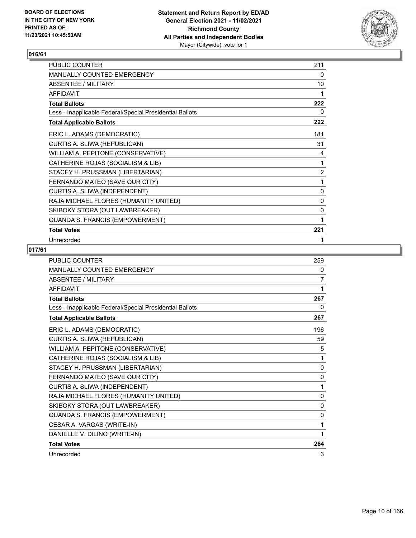

| PUBLIC COUNTER                                           | 211            |
|----------------------------------------------------------|----------------|
| MANUALLY COUNTED EMERGENCY                               | 0              |
| ABSENTEE / MILITARY                                      | 10             |
| <b>AFFIDAVIT</b>                                         | 1              |
| <b>Total Ballots</b>                                     | 222            |
| Less - Inapplicable Federal/Special Presidential Ballots | 0              |
| <b>Total Applicable Ballots</b>                          | 222            |
| ERIC L. ADAMS (DEMOCRATIC)                               | 181            |
| CURTIS A. SLIWA (REPUBLICAN)                             | 31             |
| WILLIAM A. PEPITONE (CONSERVATIVE)                       | 4              |
| CATHERINE ROJAS (SOCIALISM & LIB)                        | 1              |
| STACEY H. PRUSSMAN (LIBERTARIAN)                         | $\overline{2}$ |
| FERNANDO MATEO (SAVE OUR CITY)                           | 1              |
| CURTIS A. SLIWA (INDEPENDENT)                            | 0              |
| RAJA MICHAEL FLORES (HUMANITY UNITED)                    | 0              |
| SKIBOKY STORA (OUT LAWBREAKER)                           | 0              |
| QUANDA S. FRANCIS (EMPOWERMENT)                          | 1              |
| <b>Total Votes</b>                                       | 221            |
| Unrecorded                                               | 1              |

| <b>PUBLIC COUNTER</b>                                    | 259            |
|----------------------------------------------------------|----------------|
| <b>MANUALLY COUNTED EMERGENCY</b>                        | 0              |
| <b>ABSENTEE / MILITARY</b>                               | $\overline{7}$ |
| <b>AFFIDAVIT</b>                                         | 1              |
| <b>Total Ballots</b>                                     | 267            |
| Less - Inapplicable Federal/Special Presidential Ballots | $\Omega$       |
| <b>Total Applicable Ballots</b>                          | 267            |
| ERIC L. ADAMS (DEMOCRATIC)                               | 196            |
| CURTIS A. SLIWA (REPUBLICAN)                             | 59             |
| WILLIAM A. PEPITONE (CONSERVATIVE)                       | 5              |
| CATHERINE ROJAS (SOCIALISM & LIB)                        | 1              |
| STACEY H. PRUSSMAN (LIBERTARIAN)                         | 0              |
| FERNANDO MATEO (SAVE OUR CITY)                           | 0              |
| CURTIS A. SLIWA (INDEPENDENT)                            | 1              |
| RAJA MICHAEL FLORES (HUMANITY UNITED)                    | $\mathbf{0}$   |
| SKIBOKY STORA (OUT LAWBREAKER)                           | $\mathbf{0}$   |
| QUANDA S. FRANCIS (EMPOWERMENT)                          | 0              |
| CESAR A. VARGAS (WRITE-IN)                               | 1              |
| DANIELLE V. DILINO (WRITE-IN)                            | 1              |
| <b>Total Votes</b>                                       | 264            |
| Unrecorded                                               | 3              |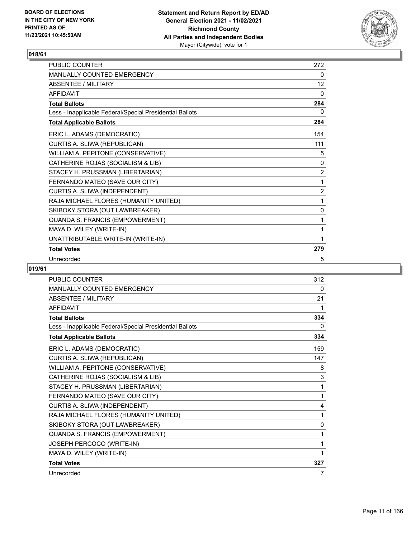

| <b>PUBLIC COUNTER</b>                                    | 272            |
|----------------------------------------------------------|----------------|
| MANUALLY COUNTED EMERGENCY                               | 0              |
| ABSENTEE / MILITARY                                      | 12             |
| <b>AFFIDAVIT</b>                                         | 0              |
| <b>Total Ballots</b>                                     | 284            |
| Less - Inapplicable Federal/Special Presidential Ballots | 0              |
| <b>Total Applicable Ballots</b>                          | 284            |
| ERIC L. ADAMS (DEMOCRATIC)                               | 154            |
| CURTIS A. SLIWA (REPUBLICAN)                             | 111            |
| WILLIAM A. PEPITONE (CONSERVATIVE)                       | 5              |
| CATHERINE ROJAS (SOCIALISM & LIB)                        | 0              |
| STACEY H. PRUSSMAN (LIBERTARIAN)                         | $\overline{2}$ |
| FERNANDO MATEO (SAVE OUR CITY)                           | 1              |
| CURTIS A. SLIWA (INDEPENDENT)                            | $\overline{2}$ |
| RAJA MICHAEL FLORES (HUMANITY UNITED)                    | 1              |
| SKIBOKY STORA (OUT LAWBREAKER)                           | 0              |
| QUANDA S. FRANCIS (EMPOWERMENT)                          | 1              |
| MAYA D. WILEY (WRITE-IN)                                 | 1              |
| UNATTRIBUTABLE WRITE-IN (WRITE-IN)                       | 1              |
| <b>Total Votes</b>                                       | 279            |
| Unrecorded                                               | 5              |

| PUBLIC COUNTER                                           | 312            |
|----------------------------------------------------------|----------------|
| MANUALLY COUNTED EMERGENCY                               | 0              |
| <b>ABSENTEE / MILITARY</b>                               | 21             |
| <b>AFFIDAVIT</b>                                         | 1              |
| <b>Total Ballots</b>                                     | 334            |
| Less - Inapplicable Federal/Special Presidential Ballots | $\mathbf{0}$   |
| <b>Total Applicable Ballots</b>                          | 334            |
| ERIC L. ADAMS (DEMOCRATIC)                               | 159            |
| CURTIS A. SLIWA (REPUBLICAN)                             | 147            |
| WILLIAM A. PEPITONE (CONSERVATIVE)                       | 8              |
| CATHERINE ROJAS (SOCIALISM & LIB)                        | 3              |
| STACEY H. PRUSSMAN (LIBERTARIAN)                         | 1              |
| FERNANDO MATEO (SAVE OUR CITY)                           | 1              |
| CURTIS A. SLIWA (INDEPENDENT)                            | 4              |
| RAJA MICHAEL FLORES (HUMANITY UNITED)                    | 1              |
| SKIBOKY STORA (OUT LAWBREAKER)                           | $\mathbf{0}$   |
| QUANDA S. FRANCIS (EMPOWERMENT)                          | 1              |
| JOSEPH PERCOCO (WRITE-IN)                                | 1              |
| MAYA D. WILEY (WRITE-IN)                                 | 1              |
| <b>Total Votes</b>                                       | 327            |
| Unrecorded                                               | $\overline{7}$ |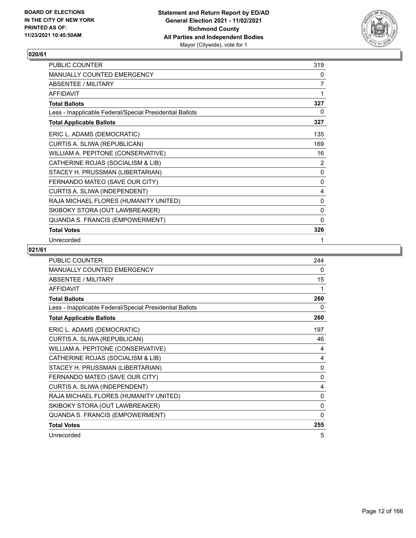

| PUBLIC COUNTER                                           | 319          |
|----------------------------------------------------------|--------------|
| MANUALLY COUNTED EMERGENCY                               | 0            |
| <b>ABSENTEE / MILITARY</b>                               | 7            |
| <b>AFFIDAVIT</b>                                         | 1            |
| <b>Total Ballots</b>                                     | 327          |
| Less - Inapplicable Federal/Special Presidential Ballots | 0            |
| <b>Total Applicable Ballots</b>                          | 327          |
| ERIC L. ADAMS (DEMOCRATIC)                               | 135          |
| CURTIS A. SLIWA (REPUBLICAN)                             | 169          |
| WILLIAM A. PEPITONE (CONSERVATIVE)                       | 16           |
| CATHERINE ROJAS (SOCIALISM & LIB)                        | 2            |
| STACEY H. PRUSSMAN (LIBERTARIAN)                         | 0            |
| FERNANDO MATEO (SAVE OUR CITY)                           | 0            |
| CURTIS A. SLIWA (INDEPENDENT)                            | 4            |
| RAJA MICHAEL FLORES (HUMANITY UNITED)                    | 0            |
| SKIBOKY STORA (OUT LAWBREAKER)                           | 0            |
| QUANDA S. FRANCIS (EMPOWERMENT)                          | $\mathbf{0}$ |
| <b>Total Votes</b>                                       | 326          |
| Unrecorded                                               | 1            |

| <b>PUBLIC COUNTER</b>                                    | 244          |
|----------------------------------------------------------|--------------|
| MANUALLY COUNTED EMERGENCY                               | 0            |
| ABSENTEE / MILITARY                                      | 15           |
| <b>AFFIDAVIT</b>                                         | 1            |
| <b>Total Ballots</b>                                     | 260          |
| Less - Inapplicable Federal/Special Presidential Ballots | 0            |
| <b>Total Applicable Ballots</b>                          | 260          |
| ERIC L. ADAMS (DEMOCRATIC)                               | 197          |
| CURTIS A. SLIWA (REPUBLICAN)                             | 46           |
| WILLIAM A. PEPITONE (CONSERVATIVE)                       | 4            |
| CATHERINE ROJAS (SOCIALISM & LIB)                        | 4            |
| STACEY H. PRUSSMAN (LIBERTARIAN)                         | 0            |
| FERNANDO MATEO (SAVE OUR CITY)                           | $\mathbf{0}$ |
| CURTIS A. SLIWA (INDEPENDENT)                            | 4            |
| RAJA MICHAEL FLORES (HUMANITY UNITED)                    | 0            |
| SKIBOKY STORA (OUT LAWBREAKER)                           | 0            |
| QUANDA S. FRANCIS (EMPOWERMENT)                          | 0            |
| <b>Total Votes</b>                                       | 255          |
| Unrecorded                                               | 5            |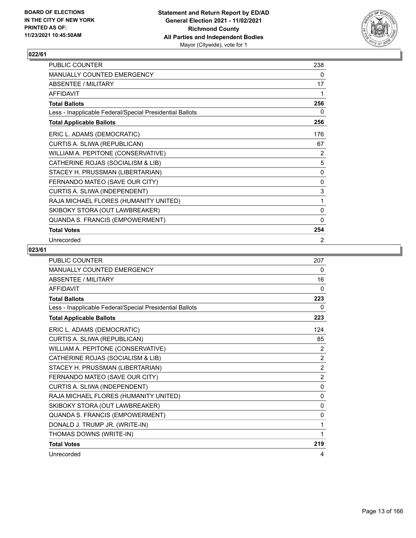

| PUBLIC COUNTER                                           | 238          |
|----------------------------------------------------------|--------------|
| MANUALLY COUNTED EMERGENCY                               | 0            |
| ABSENTEE / MILITARY                                      | 17           |
| <b>AFFIDAVIT</b>                                         | 1            |
| <b>Total Ballots</b>                                     | 256          |
| Less - Inapplicable Federal/Special Presidential Ballots | 0            |
| <b>Total Applicable Ballots</b>                          | 256          |
| ERIC L. ADAMS (DEMOCRATIC)                               | 176          |
| CURTIS A. SLIWA (REPUBLICAN)                             | 67           |
| WILLIAM A. PEPITONE (CONSERVATIVE)                       | 2            |
| CATHERINE ROJAS (SOCIALISM & LIB)                        | 5            |
| STACEY H. PRUSSMAN (LIBERTARIAN)                         | 0            |
| FERNANDO MATEO (SAVE OUR CITY)                           | 0            |
| CURTIS A. SLIWA (INDEPENDENT)                            | $\sqrt{3}$   |
| RAJA MICHAEL FLORES (HUMANITY UNITED)                    | 1            |
| SKIBOKY STORA (OUT LAWBREAKER)                           | 0            |
| QUANDA S. FRANCIS (EMPOWERMENT)                          | $\mathbf{0}$ |
| <b>Total Votes</b>                                       | 254          |
| Unrecorded                                               | 2            |

| <b>PUBLIC COUNTER</b>                                    | 207            |
|----------------------------------------------------------|----------------|
| MANUALLY COUNTED EMERGENCY                               | 0              |
| <b>ABSENTEE / MILITARY</b>                               | 16             |
| <b>AFFIDAVIT</b>                                         | $\mathbf{0}$   |
| <b>Total Ballots</b>                                     | 223            |
| Less - Inapplicable Federal/Special Presidential Ballots | 0              |
| <b>Total Applicable Ballots</b>                          | 223            |
| ERIC L. ADAMS (DEMOCRATIC)                               | 124            |
| CURTIS A. SLIWA (REPUBLICAN)                             | 85             |
| WILLIAM A. PEPITONE (CONSERVATIVE)                       | 2              |
| CATHERINE ROJAS (SOCIALISM & LIB)                        | 2              |
| STACEY H. PRUSSMAN (LIBERTARIAN)                         | $\overline{2}$ |
| FERNANDO MATEO (SAVE OUR CITY)                           | $\overline{2}$ |
| CURTIS A. SLIWA (INDEPENDENT)                            | $\mathbf{0}$   |
| RAJA MICHAEL FLORES (HUMANITY UNITED)                    | $\mathbf{0}$   |
| SKIBOKY STORA (OUT LAWBREAKER)                           | $\mathbf{0}$   |
| <b>QUANDA S. FRANCIS (EMPOWERMENT)</b>                   | $\mathbf{0}$   |
| DONALD J. TRUMP JR. (WRITE-IN)                           | 1              |
| THOMAS DOWNS (WRITE-IN)                                  | 1              |
| <b>Total Votes</b>                                       | 219            |
| Unrecorded                                               | 4              |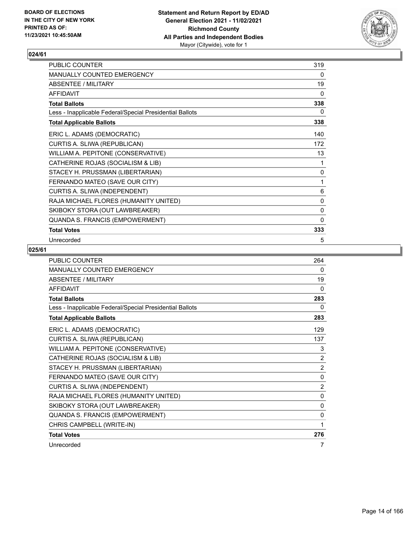

| PUBLIC COUNTER                                           | 319          |
|----------------------------------------------------------|--------------|
| MANUALLY COUNTED EMERGENCY                               | 0            |
| <b>ABSENTEE / MILITARY</b>                               | 19           |
| <b>AFFIDAVIT</b>                                         | 0            |
| <b>Total Ballots</b>                                     | 338          |
| Less - Inapplicable Federal/Special Presidential Ballots | 0            |
| <b>Total Applicable Ballots</b>                          | 338          |
| ERIC L. ADAMS (DEMOCRATIC)                               | 140          |
| CURTIS A. SLIWA (REPUBLICAN)                             | 172          |
| WILLIAM A. PEPITONE (CONSERVATIVE)                       | 13           |
| CATHERINE ROJAS (SOCIALISM & LIB)                        | 1            |
| STACEY H. PRUSSMAN (LIBERTARIAN)                         | 0            |
| FERNANDO MATEO (SAVE OUR CITY)                           | 1            |
| CURTIS A. SLIWA (INDEPENDENT)                            | 6            |
| RAJA MICHAEL FLORES (HUMANITY UNITED)                    | 0            |
| SKIBOKY STORA (OUT LAWBREAKER)                           | 0            |
| QUANDA S. FRANCIS (EMPOWERMENT)                          | $\mathbf{0}$ |
| <b>Total Votes</b>                                       | 333          |
| Unrecorded                                               | 5            |

| <b>PUBLIC COUNTER</b>                                    | 264            |
|----------------------------------------------------------|----------------|
| <b>MANUALLY COUNTED EMERGENCY</b>                        | $\Omega$       |
| ABSENTEE / MILITARY                                      | 19             |
| <b>AFFIDAVIT</b>                                         | 0              |
| <b>Total Ballots</b>                                     | 283            |
| Less - Inapplicable Federal/Special Presidential Ballots | 0              |
| <b>Total Applicable Ballots</b>                          | 283            |
| ERIC L. ADAMS (DEMOCRATIC)                               | 129            |
| CURTIS A. SLIWA (REPUBLICAN)                             | 137            |
| WILLIAM A. PEPITONE (CONSERVATIVE)                       | 3              |
| CATHERINE ROJAS (SOCIALISM & LIB)                        | $\overline{2}$ |
| STACEY H. PRUSSMAN (LIBERTARIAN)                         | $\overline{2}$ |
| FERNANDO MATEO (SAVE OUR CITY)                           | $\Omega$       |
| CURTIS A. SLIWA (INDEPENDENT)                            | $\overline{2}$ |
| RAJA MICHAEL FLORES (HUMANITY UNITED)                    | $\mathbf{0}$   |
| SKIBOKY STORA (OUT LAWBREAKER)                           | 0              |
| QUANDA S. FRANCIS (EMPOWERMENT)                          | $\mathbf{0}$   |
| CHRIS CAMPBELL (WRITE-IN)                                | 1              |
| <b>Total Votes</b>                                       | 276            |
| Unrecorded                                               | 7              |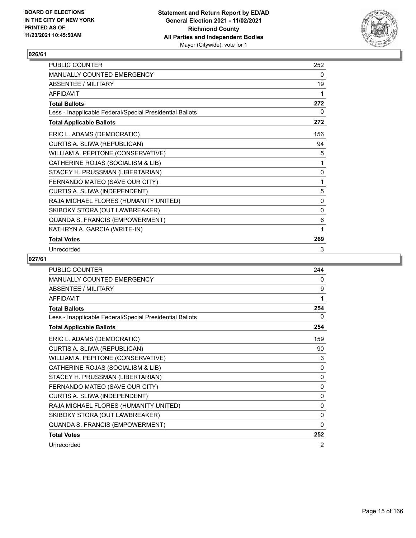

| PUBLIC COUNTER                                           | 252 |
|----------------------------------------------------------|-----|
| <b>MANUALLY COUNTED EMERGENCY</b>                        | 0   |
| <b>ABSENTEE / MILITARY</b>                               | 19  |
| <b>AFFIDAVIT</b>                                         | 1   |
| <b>Total Ballots</b>                                     | 272 |
| Less - Inapplicable Federal/Special Presidential Ballots | 0   |
| <b>Total Applicable Ballots</b>                          | 272 |
| ERIC L. ADAMS (DEMOCRATIC)                               | 156 |
| CURTIS A. SLIWA (REPUBLICAN)                             | 94  |
| WILLIAM A. PEPITONE (CONSERVATIVE)                       | 5   |
| CATHERINE ROJAS (SOCIALISM & LIB)                        | 1   |
| STACEY H. PRUSSMAN (LIBERTARIAN)                         | 0   |
| FERNANDO MATEO (SAVE OUR CITY)                           | 1   |
| CURTIS A. SLIWA (INDEPENDENT)                            | 5   |
| RAJA MICHAEL FLORES (HUMANITY UNITED)                    | 0   |
| SKIBOKY STORA (OUT LAWBREAKER)                           | 0   |
| QUANDA S. FRANCIS (EMPOWERMENT)                          | 6   |
| KATHRYN A. GARCIA (WRITE-IN)                             | 1   |
| <b>Total Votes</b>                                       | 269 |
| Unrecorded                                               | 3   |

| <b>PUBLIC COUNTER</b>                                    | 244          |
|----------------------------------------------------------|--------------|
| <b>MANUALLY COUNTED EMERGENCY</b>                        | 0            |
| <b>ABSENTEE / MILITARY</b>                               | 9            |
| <b>AFFIDAVIT</b>                                         | 1            |
| <b>Total Ballots</b>                                     | 254          |
| Less - Inapplicable Federal/Special Presidential Ballots | 0            |
| <b>Total Applicable Ballots</b>                          | 254          |
| ERIC L. ADAMS (DEMOCRATIC)                               | 159          |
| CURTIS A. SLIWA (REPUBLICAN)                             | 90           |
| WILLIAM A. PEPITONE (CONSERVATIVE)                       | 3            |
| CATHERINE ROJAS (SOCIALISM & LIB)                        | 0            |
| STACEY H. PRUSSMAN (LIBERTARIAN)                         | 0            |
| FERNANDO MATEO (SAVE OUR CITY)                           | $\mathbf{0}$ |
| CURTIS A. SLIWA (INDEPENDENT)                            | $\mathbf{0}$ |
| RAJA MICHAEL FLORES (HUMANITY UNITED)                    | 0            |
| SKIBOKY STORA (OUT LAWBREAKER)                           | $\mathbf{0}$ |
| QUANDA S. FRANCIS (EMPOWERMENT)                          | 0            |
| <b>Total Votes</b>                                       | 252          |
| Unrecorded                                               | 2            |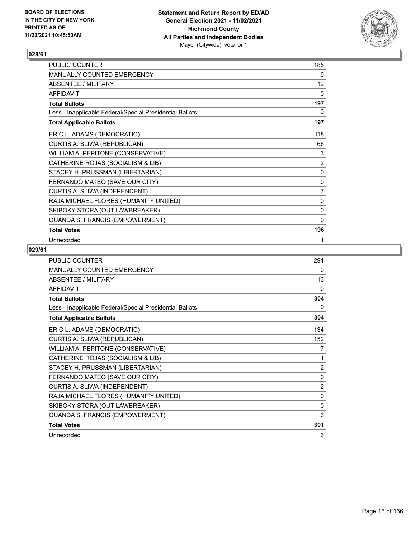

| PUBLIC COUNTER                                           | 185          |
|----------------------------------------------------------|--------------|
| MANUALLY COUNTED EMERGENCY                               | 0            |
| ABSENTEE / MILITARY                                      | 12           |
| <b>AFFIDAVIT</b>                                         | $\Omega$     |
| <b>Total Ballots</b>                                     | 197          |
| Less - Inapplicable Federal/Special Presidential Ballots | 0            |
| <b>Total Applicable Ballots</b>                          | 197          |
| ERIC L. ADAMS (DEMOCRATIC)                               | 118          |
| CURTIS A. SLIWA (REPUBLICAN)                             | 66           |
| WILLIAM A. PEPITONE (CONSERVATIVE)                       | 3            |
| CATHERINE ROJAS (SOCIALISM & LIB)                        | 2            |
| STACEY H. PRUSSMAN (LIBERTARIAN)                         | 0            |
| FERNANDO MATEO (SAVE OUR CITY)                           | $\pmb{0}$    |
| CURTIS A. SLIWA (INDEPENDENT)                            | 7            |
| RAJA MICHAEL FLORES (HUMANITY UNITED)                    | 0            |
| SKIBOKY STORA (OUT LAWBREAKER)                           | 0            |
| QUANDA S. FRANCIS (EMPOWERMENT)                          | $\mathbf{0}$ |
| <b>Total Votes</b>                                       | 196          |
| Unrecorded                                               | 1            |

| <b>PUBLIC COUNTER</b>                                    | 291            |
|----------------------------------------------------------|----------------|
| MANUALLY COUNTED EMERGENCY                               | 0              |
| ABSENTEE / MILITARY                                      | 13             |
| <b>AFFIDAVIT</b>                                         | $\mathbf{0}$   |
| <b>Total Ballots</b>                                     | 304            |
| Less - Inapplicable Federal/Special Presidential Ballots | 0              |
| <b>Total Applicable Ballots</b>                          | 304            |
| ERIC L. ADAMS (DEMOCRATIC)                               | 134            |
| CURTIS A. SLIWA (REPUBLICAN)                             | 152            |
| WILLIAM A. PEPITONE (CONSERVATIVE)                       | 7              |
| CATHERINE ROJAS (SOCIALISM & LIB)                        | 1              |
| STACEY H. PRUSSMAN (LIBERTARIAN)                         | $\overline{2}$ |
| FERNANDO MATEO (SAVE OUR CITY)                           | $\mathbf{0}$   |
| CURTIS A. SLIWA (INDEPENDENT)                            | $\overline{2}$ |
| RAJA MICHAEL FLORES (HUMANITY UNITED)                    | $\mathbf{0}$   |
| SKIBOKY STORA (OUT LAWBREAKER)                           | $\mathbf{0}$   |
| QUANDA S. FRANCIS (EMPOWERMENT)                          | 3              |
| <b>Total Votes</b>                                       | 301            |
| Unrecorded                                               | 3              |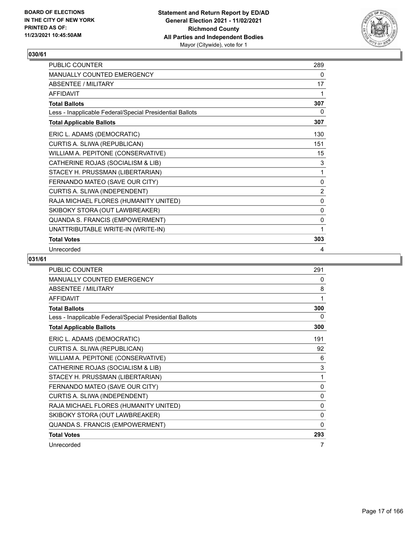

| PUBLIC COUNTER                                           | 289 |
|----------------------------------------------------------|-----|
| MANUALLY COUNTED EMERGENCY                               | 0   |
| ABSENTEE / MILITARY                                      | 17  |
| <b>AFFIDAVIT</b>                                         | 1   |
| <b>Total Ballots</b>                                     | 307 |
| Less - Inapplicable Federal/Special Presidential Ballots | 0   |
| <b>Total Applicable Ballots</b>                          | 307 |
| ERIC L. ADAMS (DEMOCRATIC)                               | 130 |
| CURTIS A. SLIWA (REPUBLICAN)                             | 151 |
| WILLIAM A. PEPITONE (CONSERVATIVE)                       | 15  |
| CATHERINE ROJAS (SOCIALISM & LIB)                        | 3   |
| STACEY H. PRUSSMAN (LIBERTARIAN)                         | 1   |
| FERNANDO MATEO (SAVE OUR CITY)                           | 0   |
| CURTIS A. SLIWA (INDEPENDENT)                            | 2   |
| RAJA MICHAEL FLORES (HUMANITY UNITED)                    | 0   |
| SKIBOKY STORA (OUT LAWBREAKER)                           | 0   |
| QUANDA S. FRANCIS (EMPOWERMENT)                          | 0   |
| UNATTRIBUTABLE WRITE-IN (WRITE-IN)                       | 1   |
| <b>Total Votes</b>                                       | 303 |
| Unrecorded                                               | 4   |

| <b>PUBLIC COUNTER</b>                                    | 291          |
|----------------------------------------------------------|--------------|
| <b>MANUALLY COUNTED EMERGENCY</b>                        | 0            |
| <b>ABSENTEE / MILITARY</b>                               | 8            |
| <b>AFFIDAVIT</b>                                         | 1            |
| <b>Total Ballots</b>                                     | 300          |
| Less - Inapplicable Federal/Special Presidential Ballots | $\Omega$     |
| <b>Total Applicable Ballots</b>                          | 300          |
| ERIC L. ADAMS (DEMOCRATIC)                               | 191          |
| CURTIS A. SLIWA (REPUBLICAN)                             | 92           |
| WILLIAM A. PEPITONE (CONSERVATIVE)                       | 6            |
| CATHERINE ROJAS (SOCIALISM & LIB)                        | 3            |
| STACEY H. PRUSSMAN (LIBERTARIAN)                         | 1            |
| FERNANDO MATEO (SAVE OUR CITY)                           | 0            |
| CURTIS A. SLIWA (INDEPENDENT)                            | $\mathbf{0}$ |
| RAJA MICHAEL FLORES (HUMANITY UNITED)                    | 0            |
| SKIBOKY STORA (OUT LAWBREAKER)                           | 0            |
| QUANDA S. FRANCIS (EMPOWERMENT)                          | 0            |
| <b>Total Votes</b>                                       | 293          |
| Unrecorded                                               | 7            |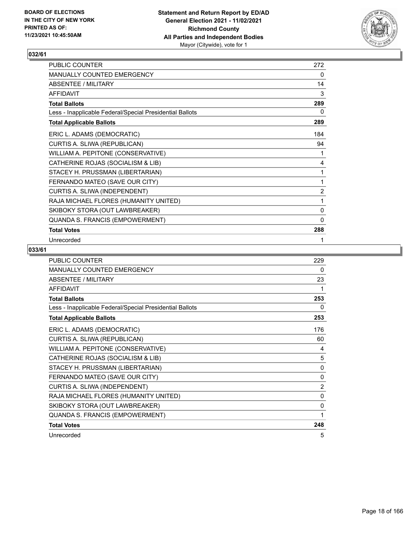

| PUBLIC COUNTER                                           | 272            |
|----------------------------------------------------------|----------------|
| <b>MANUALLY COUNTED EMERGENCY</b>                        | 0              |
| <b>ABSENTEE / MILITARY</b>                               | 14             |
| <b>AFFIDAVIT</b>                                         | 3              |
| <b>Total Ballots</b>                                     | 289            |
| Less - Inapplicable Federal/Special Presidential Ballots | 0              |
| <b>Total Applicable Ballots</b>                          | 289            |
| ERIC L. ADAMS (DEMOCRATIC)                               | 184            |
| CURTIS A. SLIWA (REPUBLICAN)                             | 94             |
| WILLIAM A. PEPITONE (CONSERVATIVE)                       | 1              |
| CATHERINE ROJAS (SOCIALISM & LIB)                        | 4              |
| STACEY H. PRUSSMAN (LIBERTARIAN)                         | 1              |
| FERNANDO MATEO (SAVE OUR CITY)                           | 1              |
| CURTIS A. SLIWA (INDEPENDENT)                            | $\overline{2}$ |
| RAJA MICHAEL FLORES (HUMANITY UNITED)                    | 1              |
| SKIBOKY STORA (OUT LAWBREAKER)                           | 0              |
| QUANDA S. FRANCIS (EMPOWERMENT)                          | $\mathbf{0}$   |
| <b>Total Votes</b>                                       | 288            |
| Unrecorded                                               | 1              |

| <b>PUBLIC COUNTER</b>                                    | 229            |
|----------------------------------------------------------|----------------|
| MANUALLY COUNTED EMERGENCY                               | 0              |
| ABSENTEE / MILITARY                                      | 23             |
| <b>AFFIDAVIT</b>                                         | 1              |
| <b>Total Ballots</b>                                     | 253            |
| Less - Inapplicable Federal/Special Presidential Ballots | 0              |
| <b>Total Applicable Ballots</b>                          | 253            |
| ERIC L. ADAMS (DEMOCRATIC)                               | 176            |
| CURTIS A. SLIWA (REPUBLICAN)                             | 60             |
| WILLIAM A. PEPITONE (CONSERVATIVE)                       | 4              |
| CATHERINE ROJAS (SOCIALISM & LIB)                        | 5              |
| STACEY H. PRUSSMAN (LIBERTARIAN)                         | $\mathbf{0}$   |
| FERNANDO MATEO (SAVE OUR CITY)                           | $\mathbf{0}$   |
| CURTIS A. SLIWA (INDEPENDENT)                            | $\overline{2}$ |
| RAJA MICHAEL FLORES (HUMANITY UNITED)                    | $\mathbf{0}$   |
| SKIBOKY STORA (OUT LAWBREAKER)                           | $\mathbf{0}$   |
| QUANDA S. FRANCIS (EMPOWERMENT)                          | 1              |
| <b>Total Votes</b>                                       | 248            |
| Unrecorded                                               | 5              |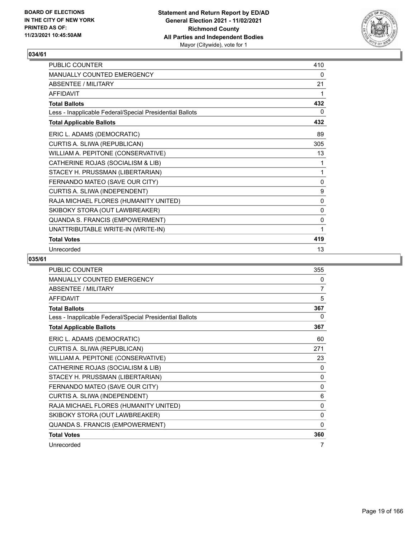

| PUBLIC COUNTER                                           | 410 |
|----------------------------------------------------------|-----|
| MANUALLY COUNTED EMERGENCY                               | 0   |
| ABSENTEE / MILITARY                                      | 21  |
| <b>AFFIDAVIT</b>                                         | 1   |
| <b>Total Ballots</b>                                     | 432 |
| Less - Inapplicable Federal/Special Presidential Ballots | 0   |
| <b>Total Applicable Ballots</b>                          | 432 |
| ERIC L. ADAMS (DEMOCRATIC)                               | 89  |
| CURTIS A. SLIWA (REPUBLICAN)                             | 305 |
| WILLIAM A. PEPITONE (CONSERVATIVE)                       | 13  |
| CATHERINE ROJAS (SOCIALISM & LIB)                        | 1   |
| STACEY H. PRUSSMAN (LIBERTARIAN)                         | 1   |
| FERNANDO MATEO (SAVE OUR CITY)                           | 0   |
| CURTIS A. SLIWA (INDEPENDENT)                            | 9   |
| RAJA MICHAEL FLORES (HUMANITY UNITED)                    | 0   |
| SKIBOKY STORA (OUT LAWBREAKER)                           | 0   |
| QUANDA S. FRANCIS (EMPOWERMENT)                          | 0   |
| UNATTRIBUTABLE WRITE-IN (WRITE-IN)                       | 1   |
| <b>Total Votes</b>                                       | 419 |
| Unrecorded                                               | 13  |

| <b>PUBLIC COUNTER</b>                                    | 355          |
|----------------------------------------------------------|--------------|
| <b>MANUALLY COUNTED EMERGENCY</b>                        | 0            |
| <b>ABSENTEE / MILITARY</b>                               | 7            |
| <b>AFFIDAVIT</b>                                         | 5            |
| <b>Total Ballots</b>                                     | 367          |
| Less - Inapplicable Federal/Special Presidential Ballots | 0            |
| <b>Total Applicable Ballots</b>                          | 367          |
| ERIC L. ADAMS (DEMOCRATIC)                               | 60           |
| CURTIS A. SLIWA (REPUBLICAN)                             | 271          |
| WILLIAM A. PEPITONE (CONSERVATIVE)                       | 23           |
| CATHERINE ROJAS (SOCIALISM & LIB)                        | 0            |
| STACEY H. PRUSSMAN (LIBERTARIAN)                         | 0            |
| FERNANDO MATEO (SAVE OUR CITY)                           | $\mathbf 0$  |
| CURTIS A. SLIWA (INDEPENDENT)                            | 6            |
| RAJA MICHAEL FLORES (HUMANITY UNITED)                    | $\mathbf{0}$ |
| SKIBOKY STORA (OUT LAWBREAKER)                           | 0            |
| QUANDA S. FRANCIS (EMPOWERMENT)                          | 0            |
| <b>Total Votes</b>                                       | 360          |
| Unrecorded                                               | 7            |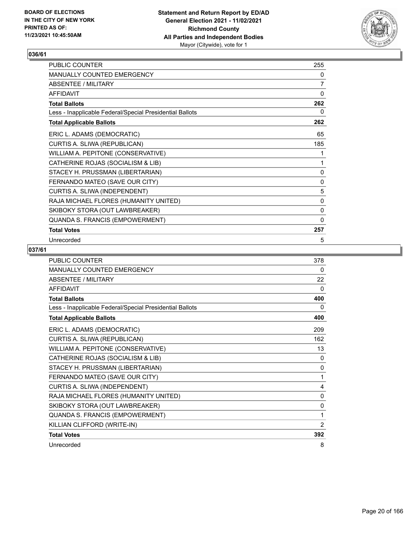

| PUBLIC COUNTER                                           | 255          |
|----------------------------------------------------------|--------------|
| MANUALLY COUNTED EMERGENCY                               | 0            |
| <b>ABSENTEE / MILITARY</b>                               | 7            |
| <b>AFFIDAVIT</b>                                         | 0            |
| <b>Total Ballots</b>                                     | 262          |
| Less - Inapplicable Federal/Special Presidential Ballots | 0            |
| <b>Total Applicable Ballots</b>                          | 262          |
| ERIC L. ADAMS (DEMOCRATIC)                               | 65           |
| CURTIS A. SLIWA (REPUBLICAN)                             | 185          |
| WILLIAM A. PEPITONE (CONSERVATIVE)                       | 1            |
| CATHERINE ROJAS (SOCIALISM & LIB)                        | 1            |
| STACEY H. PRUSSMAN (LIBERTARIAN)                         | 0            |
| FERNANDO MATEO (SAVE OUR CITY)                           | 0            |
| CURTIS A. SLIWA (INDEPENDENT)                            | 5            |
| RAJA MICHAEL FLORES (HUMANITY UNITED)                    | 0            |
| SKIBOKY STORA (OUT LAWBREAKER)                           | 0            |
| QUANDA S. FRANCIS (EMPOWERMENT)                          | $\mathbf{0}$ |
| <b>Total Votes</b>                                       | 257          |
| Unrecorded                                               | 5            |

| PUBLIC COUNTER                                           | 378            |
|----------------------------------------------------------|----------------|
| MANUALLY COUNTED EMERGENCY                               | 0              |
| ABSENTEE / MILITARY                                      | 22             |
| <b>AFFIDAVIT</b>                                         | 0              |
| <b>Total Ballots</b>                                     | 400            |
| Less - Inapplicable Federal/Special Presidential Ballots | 0              |
| <b>Total Applicable Ballots</b>                          | 400            |
| ERIC L. ADAMS (DEMOCRATIC)                               | 209            |
| CURTIS A. SLIWA (REPUBLICAN)                             | 162            |
| WILLIAM A. PEPITONE (CONSERVATIVE)                       | 13             |
| CATHERINE ROJAS (SOCIALISM & LIB)                        | $\Omega$       |
| STACEY H. PRUSSMAN (LIBERTARIAN)                         | $\mathbf{0}$   |
| FERNANDO MATEO (SAVE OUR CITY)                           | 1              |
| CURTIS A. SLIWA (INDEPENDENT)                            | 4              |
| RAJA MICHAEL FLORES (HUMANITY UNITED)                    | $\mathbf{0}$   |
| SKIBOKY STORA (OUT LAWBREAKER)                           | 0              |
| QUANDA S. FRANCIS (EMPOWERMENT)                          | 1              |
| KILLIAN CLIFFORD (WRITE-IN)                              | $\overline{2}$ |
| <b>Total Votes</b>                                       | 392            |
| Unrecorded                                               | 8              |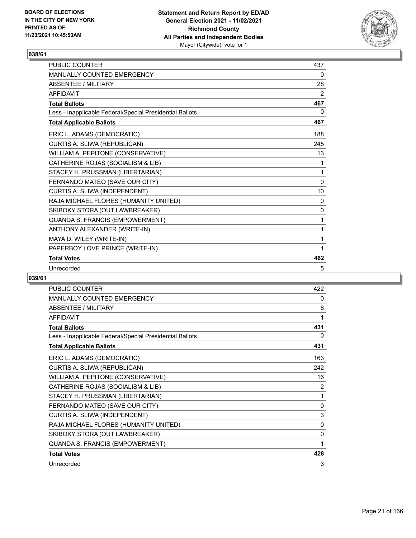

| <b>PUBLIC COUNTER</b>                                    | 437 |
|----------------------------------------------------------|-----|
| <b>MANUALLY COUNTED EMERGENCY</b>                        | 0   |
| ABSENTEE / MILITARY                                      | 28  |
| <b>AFFIDAVIT</b>                                         | 2   |
| <b>Total Ballots</b>                                     | 467 |
| Less - Inapplicable Federal/Special Presidential Ballots | 0   |
| <b>Total Applicable Ballots</b>                          | 467 |
| ERIC L. ADAMS (DEMOCRATIC)                               | 188 |
| CURTIS A. SLIWA (REPUBLICAN)                             | 245 |
| WILLIAM A. PEPITONE (CONSERVATIVE)                       | 13  |
| CATHERINE ROJAS (SOCIALISM & LIB)                        | 1   |
| STACEY H. PRUSSMAN (LIBERTARIAN)                         | 1   |
| FERNANDO MATEO (SAVE OUR CITY)                           | 0   |
| CURTIS A. SLIWA (INDEPENDENT)                            | 10  |
| RAJA MICHAEL FLORES (HUMANITY UNITED)                    | 0   |
| SKIBOKY STORA (OUT LAWBREAKER)                           | 0   |
| QUANDA S. FRANCIS (EMPOWERMENT)                          | 1   |
| ANTHONY ALEXANDER (WRITE-IN)                             | 1   |
| MAYA D. WILEY (WRITE-IN)                                 | 1   |
| PAPERBOY LOVE PRINCE (WRITE-IN)                          | 1   |
| <b>Total Votes</b>                                       | 462 |
| Unrecorded                                               | 5   |

| <b>PUBLIC COUNTER</b>                                    | 422 |
|----------------------------------------------------------|-----|
| MANUALLY COUNTED EMERGENCY                               | 0   |
| <b>ABSENTEE / MILITARY</b>                               | 8   |
| <b>AFFIDAVIT</b>                                         | 1   |
| <b>Total Ballots</b>                                     | 431 |
| Less - Inapplicable Federal/Special Presidential Ballots | 0   |
| <b>Total Applicable Ballots</b>                          | 431 |
| ERIC L. ADAMS (DEMOCRATIC)                               | 163 |
| CURTIS A. SLIWA (REPUBLICAN)                             | 242 |
| WILLIAM A. PEPITONE (CONSERVATIVE)                       | 16  |
| CATHERINE ROJAS (SOCIALISM & LIB)                        | 2   |
| STACEY H. PRUSSMAN (LIBERTARIAN)                         | 1   |
| FERNANDO MATEO (SAVE OUR CITY)                           | 0   |
| CURTIS A. SLIWA (INDEPENDENT)                            | 3   |
| RAJA MICHAEL FLORES (HUMANITY UNITED)                    | 0   |
| SKIBOKY STORA (OUT LAWBREAKER)                           | 0   |
| QUANDA S. FRANCIS (EMPOWERMENT)                          | 1   |
| <b>Total Votes</b>                                       | 428 |
| Unrecorded                                               | 3   |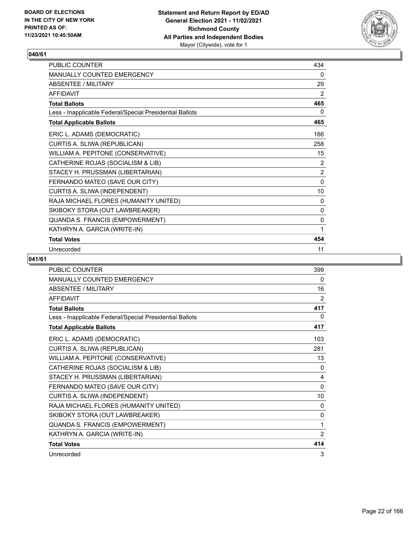

| PUBLIC COUNTER                                           | 434            |
|----------------------------------------------------------|----------------|
| MANUALLY COUNTED EMERGENCY                               | 0              |
| <b>ABSENTEE / MILITARY</b>                               | 29             |
| <b>AFFIDAVIT</b>                                         | 2              |
| <b>Total Ballots</b>                                     | 465            |
| Less - Inapplicable Federal/Special Presidential Ballots | 0              |
| <b>Total Applicable Ballots</b>                          | 465            |
| ERIC L. ADAMS (DEMOCRATIC)                               | 166            |
| CURTIS A. SLIWA (REPUBLICAN)                             | 258            |
| WILLIAM A. PEPITONE (CONSERVATIVE)                       | 15             |
| CATHERINE ROJAS (SOCIALISM & LIB)                        | 2              |
| STACEY H. PRUSSMAN (LIBERTARIAN)                         | $\overline{2}$ |
| FERNANDO MATEO (SAVE OUR CITY)                           | 0              |
| CURTIS A. SLIWA (INDEPENDENT)                            | 10             |
| RAJA MICHAEL FLORES (HUMANITY UNITED)                    | 0              |
| SKIBOKY STORA (OUT LAWBREAKER)                           | 0              |
| QUANDA S. FRANCIS (EMPOWERMENT)                          | 0              |
| KATHRYN A. GARCIA (WRITE-IN)                             | 1              |
| <b>Total Votes</b>                                       | 454            |
| Unrecorded                                               | 11             |

| PUBLIC COUNTER                                           | 399          |
|----------------------------------------------------------|--------------|
| MANUALLY COUNTED EMERGENCY                               | 0            |
| <b>ABSENTEE / MILITARY</b>                               | 16           |
| <b>AFFIDAVIT</b>                                         | 2            |
| <b>Total Ballots</b>                                     | 417          |
| Less - Inapplicable Federal/Special Presidential Ballots | 0            |
| <b>Total Applicable Ballots</b>                          | 417          |
| ERIC L. ADAMS (DEMOCRATIC)                               | 103          |
| CURTIS A. SLIWA (REPUBLICAN)                             | 281          |
| WILLIAM A. PEPITONE (CONSERVATIVE)                       | 13           |
| CATHERINE ROJAS (SOCIALISM & LIB)                        | 0            |
| STACEY H. PRUSSMAN (LIBERTARIAN)                         | 4            |
| FERNANDO MATEO (SAVE OUR CITY)                           | $\mathbf{0}$ |
| CURTIS A. SLIWA (INDEPENDENT)                            | 10           |
| RAJA MICHAEL FLORES (HUMANITY UNITED)                    | 0            |
| SKIBOKY STORA (OUT LAWBREAKER)                           | $\mathbf{0}$ |
| QUANDA S. FRANCIS (EMPOWERMENT)                          | 1            |
| KATHRYN A. GARCIA (WRITE-IN)                             | 2            |
| <b>Total Votes</b>                                       | 414          |
| Unrecorded                                               | 3            |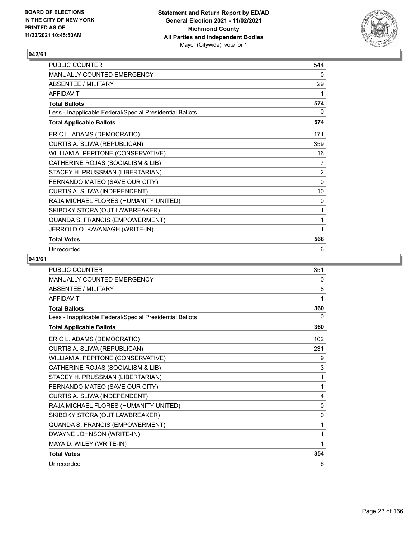

| PUBLIC COUNTER                                           | 544            |
|----------------------------------------------------------|----------------|
| MANUALLY COUNTED EMERGENCY                               | 0              |
| <b>ABSENTEE / MILITARY</b>                               | 29             |
| <b>AFFIDAVIT</b>                                         | 1              |
| <b>Total Ballots</b>                                     | 574            |
| Less - Inapplicable Federal/Special Presidential Ballots | 0              |
| <b>Total Applicable Ballots</b>                          | 574            |
| ERIC L. ADAMS (DEMOCRATIC)                               | 171            |
| CURTIS A. SLIWA (REPUBLICAN)                             | 359            |
| WILLIAM A. PEPITONE (CONSERVATIVE)                       | 16             |
| CATHERINE ROJAS (SOCIALISM & LIB)                        | 7              |
| STACEY H. PRUSSMAN (LIBERTARIAN)                         | $\overline{2}$ |
| FERNANDO MATEO (SAVE OUR CITY)                           | $\mathbf{0}$   |
| CURTIS A. SLIWA (INDEPENDENT)                            | 10             |
| RAJA MICHAEL FLORES (HUMANITY UNITED)                    | 0              |
| SKIBOKY STORA (OUT LAWBREAKER)                           | 1              |
| QUANDA S. FRANCIS (EMPOWERMENT)                          | 1              |
| JERROLD O. KAVANAGH (WRITE-IN)                           | 1              |
| <b>Total Votes</b>                                       | 568            |
| Unrecorded                                               | 6              |

| <b>PUBLIC COUNTER</b>                                    | 351          |
|----------------------------------------------------------|--------------|
| <b>MANUALLY COUNTED EMERGENCY</b>                        | 0            |
| <b>ABSENTEE / MILITARY</b>                               | 8            |
| <b>AFFIDAVIT</b>                                         | 1            |
| <b>Total Ballots</b>                                     | 360          |
| Less - Inapplicable Federal/Special Presidential Ballots | 0            |
| <b>Total Applicable Ballots</b>                          | 360          |
| ERIC L. ADAMS (DEMOCRATIC)                               | 102          |
| CURTIS A. SLIWA (REPUBLICAN)                             | 231          |
| WILLIAM A. PEPITONE (CONSERVATIVE)                       | 9            |
| CATHERINE ROJAS (SOCIALISM & LIB)                        | 3            |
| STACEY H. PRUSSMAN (LIBERTARIAN)                         | 1            |
| FERNANDO MATEO (SAVE OUR CITY)                           | 1            |
| CURTIS A. SLIWA (INDEPENDENT)                            | 4            |
| RAJA MICHAEL FLORES (HUMANITY UNITED)                    | 0            |
| SKIBOKY STORA (OUT LAWBREAKER)                           | $\mathbf{0}$ |
| QUANDA S. FRANCIS (EMPOWERMENT)                          | 1            |
| DWAYNE JOHNSON (WRITE-IN)                                | 1            |
| MAYA D. WILEY (WRITE-IN)                                 | 1            |
| <b>Total Votes</b>                                       | 354          |
| Unrecorded                                               | 6            |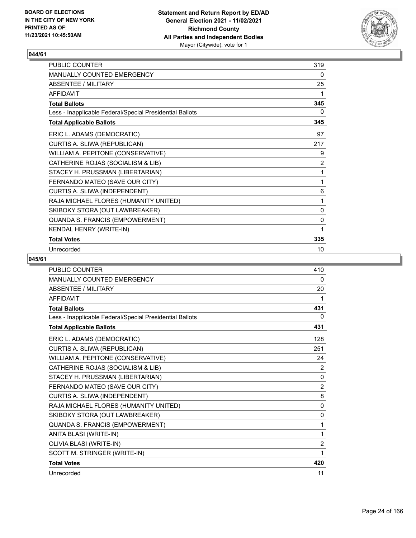

| <b>PUBLIC COUNTER</b>                                    | 319 |
|----------------------------------------------------------|-----|
| <b>MANUALLY COUNTED EMERGENCY</b>                        | 0   |
| ABSENTEE / MILITARY                                      | 25  |
| <b>AFFIDAVIT</b>                                         | 1   |
| <b>Total Ballots</b>                                     | 345 |
| Less - Inapplicable Federal/Special Presidential Ballots | 0   |
| <b>Total Applicable Ballots</b>                          | 345 |
| ERIC L. ADAMS (DEMOCRATIC)                               | 97  |
| CURTIS A. SLIWA (REPUBLICAN)                             | 217 |
| WILLIAM A. PEPITONE (CONSERVATIVE)                       | 9   |
| CATHERINE ROJAS (SOCIALISM & LIB)                        | 2   |
| STACEY H. PRUSSMAN (LIBERTARIAN)                         | 1   |
| FERNANDO MATEO (SAVE OUR CITY)                           | 1   |
| CURTIS A. SLIWA (INDEPENDENT)                            | 6   |
| RAJA MICHAEL FLORES (HUMANITY UNITED)                    | 1   |
| SKIBOKY STORA (OUT LAWBREAKER)                           | 0   |
| QUANDA S. FRANCIS (EMPOWERMENT)                          | 0   |
| KENDAL HENRY (WRITE-IN)                                  | 1   |
| <b>Total Votes</b>                                       | 335 |
| Unrecorded                                               | 10  |

| <b>PUBLIC COUNTER</b>                                    | 410            |
|----------------------------------------------------------|----------------|
| MANUALLY COUNTED EMERGENCY                               | 0              |
| <b>ABSENTEE / MILITARY</b>                               | 20             |
| <b>AFFIDAVIT</b>                                         | 1              |
| <b>Total Ballots</b>                                     | 431            |
| Less - Inapplicable Federal/Special Presidential Ballots | 0              |
| <b>Total Applicable Ballots</b>                          | 431            |
| ERIC L. ADAMS (DEMOCRATIC)                               | 128            |
| CURTIS A. SLIWA (REPUBLICAN)                             | 251            |
| WILLIAM A. PEPITONE (CONSERVATIVE)                       | 24             |
| CATHERINE ROJAS (SOCIALISM & LIB)                        | $\overline{2}$ |
| STACEY H. PRUSSMAN (LIBERTARIAN)                         | 0              |
| FERNANDO MATEO (SAVE OUR CITY)                           | $\overline{2}$ |
| CURTIS A. SLIWA (INDEPENDENT)                            | 8              |
| RAJA MICHAEL FLORES (HUMANITY UNITED)                    | 0              |
| SKIBOKY STORA (OUT LAWBREAKER)                           | 0              |
| QUANDA S. FRANCIS (EMPOWERMENT)                          | 1              |
| ANITA BLASI (WRITE-IN)                                   | $\mathbf{1}$   |
| OLIVIA BLASI (WRITE-IN)                                  | $\overline{2}$ |
| SCOTT M. STRINGER (WRITE-IN)                             | 1              |
| <b>Total Votes</b>                                       | 420            |
| Unrecorded                                               | 11             |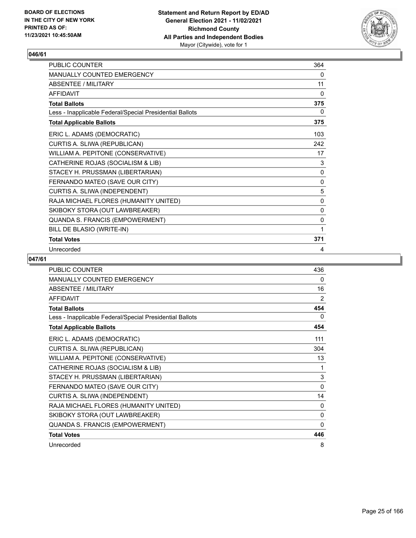

| PUBLIC COUNTER                                           | 364         |
|----------------------------------------------------------|-------------|
| <b>MANUALLY COUNTED EMERGENCY</b>                        | 0           |
| <b>ABSENTEE / MILITARY</b>                               | 11          |
| <b>AFFIDAVIT</b>                                         | 0           |
| <b>Total Ballots</b>                                     | 375         |
| Less - Inapplicable Federal/Special Presidential Ballots | 0           |
| <b>Total Applicable Ballots</b>                          | 375         |
| ERIC L. ADAMS (DEMOCRATIC)                               | 103         |
| CURTIS A. SLIWA (REPUBLICAN)                             | 242         |
| WILLIAM A. PEPITONE (CONSERVATIVE)                       | 17          |
| CATHERINE ROJAS (SOCIALISM & LIB)                        | 3           |
| STACEY H. PRUSSMAN (LIBERTARIAN)                         | 0           |
| FERNANDO MATEO (SAVE OUR CITY)                           | $\mathbf 0$ |
| CURTIS A. SLIWA (INDEPENDENT)                            | 5           |
| RAJA MICHAEL FLORES (HUMANITY UNITED)                    | 0           |
| SKIBOKY STORA (OUT LAWBREAKER)                           | 0           |
| QUANDA S. FRANCIS (EMPOWERMENT)                          | 0           |
| BILL DE BLASIO (WRITE-IN)                                | 1           |
| <b>Total Votes</b>                                       | 371         |
| Unrecorded                                               | 4           |

| <b>PUBLIC COUNTER</b>                                    | 436          |
|----------------------------------------------------------|--------------|
| <b>MANUALLY COUNTED EMERGENCY</b>                        | 0            |
| <b>ABSENTEE / MILITARY</b>                               | 16           |
| <b>AFFIDAVIT</b>                                         | 2            |
| <b>Total Ballots</b>                                     | 454          |
| Less - Inapplicable Federal/Special Presidential Ballots | 0            |
| <b>Total Applicable Ballots</b>                          | 454          |
| ERIC L. ADAMS (DEMOCRATIC)                               | 111          |
| CURTIS A. SLIWA (REPUBLICAN)                             | 304          |
| WILLIAM A. PEPITONE (CONSERVATIVE)                       | 13           |
| CATHERINE ROJAS (SOCIALISM & LIB)                        | 1            |
| STACEY H. PRUSSMAN (LIBERTARIAN)                         | 3            |
| FERNANDO MATEO (SAVE OUR CITY)                           | $\Omega$     |
| CURTIS A. SLIWA (INDEPENDENT)                            | 14           |
| RAJA MICHAEL FLORES (HUMANITY UNITED)                    | 0            |
| SKIBOKY STORA (OUT LAWBREAKER)                           | $\Omega$     |
| QUANDA S. FRANCIS (EMPOWERMENT)                          | $\mathbf{0}$ |
| <b>Total Votes</b>                                       | 446          |
| Unrecorded                                               | 8            |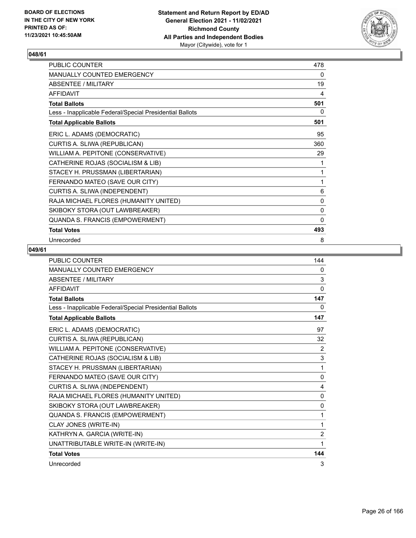

| PUBLIC COUNTER                                           | 478          |
|----------------------------------------------------------|--------------|
| <b>MANUALLY COUNTED EMERGENCY</b>                        | 0            |
| <b>ABSENTEE / MILITARY</b>                               | 19           |
| <b>AFFIDAVIT</b>                                         | 4            |
| <b>Total Ballots</b>                                     | 501          |
| Less - Inapplicable Federal/Special Presidential Ballots | 0            |
| <b>Total Applicable Ballots</b>                          | 501          |
| ERIC L. ADAMS (DEMOCRATIC)                               | 95           |
| CURTIS A. SLIWA (REPUBLICAN)                             | 360          |
| WILLIAM A. PEPITONE (CONSERVATIVE)                       | 29           |
| CATHERINE ROJAS (SOCIALISM & LIB)                        | 1            |
| STACEY H. PRUSSMAN (LIBERTARIAN)                         | 1            |
| FERNANDO MATEO (SAVE OUR CITY)                           | 1            |
| CURTIS A. SLIWA (INDEPENDENT)                            | 6            |
| RAJA MICHAEL FLORES (HUMANITY UNITED)                    | 0            |
| SKIBOKY STORA (OUT LAWBREAKER)                           | 0            |
| QUANDA S. FRANCIS (EMPOWERMENT)                          | $\mathbf{0}$ |
| <b>Total Votes</b>                                       | 493          |
| Unrecorded                                               | 8            |

| <b>PUBLIC COUNTER</b>                                    | 144            |
|----------------------------------------------------------|----------------|
| MANUALLY COUNTED EMERGENCY                               | 0              |
| <b>ABSENTEE / MILITARY</b>                               | 3              |
| <b>AFFIDAVIT</b>                                         | $\mathbf{0}$   |
| <b>Total Ballots</b>                                     | 147            |
| Less - Inapplicable Federal/Special Presidential Ballots | 0              |
| <b>Total Applicable Ballots</b>                          | 147            |
| ERIC L. ADAMS (DEMOCRATIC)                               | 97             |
| CURTIS A. SLIWA (REPUBLICAN)                             | 32             |
| WILLIAM A. PEPITONE (CONSERVATIVE)                       | $\overline{2}$ |
| CATHERINE ROJAS (SOCIALISM & LIB)                        | 3              |
| STACEY H. PRUSSMAN (LIBERTARIAN)                         | 1              |
| FERNANDO MATEO (SAVE OUR CITY)                           | $\mathbf{0}$   |
| CURTIS A. SLIWA (INDEPENDENT)                            | 4              |
| RAJA MICHAEL FLORES (HUMANITY UNITED)                    | 0              |
| SKIBOKY STORA (OUT LAWBREAKER)                           | $\mathbf 0$    |
| QUANDA S. FRANCIS (EMPOWERMENT)                          | 1              |
| CLAY JONES (WRITE-IN)                                    | $\mathbf{1}$   |
| KATHRYN A. GARCIA (WRITE-IN)                             | $\overline{2}$ |
| UNATTRIBUTABLE WRITE-IN (WRITE-IN)                       | 1              |
| <b>Total Votes</b>                                       | 144            |
| Unrecorded                                               | 3              |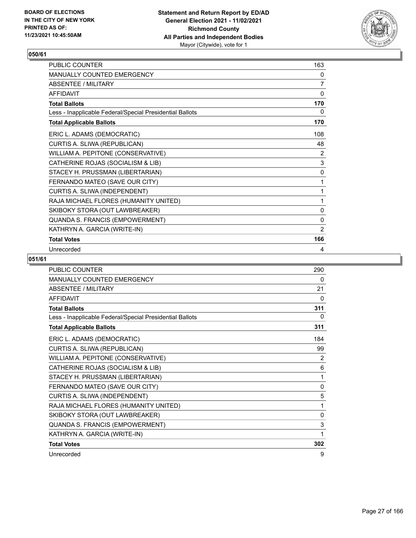

| <b>PUBLIC COUNTER</b>                                    | 163         |
|----------------------------------------------------------|-------------|
| <b>MANUALLY COUNTED EMERGENCY</b>                        | 0           |
| ABSENTEE / MILITARY                                      | 7           |
| <b>AFFIDAVIT</b>                                         | 0           |
| <b>Total Ballots</b>                                     | 170         |
| Less - Inapplicable Federal/Special Presidential Ballots | 0           |
| <b>Total Applicable Ballots</b>                          | 170         |
| ERIC L. ADAMS (DEMOCRATIC)                               | 108         |
| CURTIS A. SLIWA (REPUBLICAN)                             | 48          |
| WILLIAM A. PEPITONE (CONSERVATIVE)                       | 2           |
| CATHERINE ROJAS (SOCIALISM & LIB)                        | $\mathsf 3$ |
| STACEY H. PRUSSMAN (LIBERTARIAN)                         | 0           |
| FERNANDO MATEO (SAVE OUR CITY)                           | 1           |
| CURTIS A. SLIWA (INDEPENDENT)                            | 1           |
| RAJA MICHAEL FLORES (HUMANITY UNITED)                    | 1           |
| SKIBOKY STORA (OUT LAWBREAKER)                           | 0           |
| QUANDA S. FRANCIS (EMPOWERMENT)                          | 0           |
| KATHRYN A. GARCIA (WRITE-IN)                             | 2           |
| <b>Total Votes</b>                                       | 166         |
| Unrecorded                                               | 4           |

| <b>PUBLIC COUNTER</b>                                    | 290          |
|----------------------------------------------------------|--------------|
| MANUALLY COUNTED EMERGENCY                               | 0            |
| <b>ABSENTEE / MILITARY</b>                               | 21           |
| <b>AFFIDAVIT</b>                                         | 0            |
| <b>Total Ballots</b>                                     | 311          |
| Less - Inapplicable Federal/Special Presidential Ballots | 0            |
| <b>Total Applicable Ballots</b>                          | 311          |
| ERIC L. ADAMS (DEMOCRATIC)                               | 184          |
| CURTIS A. SLIWA (REPUBLICAN)                             | 99           |
| WILLIAM A. PEPITONE (CONSERVATIVE)                       | 2            |
| CATHERINE ROJAS (SOCIALISM & LIB)                        | 6            |
| STACEY H. PRUSSMAN (LIBERTARIAN)                         | 1            |
| FERNANDO MATEO (SAVE OUR CITY)                           | $\mathbf{0}$ |
| CURTIS A. SLIWA (INDEPENDENT)                            | 5            |
| RAJA MICHAEL FLORES (HUMANITY UNITED)                    | 1            |
| SKIBOKY STORA (OUT LAWBREAKER)                           | $\mathbf{0}$ |
| QUANDA S. FRANCIS (EMPOWERMENT)                          | 3            |
| KATHRYN A. GARCIA (WRITE-IN)                             | 1            |
| <b>Total Votes</b>                                       | 302          |
| Unrecorded                                               | 9            |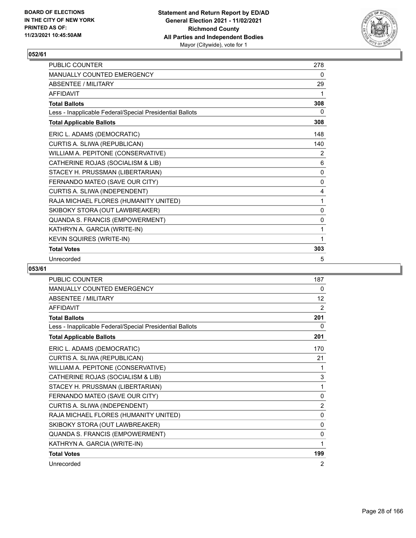

| <b>PUBLIC COUNTER</b>                                    | 278          |
|----------------------------------------------------------|--------------|
| <b>MANUALLY COUNTED EMERGENCY</b>                        | 0            |
| ABSENTEE / MILITARY                                      | 29           |
| <b>AFFIDAVIT</b>                                         | 1            |
| <b>Total Ballots</b>                                     | 308          |
| Less - Inapplicable Federal/Special Presidential Ballots | 0            |
| <b>Total Applicable Ballots</b>                          | 308          |
| ERIC L. ADAMS (DEMOCRATIC)                               | 148          |
| CURTIS A. SLIWA (REPUBLICAN)                             | 140          |
| WILLIAM A. PEPITONE (CONSERVATIVE)                       | 2            |
| CATHERINE ROJAS (SOCIALISM & LIB)                        | 6            |
| STACEY H. PRUSSMAN (LIBERTARIAN)                         | $\mathbf{0}$ |
| FERNANDO MATEO (SAVE OUR CITY)                           | 0            |
| CURTIS A. SLIWA (INDEPENDENT)                            | 4            |
| RAJA MICHAEL FLORES (HUMANITY UNITED)                    | 1            |
| SKIBOKY STORA (OUT LAWBREAKER)                           | $\mathbf{0}$ |
| QUANDA S. FRANCIS (EMPOWERMENT)                          | $\mathbf{0}$ |
| KATHRYN A. GARCIA (WRITE-IN)                             | 1            |
| KEVIN SQUIRES (WRITE-IN)                                 | 1            |
| <b>Total Votes</b>                                       | 303          |
| Unrecorded                                               | 5            |

| PUBLIC COUNTER                                           | 187            |
|----------------------------------------------------------|----------------|
| <b>MANUALLY COUNTED EMERGENCY</b>                        | 0              |
| <b>ABSENTEE / MILITARY</b>                               | 12             |
| <b>AFFIDAVIT</b>                                         | 2              |
| <b>Total Ballots</b>                                     | 201            |
| Less - Inapplicable Federal/Special Presidential Ballots | 0              |
| <b>Total Applicable Ballots</b>                          | 201            |
| ERIC L. ADAMS (DEMOCRATIC)                               | 170            |
| CURTIS A. SLIWA (REPUBLICAN)                             | 21             |
| WILLIAM A. PEPITONE (CONSERVATIVE)                       | 1              |
| CATHERINE ROJAS (SOCIALISM & LIB)                        | 3              |
| STACEY H. PRUSSMAN (LIBERTARIAN)                         | 1              |
| FERNANDO MATEO (SAVE OUR CITY)                           | 0              |
| CURTIS A. SLIWA (INDEPENDENT)                            | $\overline{2}$ |
| RAJA MICHAEL FLORES (HUMANITY UNITED)                    | 0              |
| SKIBOKY STORA (OUT LAWBREAKER)                           | 0              |
| QUANDA S. FRANCIS (EMPOWERMENT)                          | 0              |
| KATHRYN A. GARCIA (WRITE-IN)                             | 1              |
| <b>Total Votes</b>                                       | 199            |
| Unrecorded                                               | 2              |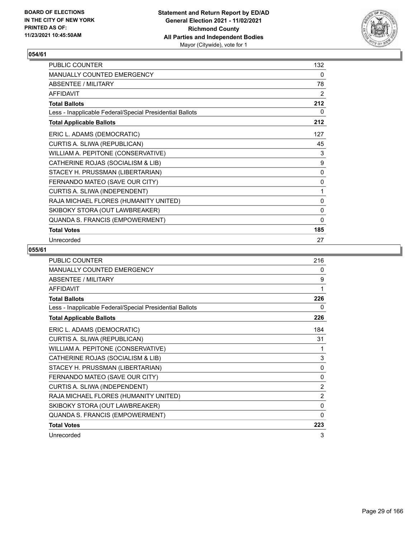

| PUBLIC COUNTER                                           | 132          |
|----------------------------------------------------------|--------------|
| <b>MANUALLY COUNTED EMERGENCY</b>                        | 0            |
| ABSENTEE / MILITARY                                      | 78           |
| <b>AFFIDAVIT</b>                                         | 2            |
| <b>Total Ballots</b>                                     | 212          |
| Less - Inapplicable Federal/Special Presidential Ballots | 0            |
| <b>Total Applicable Ballots</b>                          | 212          |
| ERIC L. ADAMS (DEMOCRATIC)                               | 127          |
| CURTIS A. SLIWA (REPUBLICAN)                             | 45           |
| WILLIAM A. PEPITONE (CONSERVATIVE)                       | 3            |
| CATHERINE ROJAS (SOCIALISM & LIB)                        | 9            |
| STACEY H. PRUSSMAN (LIBERTARIAN)                         | 0            |
| FERNANDO MATEO (SAVE OUR CITY)                           | 0            |
| CURTIS A. SLIWA (INDEPENDENT)                            | 1            |
| RAJA MICHAEL FLORES (HUMANITY UNITED)                    | 0            |
| SKIBOKY STORA (OUT LAWBREAKER)                           | $\mathbf 0$  |
| QUANDA S. FRANCIS (EMPOWERMENT)                          | $\mathbf{0}$ |
| <b>Total Votes</b>                                       | 185          |
| Unrecorded                                               | 27           |

| PUBLIC COUNTER                                           | 216            |
|----------------------------------------------------------|----------------|
| MANUALLY COUNTED EMERGENCY                               | 0              |
| <b>ABSENTEE / MILITARY</b>                               | 9              |
| <b>AFFIDAVIT</b>                                         | 1              |
| <b>Total Ballots</b>                                     | 226            |
| Less - Inapplicable Federal/Special Presidential Ballots | 0              |
| <b>Total Applicable Ballots</b>                          | 226            |
| ERIC L. ADAMS (DEMOCRATIC)                               | 184            |
| CURTIS A. SLIWA (REPUBLICAN)                             | 31             |
| WILLIAM A. PEPITONE (CONSERVATIVE)                       | 1              |
| CATHERINE ROJAS (SOCIALISM & LIB)                        | 3              |
| STACEY H. PRUSSMAN (LIBERTARIAN)                         | 0              |
| FERNANDO MATEO (SAVE OUR CITY)                           | $\mathbf{0}$   |
| CURTIS A. SLIWA (INDEPENDENT)                            | $\overline{2}$ |
| RAJA MICHAEL FLORES (HUMANITY UNITED)                    | 2              |
| SKIBOKY STORA (OUT LAWBREAKER)                           | 0              |
| QUANDA S. FRANCIS (EMPOWERMENT)                          | 0              |
| <b>Total Votes</b>                                       | 223            |
| Unrecorded                                               | 3              |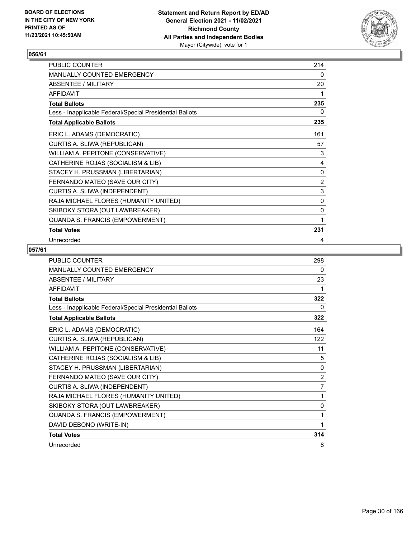

| PUBLIC COUNTER                                           | 214          |
|----------------------------------------------------------|--------------|
| <b>MANUALLY COUNTED EMERGENCY</b>                        | $\mathbf{0}$ |
| ABSENTEE / MILITARY                                      | 20           |
| <b>AFFIDAVIT</b>                                         | 1            |
| <b>Total Ballots</b>                                     | 235          |
| Less - Inapplicable Federal/Special Presidential Ballots | 0            |
| <b>Total Applicable Ballots</b>                          | 235          |
| ERIC L. ADAMS (DEMOCRATIC)                               | 161          |
| CURTIS A. SLIWA (REPUBLICAN)                             | 57           |
| WILLIAM A. PEPITONE (CONSERVATIVE)                       | 3            |
| CATHERINE ROJAS (SOCIALISM & LIB)                        | 4            |
| STACEY H. PRUSSMAN (LIBERTARIAN)                         | 0            |
| FERNANDO MATEO (SAVE OUR CITY)                           | 2            |
| CURTIS A. SLIWA (INDEPENDENT)                            | 3            |
| RAJA MICHAEL FLORES (HUMANITY UNITED)                    | 0            |
| SKIBOKY STORA (OUT LAWBREAKER)                           | $\mathbf 0$  |
| QUANDA S. FRANCIS (EMPOWERMENT)                          | 1            |
| <b>Total Votes</b>                                       | 231          |
| Unrecorded                                               | 4            |

| <b>PUBLIC COUNTER</b>                                    | 298            |
|----------------------------------------------------------|----------------|
| <b>MANUALLY COUNTED EMERGENCY</b>                        | 0              |
| ABSENTEE / MILITARY                                      | 23             |
| <b>AFFIDAVIT</b>                                         | 1              |
| <b>Total Ballots</b>                                     | 322            |
| Less - Inapplicable Federal/Special Presidential Ballots | 0              |
| <b>Total Applicable Ballots</b>                          | 322            |
| ERIC L. ADAMS (DEMOCRATIC)                               | 164            |
| CURTIS A. SLIWA (REPUBLICAN)                             | 122            |
| WILLIAM A. PEPITONE (CONSERVATIVE)                       | 11             |
| CATHERINE ROJAS (SOCIALISM & LIB)                        | 5              |
| STACEY H. PRUSSMAN (LIBERTARIAN)                         | $\mathbf{0}$   |
| FERNANDO MATEO (SAVE OUR CITY)                           | $\overline{c}$ |
| CURTIS A. SLIWA (INDEPENDENT)                            | $\overline{7}$ |
| RAJA MICHAEL FLORES (HUMANITY UNITED)                    | 1              |
| SKIBOKY STORA (OUT LAWBREAKER)                           | $\mathbf{0}$   |
| QUANDA S. FRANCIS (EMPOWERMENT)                          | 1              |
| DAVID DEBONO (WRITE-IN)                                  | 1              |
| <b>Total Votes</b>                                       | 314            |
| Unrecorded                                               | 8              |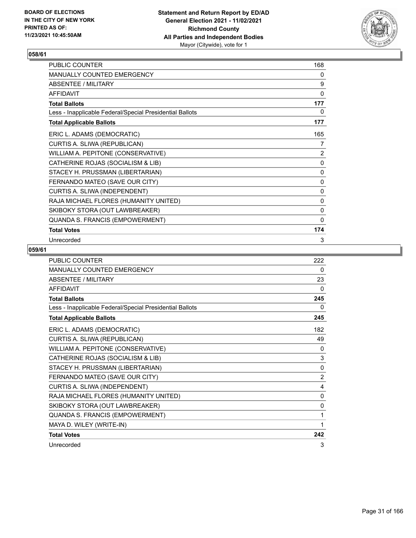

| PUBLIC COUNTER                                           | 168         |
|----------------------------------------------------------|-------------|
| <b>MANUALLY COUNTED EMERGENCY</b>                        | 0           |
| <b>ABSENTEE / MILITARY</b>                               | 9           |
| <b>AFFIDAVIT</b>                                         | 0           |
| <b>Total Ballots</b>                                     | 177         |
| Less - Inapplicable Federal/Special Presidential Ballots | 0           |
| <b>Total Applicable Ballots</b>                          | 177         |
| ERIC L. ADAMS (DEMOCRATIC)                               | 165         |
| CURTIS A. SLIWA (REPUBLICAN)                             | 7           |
| WILLIAM A. PEPITONE (CONSERVATIVE)                       | 2           |
| CATHERINE ROJAS (SOCIALISM & LIB)                        | 0           |
| STACEY H. PRUSSMAN (LIBERTARIAN)                         | 0           |
| FERNANDO MATEO (SAVE OUR CITY)                           | 0           |
| CURTIS A. SLIWA (INDEPENDENT)                            | 0           |
| RAJA MICHAEL FLORES (HUMANITY UNITED)                    | 0           |
| SKIBOKY STORA (OUT LAWBREAKER)                           | $\mathbf 0$ |
| QUANDA S. FRANCIS (EMPOWERMENT)                          | 0           |
| <b>Total Votes</b>                                       | 174         |
| Unrecorded                                               | 3           |

| <b>PUBLIC COUNTER</b>                                    | 222            |
|----------------------------------------------------------|----------------|
| MANUALLY COUNTED EMERGENCY                               | 0              |
| ABSENTEE / MILITARY                                      | 23             |
| <b>AFFIDAVIT</b>                                         | 0              |
| <b>Total Ballots</b>                                     | 245            |
| Less - Inapplicable Federal/Special Presidential Ballots | 0              |
| <b>Total Applicable Ballots</b>                          | 245            |
| ERIC L. ADAMS (DEMOCRATIC)                               | 182            |
| CURTIS A. SLIWA (REPUBLICAN)                             | 49             |
| WILLIAM A. PEPITONE (CONSERVATIVE)                       | 0              |
| CATHERINE ROJAS (SOCIALISM & LIB)                        | 3              |
| STACEY H. PRUSSMAN (LIBERTARIAN)                         | $\mathbf{0}$   |
| FERNANDO MATEO (SAVE OUR CITY)                           | $\overline{2}$ |
| CURTIS A. SLIWA (INDEPENDENT)                            | 4              |
| RAJA MICHAEL FLORES (HUMANITY UNITED)                    | $\mathbf{0}$   |
| SKIBOKY STORA (OUT LAWBREAKER)                           | $\mathbf{0}$   |
| QUANDA S. FRANCIS (EMPOWERMENT)                          | 1              |
| MAYA D. WILEY (WRITE-IN)                                 | 1              |
| <b>Total Votes</b>                                       | 242            |
| Unrecorded                                               | 3              |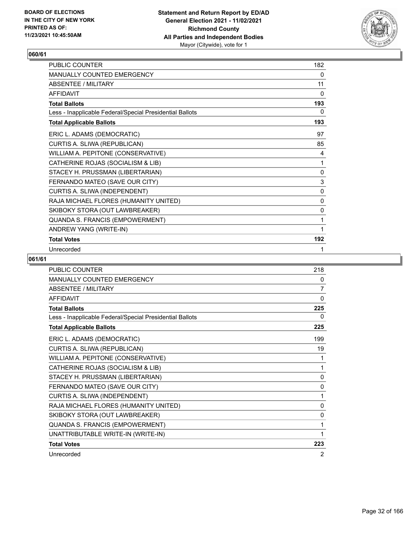

| <b>PUBLIC COUNTER</b>                                    | 182          |
|----------------------------------------------------------|--------------|
| <b>MANUALLY COUNTED EMERGENCY</b>                        | 0            |
| ABSENTEE / MILITARY                                      | 11           |
| <b>AFFIDAVIT</b>                                         | 0            |
| <b>Total Ballots</b>                                     | 193          |
| Less - Inapplicable Federal/Special Presidential Ballots | 0            |
| <b>Total Applicable Ballots</b>                          | 193          |
| ERIC L. ADAMS (DEMOCRATIC)                               | 97           |
| CURTIS A. SLIWA (REPUBLICAN)                             | 85           |
| WILLIAM A. PEPITONE (CONSERVATIVE)                       | 4            |
| CATHERINE ROJAS (SOCIALISM & LIB)                        | 1            |
| STACEY H. PRUSSMAN (LIBERTARIAN)                         | 0            |
| FERNANDO MATEO (SAVE OUR CITY)                           | $\mathbf{3}$ |
| CURTIS A. SLIWA (INDEPENDENT)                            | $\mathbf{0}$ |
| RAJA MICHAEL FLORES (HUMANITY UNITED)                    | 0            |
| SKIBOKY STORA (OUT LAWBREAKER)                           | 0            |
| QUANDA S. FRANCIS (EMPOWERMENT)                          | 1            |
| ANDREW YANG (WRITE-IN)                                   | 1            |
| <b>Total Votes</b>                                       | 192          |
| Unrecorded                                               | 1            |

| <b>PUBLIC COUNTER</b>                                    | 218            |
|----------------------------------------------------------|----------------|
| MANUALLY COUNTED EMERGENCY                               | 0              |
| <b>ABSENTEE / MILITARY</b>                               | 7              |
| <b>AFFIDAVIT</b>                                         | 0              |
| <b>Total Ballots</b>                                     | 225            |
| Less - Inapplicable Federal/Special Presidential Ballots | $\Omega$       |
| <b>Total Applicable Ballots</b>                          | 225            |
| ERIC L. ADAMS (DEMOCRATIC)                               | 199            |
| CURTIS A. SLIWA (REPUBLICAN)                             | 19             |
| WILLIAM A. PEPITONE (CONSERVATIVE)                       | 1              |
| CATHERINE ROJAS (SOCIALISM & LIB)                        | 1              |
| STACEY H. PRUSSMAN (LIBERTARIAN)                         | 0              |
| FERNANDO MATEO (SAVE OUR CITY)                           | $\mathbf{0}$   |
| CURTIS A. SLIWA (INDEPENDENT)                            | 1              |
| RAJA MICHAEL FLORES (HUMANITY UNITED)                    | 0              |
| SKIBOKY STORA (OUT LAWBREAKER)                           | 0              |
| QUANDA S. FRANCIS (EMPOWERMENT)                          | 1              |
| UNATTRIBUTABLE WRITE-IN (WRITE-IN)                       | 1              |
| <b>Total Votes</b>                                       | 223            |
| Unrecorded                                               | $\overline{2}$ |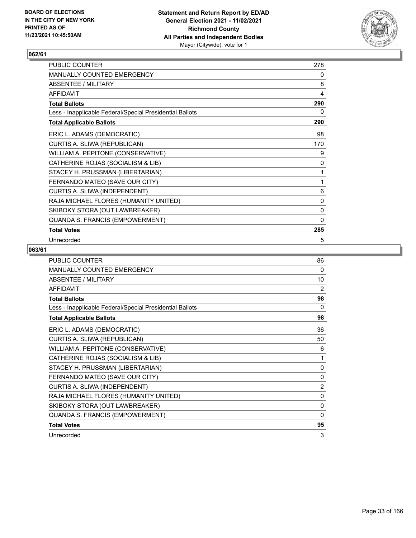

| PUBLIC COUNTER                                           | 278 |
|----------------------------------------------------------|-----|
| MANUALLY COUNTED EMERGENCY                               | 0   |
| <b>ABSENTEE / MILITARY</b>                               | 8   |
| <b>AFFIDAVIT</b>                                         | 4   |
| <b>Total Ballots</b>                                     | 290 |
| Less - Inapplicable Federal/Special Presidential Ballots | 0   |
| <b>Total Applicable Ballots</b>                          | 290 |
| ERIC L. ADAMS (DEMOCRATIC)                               | 98  |
| CURTIS A. SLIWA (REPUBLICAN)                             | 170 |
| WILLIAM A. PEPITONE (CONSERVATIVE)                       | 9   |
| CATHERINE ROJAS (SOCIALISM & LIB)                        | 0   |
| STACEY H. PRUSSMAN (LIBERTARIAN)                         | 1   |
| FERNANDO MATEO (SAVE OUR CITY)                           | 1   |
| CURTIS A. SLIWA (INDEPENDENT)                            | 6   |
| RAJA MICHAEL FLORES (HUMANITY UNITED)                    | 0   |
| SKIBOKY STORA (OUT LAWBREAKER)                           | 0   |
| QUANDA S. FRANCIS (EMPOWERMENT)                          | 0   |
| <b>Total Votes</b>                                       | 285 |
| Unrecorded                                               | 5   |

| <b>PUBLIC COUNTER</b>                                    | 86             |
|----------------------------------------------------------|----------------|
| <b>MANUALLY COUNTED EMERGENCY</b>                        | 0              |
| ABSENTEE / MILITARY                                      | 10             |
| <b>AFFIDAVIT</b>                                         | 2              |
| <b>Total Ballots</b>                                     | 98             |
| Less - Inapplicable Federal/Special Presidential Ballots | 0              |
| <b>Total Applicable Ballots</b>                          | 98             |
| ERIC L. ADAMS (DEMOCRATIC)                               | 36             |
| CURTIS A. SLIWA (REPUBLICAN)                             | 50             |
| WILLIAM A. PEPITONE (CONSERVATIVE)                       | 6              |
| CATHERINE ROJAS (SOCIALISM & LIB)                        | 1              |
| STACEY H. PRUSSMAN (LIBERTARIAN)                         | $\mathbf{0}$   |
| FERNANDO MATEO (SAVE OUR CITY)                           | 0              |
| CURTIS A. SLIWA (INDEPENDENT)                            | $\overline{2}$ |
| RAJA MICHAEL FLORES (HUMANITY UNITED)                    | 0              |
| SKIBOKY STORA (OUT LAWBREAKER)                           | 0              |
| QUANDA S. FRANCIS (EMPOWERMENT)                          | $\Omega$       |
| <b>Total Votes</b>                                       | 95             |
| Unrecorded                                               | 3              |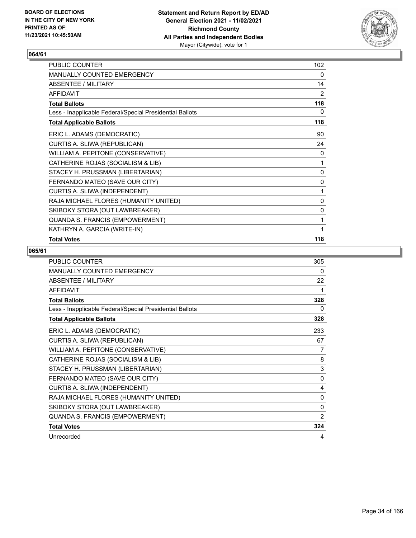

| PUBLIC COUNTER                                           | 102            |
|----------------------------------------------------------|----------------|
| <b>MANUALLY COUNTED EMERGENCY</b>                        | 0              |
| ABSENTEE / MILITARY                                      | 14             |
| <b>AFFIDAVIT</b>                                         | $\overline{2}$ |
| <b>Total Ballots</b>                                     | 118            |
| Less - Inapplicable Federal/Special Presidential Ballots | 0              |
| <b>Total Applicable Ballots</b>                          | 118            |
| ERIC L. ADAMS (DEMOCRATIC)                               | 90             |
| CURTIS A. SLIWA (REPUBLICAN)                             | 24             |
| WILLIAM A. PEPITONE (CONSERVATIVE)                       | 0              |
| CATHERINE ROJAS (SOCIALISM & LIB)                        | 1              |
| STACEY H. PRUSSMAN (LIBERTARIAN)                         | 0              |
| FERNANDO MATEO (SAVE OUR CITY)                           | 0              |
| CURTIS A. SLIWA (INDEPENDENT)                            | 1              |
| RAJA MICHAEL FLORES (HUMANITY UNITED)                    | 0              |
| SKIBOKY STORA (OUT LAWBREAKER)                           | 0              |
| QUANDA S. FRANCIS (EMPOWERMENT)                          | 1              |
| KATHRYN A. GARCIA (WRITE-IN)                             | 1              |
| <b>Total Votes</b>                                       | 118            |

| PUBLIC COUNTER                                           | 305          |
|----------------------------------------------------------|--------------|
| <b>MANUALLY COUNTED EMERGENCY</b>                        | 0            |
| ABSENTEE / MILITARY                                      | 22           |
| <b>AFFIDAVIT</b>                                         | 1            |
| <b>Total Ballots</b>                                     | 328          |
| Less - Inapplicable Federal/Special Presidential Ballots | 0            |
| <b>Total Applicable Ballots</b>                          | 328          |
| ERIC L. ADAMS (DEMOCRATIC)                               | 233          |
| CURTIS A. SLIWA (REPUBLICAN)                             | 67           |
| WILLIAM A. PEPITONE (CONSERVATIVE)                       | 7            |
| CATHERINE ROJAS (SOCIALISM & LIB)                        | 8            |
| STACEY H. PRUSSMAN (LIBERTARIAN)                         | 3            |
| FERNANDO MATEO (SAVE OUR CITY)                           | $\mathbf 0$  |
| CURTIS A. SLIWA (INDEPENDENT)                            | 4            |
| RAJA MICHAEL FLORES (HUMANITY UNITED)                    | $\mathbf{0}$ |
| SKIBOKY STORA (OUT LAWBREAKER)                           | 0            |
| QUANDA S. FRANCIS (EMPOWERMENT)                          | 2            |
| <b>Total Votes</b>                                       | 324          |
| Unrecorded                                               | 4            |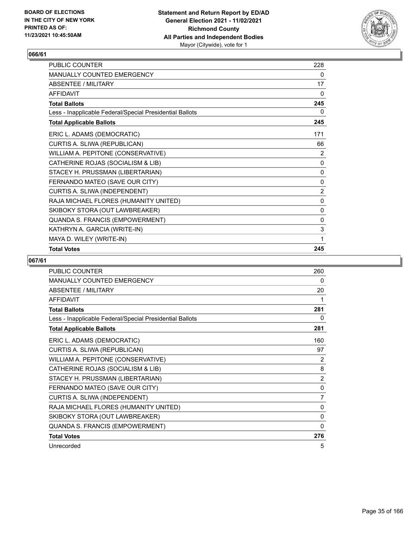

| PUBLIC COUNTER                                           | 228         |
|----------------------------------------------------------|-------------|
| MANUALLY COUNTED EMERGENCY                               | 0           |
| <b>ABSENTEE / MILITARY</b>                               | 17          |
| <b>AFFIDAVIT</b>                                         | 0           |
| <b>Total Ballots</b>                                     | 245         |
| Less - Inapplicable Federal/Special Presidential Ballots | 0           |
| <b>Total Applicable Ballots</b>                          | 245         |
| ERIC L. ADAMS (DEMOCRATIC)                               | 171         |
| CURTIS A. SLIWA (REPUBLICAN)                             | 66          |
| WILLIAM A. PEPITONE (CONSERVATIVE)                       | 2           |
| CATHERINE ROJAS (SOCIALISM & LIB)                        | 0           |
| STACEY H. PRUSSMAN (LIBERTARIAN)                         | 0           |
| FERNANDO MATEO (SAVE OUR CITY)                           | 0           |
| CURTIS A. SLIWA (INDEPENDENT)                            | 2           |
| RAJA MICHAEL FLORES (HUMANITY UNITED)                    | 0           |
| SKIBOKY STORA (OUT LAWBREAKER)                           | 0           |
| QUANDA S. FRANCIS (EMPOWERMENT)                          | 0           |
| KATHRYN A. GARCIA (WRITE-IN)                             | $\mathsf 3$ |
| MAYA D. WILEY (WRITE-IN)                                 | 1           |
| <b>Total Votes</b>                                       | 245         |

| <b>PUBLIC COUNTER</b>                                    | 260          |
|----------------------------------------------------------|--------------|
| MANUALLY COUNTED EMERGENCY                               | 0            |
| <b>ABSENTEE / MILITARY</b>                               | 20           |
| <b>AFFIDAVIT</b>                                         | 1            |
| <b>Total Ballots</b>                                     | 281          |
| Less - Inapplicable Federal/Special Presidential Ballots | 0            |
| <b>Total Applicable Ballots</b>                          | 281          |
| ERIC L. ADAMS (DEMOCRATIC)                               | 160          |
| CURTIS A. SLIWA (REPUBLICAN)                             | 97           |
| WILLIAM A. PEPITONE (CONSERVATIVE)                       | 2            |
| CATHERINE ROJAS (SOCIALISM & LIB)                        | 8            |
| STACEY H. PRUSSMAN (LIBERTARIAN)                         | 2            |
| FERNANDO MATEO (SAVE OUR CITY)                           | 0            |
| CURTIS A. SLIWA (INDEPENDENT)                            | 7            |
| RAJA MICHAEL FLORES (HUMANITY UNITED)                    | $\mathbf{0}$ |
| SKIBOKY STORA (OUT LAWBREAKER)                           | $\mathbf{0}$ |
| QUANDA S. FRANCIS (EMPOWERMENT)                          | 0            |
| <b>Total Votes</b>                                       | 276          |
| Unrecorded                                               | 5            |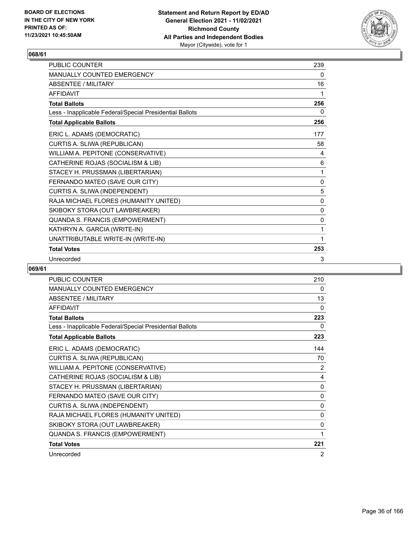

| <b>PUBLIC COUNTER</b>                                    | 239 |
|----------------------------------------------------------|-----|
| <b>MANUALLY COUNTED EMERGENCY</b>                        | 0   |
| ABSENTEE / MII ITARY                                     | 16  |
| <b>AFFIDAVIT</b>                                         | 1   |
| <b>Total Ballots</b>                                     | 256 |
| Less - Inapplicable Federal/Special Presidential Ballots | 0   |
| <b>Total Applicable Ballots</b>                          | 256 |
| ERIC L. ADAMS (DEMOCRATIC)                               | 177 |
| CURTIS A. SLIWA (REPUBLICAN)                             | 58  |
| WILLIAM A. PEPITONE (CONSERVATIVE)                       | 4   |
| CATHERINE ROJAS (SOCIALISM & LIB)                        | 6   |
| STACEY H. PRUSSMAN (LIBERTARIAN)                         | 1   |
| FERNANDO MATEO (SAVE OUR CITY)                           | 0   |
| CURTIS A. SLIWA (INDEPENDENT)                            | 5   |
| RAJA MICHAEL FLORES (HUMANITY UNITED)                    | 0   |
| SKIBOKY STORA (OUT LAWBREAKER)                           | 0   |
| QUANDA S. FRANCIS (EMPOWERMENT)                          | 0   |
| KATHRYN A. GARCIA (WRITE-IN)                             | 1   |
| UNATTRIBUTABLE WRITE-IN (WRITE-IN)                       | 1   |
| <b>Total Votes</b>                                       | 253 |
| Unrecorded                                               | 3   |

| <b>PUBLIC COUNTER</b>                                    | 210            |
|----------------------------------------------------------|----------------|
| <b>MANUALLY COUNTED EMERGENCY</b>                        | 0              |
| <b>ABSENTEE / MILITARY</b>                               | 13             |
| <b>AFFIDAVIT</b>                                         | $\Omega$       |
| <b>Total Ballots</b>                                     | 223            |
| Less - Inapplicable Federal/Special Presidential Ballots | 0              |
| <b>Total Applicable Ballots</b>                          | 223            |
| ERIC L. ADAMS (DEMOCRATIC)                               | 144            |
| CURTIS A. SLIWA (REPUBLICAN)                             | 70             |
| WILLIAM A. PEPITONE (CONSERVATIVE)                       | 2              |
| CATHERINE ROJAS (SOCIALISM & LIB)                        | 4              |
| STACEY H. PRUSSMAN (LIBERTARIAN)                         | 0              |
| FERNANDO MATEO (SAVE OUR CITY)                           | 0              |
| CURTIS A. SLIWA (INDEPENDENT)                            | 0              |
| RAJA MICHAEL FLORES (HUMANITY UNITED)                    | 0              |
| SKIBOKY STORA (OUT LAWBREAKER)                           | 0              |
| QUANDA S. FRANCIS (EMPOWERMENT)                          | 1              |
| <b>Total Votes</b>                                       | 221            |
| Unrecorded                                               | $\overline{2}$ |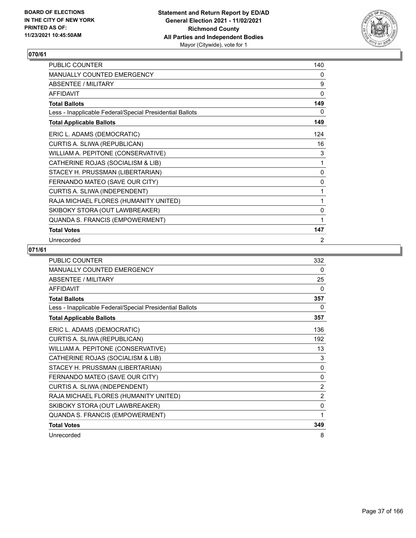

| <b>PUBLIC COUNTER</b>                                    | 140          |
|----------------------------------------------------------|--------------|
| <b>MANUALLY COUNTED EMERGENCY</b>                        | 0            |
| <b>ABSENTEE / MILITARY</b>                               | 9            |
| <b>AFFIDAVIT</b>                                         | $\mathbf{0}$ |
| <b>Total Ballots</b>                                     | 149          |
| Less - Inapplicable Federal/Special Presidential Ballots | 0            |
| <b>Total Applicable Ballots</b>                          | 149          |
| ERIC L. ADAMS (DEMOCRATIC)                               | 124          |
| CURTIS A. SLIWA (REPUBLICAN)                             | 16           |
| WILLIAM A. PEPITONE (CONSERVATIVE)                       | 3            |
| CATHERINE ROJAS (SOCIALISM & LIB)                        | 1            |
| STACEY H. PRUSSMAN (LIBERTARIAN)                         | 0            |
| FERNANDO MATEO (SAVE OUR CITY)                           | 0            |
| CURTIS A. SLIWA (INDEPENDENT)                            | 1            |
| RAJA MICHAEL FLORES (HUMANITY UNITED)                    | 1            |
| SKIBOKY STORA (OUT LAWBREAKER)                           | 0            |
| QUANDA S. FRANCIS (EMPOWERMENT)                          | 1            |
| <b>Total Votes</b>                                       | 147          |
| Unrecorded                                               | 2            |

| <b>PUBLIC COUNTER</b>                                    | 332            |
|----------------------------------------------------------|----------------|
| <b>MANUALLY COUNTED EMERGENCY</b>                        | 0              |
| <b>ABSENTEE / MILITARY</b>                               | 25             |
| <b>AFFIDAVIT</b>                                         | 0              |
| <b>Total Ballots</b>                                     | 357            |
| Less - Inapplicable Federal/Special Presidential Ballots | 0              |
| <b>Total Applicable Ballots</b>                          | 357            |
| ERIC L. ADAMS (DEMOCRATIC)                               | 136            |
| CURTIS A. SLIWA (REPUBLICAN)                             | 192            |
| WILLIAM A. PEPITONE (CONSERVATIVE)                       | 13             |
| CATHERINE ROJAS (SOCIALISM & LIB)                        | 3              |
| STACEY H. PRUSSMAN (LIBERTARIAN)                         | $\mathbf{0}$   |
| FERNANDO MATEO (SAVE OUR CITY)                           | $\mathbf{0}$   |
| CURTIS A. SLIWA (INDEPENDENT)                            | $\overline{2}$ |
| RAJA MICHAEL FLORES (HUMANITY UNITED)                    | $\overline{2}$ |
| SKIBOKY STORA (OUT LAWBREAKER)                           | 0              |
| QUANDA S. FRANCIS (EMPOWERMENT)                          | 1              |
| <b>Total Votes</b>                                       | 349            |
| Unrecorded                                               | 8              |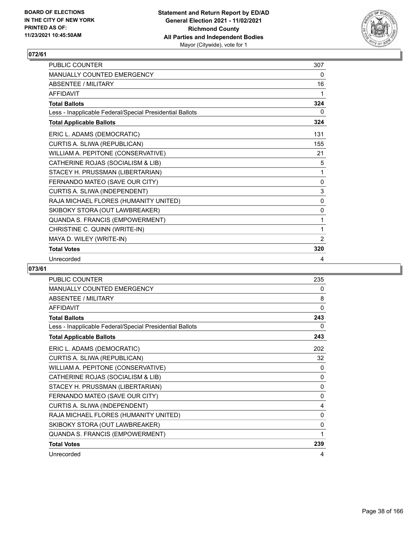

| PUBLIC COUNTER                                           | 307          |
|----------------------------------------------------------|--------------|
| <b>MANUALLY COUNTED EMERGENCY</b>                        | 0            |
| <b>ABSENTEE / MILITARY</b>                               | 16           |
| <b>AFFIDAVIT</b>                                         | 1            |
| <b>Total Ballots</b>                                     | 324          |
| Less - Inapplicable Federal/Special Presidential Ballots | 0            |
| <b>Total Applicable Ballots</b>                          | 324          |
| ERIC L. ADAMS (DEMOCRATIC)                               | 131          |
| CURTIS A. SLIWA (REPUBLICAN)                             | 155          |
| WILLIAM A. PEPITONE (CONSERVATIVE)                       | 21           |
| CATHERINE ROJAS (SOCIALISM & LIB)                        | 5            |
| STACEY H. PRUSSMAN (LIBERTARIAN)                         | $\mathbf{1}$ |
| FERNANDO MATEO (SAVE OUR CITY)                           | 0            |
| CURTIS A. SLIWA (INDEPENDENT)                            | 3            |
| RAJA MICHAEL FLORES (HUMANITY UNITED)                    | 0            |
| SKIBOKY STORA (OUT LAWBREAKER)                           | 0            |
| QUANDA S. FRANCIS (EMPOWERMENT)                          | 1            |
| CHRISTINE C. QUINN (WRITE-IN)                            | 1            |
| MAYA D. WILEY (WRITE-IN)                                 | 2            |
| <b>Total Votes</b>                                       | 320          |
| Unrecorded                                               | 4            |

| <b>PUBLIC COUNTER</b>                                    | 235            |
|----------------------------------------------------------|----------------|
| <b>MANUALLY COUNTED EMERGENCY</b>                        | 0              |
| <b>ABSENTEE / MILITARY</b>                               | 8              |
| <b>AFFIDAVIT</b>                                         | $\Omega$       |
| <b>Total Ballots</b>                                     | 243            |
| Less - Inapplicable Federal/Special Presidential Ballots | 0              |
| <b>Total Applicable Ballots</b>                          | 243            |
| ERIC L. ADAMS (DEMOCRATIC)                               | 202            |
| CURTIS A. SLIWA (REPUBLICAN)                             | 32             |
| WILLIAM A. PEPITONE (CONSERVATIVE)                       | 0              |
| CATHERINE ROJAS (SOCIALISM & LIB)                        | 0              |
| STACEY H. PRUSSMAN (LIBERTARIAN)                         | 0              |
| FERNANDO MATEO (SAVE OUR CITY)                           | 0              |
| CURTIS A. SLIWA (INDEPENDENT)                            | $\overline{4}$ |
| RAJA MICHAEL FLORES (HUMANITY UNITED)                    | $\mathbf 0$    |
| SKIBOKY STORA (OUT LAWBREAKER)                           | 0              |
| QUANDA S. FRANCIS (EMPOWERMENT)                          | 1              |
| <b>Total Votes</b>                                       | 239            |
| Unrecorded                                               | 4              |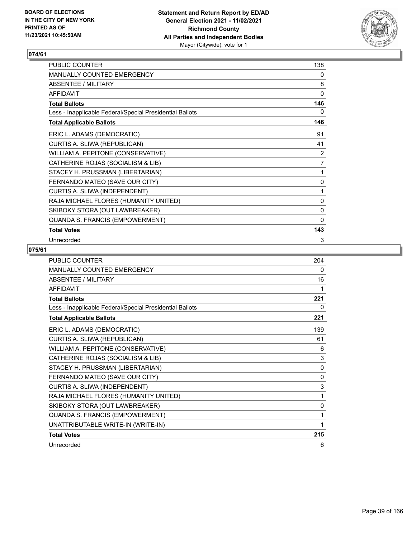

| PUBLIC COUNTER                                           | 138         |
|----------------------------------------------------------|-------------|
| MANUALLY COUNTED EMERGENCY                               | 0           |
| ABSENTEE / MILITARY                                      | 8           |
| <b>AFFIDAVIT</b>                                         | 0           |
| <b>Total Ballots</b>                                     | 146         |
| Less - Inapplicable Federal/Special Presidential Ballots | 0           |
| <b>Total Applicable Ballots</b>                          | 146         |
| ERIC L. ADAMS (DEMOCRATIC)                               | 91          |
| CURTIS A. SLIWA (REPUBLICAN)                             | 41          |
| WILLIAM A. PEPITONE (CONSERVATIVE)                       | 2           |
| CATHERINE ROJAS (SOCIALISM & LIB)                        | 7           |
| STACEY H. PRUSSMAN (LIBERTARIAN)                         | 1           |
| FERNANDO MATEO (SAVE OUR CITY)                           | 0           |
| CURTIS A. SLIWA (INDEPENDENT)                            | 1           |
| RAJA MICHAEL FLORES (HUMANITY UNITED)                    | 0           |
| SKIBOKY STORA (OUT LAWBREAKER)                           | $\mathbf 0$ |
| QUANDA S. FRANCIS (EMPOWERMENT)                          | 0           |
| <b>Total Votes</b>                                       | 143         |
| Unrecorded                                               | 3           |

| <b>PUBLIC COUNTER</b>                                    | 204          |
|----------------------------------------------------------|--------------|
| <b>MANUALLY COUNTED EMERGENCY</b>                        | 0            |
| ABSENTEE / MILITARY                                      | 16           |
| AFFIDAVIT                                                | 1            |
| <b>Total Ballots</b>                                     | 221          |
| Less - Inapplicable Federal/Special Presidential Ballots | 0            |
| <b>Total Applicable Ballots</b>                          | 221          |
| ERIC L. ADAMS (DEMOCRATIC)                               | 139          |
| CURTIS A. SLIWA (REPUBLICAN)                             | 61           |
| WILLIAM A. PEPITONE (CONSERVATIVE)                       | 6            |
| CATHERINE ROJAS (SOCIALISM & LIB)                        | 3            |
| STACEY H. PRUSSMAN (LIBERTARIAN)                         | $\mathbf{0}$ |
| FERNANDO MATEO (SAVE OUR CITY)                           | 0            |
| CURTIS A. SLIWA (INDEPENDENT)                            | 3            |
| RAJA MICHAEL FLORES (HUMANITY UNITED)                    | 1            |
| SKIBOKY STORA (OUT LAWBREAKER)                           | $\mathbf{0}$ |
| QUANDA S. FRANCIS (EMPOWERMENT)                          | 1            |
| UNATTRIBUTABLE WRITE-IN (WRITE-IN)                       | 1            |
| <b>Total Votes</b>                                       | 215          |
| Unrecorded                                               | 6            |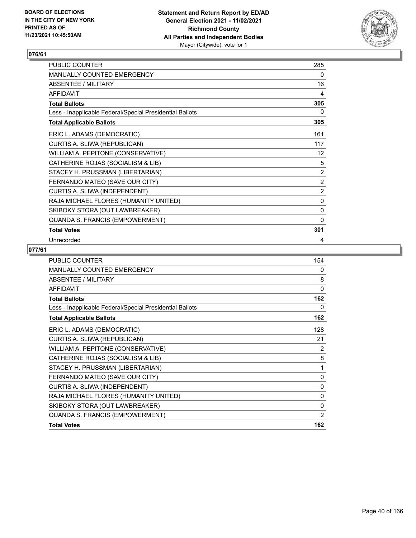

| PUBLIC COUNTER                                           | 285            |
|----------------------------------------------------------|----------------|
| <b>MANUALLY COUNTED EMERGENCY</b>                        | 0              |
| <b>ABSENTEE / MILITARY</b>                               | 16             |
| <b>AFFIDAVIT</b>                                         | 4              |
| <b>Total Ballots</b>                                     | 305            |
| Less - Inapplicable Federal/Special Presidential Ballots | 0              |
| <b>Total Applicable Ballots</b>                          | 305            |
| ERIC L. ADAMS (DEMOCRATIC)                               | 161            |
| CURTIS A. SLIWA (REPUBLICAN)                             | 117            |
| WILLIAM A. PEPITONE (CONSERVATIVE)                       | 12             |
| CATHERINE ROJAS (SOCIALISM & LIB)                        | 5              |
| STACEY H. PRUSSMAN (LIBERTARIAN)                         | 2              |
| FERNANDO MATEO (SAVE OUR CITY)                           | 2              |
| CURTIS A. SLIWA (INDEPENDENT)                            | $\overline{2}$ |
| RAJA MICHAEL FLORES (HUMANITY UNITED)                    | 0              |
| SKIBOKY STORA (OUT LAWBREAKER)                           | $\mathbf 0$    |
| QUANDA S. FRANCIS (EMPOWERMENT)                          | $\mathbf{0}$   |
| <b>Total Votes</b>                                       | 301            |
| Unrecorded                                               | 4              |

| PUBLIC COUNTER                                           | 154          |
|----------------------------------------------------------|--------------|
| <b>MANUALLY COUNTED EMERGENCY</b>                        | $\mathbf{0}$ |
| ABSENTEE / MILITARY                                      | 8            |
| <b>AFFIDAVIT</b>                                         | 0            |
| <b>Total Ballots</b>                                     | 162          |
| Less - Inapplicable Federal/Special Presidential Ballots | 0            |
| <b>Total Applicable Ballots</b>                          | 162          |
| ERIC L. ADAMS (DEMOCRATIC)                               | 128          |
| CURTIS A. SLIWA (REPUBLICAN)                             | 21           |
| WILLIAM A. PEPITONE (CONSERVATIVE)                       | 2            |
| CATHERINE ROJAS (SOCIALISM & LIB)                        | 8            |
| STACEY H. PRUSSMAN (LIBERTARIAN)                         | 1            |
| FERNANDO MATEO (SAVE OUR CITY)                           | 0            |
| CURTIS A. SLIWA (INDEPENDENT)                            | 0            |
| RAJA MICHAEL FLORES (HUMANITY UNITED)                    | 0            |
| SKIBOKY STORA (OUT LAWBREAKER)                           | 0            |
| QUANDA S. FRANCIS (EMPOWERMENT)                          | 2            |
| <b>Total Votes</b>                                       | 162          |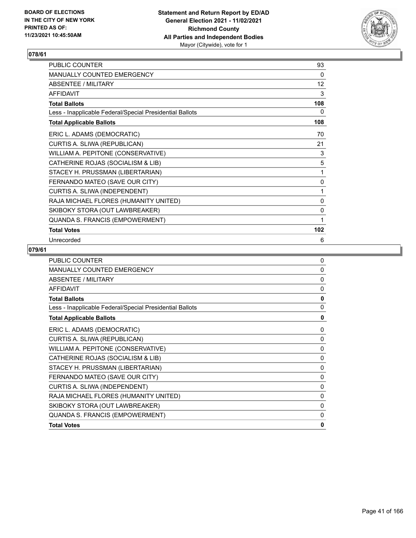

| <b>PUBLIC COUNTER</b>                                    | 93           |
|----------------------------------------------------------|--------------|
| <b>MANUALLY COUNTED EMERGENCY</b>                        | $\mathbf{0}$ |
| <b>ABSENTEE / MILITARY</b>                               | 12           |
| <b>AFFIDAVIT</b>                                         | 3            |
| <b>Total Ballots</b>                                     | 108          |
| Less - Inapplicable Federal/Special Presidential Ballots | 0            |
| <b>Total Applicable Ballots</b>                          | 108          |
| ERIC L. ADAMS (DEMOCRATIC)                               | 70           |
| CURTIS A. SLIWA (REPUBLICAN)                             | 21           |
| WILLIAM A. PEPITONE (CONSERVATIVE)                       | 3            |
| CATHERINE ROJAS (SOCIALISM & LIB)                        | 5            |
| STACEY H. PRUSSMAN (LIBERTARIAN)                         | 1            |
| FERNANDO MATEO (SAVE OUR CITY)                           | 0            |
| CURTIS A. SLIWA (INDEPENDENT)                            | 1            |
| RAJA MICHAEL FLORES (HUMANITY UNITED)                    | 0            |
| SKIBOKY STORA (OUT LAWBREAKER)                           | 0            |
| QUANDA S. FRANCIS (EMPOWERMENT)                          | 1            |
| <b>Total Votes</b>                                       | 102          |
| Unrecorded                                               | 6            |

| <b>PUBLIC COUNTER</b>                                    | $\Omega$     |
|----------------------------------------------------------|--------------|
| MANUALLY COUNTED EMERGENCY                               | 0            |
| <b>ABSENTEE / MILITARY</b>                               | $\mathbf{0}$ |
| <b>AFFIDAVIT</b>                                         | $\mathbf{0}$ |
| <b>Total Ballots</b>                                     | $\mathbf{0}$ |
| Less - Inapplicable Federal/Special Presidential Ballots | $\Omega$     |
| <b>Total Applicable Ballots</b>                          | 0            |
| ERIC L. ADAMS (DEMOCRATIC)                               | 0            |
| CURTIS A. SLIWA (REPUBLICAN)                             | 0            |
| WILLIAM A. PEPITONE (CONSERVATIVE)                       | 0            |
| CATHERINE ROJAS (SOCIALISM & LIB)                        | 0            |
| STACEY H. PRUSSMAN (LIBERTARIAN)                         | 0            |
| FERNANDO MATEO (SAVE OUR CITY)                           | 0            |
| CURTIS A. SLIWA (INDEPENDENT)                            | 0            |
| RAJA MICHAEL FLORES (HUMANITY UNITED)                    | 0            |
| SKIBOKY STORA (OUT LAWBREAKER)                           | 0            |
| QUANDA S. FRANCIS (EMPOWERMENT)                          | 0            |
| <b>Total Votes</b>                                       | $\mathbf{0}$ |
|                                                          |              |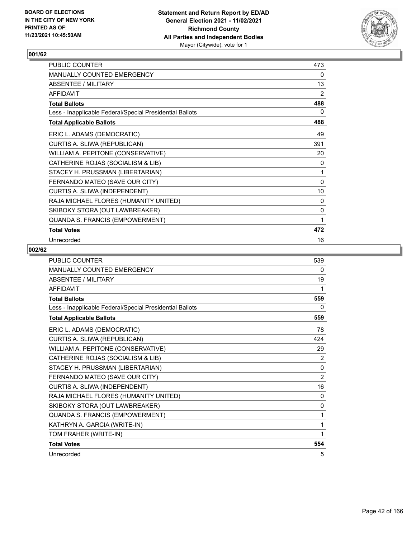

| PUBLIC COUNTER                                           | 473 |
|----------------------------------------------------------|-----|
| MANUALLY COUNTED EMERGENCY                               | 0   |
| ABSENTEE / MILITARY                                      | 13  |
| <b>AFFIDAVIT</b>                                         | 2   |
| <b>Total Ballots</b>                                     | 488 |
| Less - Inapplicable Federal/Special Presidential Ballots | 0   |
| <b>Total Applicable Ballots</b>                          | 488 |
| ERIC L. ADAMS (DEMOCRATIC)                               | 49  |
| CURTIS A. SLIWA (REPUBLICAN)                             | 391 |
| WILLIAM A. PEPITONE (CONSERVATIVE)                       | 20  |
| CATHERINE ROJAS (SOCIALISM & LIB)                        | 0   |
| STACEY H. PRUSSMAN (LIBERTARIAN)                         | 1   |
| FERNANDO MATEO (SAVE OUR CITY)                           | 0   |
| CURTIS A. SLIWA (INDEPENDENT)                            | 10  |
| RAJA MICHAEL FLORES (HUMANITY UNITED)                    | 0   |
| SKIBOKY STORA (OUT LAWBREAKER)                           | 0   |
| QUANDA S. FRANCIS (EMPOWERMENT)                          | 1   |
| <b>Total Votes</b>                                       | 472 |
| Unrecorded                                               | 16  |

| <b>PUBLIC COUNTER</b>                                    | 539            |
|----------------------------------------------------------|----------------|
| MANUALLY COUNTED EMERGENCY                               | 0              |
| <b>ABSENTEE / MILITARY</b>                               | 19             |
| <b>AFFIDAVIT</b>                                         | 1              |
| <b>Total Ballots</b>                                     | 559            |
| Less - Inapplicable Federal/Special Presidential Ballots | 0              |
| <b>Total Applicable Ballots</b>                          | 559            |
| ERIC L. ADAMS (DEMOCRATIC)                               | 78             |
| CURTIS A. SLIWA (REPUBLICAN)                             | 424            |
| WILLIAM A. PEPITONE (CONSERVATIVE)                       | 29             |
| CATHERINE ROJAS (SOCIALISM & LIB)                        | 2              |
| STACEY H. PRUSSMAN (LIBERTARIAN)                         | 0              |
| FERNANDO MATEO (SAVE OUR CITY)                           | $\overline{2}$ |
| CURTIS A. SLIWA (INDEPENDENT)                            | 16             |
| RAJA MICHAEL FLORES (HUMANITY UNITED)                    | $\Omega$       |
| SKIBOKY STORA (OUT LAWBREAKER)                           | 0              |
| QUANDA S. FRANCIS (EMPOWERMENT)                          | 1              |
| KATHRYN A. GARCIA (WRITE-IN)                             | 1              |
| TOM FRAHER (WRITE-IN)                                    | 1              |
| <b>Total Votes</b>                                       | 554            |
| Unrecorded                                               | 5              |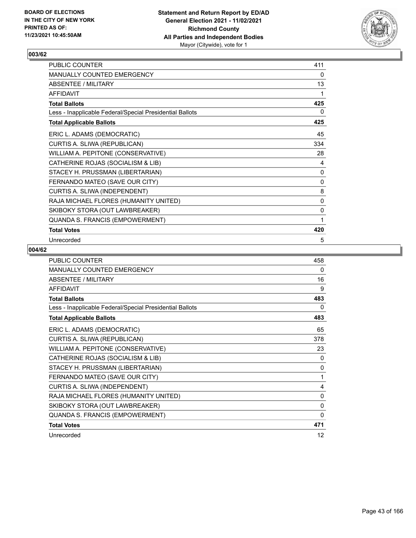

| PUBLIC COUNTER                                           | 411       |
|----------------------------------------------------------|-----------|
| MANUALLY COUNTED EMERGENCY                               | 0         |
| ABSENTEE / MILITARY                                      | 13        |
| <b>AFFIDAVIT</b>                                         | 1         |
| <b>Total Ballots</b>                                     | 425       |
| Less - Inapplicable Federal/Special Presidential Ballots | 0         |
| <b>Total Applicable Ballots</b>                          | 425       |
| ERIC L. ADAMS (DEMOCRATIC)                               | 45        |
| CURTIS A. SLIWA (REPUBLICAN)                             | 334       |
| WILLIAM A. PEPITONE (CONSERVATIVE)                       | 28        |
| CATHERINE ROJAS (SOCIALISM & LIB)                        | 4         |
| STACEY H. PRUSSMAN (LIBERTARIAN)                         | 0         |
| FERNANDO MATEO (SAVE OUR CITY)                           | $\pmb{0}$ |
| CURTIS A. SLIWA (INDEPENDENT)                            | 8         |
| RAJA MICHAEL FLORES (HUMANITY UNITED)                    | 0         |
| SKIBOKY STORA (OUT LAWBREAKER)                           | 0         |
| QUANDA S. FRANCIS (EMPOWERMENT)                          | 1         |
| <b>Total Votes</b>                                       | 420       |
| Unrecorded                                               | 5         |

| PUBLIC COUNTER                                           | 458          |
|----------------------------------------------------------|--------------|
| <b>MANUALLY COUNTED EMERGENCY</b>                        | 0            |
| ABSENTEE / MILITARY                                      | 16           |
| <b>AFFIDAVIT</b>                                         | 9            |
| <b>Total Ballots</b>                                     | 483          |
| Less - Inapplicable Federal/Special Presidential Ballots | 0            |
| <b>Total Applicable Ballots</b>                          | 483          |
| ERIC L. ADAMS (DEMOCRATIC)                               | 65           |
| CURTIS A. SLIWA (REPUBLICAN)                             | 378          |
| WILLIAM A. PEPITONE (CONSERVATIVE)                       | 23           |
| CATHERINE ROJAS (SOCIALISM & LIB)                        | 0            |
| STACEY H. PRUSSMAN (LIBERTARIAN)                         | $\mathbf{0}$ |
| FERNANDO MATEO (SAVE OUR CITY)                           | 1            |
| CURTIS A. SLIWA (INDEPENDENT)                            | 4            |
| RAJA MICHAEL FLORES (HUMANITY UNITED)                    | 0            |
| SKIBOKY STORA (OUT LAWBREAKER)                           | 0            |
| QUANDA S. FRANCIS (EMPOWERMENT)                          | $\mathbf{0}$ |
| <b>Total Votes</b>                                       | 471          |
| Unrecorded                                               | 12           |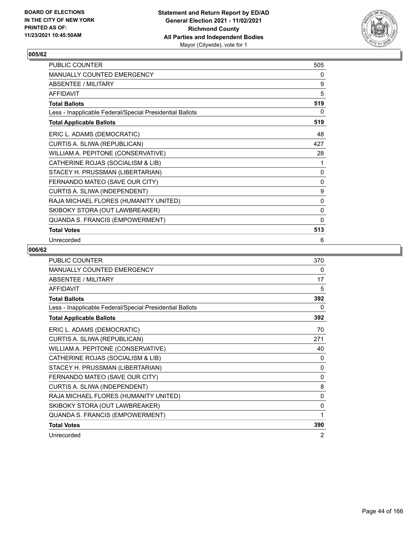

| PUBLIC COUNTER                                           | 505 |
|----------------------------------------------------------|-----|
| MANUALLY COUNTED EMERGENCY                               | 0   |
| <b>ABSENTEE / MILITARY</b>                               | 9   |
| <b>AFFIDAVIT</b>                                         | 5   |
| <b>Total Ballots</b>                                     | 519 |
| Less - Inapplicable Federal/Special Presidential Ballots | 0   |
| <b>Total Applicable Ballots</b>                          | 519 |
| ERIC L. ADAMS (DEMOCRATIC)                               | 48  |
| CURTIS A. SLIWA (REPUBLICAN)                             | 427 |
| WILLIAM A. PEPITONE (CONSERVATIVE)                       | 28  |
| CATHERINE ROJAS (SOCIALISM & LIB)                        | 1   |
| STACEY H. PRUSSMAN (LIBERTARIAN)                         | 0   |
| FERNANDO MATEO (SAVE OUR CITY)                           | 0   |
| CURTIS A. SLIWA (INDEPENDENT)                            | 9   |
| RAJA MICHAEL FLORES (HUMANITY UNITED)                    | 0   |
| SKIBOKY STORA (OUT LAWBREAKER)                           | 0   |
| QUANDA S. FRANCIS (EMPOWERMENT)                          | 0   |
| <b>Total Votes</b>                                       | 513 |
| Unrecorded                                               | 6   |

| <b>PUBLIC COUNTER</b>                                    | 370          |
|----------------------------------------------------------|--------------|
| <b>MANUALLY COUNTED EMERGENCY</b>                        | 0            |
| <b>ABSENTEE / MILITARY</b>                               | 17           |
| <b>AFFIDAVIT</b>                                         | 5            |
| <b>Total Ballots</b>                                     | 392          |
| Less - Inapplicable Federal/Special Presidential Ballots | 0            |
| <b>Total Applicable Ballots</b>                          | 392          |
| ERIC L. ADAMS (DEMOCRATIC)                               | 70           |
| CURTIS A. SLIWA (REPUBLICAN)                             | 271          |
| WILLIAM A. PEPITONE (CONSERVATIVE)                       | 40           |
| CATHERINE ROJAS (SOCIALISM & LIB)                        | 0            |
| STACEY H. PRUSSMAN (LIBERTARIAN)                         | $\mathbf{0}$ |
| FERNANDO MATEO (SAVE OUR CITY)                           | $\mathbf{0}$ |
| CURTIS A. SLIWA (INDEPENDENT)                            | 8            |
| RAJA MICHAEL FLORES (HUMANITY UNITED)                    | 0            |
| SKIBOKY STORA (OUT LAWBREAKER)                           | 0            |
| QUANDA S. FRANCIS (EMPOWERMENT)                          | 1            |
| <b>Total Votes</b>                                       | 390          |
| Unrecorded                                               | 2            |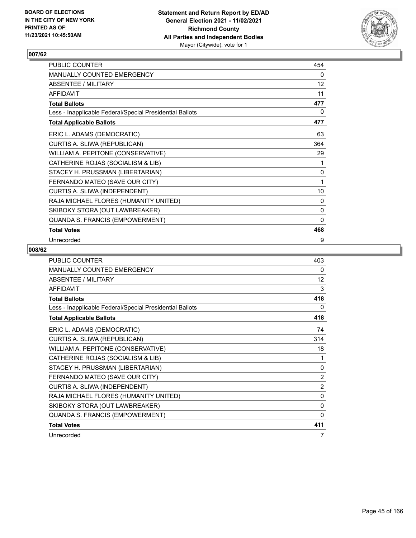

| PUBLIC COUNTER                                           | 454          |
|----------------------------------------------------------|--------------|
| MANUALLY COUNTED EMERGENCY                               | 0            |
| ABSENTEE / MILITARY                                      | 12           |
| <b>AFFIDAVIT</b>                                         | 11           |
| <b>Total Ballots</b>                                     | 477          |
| Less - Inapplicable Federal/Special Presidential Ballots | 0            |
| <b>Total Applicable Ballots</b>                          | 477          |
| ERIC L. ADAMS (DEMOCRATIC)                               | 63           |
| CURTIS A. SLIWA (REPUBLICAN)                             | 364          |
| WILLIAM A. PEPITONE (CONSERVATIVE)                       | 29           |
| CATHERINE ROJAS (SOCIALISM & LIB)                        | 1            |
| STACEY H. PRUSSMAN (LIBERTARIAN)                         | 0            |
| FERNANDO MATEO (SAVE OUR CITY)                           | 1            |
| CURTIS A. SLIWA (INDEPENDENT)                            | 10           |
| RAJA MICHAEL FLORES (HUMANITY UNITED)                    | 0            |
| SKIBOKY STORA (OUT LAWBREAKER)                           | 0            |
| QUANDA S. FRANCIS (EMPOWERMENT)                          | $\mathbf{0}$ |
| <b>Total Votes</b>                                       | 468          |
| Unrecorded                                               | 9            |

| PUBLIC COUNTER                                           | 403            |
|----------------------------------------------------------|----------------|
| MANUALLY COUNTED EMERGENCY                               | 0              |
| ABSENTEE / MILITARY                                      | 12             |
| <b>AFFIDAVIT</b>                                         | 3              |
| <b>Total Ballots</b>                                     | 418            |
| Less - Inapplicable Federal/Special Presidential Ballots | 0              |
| <b>Total Applicable Ballots</b>                          | 418            |
| ERIC L. ADAMS (DEMOCRATIC)                               | 74             |
| CURTIS A. SLIWA (REPUBLICAN)                             | 314            |
| WILLIAM A. PEPITONE (CONSERVATIVE)                       | 18             |
| CATHERINE ROJAS (SOCIALISM & LIB)                        | 1              |
| STACEY H. PRUSSMAN (LIBERTARIAN)                         | $\mathbf{0}$   |
| FERNANDO MATEO (SAVE OUR CITY)                           | $\overline{2}$ |
| CURTIS A. SLIWA (INDEPENDENT)                            | $\overline{2}$ |
| RAJA MICHAEL FLORES (HUMANITY UNITED)                    | 0              |
| SKIBOKY STORA (OUT LAWBREAKER)                           | 0              |
| QUANDA S. FRANCIS (EMPOWERMENT)                          | $\mathbf{0}$   |
| <b>Total Votes</b>                                       | 411            |
| Unrecorded                                               | 7              |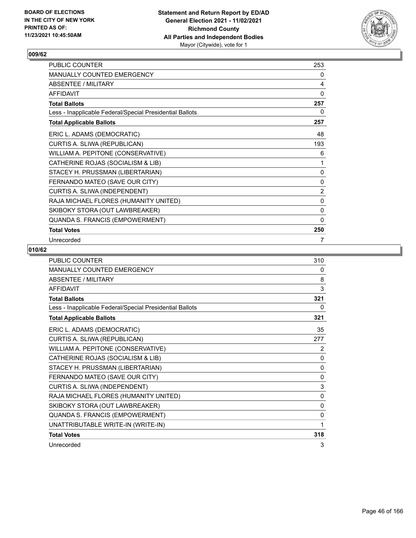

| PUBLIC COUNTER                                           | 253          |
|----------------------------------------------------------|--------------|
| MANUALLY COUNTED EMERGENCY                               | 0            |
| ABSENTEE / MILITARY                                      | 4            |
| <b>AFFIDAVIT</b>                                         | $\Omega$     |
| <b>Total Ballots</b>                                     | 257          |
| Less - Inapplicable Federal/Special Presidential Ballots | 0            |
| <b>Total Applicable Ballots</b>                          | 257          |
| ERIC L. ADAMS (DEMOCRATIC)                               | 48           |
| CURTIS A. SLIWA (REPUBLICAN)                             | 193          |
| WILLIAM A. PEPITONE (CONSERVATIVE)                       | 6            |
| CATHERINE ROJAS (SOCIALISM & LIB)                        | 1            |
| STACEY H. PRUSSMAN (LIBERTARIAN)                         | 0            |
| FERNANDO MATEO (SAVE OUR CITY)                           | $\pmb{0}$    |
| CURTIS A. SLIWA (INDEPENDENT)                            | 2            |
| RAJA MICHAEL FLORES (HUMANITY UNITED)                    | 0            |
| SKIBOKY STORA (OUT LAWBREAKER)                           | 0            |
| QUANDA S. FRANCIS (EMPOWERMENT)                          | $\mathbf{0}$ |
| <b>Total Votes</b>                                       | 250          |
| Unrecorded                                               | 7            |

| <b>PUBLIC COUNTER</b>                                    | 310          |
|----------------------------------------------------------|--------------|
| <b>MANUALLY COUNTED EMERGENCY</b>                        | 0            |
| ABSENTEE / MILITARY                                      | 8            |
| AFFIDAVIT                                                | 3            |
| <b>Total Ballots</b>                                     | 321          |
| Less - Inapplicable Federal/Special Presidential Ballots | 0            |
| <b>Total Applicable Ballots</b>                          | 321          |
| ERIC L. ADAMS (DEMOCRATIC)                               | 35           |
| CURTIS A. SLIWA (REPUBLICAN)                             | 277          |
| WILLIAM A. PEPITONE (CONSERVATIVE)                       | 2            |
| CATHERINE ROJAS (SOCIALISM & LIB)                        | 0            |
| STACEY H. PRUSSMAN (LIBERTARIAN)                         | $\mathbf{0}$ |
| FERNANDO MATEO (SAVE OUR CITY)                           | 0            |
| CURTIS A. SLIWA (INDEPENDENT)                            | 3            |
| RAJA MICHAEL FLORES (HUMANITY UNITED)                    | 0            |
| SKIBOKY STORA (OUT LAWBREAKER)                           | $\mathbf{0}$ |
| QUANDA S. FRANCIS (EMPOWERMENT)                          | 0            |
| UNATTRIBUTABLE WRITE-IN (WRITE-IN)                       | 1            |
| <b>Total Votes</b>                                       | 318          |
| Unrecorded                                               | 3            |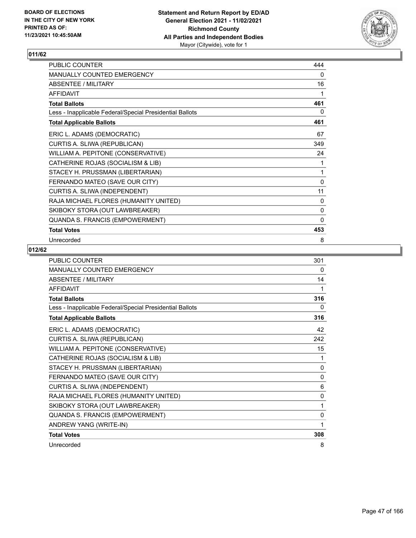

| <b>PUBLIC COUNTER</b>                                    | 444          |
|----------------------------------------------------------|--------------|
| <b>MANUALLY COUNTED EMERGENCY</b>                        | 0            |
| <b>ABSENTEE / MILITARY</b>                               | 16           |
| <b>AFFIDAVIT</b>                                         | 1            |
| <b>Total Ballots</b>                                     | 461          |
| Less - Inapplicable Federal/Special Presidential Ballots | 0            |
| <b>Total Applicable Ballots</b>                          | 461          |
| ERIC L. ADAMS (DEMOCRATIC)                               | 67           |
| CURTIS A. SLIWA (REPUBLICAN)                             | 349          |
| WILLIAM A. PEPITONE (CONSERVATIVE)                       | 24           |
| CATHERINE ROJAS (SOCIALISM & LIB)                        | 1            |
| STACEY H. PRUSSMAN (LIBERTARIAN)                         | 1            |
| FERNANDO MATEO (SAVE OUR CITY)                           | 0            |
| CURTIS A. SLIWA (INDEPENDENT)                            | 11           |
| RAJA MICHAEL FLORES (HUMANITY UNITED)                    | 0            |
| SKIBOKY STORA (OUT LAWBREAKER)                           | $\mathbf 0$  |
| QUANDA S. FRANCIS (EMPOWERMENT)                          | $\mathbf{0}$ |
| <b>Total Votes</b>                                       | 453          |
| Unrecorded                                               | 8            |

| <b>PUBLIC COUNTER</b>                                    | 301          |
|----------------------------------------------------------|--------------|
| <b>MANUALLY COUNTED EMERGENCY</b>                        | 0            |
| ABSENTEE / MILITARY                                      | 14           |
| <b>AFFIDAVIT</b>                                         | 1            |
| <b>Total Ballots</b>                                     | 316          |
| Less - Inapplicable Federal/Special Presidential Ballots | 0            |
| <b>Total Applicable Ballots</b>                          | 316          |
| ERIC L. ADAMS (DEMOCRATIC)                               | 42           |
| CURTIS A. SLIWA (REPUBLICAN)                             | 242          |
| WILLIAM A. PEPITONE (CONSERVATIVE)                       | 15           |
| CATHERINE ROJAS (SOCIALISM & LIB)                        | 1            |
| STACEY H. PRUSSMAN (LIBERTARIAN)                         | $\mathbf{0}$ |
| FERNANDO MATEO (SAVE OUR CITY)                           | 0            |
| CURTIS A. SLIWA (INDEPENDENT)                            | 6            |
| RAJA MICHAEL FLORES (HUMANITY UNITED)                    | $\mathbf{0}$ |
| SKIBOKY STORA (OUT LAWBREAKER)                           | 1            |
| QUANDA S. FRANCIS (EMPOWERMENT)                          | $\mathbf{0}$ |
| ANDREW YANG (WRITE-IN)                                   | 1            |
| <b>Total Votes</b>                                       | 308          |
| Unrecorded                                               | 8            |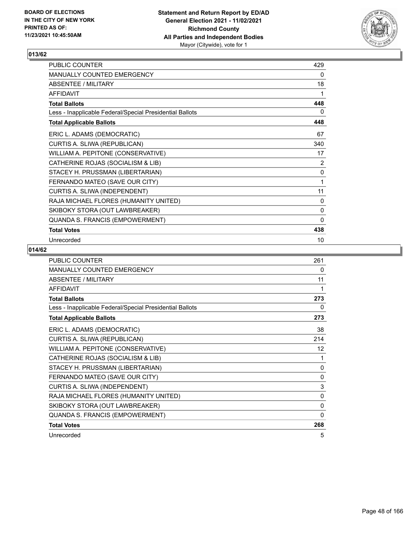

| PUBLIC COUNTER                                           | 429          |
|----------------------------------------------------------|--------------|
| <b>MANUALLY COUNTED EMERGENCY</b>                        | 0            |
| ABSENTEE / MILITARY                                      | 18           |
| <b>AFFIDAVIT</b>                                         | 1            |
| <b>Total Ballots</b>                                     | 448          |
| Less - Inapplicable Federal/Special Presidential Ballots | 0            |
| <b>Total Applicable Ballots</b>                          | 448          |
| ERIC L. ADAMS (DEMOCRATIC)                               | 67           |
| CURTIS A. SLIWA (REPUBLICAN)                             | 340          |
| WILLIAM A. PEPITONE (CONSERVATIVE)                       | 17           |
| CATHERINE ROJAS (SOCIALISM & LIB)                        | 2            |
| STACEY H. PRUSSMAN (LIBERTARIAN)                         | 0            |
| FERNANDO MATEO (SAVE OUR CITY)                           | 1            |
| CURTIS A. SLIWA (INDEPENDENT)                            | 11           |
| RAJA MICHAEL FLORES (HUMANITY UNITED)                    | 0            |
| SKIBOKY STORA (OUT LAWBREAKER)                           | $\mathbf 0$  |
| QUANDA S. FRANCIS (EMPOWERMENT)                          | $\mathbf{0}$ |
| <b>Total Votes</b>                                       | 438          |
| Unrecorded                                               | 10           |

| <b>PUBLIC COUNTER</b>                                    | 261          |
|----------------------------------------------------------|--------------|
| MANUALLY COUNTED EMERGENCY                               | 0            |
| ABSENTEE / MILITARY                                      | 11           |
| <b>AFFIDAVIT</b>                                         | 1            |
| <b>Total Ballots</b>                                     | 273          |
| Less - Inapplicable Federal/Special Presidential Ballots | 0            |
| <b>Total Applicable Ballots</b>                          | 273          |
| ERIC L. ADAMS (DEMOCRATIC)                               | 38           |
| CURTIS A. SLIWA (REPUBLICAN)                             | 214          |
| WILLIAM A. PEPITONE (CONSERVATIVE)                       | 12           |
| CATHERINE ROJAS (SOCIALISM & LIB)                        | 1            |
| STACEY H. PRUSSMAN (LIBERTARIAN)                         | $\mathbf{0}$ |
| FERNANDO MATEO (SAVE OUR CITY)                           | $\mathbf{0}$ |
| CURTIS A. SLIWA (INDEPENDENT)                            | 3            |
| RAJA MICHAEL FLORES (HUMANITY UNITED)                    | 0            |
| SKIBOKY STORA (OUT LAWBREAKER)                           | 0            |
| QUANDA S. FRANCIS (EMPOWERMENT)                          | 0            |
| <b>Total Votes</b>                                       | 268          |
| Unrecorded                                               | 5            |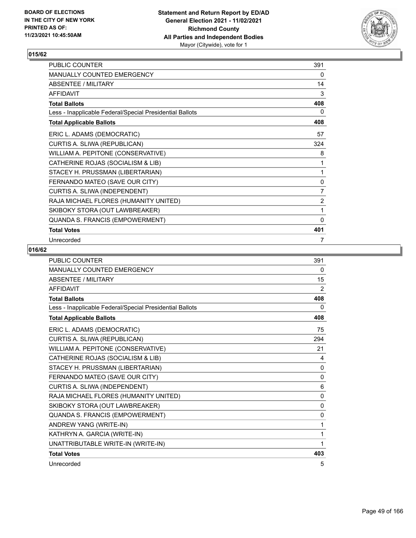

| <b>PUBLIC COUNTER</b>                                    | 391            |
|----------------------------------------------------------|----------------|
| <b>MANUALLY COUNTED EMERGENCY</b>                        | 0              |
| <b>ABSENTEE / MILITARY</b>                               | 14             |
| <b>AFFIDAVIT</b>                                         | 3              |
| <b>Total Ballots</b>                                     | 408            |
| Less - Inapplicable Federal/Special Presidential Ballots | 0              |
| <b>Total Applicable Ballots</b>                          | 408            |
| ERIC L. ADAMS (DEMOCRATIC)                               | 57             |
| CURTIS A. SLIWA (REPUBLICAN)                             | 324            |
| WILLIAM A. PEPITONE (CONSERVATIVE)                       | 8              |
| CATHERINE ROJAS (SOCIALISM & LIB)                        | 1              |
| STACEY H. PRUSSMAN (LIBERTARIAN)                         | 1              |
| FERNANDO MATEO (SAVE OUR CITY)                           | 0              |
| CURTIS A. SLIWA (INDEPENDENT)                            | 7              |
| RAJA MICHAEL FLORES (HUMANITY UNITED)                    | $\overline{2}$ |
| SKIBOKY STORA (OUT LAWBREAKER)                           | 1              |
| QUANDA S. FRANCIS (EMPOWERMENT)                          | $\mathbf{0}$   |
| <b>Total Votes</b>                                       | 401            |
| Unrecorded                                               | 7              |

| <b>PUBLIC COUNTER</b>                                    | 391          |
|----------------------------------------------------------|--------------|
| MANUALLY COUNTED EMERGENCY                               | 0            |
| <b>ABSENTEE / MILITARY</b>                               | 15           |
| <b>AFFIDAVIT</b>                                         | 2            |
| <b>Total Ballots</b>                                     | 408          |
| Less - Inapplicable Federal/Special Presidential Ballots | 0            |
| <b>Total Applicable Ballots</b>                          | 408          |
| ERIC L. ADAMS (DEMOCRATIC)                               | 75           |
| CURTIS A. SLIWA (REPUBLICAN)                             | 294          |
| WILLIAM A. PEPITONE (CONSERVATIVE)                       | 21           |
| CATHERINE ROJAS (SOCIALISM & LIB)                        | 4            |
| STACEY H. PRUSSMAN (LIBERTARIAN)                         | $\Omega$     |
| FERNANDO MATEO (SAVE OUR CITY)                           | $\mathbf{0}$ |
| CURTIS A. SLIWA (INDEPENDENT)                            | 6            |
| RAJA MICHAEL FLORES (HUMANITY UNITED)                    | $\Omega$     |
| SKIBOKY STORA (OUT LAWBREAKER)                           | $\mathbf{0}$ |
| QUANDA S. FRANCIS (EMPOWERMENT)                          | 0            |
| ANDREW YANG (WRITE-IN)                                   | 1            |
| KATHRYN A. GARCIA (WRITE-IN)                             | $\mathbf{1}$ |
| UNATTRIBUTABLE WRITE-IN (WRITE-IN)                       | 1            |
| <b>Total Votes</b>                                       | 403          |
| Unrecorded                                               | 5            |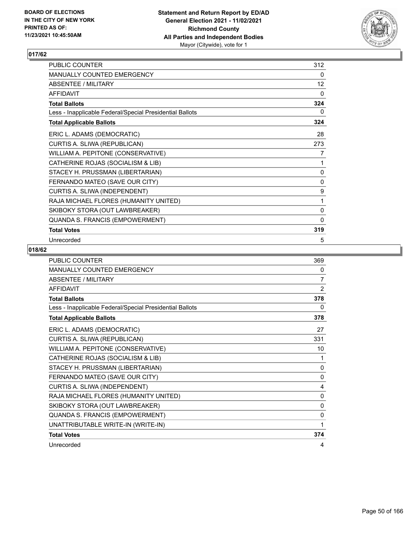

| PUBLIC COUNTER                                           | 312          |
|----------------------------------------------------------|--------------|
| <b>MANUALLY COUNTED EMERGENCY</b>                        | 0            |
| <b>ABSENTEE / MILITARY</b>                               | 12           |
| <b>AFFIDAVIT</b>                                         | $\mathbf{0}$ |
| <b>Total Ballots</b>                                     | 324          |
| Less - Inapplicable Federal/Special Presidential Ballots | 0            |
| <b>Total Applicable Ballots</b>                          | 324          |
| ERIC L. ADAMS (DEMOCRATIC)                               | 28           |
| CURTIS A. SLIWA (REPUBLICAN)                             | 273          |
| WILLIAM A. PEPITONE (CONSERVATIVE)                       | 7            |
| CATHERINE ROJAS (SOCIALISM & LIB)                        | 1            |
| STACEY H. PRUSSMAN (LIBERTARIAN)                         | 0            |
| FERNANDO MATEO (SAVE OUR CITY)                           | 0            |
| CURTIS A. SLIWA (INDEPENDENT)                            | 9            |
| RAJA MICHAEL FLORES (HUMANITY UNITED)                    | 1            |
| SKIBOKY STORA (OUT LAWBREAKER)                           | 0            |
| QUANDA S. FRANCIS (EMPOWERMENT)                          | 0            |
| <b>Total Votes</b>                                       | 319          |
| Unrecorded                                               | 5            |

| <b>PUBLIC COUNTER</b>                                    | 369            |
|----------------------------------------------------------|----------------|
| MANUALLY COUNTED EMERGENCY                               | 0              |
| ABSENTEE / MILITARY                                      | 7              |
| <b>AFFIDAVIT</b>                                         | $\overline{2}$ |
| <b>Total Ballots</b>                                     | 378            |
| Less - Inapplicable Federal/Special Presidential Ballots | 0              |
| <b>Total Applicable Ballots</b>                          | 378            |
| ERIC L. ADAMS (DEMOCRATIC)                               | 27             |
| CURTIS A. SLIWA (REPUBLICAN)                             | 331            |
| WILLIAM A. PEPITONE (CONSERVATIVE)                       | 10             |
| CATHERINE ROJAS (SOCIALISM & LIB)                        | 1              |
| STACEY H. PRUSSMAN (LIBERTARIAN)                         | $\mathbf{0}$   |
| FERNANDO MATEO (SAVE OUR CITY)                           | 0              |
| CURTIS A. SLIWA (INDEPENDENT)                            | 4              |
| RAJA MICHAEL FLORES (HUMANITY UNITED)                    | 0              |
| SKIBOKY STORA (OUT LAWBREAKER)                           | $\mathbf{0}$   |
| QUANDA S. FRANCIS (EMPOWERMENT)                          | 0              |
| UNATTRIBUTABLE WRITE-IN (WRITE-IN)                       | 1              |
| <b>Total Votes</b>                                       | 374            |
| Unrecorded                                               | 4              |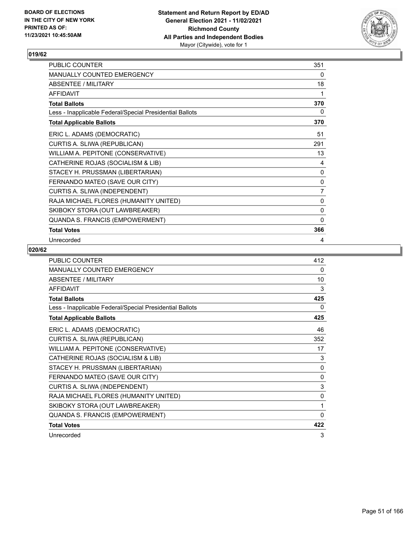

| PUBLIC COUNTER                                           | 351 |
|----------------------------------------------------------|-----|
| <b>MANUALLY COUNTED EMERGENCY</b>                        | 0   |
| <b>ABSENTEE / MILITARY</b>                               | 18  |
| <b>AFFIDAVIT</b>                                         | 1   |
| <b>Total Ballots</b>                                     | 370 |
| Less - Inapplicable Federal/Special Presidential Ballots | 0   |
| <b>Total Applicable Ballots</b>                          | 370 |
| ERIC L. ADAMS (DEMOCRATIC)                               | 51  |
| CURTIS A. SLIWA (REPUBLICAN)                             | 291 |
| WILLIAM A. PEPITONE (CONSERVATIVE)                       | 13  |
| CATHERINE ROJAS (SOCIALISM & LIB)                        | 4   |
| STACEY H. PRUSSMAN (LIBERTARIAN)                         | 0   |
| FERNANDO MATEO (SAVE OUR CITY)                           | 0   |
| CURTIS A. SLIWA (INDEPENDENT)                            | 7   |
| RAJA MICHAEL FLORES (HUMANITY UNITED)                    | 0   |
| SKIBOKY STORA (OUT LAWBREAKER)                           | 0   |
| QUANDA S. FRANCIS (EMPOWERMENT)                          | 0   |
| <b>Total Votes</b>                                       | 366 |
| Unrecorded                                               | 4   |

| <b>PUBLIC COUNTER</b>                                    | 412          |
|----------------------------------------------------------|--------------|
| <b>MANUALLY COUNTED EMERGENCY</b>                        | 0            |
| <b>ABSENTEE / MILITARY</b>                               | 10           |
| <b>AFFIDAVIT</b>                                         | 3            |
| <b>Total Ballots</b>                                     | 425          |
| Less - Inapplicable Federal/Special Presidential Ballots | 0            |
| <b>Total Applicable Ballots</b>                          | 425          |
| ERIC L. ADAMS (DEMOCRATIC)                               | 46           |
| CURTIS A. SLIWA (REPUBLICAN)                             | 352          |
| WILLIAM A. PEPITONE (CONSERVATIVE)                       | 17           |
| CATHERINE ROJAS (SOCIALISM & LIB)                        | 3            |
| STACEY H. PRUSSMAN (LIBERTARIAN)                         | 0            |
| FERNANDO MATEO (SAVE OUR CITY)                           | 0            |
| CURTIS A. SLIWA (INDEPENDENT)                            | 3            |
| RAJA MICHAEL FLORES (HUMANITY UNITED)                    | 0            |
| SKIBOKY STORA (OUT LAWBREAKER)                           | 1            |
| QUANDA S. FRANCIS (EMPOWERMENT)                          | $\mathbf{0}$ |
| <b>Total Votes</b>                                       | 422          |
| Unrecorded                                               | 3            |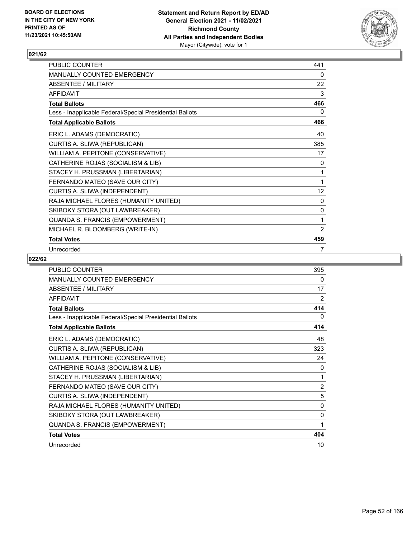

| <b>PUBLIC COUNTER</b>                                    | 441 |
|----------------------------------------------------------|-----|
| <b>MANUALLY COUNTED EMERGENCY</b>                        | 0   |
| ABSENTEE / MILITARY                                      | 22  |
| <b>AFFIDAVIT</b>                                         | 3   |
| <b>Total Ballots</b>                                     | 466 |
| Less - Inapplicable Federal/Special Presidential Ballots | 0   |
| <b>Total Applicable Ballots</b>                          | 466 |
| ERIC L. ADAMS (DEMOCRATIC)                               | 40  |
| CURTIS A. SLIWA (REPUBLICAN)                             | 385 |
| WILLIAM A. PEPITONE (CONSERVATIVE)                       | 17  |
| CATHERINE ROJAS (SOCIALISM & LIB)                        | 0   |
| STACEY H. PRUSSMAN (LIBERTARIAN)                         | 1   |
| FERNANDO MATEO (SAVE OUR CITY)                           | 1   |
| CURTIS A. SLIWA (INDEPENDENT)                            | 12  |
| RAJA MICHAEL FLORES (HUMANITY UNITED)                    | 0   |
| SKIBOKY STORA (OUT LAWBREAKER)                           | 0   |
| QUANDA S. FRANCIS (EMPOWERMENT)                          | 1   |
| MICHAEL R. BLOOMBERG (WRITE-IN)                          | 2   |
| <b>Total Votes</b>                                       | 459 |
| Unrecorded                                               | 7   |

| <b>PUBLIC COUNTER</b>                                    | 395            |
|----------------------------------------------------------|----------------|
| <b>MANUALLY COUNTED EMERGENCY</b>                        | 0              |
| <b>ABSENTEE / MILITARY</b>                               | 17             |
| <b>AFFIDAVIT</b>                                         | 2              |
| <b>Total Ballots</b>                                     | 414            |
| Less - Inapplicable Federal/Special Presidential Ballots | 0              |
| <b>Total Applicable Ballots</b>                          | 414            |
| ERIC L. ADAMS (DEMOCRATIC)                               | 48             |
| CURTIS A. SLIWA (REPUBLICAN)                             | 323            |
| WILLIAM A. PEPITONE (CONSERVATIVE)                       | 24             |
| CATHERINE ROJAS (SOCIALISM & LIB)                        | 0              |
| STACEY H. PRUSSMAN (LIBERTARIAN)                         | 1              |
| FERNANDO MATEO (SAVE OUR CITY)                           | $\overline{2}$ |
| CURTIS A. SLIWA (INDEPENDENT)                            | 5              |
| RAJA MICHAEL FLORES (HUMANITY UNITED)                    | $\mathbf{0}$   |
| SKIBOKY STORA (OUT LAWBREAKER)                           | 0              |
| QUANDA S. FRANCIS (EMPOWERMENT)                          | 1              |
| <b>Total Votes</b>                                       | 404            |
| Unrecorded                                               | 10             |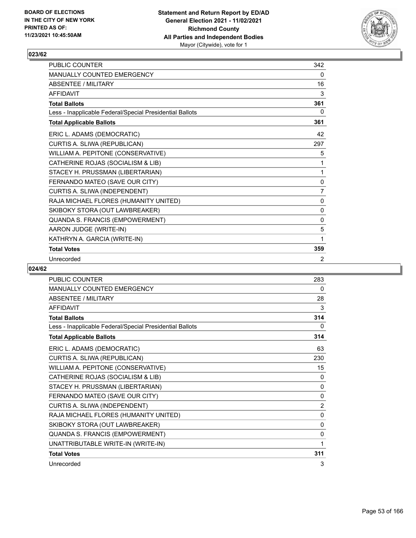

| <b>PUBLIC COUNTER</b>                                    | 342          |
|----------------------------------------------------------|--------------|
| <b>MANUALLY COUNTED EMERGENCY</b>                        | 0            |
| <b>ABSENTEE / MILITARY</b>                               | 16           |
| <b>AFFIDAVIT</b>                                         | 3            |
| <b>Total Ballots</b>                                     | 361          |
| Less - Inapplicable Federal/Special Presidential Ballots | 0            |
| <b>Total Applicable Ballots</b>                          | 361          |
| ERIC L. ADAMS (DEMOCRATIC)                               | 42           |
| CURTIS A. SLIWA (REPUBLICAN)                             | 297          |
| WILLIAM A. PEPITONE (CONSERVATIVE)                       | 5            |
| CATHERINE ROJAS (SOCIALISM & LIB)                        | 1            |
| STACEY H. PRUSSMAN (LIBERTARIAN)                         | 1            |
| FERNANDO MATEO (SAVE OUR CITY)                           | $\mathbf{0}$ |
| CURTIS A. SLIWA (INDEPENDENT)                            | 7            |
| RAJA MICHAEL FLORES (HUMANITY UNITED)                    | 0            |
| SKIBOKY STORA (OUT LAWBREAKER)                           | 0            |
| QUANDA S. FRANCIS (EMPOWERMENT)                          | 0            |
| AARON JUDGE (WRITE-IN)                                   | 5            |
| KATHRYN A. GARCIA (WRITE-IN)                             | 1            |
| <b>Total Votes</b>                                       | 359          |
| Unrecorded                                               | 2            |

| PUBLIC COUNTER                                           | 283            |
|----------------------------------------------------------|----------------|
| MANUALLY COUNTED EMERGENCY                               | $\Omega$       |
| <b>ABSENTEE / MILITARY</b>                               | 28             |
| <b>AFFIDAVIT</b>                                         | 3              |
| <b>Total Ballots</b>                                     | 314            |
| Less - Inapplicable Federal/Special Presidential Ballots | 0              |
| <b>Total Applicable Ballots</b>                          | 314            |
| ERIC L. ADAMS (DEMOCRATIC)                               | 63             |
| CURTIS A. SLIWA (REPUBLICAN)                             | 230            |
| WILLIAM A. PEPITONE (CONSERVATIVE)                       | 15             |
| CATHERINE ROJAS (SOCIALISM & LIB)                        | 0              |
| STACEY H. PRUSSMAN (LIBERTARIAN)                         | 0              |
| FERNANDO MATEO (SAVE OUR CITY)                           | 0              |
| CURTIS A. SLIWA (INDEPENDENT)                            | $\overline{2}$ |
| RAJA MICHAEL FLORES (HUMANITY UNITED)                    | $\mathbf 0$    |
| SKIBOKY STORA (OUT LAWBREAKER)                           | 0              |
| QUANDA S. FRANCIS (EMPOWERMENT)                          | 0              |
| UNATTRIBUTABLE WRITE-IN (WRITE-IN)                       | 1              |
| <b>Total Votes</b>                                       | 311            |
| Unrecorded                                               | 3              |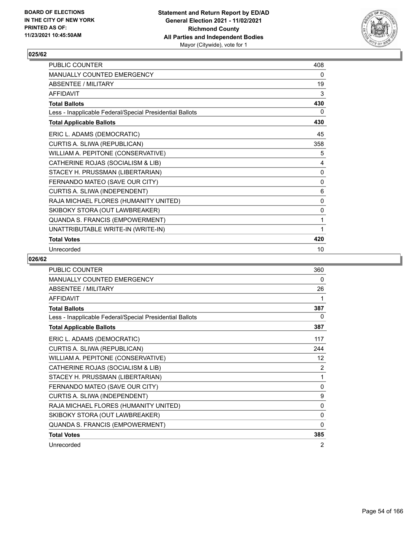

| PUBLIC COUNTER                                           | 408 |
|----------------------------------------------------------|-----|
| <b>MANUALLY COUNTED EMERGENCY</b>                        | 0   |
| <b>ABSENTEE / MILITARY</b>                               | 19  |
| <b>AFFIDAVIT</b>                                         | 3   |
| <b>Total Ballots</b>                                     | 430 |
| Less - Inapplicable Federal/Special Presidential Ballots | 0   |
| <b>Total Applicable Ballots</b>                          | 430 |
| ERIC L. ADAMS (DEMOCRATIC)                               | 45  |
| CURTIS A. SLIWA (REPUBLICAN)                             | 358 |
| WILLIAM A. PEPITONE (CONSERVATIVE)                       | 5   |
| CATHERINE ROJAS (SOCIALISM & LIB)                        | 4   |
| STACEY H. PRUSSMAN (LIBERTARIAN)                         | 0   |
| FERNANDO MATEO (SAVE OUR CITY)                           | 0   |
| CURTIS A. SLIWA (INDEPENDENT)                            | 6   |
| RAJA MICHAEL FLORES (HUMANITY UNITED)                    | 0   |
| SKIBOKY STORA (OUT LAWBREAKER)                           | 0   |
| QUANDA S. FRANCIS (EMPOWERMENT)                          | 1   |
| UNATTRIBUTABLE WRITE-IN (WRITE-IN)                       | 1   |
| <b>Total Votes</b>                                       | 420 |
| Unrecorded                                               | 10  |

| <b>PUBLIC COUNTER</b>                                    | 360          |
|----------------------------------------------------------|--------------|
| MANUALLY COUNTED EMERGENCY                               | 0            |
| <b>ABSENTEE / MILITARY</b>                               | 26           |
| <b>AFFIDAVIT</b>                                         | 1            |
| <b>Total Ballots</b>                                     | 387          |
| Less - Inapplicable Federal/Special Presidential Ballots | 0            |
| <b>Total Applicable Ballots</b>                          | 387          |
| ERIC L. ADAMS (DEMOCRATIC)                               | 117          |
| CURTIS A. SLIWA (REPUBLICAN)                             | 244          |
| WILLIAM A. PEPITONE (CONSERVATIVE)                       | 12           |
| CATHERINE ROJAS (SOCIALISM & LIB)                        | 2            |
| STACEY H. PRUSSMAN (LIBERTARIAN)                         | 1            |
| FERNANDO MATEO (SAVE OUR CITY)                           | 0            |
| CURTIS A. SLIWA (INDEPENDENT)                            | 9            |
| RAJA MICHAEL FLORES (HUMANITY UNITED)                    | $\mathbf{0}$ |
| SKIBOKY STORA (OUT LAWBREAKER)                           | 0            |
| QUANDA S. FRANCIS (EMPOWERMENT)                          | 0            |
| <b>Total Votes</b>                                       | 385          |
| Unrecorded                                               | 2            |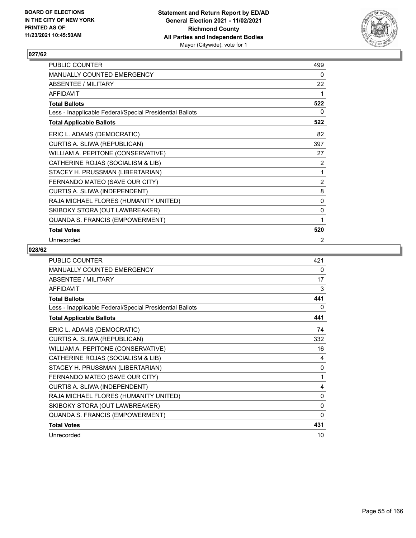

| PUBLIC COUNTER                                           | 499          |
|----------------------------------------------------------|--------------|
| MANUALLY COUNTED EMERGENCY                               | 0            |
| ABSENTEE / MILITARY                                      | 22           |
| <b>AFFIDAVIT</b>                                         | 1            |
| <b>Total Ballots</b>                                     | 522          |
| Less - Inapplicable Federal/Special Presidential Ballots | 0            |
| <b>Total Applicable Ballots</b>                          | 522          |
| ERIC L. ADAMS (DEMOCRATIC)                               | 82           |
| CURTIS A. SLIWA (REPUBLICAN)                             | 397          |
| WILLIAM A. PEPITONE (CONSERVATIVE)                       | 27           |
| CATHERINE ROJAS (SOCIALISM & LIB)                        | 2            |
| STACEY H. PRUSSMAN (LIBERTARIAN)                         | $\mathbf{1}$ |
| FERNANDO MATEO (SAVE OUR CITY)                           | 2            |
| CURTIS A. SLIWA (INDEPENDENT)                            | 8            |
| RAJA MICHAEL FLORES (HUMANITY UNITED)                    | 0            |
| SKIBOKY STORA (OUT LAWBREAKER)                           | 0            |
| QUANDA S. FRANCIS (EMPOWERMENT)                          | 1            |
| <b>Total Votes</b>                                       | 520          |
| Unrecorded                                               | 2            |

| <b>PUBLIC COUNTER</b>                                    | 421          |
|----------------------------------------------------------|--------------|
| <b>MANUALLY COUNTED EMERGENCY</b>                        | 0            |
| ABSENTEE / MILITARY                                      | 17           |
| <b>AFFIDAVIT</b>                                         | 3            |
| <b>Total Ballots</b>                                     | 441          |
| Less - Inapplicable Federal/Special Presidential Ballots | 0            |
| <b>Total Applicable Ballots</b>                          | 441          |
| ERIC L. ADAMS (DEMOCRATIC)                               | 74           |
| CURTIS A. SLIWA (REPUBLICAN)                             | 332          |
| WILLIAM A. PEPITONE (CONSERVATIVE)                       | 16           |
| CATHERINE ROJAS (SOCIALISM & LIB)                        | 4            |
| STACEY H. PRUSSMAN (LIBERTARIAN)                         | $\mathbf{0}$ |
| FERNANDO MATEO (SAVE OUR CITY)                           | 1            |
| CURTIS A. SLIWA (INDEPENDENT)                            | 4            |
| RAJA MICHAEL FLORES (HUMANITY UNITED)                    | $\Omega$     |
| SKIBOKY STORA (OUT LAWBREAKER)                           | 0            |
| QUANDA S. FRANCIS (EMPOWERMENT)                          | $\Omega$     |
| <b>Total Votes</b>                                       | 431          |
| Unrecorded                                               | 10           |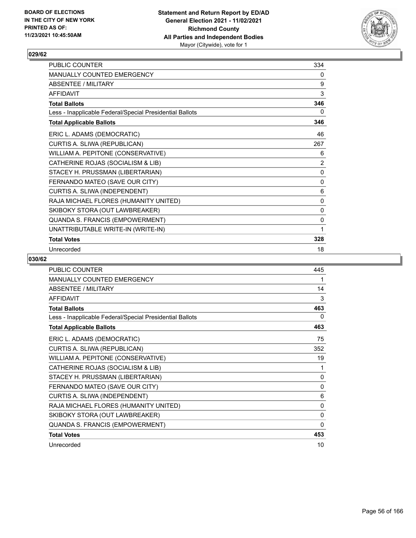

| <b>PUBLIC COUNTER</b>                                    | 334            |
|----------------------------------------------------------|----------------|
| <b>MANUALLY COUNTED EMERGENCY</b>                        | 0              |
| <b>ABSENTEE / MILITARY</b>                               | 9              |
| <b>AFFIDAVIT</b>                                         | 3              |
| <b>Total Ballots</b>                                     | 346            |
| Less - Inapplicable Federal/Special Presidential Ballots | 0              |
| <b>Total Applicable Ballots</b>                          | 346            |
| ERIC L. ADAMS (DEMOCRATIC)                               | 46             |
| CURTIS A. SLIWA (REPUBLICAN)                             | 267            |
| WILLIAM A. PEPITONE (CONSERVATIVE)                       | 6              |
| CATHERINE ROJAS (SOCIALISM & LIB)                        | $\overline{2}$ |
| STACEY H. PRUSSMAN (LIBERTARIAN)                         | 0              |
| FERNANDO MATEO (SAVE OUR CITY)                           | 0              |
| CURTIS A. SLIWA (INDEPENDENT)                            | 6              |
| RAJA MICHAEL FLORES (HUMANITY UNITED)                    | 0              |
| SKIBOKY STORA (OUT LAWBREAKER)                           | 0              |
| QUANDA S. FRANCIS (EMPOWERMENT)                          | 0              |
| UNATTRIBUTABLE WRITE-IN (WRITE-IN)                       | 1              |
| <b>Total Votes</b>                                       | 328            |
| Unrecorded                                               | 18             |

| <b>PUBLIC COUNTER</b>                                    | 445          |
|----------------------------------------------------------|--------------|
| <b>MANUALLY COUNTED EMERGENCY</b>                        | 1            |
| <b>ABSENTEE / MILITARY</b>                               | 14           |
| <b>AFFIDAVIT</b>                                         | 3            |
| <b>Total Ballots</b>                                     | 463          |
| Less - Inapplicable Federal/Special Presidential Ballots | 0            |
| <b>Total Applicable Ballots</b>                          | 463          |
| ERIC L. ADAMS (DEMOCRATIC)                               | 75           |
| CURTIS A. SLIWA (REPUBLICAN)                             | 352          |
| WILLIAM A. PEPITONE (CONSERVATIVE)                       | 19           |
| CATHERINE ROJAS (SOCIALISM & LIB)                        | 1            |
| STACEY H. PRUSSMAN (LIBERTARIAN)                         | 0            |
| FERNANDO MATEO (SAVE OUR CITY)                           | $\mathbf{0}$ |
| CURTIS A. SLIWA (INDEPENDENT)                            | 6            |
| RAJA MICHAEL FLORES (HUMANITY UNITED)                    | 0            |
| SKIBOKY STORA (OUT LAWBREAKER)                           | $\mathbf{0}$ |
| QUANDA S. FRANCIS (EMPOWERMENT)                          | $\mathbf{0}$ |
| <b>Total Votes</b>                                       | 453          |
| Unrecorded                                               | 10           |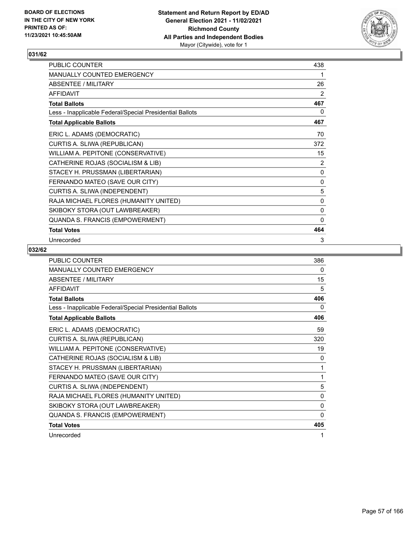

| PUBLIC COUNTER                                           | 438          |
|----------------------------------------------------------|--------------|
| MANUALLY COUNTED EMERGENCY                               | 1            |
| <b>ABSENTEE / MILITARY</b>                               | 26           |
| <b>AFFIDAVIT</b>                                         | 2            |
| <b>Total Ballots</b>                                     | 467          |
| Less - Inapplicable Federal/Special Presidential Ballots | 0            |
| <b>Total Applicable Ballots</b>                          | 467          |
| ERIC L. ADAMS (DEMOCRATIC)                               | 70           |
| CURTIS A. SLIWA (REPUBLICAN)                             | 372          |
| WILLIAM A. PEPITONE (CONSERVATIVE)                       | 15           |
| CATHERINE ROJAS (SOCIALISM & LIB)                        | 2            |
| STACEY H. PRUSSMAN (LIBERTARIAN)                         | $\pmb{0}$    |
| FERNANDO MATEO (SAVE OUR CITY)                           | $\pmb{0}$    |
| CURTIS A. SLIWA (INDEPENDENT)                            | 5            |
| RAJA MICHAEL FLORES (HUMANITY UNITED)                    | 0            |
| SKIBOKY STORA (OUT LAWBREAKER)                           | 0            |
| QUANDA S. FRANCIS (EMPOWERMENT)                          | $\mathbf{0}$ |
| <b>Total Votes</b>                                       | 464          |
| Unrecorded                                               | 3            |

| PUBLIC COUNTER                                           | 386          |
|----------------------------------------------------------|--------------|
| <b>MANUALLY COUNTED EMERGENCY</b>                        | 0            |
| ABSENTEE / MILITARY                                      | 15           |
| <b>AFFIDAVIT</b>                                         | 5            |
| <b>Total Ballots</b>                                     | 406          |
| Less - Inapplicable Federal/Special Presidential Ballots | 0            |
| <b>Total Applicable Ballots</b>                          | 406          |
| ERIC L. ADAMS (DEMOCRATIC)                               | 59           |
| CURTIS A. SLIWA (REPUBLICAN)                             | 320          |
| WILLIAM A. PEPITONE (CONSERVATIVE)                       | 19           |
| CATHERINE ROJAS (SOCIALISM & LIB)                        | $\mathbf{0}$ |
| STACEY H. PRUSSMAN (LIBERTARIAN)                         | 1            |
| FERNANDO MATEO (SAVE OUR CITY)                           | 1            |
| CURTIS A. SLIWA (INDEPENDENT)                            | 5            |
| RAJA MICHAEL FLORES (HUMANITY UNITED)                    | $\mathbf{0}$ |
| SKIBOKY STORA (OUT LAWBREAKER)                           | 0            |
| QUANDA S. FRANCIS (EMPOWERMENT)                          | $\mathbf{0}$ |
| <b>Total Votes</b>                                       | 405          |
| Unrecorded                                               | 1            |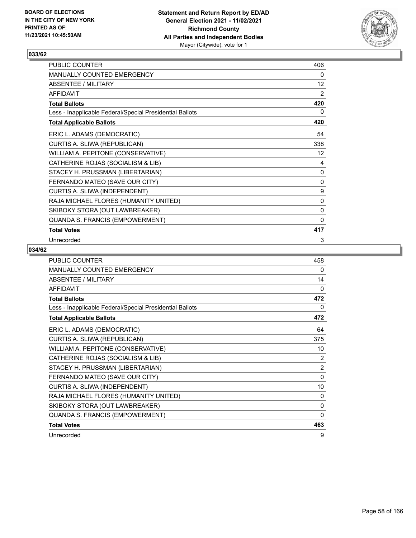

| PUBLIC COUNTER                                           | 406 |
|----------------------------------------------------------|-----|
| MANUALLY COUNTED EMERGENCY                               | 0   |
| ABSENTEE / MILITARY                                      | 12  |
| <b>AFFIDAVIT</b>                                         | 2   |
| <b>Total Ballots</b>                                     | 420 |
| Less - Inapplicable Federal/Special Presidential Ballots | 0   |
| <b>Total Applicable Ballots</b>                          | 420 |
| ERIC L. ADAMS (DEMOCRATIC)                               | 54  |
| CURTIS A. SLIWA (REPUBLICAN)                             | 338 |
| WILLIAM A. PEPITONE (CONSERVATIVE)                       | 12  |
| CATHERINE ROJAS (SOCIALISM & LIB)                        | 4   |
| STACEY H. PRUSSMAN (LIBERTARIAN)                         | 0   |
| FERNANDO MATEO (SAVE OUR CITY)                           | 0   |
| CURTIS A. SLIWA (INDEPENDENT)                            | 9   |
| RAJA MICHAEL FLORES (HUMANITY UNITED)                    | 0   |
| SKIBOKY STORA (OUT LAWBREAKER)                           | 0   |
| QUANDA S. FRANCIS (EMPOWERMENT)                          | 0   |
| <b>Total Votes</b>                                       | 417 |
| Unrecorded                                               | 3   |

| <b>PUBLIC COUNTER</b>                                    | 458            |
|----------------------------------------------------------|----------------|
| MANUALLY COUNTED EMERGENCY                               | 0              |
| ABSENTEE / MILITARY                                      | 14             |
| <b>AFFIDAVIT</b>                                         | 0              |
| <b>Total Ballots</b>                                     | 472            |
| Less - Inapplicable Federal/Special Presidential Ballots | 0              |
| <b>Total Applicable Ballots</b>                          | 472            |
| ERIC L. ADAMS (DEMOCRATIC)                               | 64             |
| CURTIS A. SLIWA (REPUBLICAN)                             | 375            |
| WILLIAM A. PEPITONE (CONSERVATIVE)                       | 10             |
| CATHERINE ROJAS (SOCIALISM & LIB)                        | 2              |
| STACEY H. PRUSSMAN (LIBERTARIAN)                         | $\overline{2}$ |
| FERNANDO MATEO (SAVE OUR CITY)                           | $\mathbf{0}$   |
| CURTIS A. SLIWA (INDEPENDENT)                            | 10             |
| RAJA MICHAEL FLORES (HUMANITY UNITED)                    | 0              |
| SKIBOKY STORA (OUT LAWBREAKER)                           | 0              |
| QUANDA S. FRANCIS (EMPOWERMENT)                          | 0              |
| <b>Total Votes</b>                                       | 463            |
| Unrecorded                                               | 9              |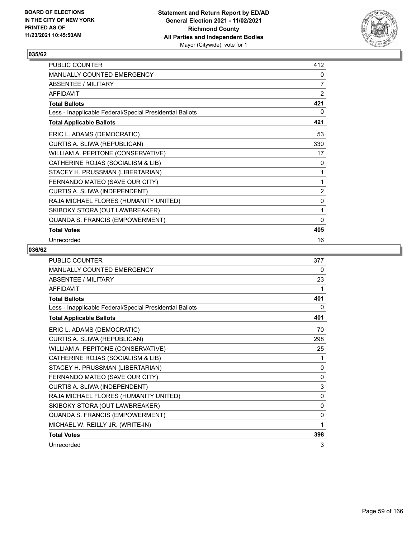

| PUBLIC COUNTER                                           | 412            |
|----------------------------------------------------------|----------------|
| MANUALLY COUNTED EMERGENCY                               | 0              |
| <b>ABSENTEE / MILITARY</b>                               | $\overline{7}$ |
| <b>AFFIDAVIT</b>                                         | $\overline{2}$ |
| <b>Total Ballots</b>                                     | 421            |
| Less - Inapplicable Federal/Special Presidential Ballots | 0              |
| <b>Total Applicable Ballots</b>                          | 421            |
| ERIC L. ADAMS (DEMOCRATIC)                               | 53             |
| CURTIS A. SLIWA (REPUBLICAN)                             | 330            |
| WILLIAM A. PEPITONE (CONSERVATIVE)                       | 17             |
| CATHERINE ROJAS (SOCIALISM & LIB)                        | 0              |
| STACEY H. PRUSSMAN (LIBERTARIAN)                         | 1              |
| FERNANDO MATEO (SAVE OUR CITY)                           | 1              |
| CURTIS A. SLIWA (INDEPENDENT)                            | 2              |
| RAJA MICHAEL FLORES (HUMANITY UNITED)                    | 0              |
| SKIBOKY STORA (OUT LAWBREAKER)                           | 1              |
| QUANDA S. FRANCIS (EMPOWERMENT)                          | 0              |
| <b>Total Votes</b>                                       | 405            |
| Unrecorded                                               | 16             |

| <b>PUBLIC COUNTER</b>                                    | 377          |
|----------------------------------------------------------|--------------|
| <b>MANUALLY COUNTED EMERGENCY</b>                        | 0            |
| ABSENTEE / MILITARY                                      | 23           |
| <b>AFFIDAVIT</b>                                         | 1            |
| <b>Total Ballots</b>                                     | 401          |
| Less - Inapplicable Federal/Special Presidential Ballots | 0            |
| <b>Total Applicable Ballots</b>                          | 401          |
| ERIC L. ADAMS (DEMOCRATIC)                               | 70           |
| CURTIS A. SLIWA (REPUBLICAN)                             | 298          |
| WILLIAM A. PEPITONE (CONSERVATIVE)                       | 25           |
| CATHERINE ROJAS (SOCIALISM & LIB)                        | 1            |
| STACEY H. PRUSSMAN (LIBERTARIAN)                         | $\mathbf{0}$ |
| FERNANDO MATEO (SAVE OUR CITY)                           | 0            |
| CURTIS A. SLIWA (INDEPENDENT)                            | 3            |
| RAJA MICHAEL FLORES (HUMANITY UNITED)                    | $\mathbf{0}$ |
| SKIBOKY STORA (OUT LAWBREAKER)                           | $\Omega$     |
| QUANDA S. FRANCIS (EMPOWERMENT)                          | $\mathbf{0}$ |
| MICHAEL W. REILLY JR. (WRITE-IN)                         | 1            |
| <b>Total Votes</b>                                       | 398          |
| Unrecorded                                               | 3            |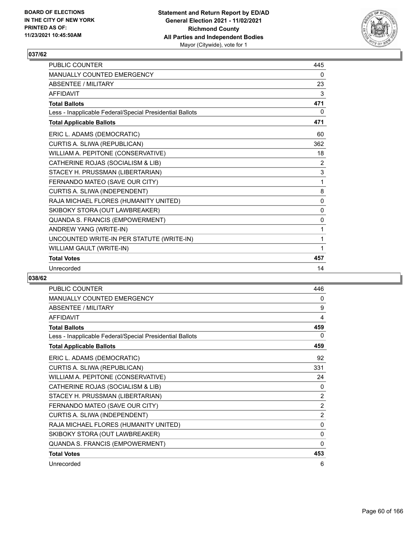

| <b>PUBLIC COUNTER</b>                                    | 445          |
|----------------------------------------------------------|--------------|
| <b>MANUALLY COUNTED EMERGENCY</b>                        | 0            |
| <b>ABSENTEE / MILITARY</b>                               | 23           |
| <b>AFFIDAVIT</b>                                         | 3            |
| <b>Total Ballots</b>                                     | 471          |
| Less - Inapplicable Federal/Special Presidential Ballots | 0            |
| <b>Total Applicable Ballots</b>                          | 471          |
| ERIC L. ADAMS (DEMOCRATIC)                               | 60           |
| CURTIS A. SLIWA (REPUBLICAN)                             | 362          |
| WILLIAM A. PEPITONE (CONSERVATIVE)                       | 18           |
| CATHERINE ROJAS (SOCIALISM & LIB)                        | 2            |
| STACEY H. PRUSSMAN (LIBERTARIAN)                         | 3            |
| FERNANDO MATEO (SAVE OUR CITY)                           | 1            |
| CURTIS A. SLIWA (INDEPENDENT)                            | 8            |
| RAJA MICHAEL FLORES (HUMANITY UNITED)                    | $\mathbf{0}$ |
| SKIBOKY STORA (OUT LAWBREAKER)                           | 0            |
| QUANDA S. FRANCIS (EMPOWERMENT)                          | 0            |
| ANDREW YANG (WRITE-IN)                                   | 1            |
| UNCOUNTED WRITE-IN PER STATUTE (WRITE-IN)                | 1            |
| WILLIAM GAULT (WRITE-IN)                                 | 1            |
| <b>Total Votes</b>                                       | 457          |
| Unrecorded                                               | 14           |

| <b>PUBLIC COUNTER</b>                                    | 446            |
|----------------------------------------------------------|----------------|
| <b>MANUALLY COUNTED EMERGENCY</b>                        | 0              |
| ABSENTEE / MILITARY                                      | 9              |
| <b>AFFIDAVIT</b>                                         | 4              |
| <b>Total Ballots</b>                                     | 459            |
| Less - Inapplicable Federal/Special Presidential Ballots | 0              |
| <b>Total Applicable Ballots</b>                          | 459            |
| ERIC L. ADAMS (DEMOCRATIC)                               | 92             |
| CURTIS A. SLIWA (REPUBLICAN)                             | 331            |
| WILLIAM A. PEPITONE (CONSERVATIVE)                       | 24             |
| CATHERINE ROJAS (SOCIALISM & LIB)                        | 0              |
| STACEY H. PRUSSMAN (LIBERTARIAN)                         | $\overline{2}$ |
| FERNANDO MATEO (SAVE OUR CITY)                           | $\overline{2}$ |
| CURTIS A. SLIWA (INDEPENDENT)                            | $\overline{2}$ |
| RAJA MICHAEL FLORES (HUMANITY UNITED)                    | $\Omega$       |
| SKIBOKY STORA (OUT LAWBREAKER)                           | 0              |
| <b>QUANDA S. FRANCIS (EMPOWERMENT)</b>                   | 0              |
| <b>Total Votes</b>                                       | 453            |
| Unrecorded                                               | 6              |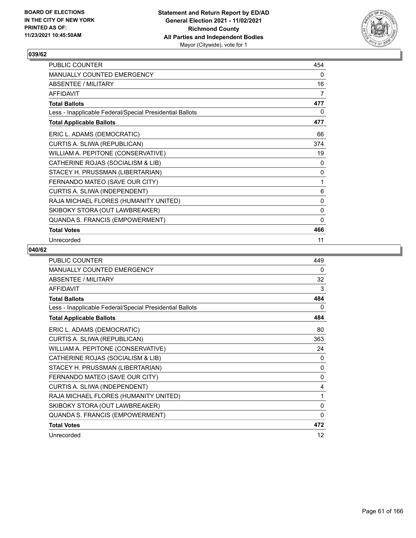

| PUBLIC COUNTER                                           | 454            |
|----------------------------------------------------------|----------------|
| MANUALLY COUNTED EMERGENCY                               | 0              |
| ABSENTEE / MILITARY                                      | 16             |
| <b>AFFIDAVIT</b>                                         | $\overline{7}$ |
| <b>Total Ballots</b>                                     | 477            |
| Less - Inapplicable Federal/Special Presidential Ballots | 0              |
| <b>Total Applicable Ballots</b>                          | 477            |
| ERIC L. ADAMS (DEMOCRATIC)                               | 66             |
| CURTIS A. SLIWA (REPUBLICAN)                             | 374            |
| WILLIAM A. PEPITONE (CONSERVATIVE)                       | 19             |
| CATHERINE ROJAS (SOCIALISM & LIB)                        | 0              |
| STACEY H. PRUSSMAN (LIBERTARIAN)                         | 0              |
| FERNANDO MATEO (SAVE OUR CITY)                           | 1              |
| CURTIS A. SLIWA (INDEPENDENT)                            | 6              |
| RAJA MICHAEL FLORES (HUMANITY UNITED)                    | 0              |
| SKIBOKY STORA (OUT LAWBREAKER)                           | 0              |
| QUANDA S. FRANCIS (EMPOWERMENT)                          | $\mathbf{0}$   |
| <b>Total Votes</b>                                       | 466            |
| Unrecorded                                               | 11             |

| <b>PUBLIC COUNTER</b>                                    | 449          |
|----------------------------------------------------------|--------------|
| MANUALLY COUNTED EMERGENCY                               | 0            |
| ABSENTEE / MILITARY                                      | 32           |
| <b>AFFIDAVIT</b>                                         | 3            |
| <b>Total Ballots</b>                                     | 484          |
| Less - Inapplicable Federal/Special Presidential Ballots | 0            |
| <b>Total Applicable Ballots</b>                          | 484          |
| ERIC L. ADAMS (DEMOCRATIC)                               | 80           |
| CURTIS A. SLIWA (REPUBLICAN)                             | 363          |
| WILLIAM A. PEPITONE (CONSERVATIVE)                       | 24           |
| CATHERINE ROJAS (SOCIALISM & LIB)                        | 0            |
| STACEY H. PRUSSMAN (LIBERTARIAN)                         | $\mathbf{0}$ |
| FERNANDO MATEO (SAVE OUR CITY)                           | 0            |
| CURTIS A. SLIWA (INDEPENDENT)                            | 4            |
| RAJA MICHAEL FLORES (HUMANITY UNITED)                    | 1            |
| SKIBOKY STORA (OUT LAWBREAKER)                           | $\mathbf{0}$ |
| QUANDA S. FRANCIS (EMPOWERMENT)                          | $\mathbf{0}$ |
| <b>Total Votes</b>                                       | 472          |
| Unrecorded                                               | 12           |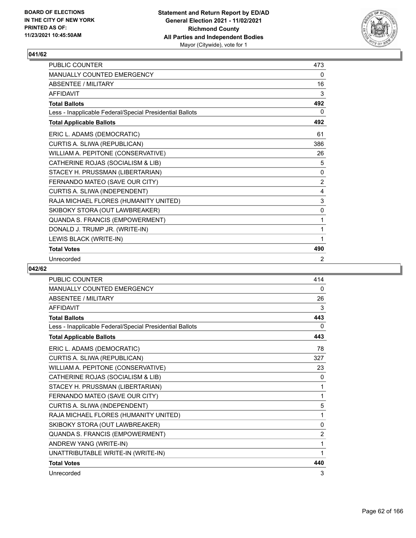

| PUBLIC COUNTER                                           | 473            |
|----------------------------------------------------------|----------------|
| <b>MANUALLY COUNTED EMERGENCY</b>                        | 0              |
| ABSENTEE / MII ITARY                                     | 16             |
| AFFIDAVIT                                                | 3              |
| <b>Total Ballots</b>                                     | 492            |
| Less - Inapplicable Federal/Special Presidential Ballots | 0              |
| <b>Total Applicable Ballots</b>                          | 492            |
| ERIC L. ADAMS (DEMOCRATIC)                               | 61             |
| CURTIS A. SLIWA (REPUBLICAN)                             | 386            |
| WILLIAM A. PEPITONE (CONSERVATIVE)                       | 26             |
| CATHERINE ROJAS (SOCIALISM & LIB)                        | 5              |
| STACEY H. PRUSSMAN (LIBERTARIAN)                         | 0              |
| FERNANDO MATEO (SAVE OUR CITY)                           | $\overline{2}$ |
| CURTIS A. SLIWA (INDEPENDENT)                            | 4              |
| RAJA MICHAEL FLORES (HUMANITY UNITED)                    | 3              |
| SKIBOKY STORA (OUT LAWBREAKER)                           | $\mathbf{0}$   |
| QUANDA S. FRANCIS (EMPOWERMENT)                          | 1              |
| DONALD J. TRUMP JR. (WRITE-IN)                           | 1              |
| LEWIS BLACK (WRITE-IN)                                   | 1              |
| <b>Total Votes</b>                                       | 490            |
| Unrecorded                                               | 2              |

| PUBLIC COUNTER                                           | 414      |
|----------------------------------------------------------|----------|
| <b>MANUALLY COUNTED EMERGENCY</b>                        | 0        |
| <b>ABSENTEE / MILITARY</b>                               | 26       |
| <b>AFFIDAVIT</b>                                         | 3        |
| <b>Total Ballots</b>                                     | 443      |
| Less - Inapplicable Federal/Special Presidential Ballots | $\Omega$ |
| <b>Total Applicable Ballots</b>                          | 443      |
| ERIC L. ADAMS (DEMOCRATIC)                               | 78       |
| CURTIS A. SLIWA (REPUBLICAN)                             | 327      |
| WILLIAM A. PEPITONE (CONSERVATIVE)                       | 23       |
| CATHERINE ROJAS (SOCIALISM & LIB)                        | 0        |
| STACEY H. PRUSSMAN (LIBERTARIAN)                         | 1        |
| FERNANDO MATEO (SAVE OUR CITY)                           | 1        |
| CURTIS A. SLIWA (INDEPENDENT)                            | 5        |
| RAJA MICHAEL FLORES (HUMANITY UNITED)                    | 1        |
| SKIBOKY STORA (OUT LAWBREAKER)                           | 0        |
| QUANDA S. FRANCIS (EMPOWERMENT)                          | 2        |
| ANDREW YANG (WRITE-IN)                                   | 1        |
| UNATTRIBUTABLE WRITE-IN (WRITE-IN)                       | 1        |
| <b>Total Votes</b>                                       | 440      |
| Unrecorded                                               | 3        |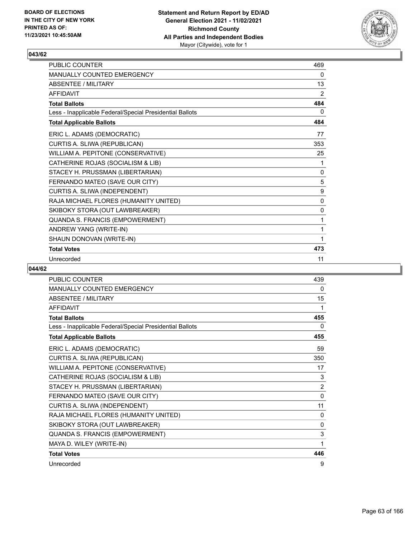

| <b>PUBLIC COUNTER</b>                                    | 469          |
|----------------------------------------------------------|--------------|
| <b>MANUALLY COUNTED EMERGENCY</b>                        | 0            |
| ABSENTEE / MII ITARY                                     | 13           |
| <b>AFFIDAVIT</b>                                         | 2            |
| <b>Total Ballots</b>                                     | 484          |
| Less - Inapplicable Federal/Special Presidential Ballots | 0            |
| <b>Total Applicable Ballots</b>                          | 484          |
| ERIC L. ADAMS (DEMOCRATIC)                               | 77           |
| CURTIS A. SLIWA (REPUBLICAN)                             | 353          |
| WILLIAM A. PEPITONE (CONSERVATIVE)                       | 25           |
| CATHERINE ROJAS (SOCIALISM & LIB)                        | 1            |
| STACEY H. PRUSSMAN (LIBERTARIAN)                         | $\mathbf{0}$ |
| FERNANDO MATEO (SAVE OUR CITY)                           | 5            |
| CURTIS A. SLIWA (INDEPENDENT)                            | 9            |
| RAJA MICHAEL FLORES (HUMANITY UNITED)                    | $\mathbf{0}$ |
| SKIBOKY STORA (OUT LAWBREAKER)                           | $\mathbf{0}$ |
| QUANDA S. FRANCIS (EMPOWERMENT)                          | 1            |
| ANDREW YANG (WRITE-IN)                                   | 1            |
| SHAUN DONOVAN (WRITE-IN)                                 | 1            |
| <b>Total Votes</b>                                       | 473          |
| Unrecorded                                               | 11           |

| PUBLIC COUNTER                                           | 439            |
|----------------------------------------------------------|----------------|
| <b>MANUALLY COUNTED EMERGENCY</b>                        | $\Omega$       |
| <b>ABSENTEE / MILITARY</b>                               | 15             |
| <b>AFFIDAVIT</b>                                         | 1              |
| <b>Total Ballots</b>                                     | 455            |
| Less - Inapplicable Federal/Special Presidential Ballots | 0              |
| <b>Total Applicable Ballots</b>                          | 455            |
| ERIC L. ADAMS (DEMOCRATIC)                               | 59             |
| CURTIS A. SLIWA (REPUBLICAN)                             | 350            |
| WILLIAM A. PEPITONE (CONSERVATIVE)                       | 17             |
| CATHERINE ROJAS (SOCIALISM & LIB)                        | 3              |
| STACEY H. PRUSSMAN (LIBERTARIAN)                         | $\overline{2}$ |
| FERNANDO MATEO (SAVE OUR CITY)                           | 0              |
| CURTIS A. SLIWA (INDEPENDENT)                            | 11             |
| RAJA MICHAEL FLORES (HUMANITY UNITED)                    | $\Omega$       |
| SKIBOKY STORA (OUT LAWBREAKER)                           | 0              |
| QUANDA S. FRANCIS (EMPOWERMENT)                          | 3              |
| MAYA D. WILEY (WRITE-IN)                                 | 1              |
| <b>Total Votes</b>                                       | 446            |
| Unrecorded                                               | 9              |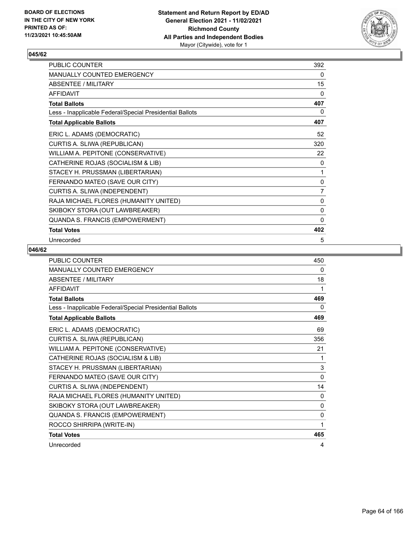

| PUBLIC COUNTER                                           | 392          |
|----------------------------------------------------------|--------------|
| MANUALLY COUNTED EMERGENCY                               | 0            |
| ABSENTEE / MILITARY                                      | 15           |
| <b>AFFIDAVIT</b>                                         | $\mathbf{0}$ |
| <b>Total Ballots</b>                                     | 407          |
| Less - Inapplicable Federal/Special Presidential Ballots | 0            |
| <b>Total Applicable Ballots</b>                          | 407          |
| ERIC L. ADAMS (DEMOCRATIC)                               | 52           |
| CURTIS A. SLIWA (REPUBLICAN)                             | 320          |
| WILLIAM A. PEPITONE (CONSERVATIVE)                       | 22           |
| CATHERINE ROJAS (SOCIALISM & LIB)                        | 0            |
| STACEY H. PRUSSMAN (LIBERTARIAN)                         | 1            |
| FERNANDO MATEO (SAVE OUR CITY)                           | $\mathbf 0$  |
| CURTIS A. SLIWA (INDEPENDENT)                            | 7            |
| RAJA MICHAEL FLORES (HUMANITY UNITED)                    | 0            |
| SKIBOKY STORA (OUT LAWBREAKER)                           | 0            |
| QUANDA S. FRANCIS (EMPOWERMENT)                          | $\mathbf{0}$ |
| <b>Total Votes</b>                                       | 402          |
| Unrecorded                                               | 5            |

| PUBLIC COUNTER                                           | 450 |
|----------------------------------------------------------|-----|
| MANUALLY COUNTED EMERGENCY                               | 0   |
| ABSENTEE / MILITARY                                      | 18  |
| <b>AFFIDAVIT</b>                                         | 1   |
| <b>Total Ballots</b>                                     | 469 |
| Less - Inapplicable Federal/Special Presidential Ballots | 0   |
| <b>Total Applicable Ballots</b>                          | 469 |
| ERIC L. ADAMS (DEMOCRATIC)                               | 69  |
| CURTIS A. SLIWA (REPUBLICAN)                             | 356 |
| WILLIAM A. PEPITONE (CONSERVATIVE)                       | 21  |
| CATHERINE ROJAS (SOCIALISM & LIB)                        | 1   |
| STACEY H. PRUSSMAN (LIBERTARIAN)                         | 3   |
| FERNANDO MATEO (SAVE OUR CITY)                           | 0   |
| CURTIS A. SLIWA (INDEPENDENT)                            | 14  |
| RAJA MICHAEL FLORES (HUMANITY UNITED)                    | 0   |
| SKIBOKY STORA (OUT LAWBREAKER)                           | 0   |
| QUANDA S. FRANCIS (EMPOWERMENT)                          | 0   |
| ROCCO SHIRRIPA (WRITE-IN)                                | 1   |
| <b>Total Votes</b>                                       | 465 |
| Unrecorded                                               | 4   |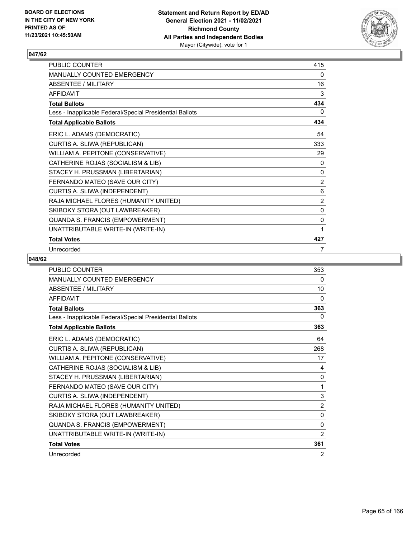

| <b>PUBLIC COUNTER</b>                                    | 415            |
|----------------------------------------------------------|----------------|
| <b>MANUALLY COUNTED EMERGENCY</b>                        | 0              |
| ABSENTEE / MILITARY                                      | 16             |
| <b>AFFIDAVIT</b>                                         | 3              |
| <b>Total Ballots</b>                                     | 434            |
| Less - Inapplicable Federal/Special Presidential Ballots | 0              |
| <b>Total Applicable Ballots</b>                          | 434            |
| ERIC L. ADAMS (DEMOCRATIC)                               | 54             |
| CURTIS A. SLIWA (REPUBLICAN)                             | 333            |
| WILLIAM A. PEPITONE (CONSERVATIVE)                       | 29             |
| CATHERINE ROJAS (SOCIALISM & LIB)                        | 0              |
| STACEY H. PRUSSMAN (LIBERTARIAN)                         | 0              |
| FERNANDO MATEO (SAVE OUR CITY)                           | $\overline{2}$ |
| CURTIS A. SLIWA (INDEPENDENT)                            | 6              |
| RAJA MICHAEL FLORES (HUMANITY UNITED)                    | 2              |
| SKIBOKY STORA (OUT LAWBREAKER)                           | 0              |
| QUANDA S. FRANCIS (EMPOWERMENT)                          | 0              |
| UNATTRIBUTABLE WRITE-IN (WRITE-IN)                       | 1              |
| <b>Total Votes</b>                                       | 427            |
| Unrecorded                                               | 7              |

| <b>PUBLIC COUNTER</b>                                    | 353            |
|----------------------------------------------------------|----------------|
| <b>MANUALLY COUNTED EMERGENCY</b>                        | 0              |
| <b>ABSENTEE / MILITARY</b>                               | 10             |
| <b>AFFIDAVIT</b>                                         | 0              |
| <b>Total Ballots</b>                                     | 363            |
| Less - Inapplicable Federal/Special Presidential Ballots | $\mathbf{0}$   |
| <b>Total Applicable Ballots</b>                          | 363            |
| ERIC L. ADAMS (DEMOCRATIC)                               | 64             |
| CURTIS A. SLIWA (REPUBLICAN)                             | 268            |
| WILLIAM A. PEPITONE (CONSERVATIVE)                       | 17             |
| CATHERINE ROJAS (SOCIALISM & LIB)                        | 4              |
| STACEY H. PRUSSMAN (LIBERTARIAN)                         | 0              |
| FERNANDO MATEO (SAVE OUR CITY)                           | 1              |
| CURTIS A. SLIWA (INDEPENDENT)                            | 3              |
| RAJA MICHAEL FLORES (HUMANITY UNITED)                    | $\overline{2}$ |
| SKIBOKY STORA (OUT LAWBREAKER)                           | $\mathbf 0$    |
| QUANDA S. FRANCIS (EMPOWERMENT)                          | 0              |
| UNATTRIBUTABLE WRITE-IN (WRITE-IN)                       | 2              |
| <b>Total Votes</b>                                       | 361            |
| Unrecorded                                               | $\overline{2}$ |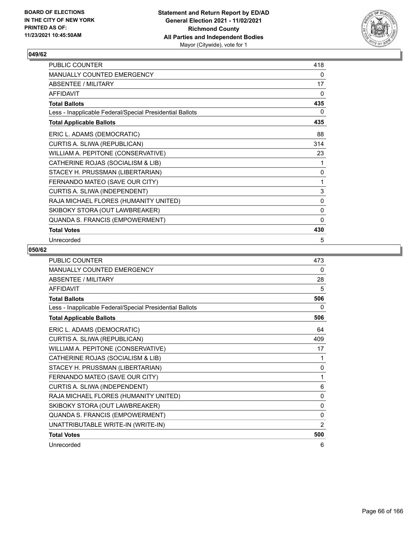

| PUBLIC COUNTER                                           | 418          |
|----------------------------------------------------------|--------------|
| MANUALLY COUNTED EMERGENCY                               | 0            |
| ABSENTEE / MILITARY                                      | 17           |
| <b>AFFIDAVIT</b>                                         | $\mathbf{0}$ |
| <b>Total Ballots</b>                                     | 435          |
| Less - Inapplicable Federal/Special Presidential Ballots | 0            |
| <b>Total Applicable Ballots</b>                          | 435          |
| ERIC L. ADAMS (DEMOCRATIC)                               | 88           |
| CURTIS A. SLIWA (REPUBLICAN)                             | 314          |
| WILLIAM A. PEPITONE (CONSERVATIVE)                       | 23           |
| CATHERINE ROJAS (SOCIALISM & LIB)                        | 1            |
| STACEY H. PRUSSMAN (LIBERTARIAN)                         | 0            |
| FERNANDO MATEO (SAVE OUR CITY)                           | 1            |
| CURTIS A. SLIWA (INDEPENDENT)                            | 3            |
| RAJA MICHAEL FLORES (HUMANITY UNITED)                    | 0            |
| SKIBOKY STORA (OUT LAWBREAKER)                           | 0            |
| QUANDA S. FRANCIS (EMPOWERMENT)                          | $\mathbf{0}$ |
| <b>Total Votes</b>                                       | 430          |
| Unrecorded                                               | 5            |

| <b>PUBLIC COUNTER</b>                                    | 473            |
|----------------------------------------------------------|----------------|
| <b>MANUALLY COUNTED EMERGENCY</b>                        | 0              |
| ABSENTEE / MILITARY                                      | 28             |
| AFFIDAVIT                                                | 5              |
| <b>Total Ballots</b>                                     | 506            |
| Less - Inapplicable Federal/Special Presidential Ballots | 0              |
| <b>Total Applicable Ballots</b>                          | 506            |
| ERIC L. ADAMS (DEMOCRATIC)                               | 64             |
| CURTIS A. SLIWA (REPUBLICAN)                             | 409            |
| WILLIAM A. PEPITONE (CONSERVATIVE)                       | 17             |
| CATHERINE ROJAS (SOCIALISM & LIB)                        | 1              |
| STACEY H. PRUSSMAN (LIBERTARIAN)                         | 0              |
| FERNANDO MATEO (SAVE OUR CITY)                           | 1              |
| CURTIS A. SLIWA (INDEPENDENT)                            | 6              |
| RAJA MICHAEL FLORES (HUMANITY UNITED)                    | 0              |
| SKIBOKY STORA (OUT LAWBREAKER)                           | $\mathbf{0}$   |
| QUANDA S. FRANCIS (EMPOWERMENT)                          | 0              |
| UNATTRIBUTABLE WRITE-IN (WRITE-IN)                       | $\overline{2}$ |
| <b>Total Votes</b>                                       | 500            |
| Unrecorded                                               | 6              |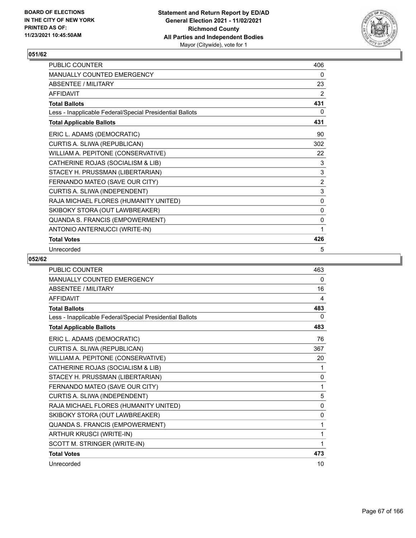

| <b>PUBLIC COUNTER</b>                                    | 406            |
|----------------------------------------------------------|----------------|
| <b>MANUALLY COUNTED EMERGENCY</b>                        | 0              |
| ABSENTEE / MILITARY                                      | 23             |
| <b>AFFIDAVIT</b>                                         | 2              |
| <b>Total Ballots</b>                                     | 431            |
| Less - Inapplicable Federal/Special Presidential Ballots | 0              |
| <b>Total Applicable Ballots</b>                          | 431            |
| ERIC L. ADAMS (DEMOCRATIC)                               | 90             |
| CURTIS A. SLIWA (REPUBLICAN)                             | 302            |
| WILLIAM A. PEPITONE (CONSERVATIVE)                       | 22             |
| CATHERINE ROJAS (SOCIALISM & LIB)                        | 3              |
| STACEY H. PRUSSMAN (LIBERTARIAN)                         | $\mathsf 3$    |
| FERNANDO MATEO (SAVE OUR CITY)                           | $\overline{2}$ |
| CURTIS A. SLIWA (INDEPENDENT)                            | $\mathbf{3}$   |
| RAJA MICHAEL FLORES (HUMANITY UNITED)                    | 0              |
| SKIBOKY STORA (OUT LAWBREAKER)                           | 0              |
| QUANDA S. FRANCIS (EMPOWERMENT)                          | 0              |
| ANTONIO ANTERNUCCI (WRITE-IN)                            | 1              |
| <b>Total Votes</b>                                       | 426            |
| Unrecorded                                               | 5              |

| PUBLIC COUNTER                                           | 463          |
|----------------------------------------------------------|--------------|
| MANUALLY COUNTED EMERGENCY                               | 0            |
| <b>ABSENTEE / MILITARY</b>                               | 16           |
| <b>AFFIDAVIT</b>                                         | 4            |
| <b>Total Ballots</b>                                     | 483          |
| Less - Inapplicable Federal/Special Presidential Ballots | 0            |
| <b>Total Applicable Ballots</b>                          | 483          |
| ERIC L. ADAMS (DEMOCRATIC)                               | 76           |
| CURTIS A. SLIWA (REPUBLICAN)                             | 367          |
| WILLIAM A. PEPITONE (CONSERVATIVE)                       | 20           |
| CATHERINE ROJAS (SOCIALISM & LIB)                        | 1            |
| STACEY H. PRUSSMAN (LIBERTARIAN)                         | 0            |
| FERNANDO MATEO (SAVE OUR CITY)                           | 1            |
| CURTIS A. SLIWA (INDEPENDENT)                            | 5            |
| RAJA MICHAEL FLORES (HUMANITY UNITED)                    | $\mathbf{0}$ |
| SKIBOKY STORA (OUT LAWBREAKER)                           | $\mathbf{0}$ |
| QUANDA S. FRANCIS (EMPOWERMENT)                          | 1            |
| ARTHUR KRUSCI (WRITE-IN)                                 | 1            |
| SCOTT M. STRINGER (WRITE-IN)                             | 1            |
| <b>Total Votes</b>                                       | 473          |
| Unrecorded                                               | 10           |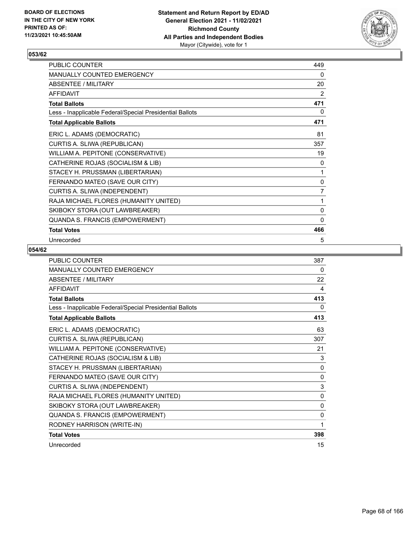

| PUBLIC COUNTER                                           | 449          |
|----------------------------------------------------------|--------------|
| MANUALLY COUNTED EMERGENCY                               | 0            |
| ABSENTEE / MILITARY                                      | 20           |
| <b>AFFIDAVIT</b>                                         | 2            |
| <b>Total Ballots</b>                                     | 471          |
| Less - Inapplicable Federal/Special Presidential Ballots | 0            |
| <b>Total Applicable Ballots</b>                          | 471          |
| ERIC L. ADAMS (DEMOCRATIC)                               | 81           |
| CURTIS A. SLIWA (REPUBLICAN)                             | 357          |
| WILLIAM A. PEPITONE (CONSERVATIVE)                       | 19           |
| CATHERINE ROJAS (SOCIALISM & LIB)                        | 0            |
| STACEY H. PRUSSMAN (LIBERTARIAN)                         | 1            |
| FERNANDO MATEO (SAVE OUR CITY)                           | $\mathbf 0$  |
| CURTIS A. SLIWA (INDEPENDENT)                            | 7            |
| RAJA MICHAEL FLORES (HUMANITY UNITED)                    | 1            |
| SKIBOKY STORA (OUT LAWBREAKER)                           | 0            |
| QUANDA S. FRANCIS (EMPOWERMENT)                          | $\mathbf{0}$ |
| <b>Total Votes</b>                                       | 466          |
| Unrecorded                                               | 5            |

| PUBLIC COUNTER                                           | 387          |
|----------------------------------------------------------|--------------|
| MANUALLY COUNTED EMERGENCY                               | 0            |
| ABSENTEE / MILITARY                                      | 22           |
| <b>AFFIDAVIT</b>                                         | 4            |
| <b>Total Ballots</b>                                     | 413          |
| Less - Inapplicable Federal/Special Presidential Ballots | 0            |
| <b>Total Applicable Ballots</b>                          | 413          |
| ERIC L. ADAMS (DEMOCRATIC)                               | 63           |
| CURTIS A. SLIWA (REPUBLICAN)                             | 307          |
| WILLIAM A. PEPITONE (CONSERVATIVE)                       | 21           |
| CATHERINE ROJAS (SOCIALISM & LIB)                        | 3            |
| STACEY H. PRUSSMAN (LIBERTARIAN)                         | $\mathbf{0}$ |
| FERNANDO MATEO (SAVE OUR CITY)                           | 0            |
| CURTIS A. SLIWA (INDEPENDENT)                            | 3            |
| RAJA MICHAEL FLORES (HUMANITY UNITED)                    | $\mathbf{0}$ |
| SKIBOKY STORA (OUT LAWBREAKER)                           | $\mathbf 0$  |
| QUANDA S. FRANCIS (EMPOWERMENT)                          | 0            |
| RODNEY HARRISON (WRITE-IN)                               | 1            |
| <b>Total Votes</b>                                       | 398          |
| Unrecorded                                               | 15           |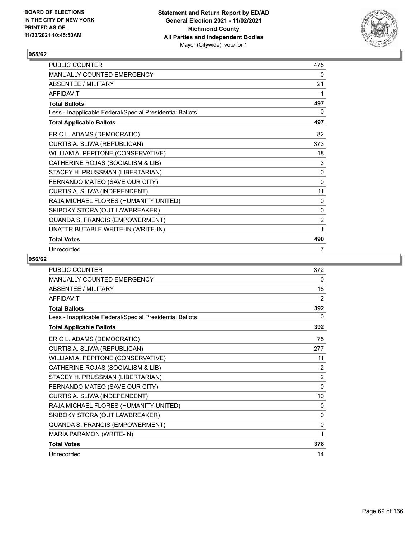

| <b>PUBLIC COUNTER</b>                                    | 475 |
|----------------------------------------------------------|-----|
| <b>MANUALLY COUNTED EMERGENCY</b>                        | 0   |
| ABSENTEE / MILITARY                                      | 21  |
| <b>AFFIDAVIT</b>                                         | 1   |
| <b>Total Ballots</b>                                     | 497 |
| Less - Inapplicable Federal/Special Presidential Ballots | 0   |
| <b>Total Applicable Ballots</b>                          | 497 |
| ERIC L. ADAMS (DEMOCRATIC)                               | 82  |
| CURTIS A. SLIWA (REPUBLICAN)                             | 373 |
| WILLIAM A. PEPITONE (CONSERVATIVE)                       | 18  |
| CATHERINE ROJAS (SOCIALISM & LIB)                        | 3   |
| STACEY H. PRUSSMAN (LIBERTARIAN)                         | 0   |
| FERNANDO MATEO (SAVE OUR CITY)                           | 0   |
| CURTIS A. SLIWA (INDEPENDENT)                            | 11  |
| RAJA MICHAEL FLORES (HUMANITY UNITED)                    | 0   |
| SKIBOKY STORA (OUT LAWBREAKER)                           | 0   |
| QUANDA S. FRANCIS (EMPOWERMENT)                          | 2   |
| UNATTRIBUTABLE WRITE-IN (WRITE-IN)                       | 1   |
| <b>Total Votes</b>                                       | 490 |
| Unrecorded                                               | 7   |

| <b>PUBLIC COUNTER</b>                                    | 372            |
|----------------------------------------------------------|----------------|
| MANUALLY COUNTED EMERGENCY                               | 0              |
| <b>ABSENTEE / MILITARY</b>                               | 18             |
| <b>AFFIDAVIT</b>                                         | 2              |
| <b>Total Ballots</b>                                     | 392            |
| Less - Inapplicable Federal/Special Presidential Ballots | $\mathbf{0}$   |
| <b>Total Applicable Ballots</b>                          | 392            |
| ERIC L. ADAMS (DEMOCRATIC)                               | 75             |
| CURTIS A. SLIWA (REPUBLICAN)                             | 277            |
| WILLIAM A. PEPITONE (CONSERVATIVE)                       | 11             |
| CATHERINE ROJAS (SOCIALISM & LIB)                        | 2              |
| STACEY H. PRUSSMAN (LIBERTARIAN)                         | $\overline{2}$ |
| FERNANDO MATEO (SAVE OUR CITY)                           | $\mathbf{0}$   |
| CURTIS A. SLIWA (INDEPENDENT)                            | 10             |
| RAJA MICHAEL FLORES (HUMANITY UNITED)                    | 0              |
| SKIBOKY STORA (OUT LAWBREAKER)                           | 0              |
| QUANDA S. FRANCIS (EMPOWERMENT)                          | 0              |
| MARIA PARAMON (WRITE-IN)                                 | 1              |
| <b>Total Votes</b>                                       | 378            |
| Unrecorded                                               | 14             |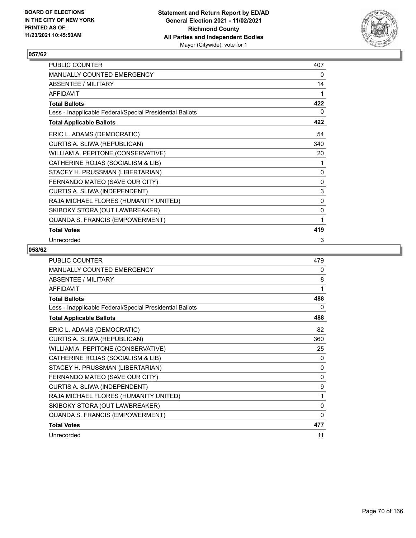

| PUBLIC COUNTER                                           | 407         |
|----------------------------------------------------------|-------------|
| MANUALLY COUNTED EMERGENCY                               | 0           |
| ABSENTEE / MILITARY                                      | 14          |
| <b>AFFIDAVIT</b>                                         | 1           |
| <b>Total Ballots</b>                                     | 422         |
| Less - Inapplicable Federal/Special Presidential Ballots | 0           |
| <b>Total Applicable Ballots</b>                          | 422         |
| ERIC L. ADAMS (DEMOCRATIC)                               | 54          |
| CURTIS A. SLIWA (REPUBLICAN)                             | 340         |
| WILLIAM A. PEPITONE (CONSERVATIVE)                       | 20          |
| CATHERINE ROJAS (SOCIALISM & LIB)                        | 1           |
| STACEY H. PRUSSMAN (LIBERTARIAN)                         | 0           |
| FERNANDO MATEO (SAVE OUR CITY)                           | $\mathbf 0$ |
| CURTIS A. SLIWA (INDEPENDENT)                            | 3           |
| RAJA MICHAEL FLORES (HUMANITY UNITED)                    | 0           |
| SKIBOKY STORA (OUT LAWBREAKER)                           | 0           |
| QUANDA S. FRANCIS (EMPOWERMENT)                          | 1           |
| <b>Total Votes</b>                                       | 419         |
| Unrecorded                                               | 3           |

| PUBLIC COUNTER                                           | 479          |
|----------------------------------------------------------|--------------|
| <b>MANUALLY COUNTED EMERGENCY</b>                        | 0            |
| ABSENTEE / MILITARY                                      | 8            |
| <b>AFFIDAVIT</b>                                         | 1            |
| <b>Total Ballots</b>                                     | 488          |
| Less - Inapplicable Federal/Special Presidential Ballots | 0            |
| <b>Total Applicable Ballots</b>                          | 488          |
| ERIC L. ADAMS (DEMOCRATIC)                               | 82           |
| CURTIS A. SLIWA (REPUBLICAN)                             | 360          |
| WILLIAM A. PEPITONE (CONSERVATIVE)                       | 25           |
| CATHERINE ROJAS (SOCIALISM & LIB)                        | 0            |
| STACEY H. PRUSSMAN (LIBERTARIAN)                         | 0            |
| FERNANDO MATEO (SAVE OUR CITY)                           | $\mathbf{0}$ |
| CURTIS A. SLIWA (INDEPENDENT)                            | 9            |
| RAJA MICHAEL FLORES (HUMANITY UNITED)                    | 1            |
| SKIBOKY STORA (OUT LAWBREAKER)                           | 0            |
| QUANDA S. FRANCIS (EMPOWERMENT)                          | $\mathbf{0}$ |
| <b>Total Votes</b>                                       | 477          |
| Unrecorded                                               | 11           |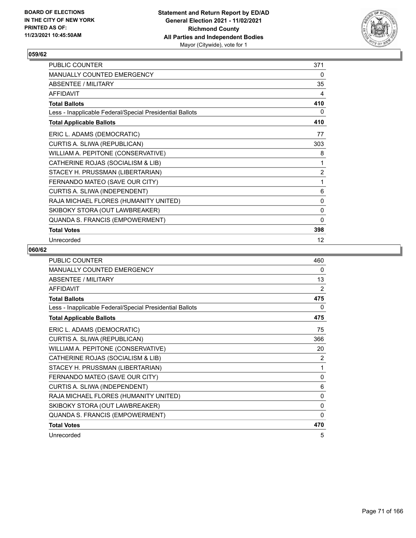

| PUBLIC COUNTER                                           | 371          |
|----------------------------------------------------------|--------------|
| MANUALLY COUNTED EMERGENCY                               | 0            |
| ABSENTEE / MILITARY                                      | 35           |
| <b>AFFIDAVIT</b>                                         | 4            |
| <b>Total Ballots</b>                                     | 410          |
| Less - Inapplicable Federal/Special Presidential Ballots | 0            |
| <b>Total Applicable Ballots</b>                          | 410          |
| ERIC L. ADAMS (DEMOCRATIC)                               | 77           |
| CURTIS A. SLIWA (REPUBLICAN)                             | 303          |
| WILLIAM A. PEPITONE (CONSERVATIVE)                       | 8            |
| CATHERINE ROJAS (SOCIALISM & LIB)                        | 1            |
| STACEY H. PRUSSMAN (LIBERTARIAN)                         | 2            |
| FERNANDO MATEO (SAVE OUR CITY)                           | 1            |
| CURTIS A. SLIWA (INDEPENDENT)                            | 6            |
| RAJA MICHAEL FLORES (HUMANITY UNITED)                    | 0            |
| SKIBOKY STORA (OUT LAWBREAKER)                           | 0            |
| QUANDA S. FRANCIS (EMPOWERMENT)                          | $\mathbf{0}$ |
| <b>Total Votes</b>                                       | 398          |
| Unrecorded                                               | 12           |

| <b>PUBLIC COUNTER</b>                                    | 460          |
|----------------------------------------------------------|--------------|
| MANUALLY COUNTED EMERGENCY                               | 0            |
| ABSENTEE / MILITARY                                      | 13           |
| <b>AFFIDAVIT</b>                                         | 2            |
| <b>Total Ballots</b>                                     | 475          |
| Less - Inapplicable Federal/Special Presidential Ballots | 0            |
| <b>Total Applicable Ballots</b>                          | 475          |
| ERIC L. ADAMS (DEMOCRATIC)                               | 75           |
| CURTIS A. SLIWA (REPUBLICAN)                             | 366          |
| WILLIAM A. PEPITONE (CONSERVATIVE)                       | 20           |
| CATHERINE ROJAS (SOCIALISM & LIB)                        | 2            |
| STACEY H. PRUSSMAN (LIBERTARIAN)                         | 1            |
| FERNANDO MATEO (SAVE OUR CITY)                           | $\mathbf{0}$ |
| CURTIS A. SLIWA (INDEPENDENT)                            | 6            |
| RAJA MICHAEL FLORES (HUMANITY UNITED)                    | $\mathbf{0}$ |
| SKIBOKY STORA (OUT LAWBREAKER)                           | $\mathbf{0}$ |
| QUANDA S. FRANCIS (EMPOWERMENT)                          | $\Omega$     |
| <b>Total Votes</b>                                       | 470          |
| Unrecorded                                               | 5            |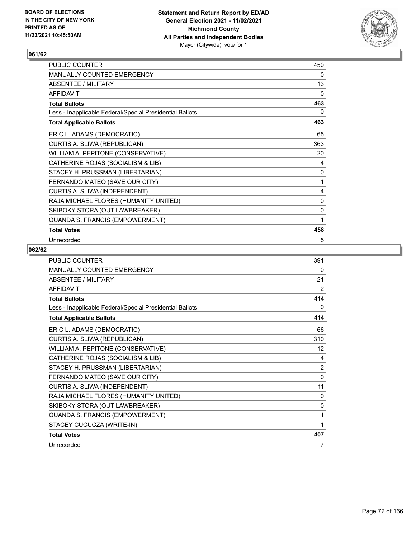

| PUBLIC COUNTER                                           | 450          |
|----------------------------------------------------------|--------------|
| MANUALLY COUNTED EMERGENCY                               | 0            |
| ABSENTEE / MILITARY                                      | 13           |
| <b>AFFIDAVIT</b>                                         | $\mathbf{0}$ |
| <b>Total Ballots</b>                                     | 463          |
| Less - Inapplicable Federal/Special Presidential Ballots | 0            |
| <b>Total Applicable Ballots</b>                          | 463          |
| ERIC L. ADAMS (DEMOCRATIC)                               | 65           |
| CURTIS A. SLIWA (REPUBLICAN)                             | 363          |
| WILLIAM A. PEPITONE (CONSERVATIVE)                       | 20           |
| CATHERINE ROJAS (SOCIALISM & LIB)                        | 4            |
| STACEY H. PRUSSMAN (LIBERTARIAN)                         | 0            |
| FERNANDO MATEO (SAVE OUR CITY)                           | 1            |
| CURTIS A. SLIWA (INDEPENDENT)                            | 4            |
| RAJA MICHAEL FLORES (HUMANITY UNITED)                    | 0            |
| SKIBOKY STORA (OUT LAWBREAKER)                           | 0            |
| QUANDA S. FRANCIS (EMPOWERMENT)                          | 1            |
| <b>Total Votes</b>                                       | 458          |
| Unrecorded                                               | 5            |

| PUBLIC COUNTER                                           | 391            |
|----------------------------------------------------------|----------------|
| MANUALLY COUNTED EMERGENCY                               | 0              |
| ABSENTEE / MILITARY                                      | 21             |
| <b>AFFIDAVIT</b>                                         | 2              |
| <b>Total Ballots</b>                                     | 414            |
| Less - Inapplicable Federal/Special Presidential Ballots | 0              |
| <b>Total Applicable Ballots</b>                          | 414            |
| ERIC L. ADAMS (DEMOCRATIC)                               | 66             |
| CURTIS A. SLIWA (REPUBLICAN)                             | 310            |
| WILLIAM A. PEPITONE (CONSERVATIVE)                       | 12             |
| CATHERINE ROJAS (SOCIALISM & LIB)                        | 4              |
| STACEY H. PRUSSMAN (LIBERTARIAN)                         | $\overline{2}$ |
| FERNANDO MATEO (SAVE OUR CITY)                           | 0              |
| CURTIS A. SLIWA (INDEPENDENT)                            | 11             |
| RAJA MICHAEL FLORES (HUMANITY UNITED)                    | 0              |
| SKIBOKY STORA (OUT LAWBREAKER)                           | 0              |
| QUANDA S. FRANCIS (EMPOWERMENT)                          | 1              |
| STACEY CUCUCZA (WRITE-IN)                                | 1              |
| <b>Total Votes</b>                                       | 407            |
| Unrecorded                                               | 7              |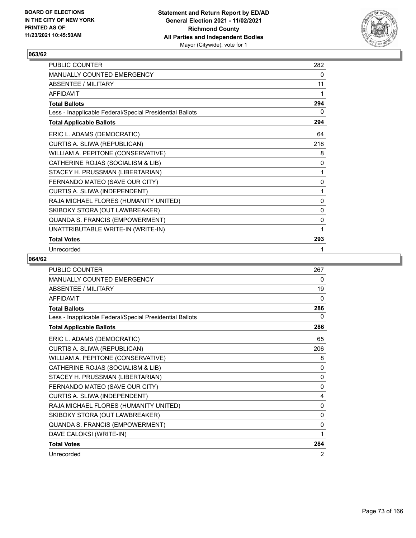

| <b>PUBLIC COUNTER</b>                                    | 282 |
|----------------------------------------------------------|-----|
| <b>MANUALLY COUNTED EMERGENCY</b>                        | 0   |
| ABSENTEE / MILITARY                                      | 11  |
| <b>AFFIDAVIT</b>                                         | 1   |
| <b>Total Ballots</b>                                     | 294 |
| Less - Inapplicable Federal/Special Presidential Ballots | 0   |
| <b>Total Applicable Ballots</b>                          | 294 |
| ERIC L. ADAMS (DEMOCRATIC)                               | 64  |
| CURTIS A. SLIWA (REPUBLICAN)                             | 218 |
| WILLIAM A. PEPITONE (CONSERVATIVE)                       | 8   |
| CATHERINE ROJAS (SOCIALISM & LIB)                        | 0   |
| STACEY H. PRUSSMAN (LIBERTARIAN)                         | 1   |
| FERNANDO MATEO (SAVE OUR CITY)                           | 0   |
| CURTIS A. SLIWA (INDEPENDENT)                            | 1   |
| RAJA MICHAEL FLORES (HUMANITY UNITED)                    | 0   |
| SKIBOKY STORA (OUT LAWBREAKER)                           | 0   |
| QUANDA S. FRANCIS (EMPOWERMENT)                          | 0   |
| UNATTRIBUTABLE WRITE-IN (WRITE-IN)                       | 1   |
| <b>Total Votes</b>                                       | 293 |
| Unrecorded                                               | 1   |

| <b>PUBLIC COUNTER</b>                                    | 267      |
|----------------------------------------------------------|----------|
| <b>MANUALLY COUNTED EMERGENCY</b>                        | 0        |
| <b>ABSENTEE / MILITARY</b>                               | 19       |
| <b>AFFIDAVIT</b>                                         | $\Omega$ |
| <b>Total Ballots</b>                                     | 286      |
| Less - Inapplicable Federal/Special Presidential Ballots | 0        |
| <b>Total Applicable Ballots</b>                          | 286      |
| ERIC L. ADAMS (DEMOCRATIC)                               | 65       |
| CURTIS A. SLIWA (REPUBLICAN)                             | 206      |
| WILLIAM A. PEPITONE (CONSERVATIVE)                       | 8        |
| CATHERINE ROJAS (SOCIALISM & LIB)                        | 0        |
| STACEY H. PRUSSMAN (LIBERTARIAN)                         | 0        |
| FERNANDO MATEO (SAVE OUR CITY)                           | 0        |
| CURTIS A. SLIWA (INDEPENDENT)                            | 4        |
| RAJA MICHAEL FLORES (HUMANITY UNITED)                    | 0        |
| SKIBOKY STORA (OUT LAWBREAKER)                           | 0        |
| QUANDA S. FRANCIS (EMPOWERMENT)                          | 0        |
| DAVE CALOKSI (WRITE-IN)                                  | 1        |
| <b>Total Votes</b>                                       | 284      |
| Unrecorded                                               | 2        |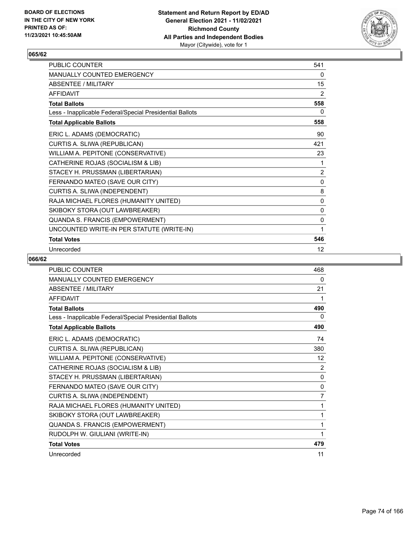

| PUBLIC COUNTER                                           | 541 |
|----------------------------------------------------------|-----|
| <b>MANUALLY COUNTED EMERGENCY</b>                        | 0   |
| <b>ABSENTEE / MILITARY</b>                               | 15  |
| <b>AFFIDAVIT</b>                                         | 2   |
| <b>Total Ballots</b>                                     | 558 |
| Less - Inapplicable Federal/Special Presidential Ballots | 0   |
| <b>Total Applicable Ballots</b>                          | 558 |
| ERIC L. ADAMS (DEMOCRATIC)                               | 90  |
| CURTIS A. SLIWA (REPUBLICAN)                             | 421 |
| WILLIAM A. PEPITONE (CONSERVATIVE)                       | 23  |
| CATHERINE ROJAS (SOCIALISM & LIB)                        | 1   |
| STACEY H. PRUSSMAN (LIBERTARIAN)                         | 2   |
| FERNANDO MATEO (SAVE OUR CITY)                           | 0   |
| CURTIS A. SLIWA (INDEPENDENT)                            | 8   |
| RAJA MICHAEL FLORES (HUMANITY UNITED)                    | 0   |
| SKIBOKY STORA (OUT LAWBREAKER)                           | 0   |
| QUANDA S. FRANCIS (EMPOWERMENT)                          | 0   |
| UNCOUNTED WRITE-IN PER STATUTE (WRITE-IN)                | 1   |
| <b>Total Votes</b>                                       | 546 |
| Unrecorded                                               | 12  |

| <b>PUBLIC COUNTER</b>                                    | 468          |
|----------------------------------------------------------|--------------|
| <b>MANUALLY COUNTED EMERGENCY</b>                        | 0            |
| <b>ABSENTEE / MILITARY</b>                               | 21           |
| <b>AFFIDAVIT</b>                                         | 1            |
| <b>Total Ballots</b>                                     | 490          |
| Less - Inapplicable Federal/Special Presidential Ballots | 0            |
| <b>Total Applicable Ballots</b>                          | 490          |
| ERIC L. ADAMS (DEMOCRATIC)                               | 74           |
| CURTIS A. SLIWA (REPUBLICAN)                             | 380          |
| WILLIAM A. PEPITONE (CONSERVATIVE)                       | 12           |
| CATHERINE ROJAS (SOCIALISM & LIB)                        | 2            |
| STACEY H. PRUSSMAN (LIBERTARIAN)                         | 0            |
| FERNANDO MATEO (SAVE OUR CITY)                           | $\mathbf{0}$ |
| CURTIS A. SLIWA (INDEPENDENT)                            | 7            |
| RAJA MICHAEL FLORES (HUMANITY UNITED)                    | 1            |
| SKIBOKY STORA (OUT LAWBREAKER)                           | 1            |
| QUANDA S. FRANCIS (EMPOWERMENT)                          | 1            |
| RUDOLPH W. GIULIANI (WRITE-IN)                           | 1            |
| <b>Total Votes</b>                                       | 479          |
| Unrecorded                                               | 11           |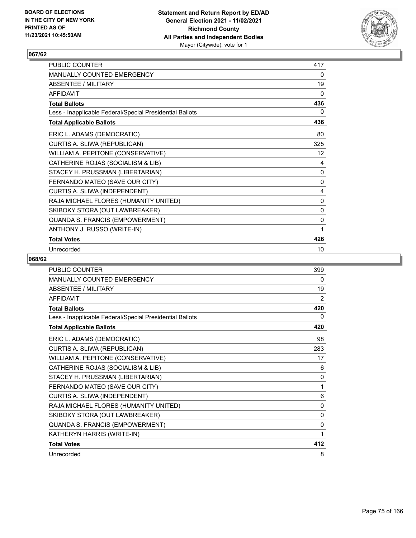

| <b>PUBLIC COUNTER</b>                                    | 417 |
|----------------------------------------------------------|-----|
| <b>MANUALLY COUNTED EMERGENCY</b>                        | 0   |
| ABSENTEE / MILITARY                                      | 19  |
| <b>AFFIDAVIT</b>                                         | 0   |
| <b>Total Ballots</b>                                     | 436 |
| Less - Inapplicable Federal/Special Presidential Ballots | 0   |
| <b>Total Applicable Ballots</b>                          | 436 |
| ERIC L. ADAMS (DEMOCRATIC)                               | 80  |
| CURTIS A. SLIWA (REPUBLICAN)                             | 325 |
| WILLIAM A. PEPITONE (CONSERVATIVE)                       | 12  |
| CATHERINE ROJAS (SOCIALISM & LIB)                        | 4   |
| STACEY H. PRUSSMAN (LIBERTARIAN)                         | 0   |
| FERNANDO MATEO (SAVE OUR CITY)                           | 0   |
| CURTIS A. SLIWA (INDEPENDENT)                            | 4   |
| RAJA MICHAEL FLORES (HUMANITY UNITED)                    | 0   |
| SKIBOKY STORA (OUT LAWBREAKER)                           | 0   |
| QUANDA S. FRANCIS (EMPOWERMENT)                          | 0   |
| ANTHONY J. RUSSO (WRITE-IN)                              | 1   |
| <b>Total Votes</b>                                       | 426 |
| Unrecorded                                               | 10  |

| <b>PUBLIC COUNTER</b>                                    | 399          |
|----------------------------------------------------------|--------------|
| MANUALLY COUNTED EMERGENCY                               | 0            |
| <b>ABSENTEE / MILITARY</b>                               | 19           |
| <b>AFFIDAVIT</b>                                         | 2            |
| <b>Total Ballots</b>                                     | 420          |
| Less - Inapplicable Federal/Special Presidential Ballots | 0            |
| <b>Total Applicable Ballots</b>                          | 420          |
| ERIC L. ADAMS (DEMOCRATIC)                               | 98           |
| CURTIS A. SLIWA (REPUBLICAN)                             | 283          |
| WILLIAM A. PEPITONE (CONSERVATIVE)                       | 17           |
| CATHERINE ROJAS (SOCIALISM & LIB)                        | 6            |
| STACEY H. PRUSSMAN (LIBERTARIAN)                         | $\Omega$     |
| FERNANDO MATEO (SAVE OUR CITY)                           | 1            |
| CURTIS A. SLIWA (INDEPENDENT)                            | 6            |
| RAJA MICHAEL FLORES (HUMANITY UNITED)                    | 0            |
| SKIBOKY STORA (OUT LAWBREAKER)                           | $\mathbf{0}$ |
| QUANDA S. FRANCIS (EMPOWERMENT)                          | 0            |
| KATHERYN HARRIS (WRITE-IN)                               | 1            |
| <b>Total Votes</b>                                       | 412          |
| Unrecorded                                               | 8            |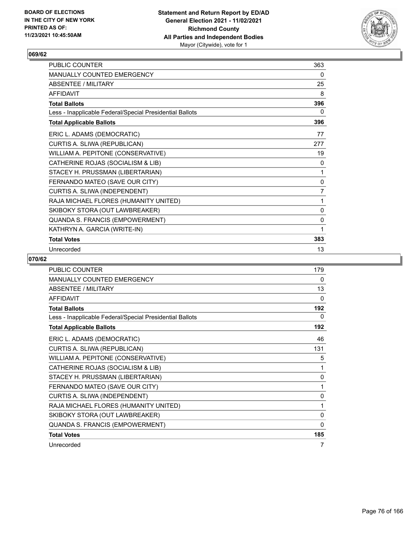

| PUBLIC COUNTER                                           | 363            |
|----------------------------------------------------------|----------------|
| <b>MANUALLY COUNTED EMERGENCY</b>                        | 0              |
| <b>ABSENTEE / MILITARY</b>                               | 25             |
| <b>AFFIDAVIT</b>                                         | 8              |
| <b>Total Ballots</b>                                     | 396            |
| Less - Inapplicable Federal/Special Presidential Ballots | 0              |
| <b>Total Applicable Ballots</b>                          | 396            |
| ERIC L. ADAMS (DEMOCRATIC)                               | 77             |
| CURTIS A. SLIWA (REPUBLICAN)                             | 277            |
| WILLIAM A. PEPITONE (CONSERVATIVE)                       | 19             |
| CATHERINE ROJAS (SOCIALISM & LIB)                        | 0              |
| STACEY H. PRUSSMAN (LIBERTARIAN)                         | 1              |
| FERNANDO MATEO (SAVE OUR CITY)                           | 0              |
| CURTIS A. SLIWA (INDEPENDENT)                            | $\overline{7}$ |
| RAJA MICHAEL FLORES (HUMANITY UNITED)                    | 1              |
| SKIBOKY STORA (OUT LAWBREAKER)                           | 0              |
| QUANDA S. FRANCIS (EMPOWERMENT)                          | 0              |
| KATHRYN A. GARCIA (WRITE-IN)                             | 1              |
| <b>Total Votes</b>                                       | 383            |
| Unrecorded                                               | 13             |

| <b>PUBLIC COUNTER</b>                                    | 179          |
|----------------------------------------------------------|--------------|
| MANUALLY COUNTED EMERGENCY                               | 0            |
| <b>ABSENTEE / MILITARY</b>                               | 13           |
| <b>AFFIDAVIT</b>                                         | 0            |
| <b>Total Ballots</b>                                     | 192          |
| Less - Inapplicable Federal/Special Presidential Ballots | 0            |
| <b>Total Applicable Ballots</b>                          | 192          |
| ERIC L. ADAMS (DEMOCRATIC)                               | 46           |
| CURTIS A. SLIWA (REPUBLICAN)                             | 131          |
| WILLIAM A. PEPITONE (CONSERVATIVE)                       | 5            |
| CATHERINE ROJAS (SOCIALISM & LIB)                        | 1            |
| STACEY H. PRUSSMAN (LIBERTARIAN)                         | 0            |
| FERNANDO MATEO (SAVE OUR CITY)                           | 1            |
| CURTIS A. SLIWA (INDEPENDENT)                            | $\mathbf{0}$ |
| RAJA MICHAEL FLORES (HUMANITY UNITED)                    | 1            |
| SKIBOKY STORA (OUT LAWBREAKER)                           | 0            |
| QUANDA S. FRANCIS (EMPOWERMENT)                          | 0            |
| <b>Total Votes</b>                                       | 185          |
| Unrecorded                                               | 7            |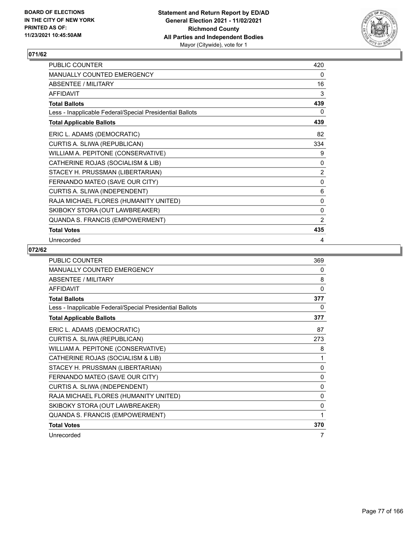

| PUBLIC COUNTER                                           | 420            |
|----------------------------------------------------------|----------------|
| <b>MANUALLY COUNTED EMERGENCY</b>                        | 0              |
| <b>ABSENTEE / MILITARY</b>                               | 16             |
| <b>AFFIDAVIT</b>                                         | 3              |
| <b>Total Ballots</b>                                     | 439            |
| Less - Inapplicable Federal/Special Presidential Ballots | 0              |
| <b>Total Applicable Ballots</b>                          | 439            |
| ERIC L. ADAMS (DEMOCRATIC)                               | 82             |
| CURTIS A. SLIWA (REPUBLICAN)                             | 334            |
| WILLIAM A. PEPITONE (CONSERVATIVE)                       | 9              |
| CATHERINE ROJAS (SOCIALISM & LIB)                        | 0              |
| STACEY H. PRUSSMAN (LIBERTARIAN)                         | 2              |
| FERNANDO MATEO (SAVE OUR CITY)                           | 0              |
| CURTIS A. SLIWA (INDEPENDENT)                            | 6              |
| RAJA MICHAEL FLORES (HUMANITY UNITED)                    | 0              |
| SKIBOKY STORA (OUT LAWBREAKER)                           | $\mathbf 0$    |
| QUANDA S. FRANCIS (EMPOWERMENT)                          | $\overline{2}$ |
| <b>Total Votes</b>                                       | 435            |
| Unrecorded                                               | 4              |

| <b>PUBLIC COUNTER</b>                                    | 369          |
|----------------------------------------------------------|--------------|
| MANUALLY COUNTED EMERGENCY                               | 0            |
| ABSENTEE / MILITARY                                      | 8            |
| <b>AFFIDAVIT</b>                                         | $\mathbf{0}$ |
| <b>Total Ballots</b>                                     | 377          |
| Less - Inapplicable Federal/Special Presidential Ballots | 0            |
| <b>Total Applicable Ballots</b>                          | 377          |
| ERIC L. ADAMS (DEMOCRATIC)                               | 87           |
| CURTIS A. SLIWA (REPUBLICAN)                             | 273          |
| WILLIAM A. PEPITONE (CONSERVATIVE)                       | 8            |
| CATHERINE ROJAS (SOCIALISM & LIB)                        | 1            |
| STACEY H. PRUSSMAN (LIBERTARIAN)                         | $\mathbf{0}$ |
| FERNANDO MATEO (SAVE OUR CITY)                           | 0            |
| CURTIS A. SLIWA (INDEPENDENT)                            | $\mathbf{0}$ |
| RAJA MICHAEL FLORES (HUMANITY UNITED)                    | 0            |
| SKIBOKY STORA (OUT LAWBREAKER)                           | 0            |
| QUANDA S. FRANCIS (EMPOWERMENT)                          | 1            |
| <b>Total Votes</b>                                       | 370          |
| Unrecorded                                               | 7            |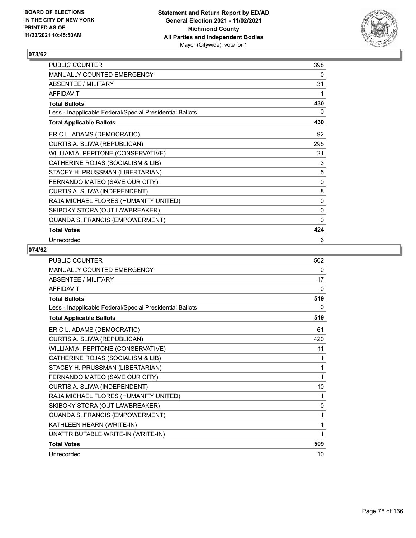

| PUBLIC COUNTER                                           | 398          |
|----------------------------------------------------------|--------------|
| MANUALLY COUNTED EMERGENCY                               | 0            |
| ABSENTEE / MILITARY                                      | 31           |
| <b>AFFIDAVIT</b>                                         | 1            |
| <b>Total Ballots</b>                                     | 430          |
| Less - Inapplicable Federal/Special Presidential Ballots | 0            |
| <b>Total Applicable Ballots</b>                          | 430          |
| ERIC L. ADAMS (DEMOCRATIC)                               | 92           |
| CURTIS A. SLIWA (REPUBLICAN)                             | 295          |
| WILLIAM A. PEPITONE (CONSERVATIVE)                       | 21           |
| CATHERINE ROJAS (SOCIALISM & LIB)                        | 3            |
| STACEY H. PRUSSMAN (LIBERTARIAN)                         | 5            |
| FERNANDO MATEO (SAVE OUR CITY)                           | $\pmb{0}$    |
| CURTIS A. SLIWA (INDEPENDENT)                            | 8            |
| RAJA MICHAEL FLORES (HUMANITY UNITED)                    | 0            |
| SKIBOKY STORA (OUT LAWBREAKER)                           | 0            |
| QUANDA S. FRANCIS (EMPOWERMENT)                          | $\mathbf{0}$ |
| <b>Total Votes</b>                                       | 424          |
| Unrecorded                                               | 6            |

| PUBLIC COUNTER                                           | 502          |
|----------------------------------------------------------|--------------|
| <b>MANUALLY COUNTED EMERGENCY</b>                        | 0            |
| <b>ABSENTEE / MILITARY</b>                               | 17           |
| <b>AFFIDAVIT</b>                                         | $\Omega$     |
| <b>Total Ballots</b>                                     | 519          |
| Less - Inapplicable Federal/Special Presidential Ballots | 0            |
| <b>Total Applicable Ballots</b>                          | 519          |
| ERIC L. ADAMS (DEMOCRATIC)                               | 61           |
| CURTIS A. SLIWA (REPUBLICAN)                             | 420          |
| WILLIAM A. PEPITONE (CONSERVATIVE)                       | 11           |
| CATHERINE ROJAS (SOCIALISM & LIB)                        | 1            |
| STACEY H. PRUSSMAN (LIBERTARIAN)                         | 1            |
| FERNANDO MATEO (SAVE OUR CITY)                           | 1            |
| CURTIS A. SLIWA (INDEPENDENT)                            | 10           |
| RAJA MICHAEL FLORES (HUMANITY UNITED)                    | 1            |
| SKIBOKY STORA (OUT LAWBREAKER)                           | $\mathbf{0}$ |
| QUANDA S. FRANCIS (EMPOWERMENT)                          | 1            |
| KATHLEEN HEARN (WRITE-IN)                                | 1            |
| UNATTRIBUTABLE WRITE-IN (WRITE-IN)                       | 1            |
| <b>Total Votes</b>                                       | 509          |
| Unrecorded                                               | 10           |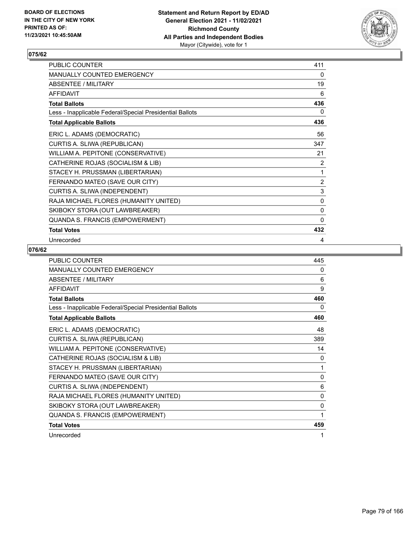

| PUBLIC COUNTER                                           | 411            |
|----------------------------------------------------------|----------------|
| MANUALLY COUNTED EMERGENCY                               | 0              |
| ABSENTEE / MILITARY                                      | 19             |
| <b>AFFIDAVIT</b>                                         | 6              |
| <b>Total Ballots</b>                                     | 436            |
| Less - Inapplicable Federal/Special Presidential Ballots | 0              |
| <b>Total Applicable Ballots</b>                          | 436            |
| ERIC L. ADAMS (DEMOCRATIC)                               | 56             |
| CURTIS A. SLIWA (REPUBLICAN)                             | 347            |
| WILLIAM A. PEPITONE (CONSERVATIVE)                       | 21             |
| CATHERINE ROJAS (SOCIALISM & LIB)                        | 2              |
| STACEY H. PRUSSMAN (LIBERTARIAN)                         | $\mathbf{1}$   |
| FERNANDO MATEO (SAVE OUR CITY)                           | $\overline{2}$ |
| CURTIS A. SLIWA (INDEPENDENT)                            | 3              |
| RAJA MICHAEL FLORES (HUMANITY UNITED)                    | 0              |
| SKIBOKY STORA (OUT LAWBREAKER)                           | 0              |
| QUANDA S. FRANCIS (EMPOWERMENT)                          | $\mathbf{0}$   |
| <b>Total Votes</b>                                       | 432            |
| Unrecorded                                               | 4              |

| PUBLIC COUNTER                                           | 445          |
|----------------------------------------------------------|--------------|
| MANUALLY COUNTED EMERGENCY                               | 0            |
| <b>ABSENTEE / MILITARY</b>                               | 6            |
| <b>AFFIDAVIT</b>                                         | 9            |
| <b>Total Ballots</b>                                     | 460          |
| Less - Inapplicable Federal/Special Presidential Ballots | 0            |
| <b>Total Applicable Ballots</b>                          | 460          |
| ERIC L. ADAMS (DEMOCRATIC)                               | 48           |
| CURTIS A. SLIWA (REPUBLICAN)                             | 389          |
| WILLIAM A. PEPITONE (CONSERVATIVE)                       | 14           |
| CATHERINE ROJAS (SOCIALISM & LIB)                        | 0            |
| STACEY H. PRUSSMAN (LIBERTARIAN)                         | 1            |
| FERNANDO MATEO (SAVE OUR CITY)                           | $\mathbf{0}$ |
| CURTIS A. SLIWA (INDEPENDENT)                            | 6            |
| RAJA MICHAEL FLORES (HUMANITY UNITED)                    | 0            |
| SKIBOKY STORA (OUT LAWBREAKER)                           | 0            |
| QUANDA S. FRANCIS (EMPOWERMENT)                          | 1            |
| <b>Total Votes</b>                                       | 459          |
| Unrecorded                                               | 1            |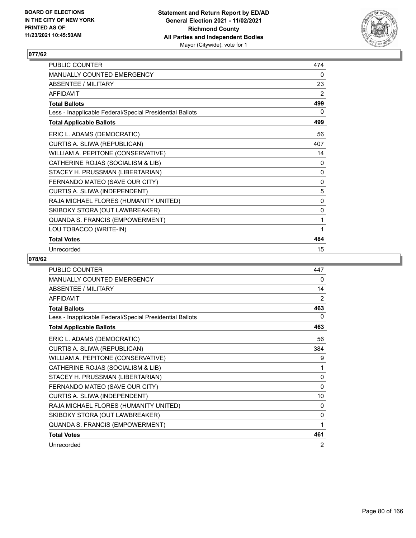

| <b>PUBLIC COUNTER</b>                                    | 474          |
|----------------------------------------------------------|--------------|
| <b>MANUALLY COUNTED EMERGENCY</b>                        | 0            |
| ABSENTEE / MILITARY                                      | 23           |
| <b>AFFIDAVIT</b>                                         | 2            |
| <b>Total Ballots</b>                                     | 499          |
| Less - Inapplicable Federal/Special Presidential Ballots | 0            |
| <b>Total Applicable Ballots</b>                          | 499          |
| ERIC L. ADAMS (DEMOCRATIC)                               | 56           |
| CURTIS A. SLIWA (REPUBLICAN)                             | 407          |
| WILLIAM A. PEPITONE (CONSERVATIVE)                       | 14           |
| CATHERINE ROJAS (SOCIALISM & LIB)                        | 0            |
| STACEY H. PRUSSMAN (LIBERTARIAN)                         | 0            |
| FERNANDO MATEO (SAVE OUR CITY)                           | $\mathbf{0}$ |
| CURTIS A. SLIWA (INDEPENDENT)                            | 5            |
| RAJA MICHAEL FLORES (HUMANITY UNITED)                    | 0            |
| SKIBOKY STORA (OUT LAWBREAKER)                           | 0            |
| QUANDA S. FRANCIS (EMPOWERMENT)                          | 1            |
| LOU TOBACCO (WRITE-IN)                                   | 1            |
| <b>Total Votes</b>                                       | 484          |
| Unrecorded                                               | 15           |

| <b>PUBLIC COUNTER</b>                                    | 447          |
|----------------------------------------------------------|--------------|
| MANUALLY COUNTED EMERGENCY                               | 0            |
| <b>ABSENTEE / MILITARY</b>                               | 14           |
| <b>AFFIDAVIT</b>                                         | 2            |
| <b>Total Ballots</b>                                     | 463          |
| Less - Inapplicable Federal/Special Presidential Ballots | 0            |
| <b>Total Applicable Ballots</b>                          | 463          |
| ERIC L. ADAMS (DEMOCRATIC)                               | 56           |
| CURTIS A. SLIWA (REPUBLICAN)                             | 384          |
| WILLIAM A. PEPITONE (CONSERVATIVE)                       | 9            |
| CATHERINE ROJAS (SOCIALISM & LIB)                        | 1            |
| STACEY H. PRUSSMAN (LIBERTARIAN)                         | 0            |
| FERNANDO MATEO (SAVE OUR CITY)                           | $\mathbf{0}$ |
| CURTIS A. SLIWA (INDEPENDENT)                            | 10           |
| RAJA MICHAEL FLORES (HUMANITY UNITED)                    | 0            |
| SKIBOKY STORA (OUT LAWBREAKER)                           | 0            |
| QUANDA S. FRANCIS (EMPOWERMENT)                          | 1            |
| <b>Total Votes</b>                                       | 461          |
| Unrecorded                                               | 2            |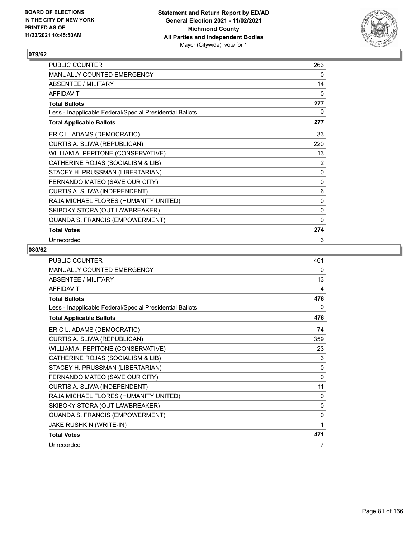

| PUBLIC COUNTER                                           | 263            |
|----------------------------------------------------------|----------------|
| MANUALLY COUNTED EMERGENCY                               | 0              |
| <b>ABSENTEE / MILITARY</b>                               | 14             |
| <b>AFFIDAVIT</b>                                         | 0              |
| <b>Total Ballots</b>                                     | 277            |
| Less - Inapplicable Federal/Special Presidential Ballots | 0              |
| <b>Total Applicable Ballots</b>                          | 277            |
| ERIC L. ADAMS (DEMOCRATIC)                               | 33             |
| CURTIS A. SLIWA (REPUBLICAN)                             | 220            |
| WILLIAM A. PEPITONE (CONSERVATIVE)                       | 13             |
| CATHERINE ROJAS (SOCIALISM & LIB)                        | $\overline{2}$ |
| STACEY H. PRUSSMAN (LIBERTARIAN)                         | 0              |
| FERNANDO MATEO (SAVE OUR CITY)                           | 0              |
| CURTIS A. SLIWA (INDEPENDENT)                            | 6              |
| RAJA MICHAEL FLORES (HUMANITY UNITED)                    | 0              |
| SKIBOKY STORA (OUT LAWBREAKER)                           | 0              |
| QUANDA S. FRANCIS (EMPOWERMENT)                          | 0              |
| <b>Total Votes</b>                                       | 274            |
| Unrecorded                                               | 3              |

| <b>PUBLIC COUNTER</b>                                    | 461          |
|----------------------------------------------------------|--------------|
| MANUALLY COUNTED EMERGENCY                               | 0            |
| ABSENTEE / MILITARY                                      | 13           |
| <b>AFFIDAVIT</b>                                         | 4            |
| <b>Total Ballots</b>                                     | 478          |
| Less - Inapplicable Federal/Special Presidential Ballots | 0            |
| <b>Total Applicable Ballots</b>                          | 478          |
| ERIC L. ADAMS (DEMOCRATIC)                               | 74           |
| CURTIS A. SLIWA (REPUBLICAN)                             | 359          |
| WILLIAM A. PEPITONE (CONSERVATIVE)                       | 23           |
| CATHERINE ROJAS (SOCIALISM & LIB)                        | 3            |
| STACEY H. PRUSSMAN (LIBERTARIAN)                         | $\mathbf{0}$ |
| FERNANDO MATEO (SAVE OUR CITY)                           | 0            |
| CURTIS A. SLIWA (INDEPENDENT)                            | 11           |
| RAJA MICHAEL FLORES (HUMANITY UNITED)                    | 0            |
| SKIBOKY STORA (OUT LAWBREAKER)                           | $\mathbf{0}$ |
| QUANDA S. FRANCIS (EMPOWERMENT)                          | 0            |
| JAKE RUSHKIN (WRITE-IN)                                  | 1            |
| <b>Total Votes</b>                                       | 471          |
| Unrecorded                                               | 7            |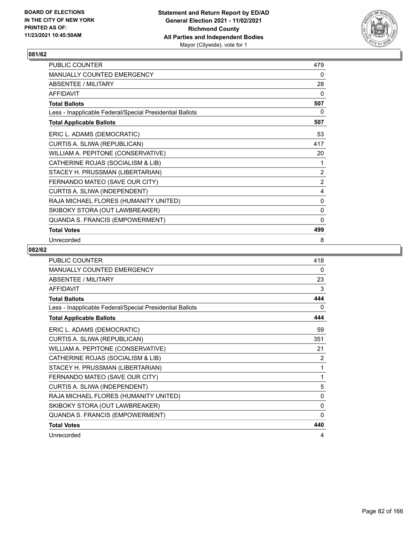

| PUBLIC COUNTER                                           | 479            |
|----------------------------------------------------------|----------------|
| MANUALLY COUNTED EMERGENCY                               | 0              |
| ABSENTEE / MILITARY                                      | 28             |
| <b>AFFIDAVIT</b>                                         | $\mathbf{0}$   |
| <b>Total Ballots</b>                                     | 507            |
| Less - Inapplicable Federal/Special Presidential Ballots | 0              |
| <b>Total Applicable Ballots</b>                          | 507            |
| ERIC L. ADAMS (DEMOCRATIC)                               | 53             |
| CURTIS A. SLIWA (REPUBLICAN)                             | 417            |
| WILLIAM A. PEPITONE (CONSERVATIVE)                       | 20             |
| CATHERINE ROJAS (SOCIALISM & LIB)                        | 1              |
| STACEY H. PRUSSMAN (LIBERTARIAN)                         | 2              |
| FERNANDO MATEO (SAVE OUR CITY)                           | $\overline{2}$ |
| CURTIS A. SLIWA (INDEPENDENT)                            | 4              |
| RAJA MICHAEL FLORES (HUMANITY UNITED)                    | 0              |
| SKIBOKY STORA (OUT LAWBREAKER)                           | 0              |
| QUANDA S. FRANCIS (EMPOWERMENT)                          | $\mathbf{0}$   |
| <b>Total Votes</b>                                       | 499            |
| Unrecorded                                               | 8              |

| <b>PUBLIC COUNTER</b>                                    | 418 |
|----------------------------------------------------------|-----|
| <b>MANUALLY COUNTED EMERGENCY</b>                        | 0   |
| <b>ABSENTEE / MILITARY</b>                               | 23  |
| <b>AFFIDAVIT</b>                                         | 3   |
| <b>Total Ballots</b>                                     | 444 |
| Less - Inapplicable Federal/Special Presidential Ballots | 0   |
| <b>Total Applicable Ballots</b>                          | 444 |
| ERIC L. ADAMS (DEMOCRATIC)                               | 59  |
| CURTIS A. SLIWA (REPUBLICAN)                             | 351 |
| WILLIAM A. PEPITONE (CONSERVATIVE)                       | 21  |
| CATHERINE ROJAS (SOCIALISM & LIB)                        | 2   |
| STACEY H. PRUSSMAN (LIBERTARIAN)                         | 1   |
| FERNANDO MATEO (SAVE OUR CITY)                           | 1   |
| CURTIS A. SLIWA (INDEPENDENT)                            | 5   |
| RAJA MICHAEL FLORES (HUMANITY UNITED)                    | 0   |
| SKIBOKY STORA (OUT LAWBREAKER)                           | 0   |
| QUANDA S. FRANCIS (EMPOWERMENT)                          | 0   |
| <b>Total Votes</b>                                       | 440 |
| Unrecorded                                               | 4   |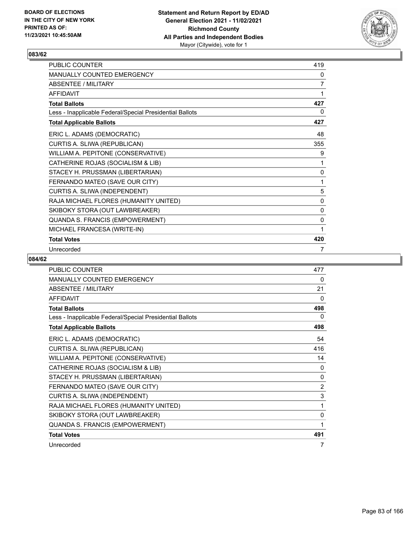

| PUBLIC COUNTER                                           | 419            |
|----------------------------------------------------------|----------------|
| <b>MANUALLY COUNTED EMERGENCY</b>                        | 0              |
| <b>ABSENTEE / MILITARY</b>                               | $\overline{7}$ |
| <b>AFFIDAVIT</b>                                         | 1              |
| <b>Total Ballots</b>                                     | 427            |
| Less - Inapplicable Federal/Special Presidential Ballots | 0              |
| <b>Total Applicable Ballots</b>                          | 427            |
| ERIC L. ADAMS (DEMOCRATIC)                               | 48             |
| CURTIS A. SLIWA (REPUBLICAN)                             | 355            |
| WILLIAM A. PEPITONE (CONSERVATIVE)                       | 9              |
| CATHERINE ROJAS (SOCIALISM & LIB)                        | 1              |
| STACEY H. PRUSSMAN (LIBERTARIAN)                         | 0              |
| FERNANDO MATEO (SAVE OUR CITY)                           | 1              |
| CURTIS A. SLIWA (INDEPENDENT)                            | 5              |
| RAJA MICHAEL FLORES (HUMANITY UNITED)                    | 0              |
| SKIBOKY STORA (OUT LAWBREAKER)                           | 0              |
| QUANDA S. FRANCIS (EMPOWERMENT)                          | 0              |
| MICHAEL FRANCESA (WRITE-IN)                              | 1              |
| <b>Total Votes</b>                                       | 420            |
| Unrecorded                                               | 7              |

| <b>PUBLIC COUNTER</b>                                    | 477            |
|----------------------------------------------------------|----------------|
| MANUALLY COUNTED EMERGENCY                               | 0              |
| <b>ABSENTEE / MILITARY</b>                               | 21             |
| <b>AFFIDAVIT</b>                                         | 0              |
| <b>Total Ballots</b>                                     | 498            |
| Less - Inapplicable Federal/Special Presidential Ballots | $\mathbf{0}$   |
| <b>Total Applicable Ballots</b>                          | 498            |
| ERIC L. ADAMS (DEMOCRATIC)                               | 54             |
| CURTIS A. SLIWA (REPUBLICAN)                             | 416            |
| WILLIAM A. PEPITONE (CONSERVATIVE)                       | 14             |
| CATHERINE ROJAS (SOCIALISM & LIB)                        | 0              |
| STACEY H. PRUSSMAN (LIBERTARIAN)                         | 0              |
| FERNANDO MATEO (SAVE OUR CITY)                           | $\overline{2}$ |
| CURTIS A. SLIWA (INDEPENDENT)                            | 3              |
| RAJA MICHAEL FLORES (HUMANITY UNITED)                    | 1              |
| SKIBOKY STORA (OUT LAWBREAKER)                           | 0              |
| QUANDA S. FRANCIS (EMPOWERMENT)                          | 1              |
| <b>Total Votes</b>                                       | 491            |
| Unrecorded                                               | 7              |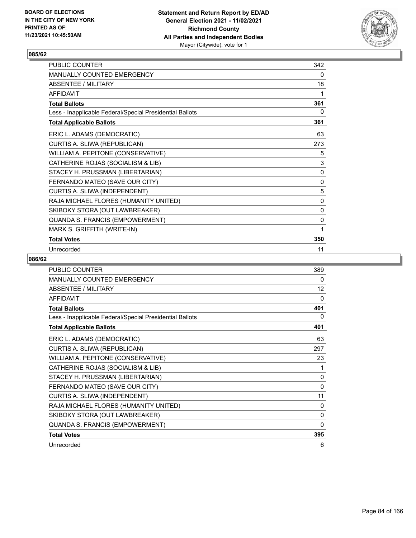

| <b>PUBLIC COUNTER</b>                                    | 342      |
|----------------------------------------------------------|----------|
| <b>MANUALLY COUNTED EMERGENCY</b>                        | 0        |
| ABSENTEE / MILITARY                                      | 18       |
| <b>AFFIDAVIT</b>                                         | 1        |
| <b>Total Ballots</b>                                     | 361      |
| Less - Inapplicable Federal/Special Presidential Ballots | 0        |
| <b>Total Applicable Ballots</b>                          | 361      |
| ERIC L. ADAMS (DEMOCRATIC)                               | 63       |
| CURTIS A. SLIWA (REPUBLICAN)                             | 273      |
| WILLIAM A. PEPITONE (CONSERVATIVE)                       | 5        |
| CATHERINE ROJAS (SOCIALISM & LIB)                        | 3        |
| STACEY H. PRUSSMAN (LIBERTARIAN)                         | 0        |
| FERNANDO MATEO (SAVE OUR CITY)                           | $\Omega$ |
| CURTIS A. SLIWA (INDEPENDENT)                            | 5        |
| RAJA MICHAEL FLORES (HUMANITY UNITED)                    | 0        |
| SKIBOKY STORA (OUT LAWBREAKER)                           | 0        |
| QUANDA S. FRANCIS (EMPOWERMENT)                          | 0        |
| MARK S. GRIFFITH (WRITE-IN)                              | 1        |
| <b>Total Votes</b>                                       | 350      |
| Unrecorded                                               | 11       |

| <b>PUBLIC COUNTER</b>                                    | 389          |
|----------------------------------------------------------|--------------|
| MANUALLY COUNTED EMERGENCY                               | 0            |
| <b>ABSENTEE / MILITARY</b>                               | 12           |
| <b>AFFIDAVIT</b>                                         | 0            |
| <b>Total Ballots</b>                                     | 401          |
| Less - Inapplicable Federal/Special Presidential Ballots | 0            |
| <b>Total Applicable Ballots</b>                          | 401          |
| ERIC L. ADAMS (DEMOCRATIC)                               | 63           |
| CURTIS A. SLIWA (REPUBLICAN)                             | 297          |
| WILLIAM A. PEPITONE (CONSERVATIVE)                       | 23           |
| CATHERINE ROJAS (SOCIALISM & LIB)                        | 1            |
| STACEY H. PRUSSMAN (LIBERTARIAN)                         | 0            |
| FERNANDO MATEO (SAVE OUR CITY)                           | $\mathbf{0}$ |
| CURTIS A. SLIWA (INDEPENDENT)                            | 11           |
| RAJA MICHAEL FLORES (HUMANITY UNITED)                    | 0            |
| SKIBOKY STORA (OUT LAWBREAKER)                           | 0            |
| QUANDA S. FRANCIS (EMPOWERMENT)                          | 0            |
| <b>Total Votes</b>                                       | 395          |
| Unrecorded                                               | 6            |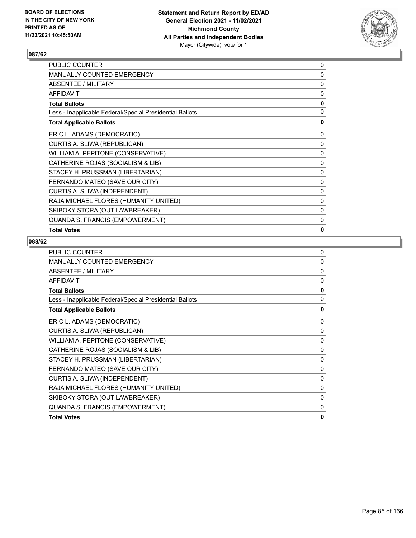

| PUBLIC COUNTER                                           | 0            |
|----------------------------------------------------------|--------------|
| <b>MANUALLY COUNTED EMERGENCY</b>                        | 0            |
| ABSENTEE / MILITARY                                      | 0            |
| <b>AFFIDAVIT</b>                                         | 0            |
| <b>Total Ballots</b>                                     | 0            |
| Less - Inapplicable Federal/Special Presidential Ballots | 0            |
| <b>Total Applicable Ballots</b>                          | 0            |
| ERIC L. ADAMS (DEMOCRATIC)                               | 0            |
| CURTIS A. SLIWA (REPUBLICAN)                             | 0            |
| WILLIAM A. PEPITONE (CONSERVATIVE)                       | 0            |
| CATHERINE ROJAS (SOCIALISM & LIB)                        | 0            |
| STACEY H. PRUSSMAN (LIBERTARIAN)                         | 0            |
| FERNANDO MATEO (SAVE OUR CITY)                           | 0            |
| CURTIS A. SLIWA (INDEPENDENT)                            | 0            |
| RAJA MICHAEL FLORES (HUMANITY UNITED)                    | 0            |
| SKIBOKY STORA (OUT LAWBREAKER)                           | 0            |
| QUANDA S. FRANCIS (EMPOWERMENT)                          | $\mathbf{0}$ |
| <b>Total Votes</b>                                       | 0            |

| <b>PUBLIC COUNTER</b>                                    | 0        |
|----------------------------------------------------------|----------|
| MANUALLY COUNTED EMERGENCY                               | 0        |
| <b>ABSENTEE / MILITARY</b>                               | $\Omega$ |
| <b>AFFIDAVIT</b>                                         | $\Omega$ |
| <b>Total Ballots</b>                                     | 0        |
| Less - Inapplicable Federal/Special Presidential Ballots | 0        |
| <b>Total Applicable Ballots</b>                          | 0        |
| ERIC L. ADAMS (DEMOCRATIC)                               | 0        |
| CURTIS A. SLIWA (REPUBLICAN)                             | 0        |
| WILLIAM A. PEPITONE (CONSERVATIVE)                       | 0        |
| CATHERINE ROJAS (SOCIALISM & LIB)                        | 0        |
| STACEY H. PRUSSMAN (LIBERTARIAN)                         | 0        |
| FERNANDO MATEO (SAVE OUR CITY)                           | 0        |
| CURTIS A. SLIWA (INDEPENDENT)                            | 0        |
| RAJA MICHAEL FLORES (HUMANITY UNITED)                    | 0        |
| SKIBOKY STORA (OUT LAWBREAKER)                           | 0        |
| QUANDA S. FRANCIS (EMPOWERMENT)                          | 0        |
| <b>Total Votes</b>                                       | 0        |
|                                                          |          |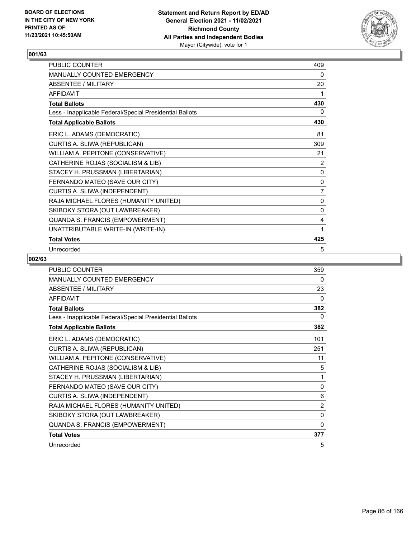

| <b>PUBLIC COUNTER</b>                                    | 409            |
|----------------------------------------------------------|----------------|
| <b>MANUALLY COUNTED EMERGENCY</b>                        | 0              |
| ABSENTEE / MILITARY                                      | 20             |
| <b>AFFIDAVIT</b>                                         | 1              |
| <b>Total Ballots</b>                                     | 430            |
| Less - Inapplicable Federal/Special Presidential Ballots | 0              |
| <b>Total Applicable Ballots</b>                          | 430            |
| ERIC L. ADAMS (DEMOCRATIC)                               | 81             |
| CURTIS A. SLIWA (REPUBLICAN)                             | 309            |
| WILLIAM A. PEPITONE (CONSERVATIVE)                       | 21             |
| CATHERINE ROJAS (SOCIALISM & LIB)                        | 2              |
| STACEY H. PRUSSMAN (LIBERTARIAN)                         | 0              |
| FERNANDO MATEO (SAVE OUR CITY)                           | 0              |
| CURTIS A. SLIWA (INDEPENDENT)                            | $\overline{7}$ |
| RAJA MICHAEL FLORES (HUMANITY UNITED)                    | 0              |
| SKIBOKY STORA (OUT LAWBREAKER)                           | 0              |
| QUANDA S. FRANCIS (EMPOWERMENT)                          | 4              |
| UNATTRIBUTABLE WRITE-IN (WRITE-IN)                       | 1              |
| <b>Total Votes</b>                                       | 425            |
| Unrecorded                                               | 5              |

| <b>PUBLIC COUNTER</b>                                    | 359            |
|----------------------------------------------------------|----------------|
| <b>MANUALLY COUNTED EMERGENCY</b>                        | 0              |
| <b>ABSENTEE / MILITARY</b>                               | 23             |
| <b>AFFIDAVIT</b>                                         | 0              |
| <b>Total Ballots</b>                                     | 382            |
| Less - Inapplicable Federal/Special Presidential Ballots | 0              |
| <b>Total Applicable Ballots</b>                          | 382            |
| ERIC L. ADAMS (DEMOCRATIC)                               | 101            |
| CURTIS A. SLIWA (REPUBLICAN)                             | 251            |
| WILLIAM A. PEPITONE (CONSERVATIVE)                       | 11             |
| CATHERINE ROJAS (SOCIALISM & LIB)                        | 5              |
| STACEY H. PRUSSMAN (LIBERTARIAN)                         | 1              |
| FERNANDO MATEO (SAVE OUR CITY)                           | 0              |
| CURTIS A. SLIWA (INDEPENDENT)                            | 6              |
| RAJA MICHAEL FLORES (HUMANITY UNITED)                    | $\overline{2}$ |
| SKIBOKY STORA (OUT LAWBREAKER)                           | 0              |
| QUANDA S. FRANCIS (EMPOWERMENT)                          | 0              |
| <b>Total Votes</b>                                       | 377            |
| Unrecorded                                               | 5              |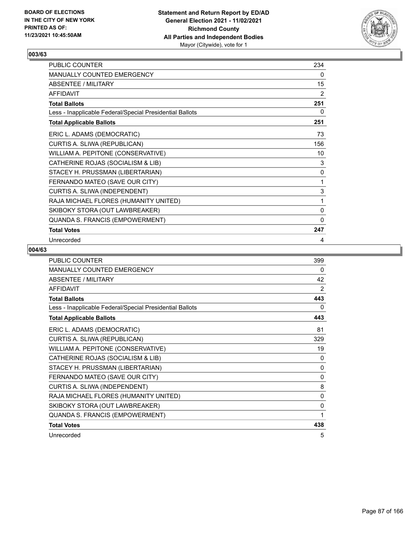

| PUBLIC COUNTER                                           | 234       |
|----------------------------------------------------------|-----------|
| MANUALLY COUNTED EMERGENCY                               | 0         |
| ABSENTEE / MILITARY                                      | 15        |
| <b>AFFIDAVIT</b>                                         | 2         |
| <b>Total Ballots</b>                                     | 251       |
| Less - Inapplicable Federal/Special Presidential Ballots | 0         |
| <b>Total Applicable Ballots</b>                          | 251       |
| ERIC L. ADAMS (DEMOCRATIC)                               | 73        |
| CURTIS A. SLIWA (REPUBLICAN)                             | 156       |
| WILLIAM A. PEPITONE (CONSERVATIVE)                       | 10        |
| CATHERINE ROJAS (SOCIALISM & LIB)                        | 3         |
| STACEY H. PRUSSMAN (LIBERTARIAN)                         | $\pmb{0}$ |
| FERNANDO MATEO (SAVE OUR CITY)                           | 1         |
| CURTIS A. SLIWA (INDEPENDENT)                            | 3         |
| RAJA MICHAEL FLORES (HUMANITY UNITED)                    | 1         |
| SKIBOKY STORA (OUT LAWBREAKER)                           | 0         |
| QUANDA S. FRANCIS (EMPOWERMENT)                          | 0         |
| <b>Total Votes</b>                                       | 247       |
| Unrecorded                                               | 4         |

| <b>PUBLIC COUNTER</b>                                    | 399            |
|----------------------------------------------------------|----------------|
| <b>MANUALLY COUNTED EMERGENCY</b>                        | 0              |
| ABSENTEE / MILITARY                                      | 42             |
| <b>AFFIDAVIT</b>                                         | $\overline{2}$ |
| <b>Total Ballots</b>                                     | 443            |
| Less - Inapplicable Federal/Special Presidential Ballots | 0              |
| <b>Total Applicable Ballots</b>                          | 443            |
| ERIC L. ADAMS (DEMOCRATIC)                               | 81             |
| CURTIS A. SLIWA (REPUBLICAN)                             | 329            |
| WILLIAM A. PEPITONE (CONSERVATIVE)                       | 19             |
| CATHERINE ROJAS (SOCIALISM & LIB)                        | $\Omega$       |
| STACEY H. PRUSSMAN (LIBERTARIAN)                         | $\mathbf{0}$   |
| FERNANDO MATEO (SAVE OUR CITY)                           | $\mathbf{0}$   |
| CURTIS A. SLIWA (INDEPENDENT)                            | 8              |
| RAJA MICHAEL FLORES (HUMANITY UNITED)                    | 0              |
| SKIBOKY STORA (OUT LAWBREAKER)                           | 0              |
| QUANDA S. FRANCIS (EMPOWERMENT)                          | 1              |
| <b>Total Votes</b>                                       | 438            |
| Unrecorded                                               | 5              |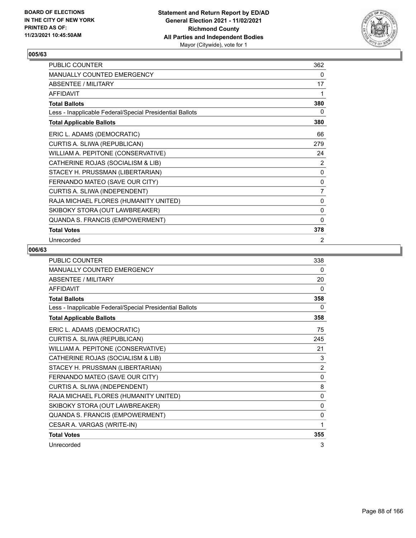

| PUBLIC COUNTER                                           | 362            |
|----------------------------------------------------------|----------------|
| MANUALLY COUNTED EMERGENCY                               | 0              |
| <b>ABSENTEE / MILITARY</b>                               | 17             |
| <b>AFFIDAVIT</b>                                         | 1              |
| <b>Total Ballots</b>                                     | 380            |
| Less - Inapplicable Federal/Special Presidential Ballots | 0              |
| <b>Total Applicable Ballots</b>                          | 380            |
| ERIC L. ADAMS (DEMOCRATIC)                               | 66             |
| CURTIS A. SLIWA (REPUBLICAN)                             | 279            |
| WILLIAM A. PEPITONE (CONSERVATIVE)                       | 24             |
| CATHERINE ROJAS (SOCIALISM & LIB)                        | 2              |
| STACEY H. PRUSSMAN (LIBERTARIAN)                         | 0              |
| FERNANDO MATEO (SAVE OUR CITY)                           | 0              |
| CURTIS A. SLIWA (INDEPENDENT)                            | $\overline{7}$ |
| RAJA MICHAEL FLORES (HUMANITY UNITED)                    | 0              |
| SKIBOKY STORA (OUT LAWBREAKER)                           | 0              |
| QUANDA S. FRANCIS (EMPOWERMENT)                          | $\mathbf{0}$   |
| <b>Total Votes</b>                                       | 378            |
| Unrecorded                                               | 2              |

| <b>PUBLIC COUNTER</b>                                    | 338            |
|----------------------------------------------------------|----------------|
| <b>MANUALLY COUNTED EMERGENCY</b>                        | 0              |
| ABSENTEE / MILITARY                                      | 20             |
| <b>AFFIDAVIT</b>                                         | 0              |
| <b>Total Ballots</b>                                     | 358            |
| Less - Inapplicable Federal/Special Presidential Ballots | 0              |
| <b>Total Applicable Ballots</b>                          | 358            |
| ERIC L. ADAMS (DEMOCRATIC)                               | 75             |
| CURTIS A. SLIWA (REPUBLICAN)                             | 245            |
| WILLIAM A. PEPITONE (CONSERVATIVE)                       | 21             |
| CATHERINE ROJAS (SOCIALISM & LIB)                        | 3              |
| STACEY H. PRUSSMAN (LIBERTARIAN)                         | $\overline{2}$ |
| FERNANDO MATEO (SAVE OUR CITY)                           | 0              |
| CURTIS A. SLIWA (INDEPENDENT)                            | 8              |
| RAJA MICHAEL FLORES (HUMANITY UNITED)                    | 0              |
| SKIBOKY STORA (OUT LAWBREAKER)                           | $\Omega$       |
| QUANDA S. FRANCIS (EMPOWERMENT)                          | $\mathbf{0}$   |
| CESAR A. VARGAS (WRITE-IN)                               | 1              |
| <b>Total Votes</b>                                       | 355            |
| Unrecorded                                               | 3              |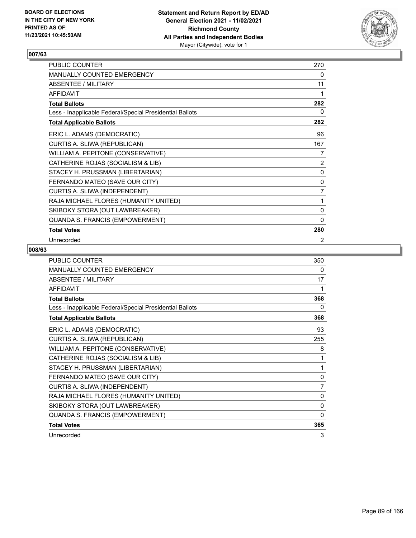

| PUBLIC COUNTER                                           | 270            |
|----------------------------------------------------------|----------------|
| MANUALLY COUNTED EMERGENCY                               | 0              |
| ABSENTEE / MILITARY                                      | 11             |
| <b>AFFIDAVIT</b>                                         | 1              |
| <b>Total Ballots</b>                                     | 282            |
| Less - Inapplicable Federal/Special Presidential Ballots | 0              |
| <b>Total Applicable Ballots</b>                          | 282            |
| ERIC L. ADAMS (DEMOCRATIC)                               | 96             |
| CURTIS A. SLIWA (REPUBLICAN)                             | 167            |
| WILLIAM A. PEPITONE (CONSERVATIVE)                       | 7              |
| CATHERINE ROJAS (SOCIALISM & LIB)                        | $\overline{2}$ |
| STACEY H. PRUSSMAN (LIBERTARIAN)                         | 0              |
| FERNANDO MATEO (SAVE OUR CITY)                           | 0              |
| CURTIS A. SLIWA (INDEPENDENT)                            | 7              |
| RAJA MICHAEL FLORES (HUMANITY UNITED)                    | 1              |
| SKIBOKY STORA (OUT LAWBREAKER)                           | 0              |
| QUANDA S. FRANCIS (EMPOWERMENT)                          | $\mathbf{0}$   |
| <b>Total Votes</b>                                       | 280            |
| Unrecorded                                               | 2              |

| <b>PUBLIC COUNTER</b>                                    | 350          |
|----------------------------------------------------------|--------------|
| MANUALLY COUNTED EMERGENCY                               | 0            |
| ABSENTEE / MILITARY                                      | 17           |
| <b>AFFIDAVIT</b>                                         | 1            |
| <b>Total Ballots</b>                                     | 368          |
| Less - Inapplicable Federal/Special Presidential Ballots | 0            |
| <b>Total Applicable Ballots</b>                          | 368          |
| ERIC L. ADAMS (DEMOCRATIC)                               | 93           |
| CURTIS A. SLIWA (REPUBLICAN)                             | 255          |
| WILLIAM A. PEPITONE (CONSERVATIVE)                       | 8            |
| CATHERINE ROJAS (SOCIALISM & LIB)                        | 1            |
| STACEY H. PRUSSMAN (LIBERTARIAN)                         | 1            |
| FERNANDO MATEO (SAVE OUR CITY)                           | $\mathbf{0}$ |
| CURTIS A. SLIWA (INDEPENDENT)                            | 7            |
| RAJA MICHAEL FLORES (HUMANITY UNITED)                    | 0            |
| SKIBOKY STORA (OUT LAWBREAKER)                           | 0            |
| QUANDA S. FRANCIS (EMPOWERMENT)                          | $\mathbf{0}$ |
| <b>Total Votes</b>                                       | 365          |
| Unrecorded                                               | 3            |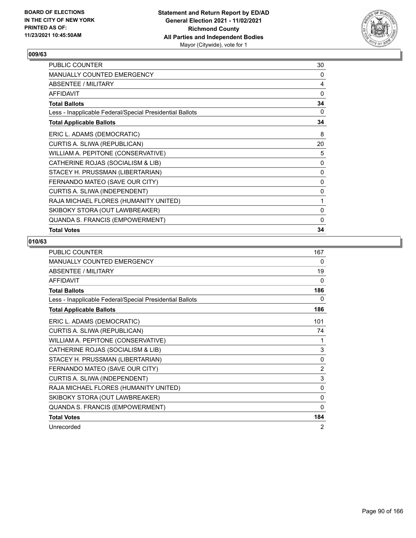

| PUBLIC COUNTER                                           | 30           |
|----------------------------------------------------------|--------------|
| <b>MANUALLY COUNTED EMERGENCY</b>                        | 0            |
| ABSENTEE / MILITARY                                      | 4            |
| <b>AFFIDAVIT</b>                                         | 0            |
| <b>Total Ballots</b>                                     | 34           |
| Less - Inapplicable Federal/Special Presidential Ballots | 0            |
| <b>Total Applicable Ballots</b>                          | 34           |
| ERIC L. ADAMS (DEMOCRATIC)                               | 8            |
| CURTIS A. SLIWA (REPUBLICAN)                             | 20           |
| WILLIAM A. PEPITONE (CONSERVATIVE)                       | 5            |
| CATHERINE ROJAS (SOCIALISM & LIB)                        | 0            |
| STACEY H. PRUSSMAN (LIBERTARIAN)                         | 0            |
| FERNANDO MATEO (SAVE OUR CITY)                           | $\mathbf{0}$ |
| CURTIS A. SLIWA (INDEPENDENT)                            | 0            |
| RAJA MICHAEL FLORES (HUMANITY UNITED)                    | 1            |
| SKIBOKY STORA (OUT LAWBREAKER)                           | 0            |
| QUANDA S. FRANCIS (EMPOWERMENT)                          | 0            |
| <b>Total Votes</b>                                       | 34           |

| <b>PUBLIC COUNTER</b>                                    | 167            |
|----------------------------------------------------------|----------------|
| <b>MANUALLY COUNTED EMERGENCY</b>                        | 0              |
| ABSENTEE / MILITARY                                      | 19             |
| <b>AFFIDAVIT</b>                                         | $\Omega$       |
| <b>Total Ballots</b>                                     | 186            |
| Less - Inapplicable Federal/Special Presidential Ballots | 0              |
| <b>Total Applicable Ballots</b>                          | 186            |
| ERIC L. ADAMS (DEMOCRATIC)                               | 101            |
| CURTIS A. SLIWA (REPUBLICAN)                             | 74             |
| WILLIAM A. PEPITONE (CONSERVATIVE)                       | 1              |
| CATHERINE ROJAS (SOCIALISM & LIB)                        | 3              |
| STACEY H. PRUSSMAN (LIBERTARIAN)                         | 0              |
| FERNANDO MATEO (SAVE OUR CITY)                           | $\overline{2}$ |
| CURTIS A. SLIWA (INDEPENDENT)                            | 3              |
| RAJA MICHAEL FLORES (HUMANITY UNITED)                    | $\Omega$       |
| SKIBOKY STORA (OUT LAWBREAKER)                           | 0              |
| QUANDA S. FRANCIS (EMPOWERMENT)                          | 0              |
| <b>Total Votes</b>                                       | 184            |
| Unrecorded                                               | 2              |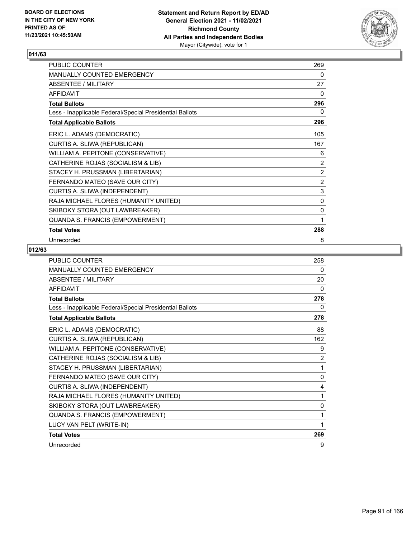

| PUBLIC COUNTER                                           | 269         |
|----------------------------------------------------------|-------------|
| <b>MANUALLY COUNTED EMERGENCY</b>                        | 0           |
| <b>ABSENTEE / MILITARY</b>                               | 27          |
| <b>AFFIDAVIT</b>                                         | $\Omega$    |
| <b>Total Ballots</b>                                     | 296         |
| Less - Inapplicable Federal/Special Presidential Ballots | 0           |
| <b>Total Applicable Ballots</b>                          | 296         |
| ERIC L. ADAMS (DEMOCRATIC)                               | 105         |
| CURTIS A. SLIWA (REPUBLICAN)                             | 167         |
| WILLIAM A. PEPITONE (CONSERVATIVE)                       | 6           |
| CATHERINE ROJAS (SOCIALISM & LIB)                        | 2           |
| STACEY H. PRUSSMAN (LIBERTARIAN)                         | 2           |
| FERNANDO MATEO (SAVE OUR CITY)                           | 2           |
| CURTIS A. SLIWA (INDEPENDENT)                            | 3           |
| RAJA MICHAEL FLORES (HUMANITY UNITED)                    | 0           |
| SKIBOKY STORA (OUT LAWBREAKER)                           | $\mathbf 0$ |
| QUANDA S. FRANCIS (EMPOWERMENT)                          | 1           |
| <b>Total Votes</b>                                       | 288         |
| Unrecorded                                               | 8           |

| <b>PUBLIC COUNTER</b>                                    | 258            |
|----------------------------------------------------------|----------------|
| MANUALLY COUNTED EMERGENCY                               | 0              |
| ABSENTEE / MILITARY                                      | 20             |
| <b>AFFIDAVIT</b>                                         | 0              |
| <b>Total Ballots</b>                                     | 278            |
| Less - Inapplicable Federal/Special Presidential Ballots | 0              |
| <b>Total Applicable Ballots</b>                          | 278            |
| ERIC L. ADAMS (DEMOCRATIC)                               | 88             |
| CURTIS A. SLIWA (REPUBLICAN)                             | 162            |
| WILLIAM A. PEPITONE (CONSERVATIVE)                       | 9              |
| CATHERINE ROJAS (SOCIALISM & LIB)                        | $\overline{2}$ |
| STACEY H. PRUSSMAN (LIBERTARIAN)                         | 1              |
| FERNANDO MATEO (SAVE OUR CITY)                           | $\Omega$       |
| CURTIS A. SLIWA (INDEPENDENT)                            | 4              |
| RAJA MICHAEL FLORES (HUMANITY UNITED)                    | 1              |
| SKIBOKY STORA (OUT LAWBREAKER)                           | $\mathbf{0}$   |
| QUANDA S. FRANCIS (EMPOWERMENT)                          | 1              |
| LUCY VAN PELT (WRITE-IN)                                 | 1              |
| <b>Total Votes</b>                                       | 269            |
| Unrecorded                                               | 9              |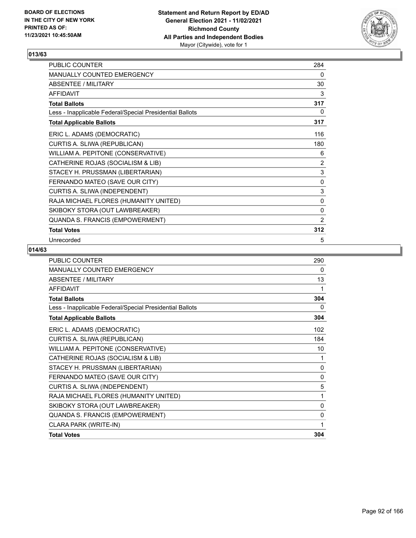

| PUBLIC COUNTER                                           | 284            |
|----------------------------------------------------------|----------------|
| <b>MANUALLY COUNTED EMERGENCY</b>                        | $\mathbf{0}$   |
| <b>ABSENTEE / MILITARY</b>                               | 30             |
| <b>AFFIDAVIT</b>                                         | 3              |
| <b>Total Ballots</b>                                     | 317            |
| Less - Inapplicable Federal/Special Presidential Ballots | 0              |
| <b>Total Applicable Ballots</b>                          | 317            |
| ERIC L. ADAMS (DEMOCRATIC)                               | 116            |
| CURTIS A. SLIWA (REPUBLICAN)                             | 180            |
| WILLIAM A. PEPITONE (CONSERVATIVE)                       | 6              |
| CATHERINE ROJAS (SOCIALISM & LIB)                        | 2              |
| STACEY H. PRUSSMAN (LIBERTARIAN)                         | 3              |
| FERNANDO MATEO (SAVE OUR CITY)                           | 0              |
| CURTIS A. SLIWA (INDEPENDENT)                            | 3              |
| RAJA MICHAEL FLORES (HUMANITY UNITED)                    | $\mathbf 0$    |
| SKIBOKY STORA (OUT LAWBREAKER)                           | $\mathbf 0$    |
| QUANDA S. FRANCIS (EMPOWERMENT)                          | $\overline{2}$ |
| <b>Total Votes</b>                                       | 312            |
| Unrecorded                                               | 5              |

| <b>PUBLIC COUNTER</b>                                    | 290          |
|----------------------------------------------------------|--------------|
| <b>MANUALLY COUNTED EMERGENCY</b>                        | 0            |
| ABSENTEE / MILITARY                                      | 13           |
| <b>AFFIDAVIT</b>                                         | 1            |
| <b>Total Ballots</b>                                     | 304          |
| Less - Inapplicable Federal/Special Presidential Ballots | 0            |
| <b>Total Applicable Ballots</b>                          | 304          |
| ERIC L. ADAMS (DEMOCRATIC)                               | 102          |
| CURTIS A. SLIWA (REPUBLICAN)                             | 184          |
| WILLIAM A. PEPITONE (CONSERVATIVE)                       | 10           |
| CATHERINE ROJAS (SOCIALISM & LIB)                        | 1            |
| STACEY H. PRUSSMAN (LIBERTARIAN)                         | $\mathbf{0}$ |
| FERNANDO MATEO (SAVE OUR CITY)                           | 0            |
| CURTIS A. SLIWA (INDEPENDENT)                            | 5            |
| RAJA MICHAEL FLORES (HUMANITY UNITED)                    | 1            |
| SKIBOKY STORA (OUT LAWBREAKER)                           | $\mathbf{0}$ |
| QUANDA S. FRANCIS (EMPOWERMENT)                          | $\mathbf{0}$ |
| CLARA PARK (WRITE-IN)                                    | 1            |
| <b>Total Votes</b>                                       | 304          |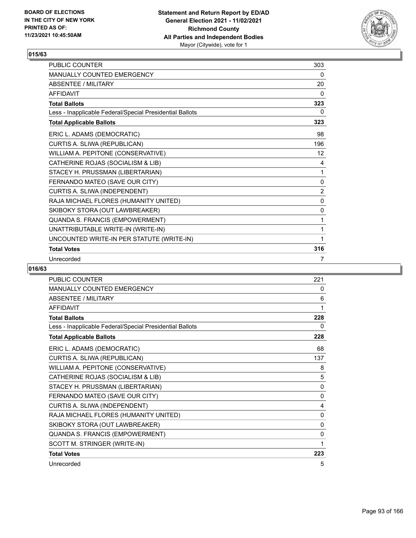

| <b>PUBLIC COUNTER</b>                                    | 303 |
|----------------------------------------------------------|-----|
| <b>MANUALLY COUNTED EMERGENCY</b>                        | 0   |
| <b>ABSENTEE / MILITARY</b>                               | 20  |
| <b>AFFIDAVIT</b>                                         | 0   |
| <b>Total Ballots</b>                                     | 323 |
| Less - Inapplicable Federal/Special Presidential Ballots | 0   |
| <b>Total Applicable Ballots</b>                          | 323 |
| ERIC L. ADAMS (DEMOCRATIC)                               | 98  |
| CURTIS A. SLIWA (REPUBLICAN)                             | 196 |
| WILLIAM A. PEPITONE (CONSERVATIVE)                       | 12  |
| CATHERINE ROJAS (SOCIALISM & LIB)                        | 4   |
| STACEY H. PRUSSMAN (LIBERTARIAN)                         | 1   |
| FERNANDO MATEO (SAVE OUR CITY)                           | 0   |
| CURTIS A. SLIWA (INDEPENDENT)                            | 2   |
| RAJA MICHAEL FLORES (HUMANITY UNITED)                    | 0   |
| SKIBOKY STORA (OUT LAWBREAKER)                           | 0   |
| QUANDA S. FRANCIS (EMPOWERMENT)                          | 1   |
| UNATTRIBUTABLE WRITE-IN (WRITE-IN)                       | 1   |
| UNCOUNTED WRITE-IN PER STATUTE (WRITE-IN)                | 1   |
| <b>Total Votes</b>                                       | 316 |
| Unrecorded                                               | 7   |

| PUBLIC COUNTER                                           | 221      |
|----------------------------------------------------------|----------|
| MANUALLY COUNTED EMERGENCY                               | 0        |
| <b>ABSENTEE / MILITARY</b>                               | 6        |
| <b>AFFIDAVIT</b>                                         | 1        |
| <b>Total Ballots</b>                                     | 228      |
| Less - Inapplicable Federal/Special Presidential Ballots | 0        |
| <b>Total Applicable Ballots</b>                          | 228      |
| ERIC L. ADAMS (DEMOCRATIC)                               | 68       |
| CURTIS A. SLIWA (REPUBLICAN)                             | 137      |
| WILLIAM A. PEPITONE (CONSERVATIVE)                       | 8        |
| CATHERINE ROJAS (SOCIALISM & LIB)                        | 5        |
| STACEY H. PRUSSMAN (LIBERTARIAN)                         | $\Omega$ |
| FERNANDO MATEO (SAVE OUR CITY)                           | 0        |
| CURTIS A. SLIWA (INDEPENDENT)                            | 4        |
| RAJA MICHAEL FLORES (HUMANITY UNITED)                    | 0        |
| SKIBOKY STORA (OUT LAWBREAKER)                           | 0        |
| QUANDA S. FRANCIS (EMPOWERMENT)                          | 0        |
| SCOTT M. STRINGER (WRITE-IN)                             |          |
| <b>Total Votes</b>                                       | 223      |
| Unrecorded                                               | 5        |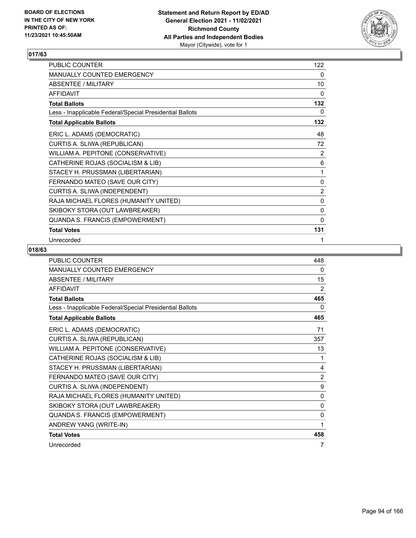

| PUBLIC COUNTER                                           | 122            |
|----------------------------------------------------------|----------------|
| MANUALLY COUNTED EMERGENCY                               | $\mathbf{0}$   |
| ABSENTEE / MILITARY                                      | 10             |
| <b>AFFIDAVIT</b>                                         | 0              |
| <b>Total Ballots</b>                                     | 132            |
| Less - Inapplicable Federal/Special Presidential Ballots | 0              |
| <b>Total Applicable Ballots</b>                          | 132            |
| ERIC L. ADAMS (DEMOCRATIC)                               | 48             |
| CURTIS A. SLIWA (REPUBLICAN)                             | 72             |
| WILLIAM A. PEPITONE (CONSERVATIVE)                       | 2              |
| CATHERINE ROJAS (SOCIALISM & LIB)                        | 6              |
| STACEY H. PRUSSMAN (LIBERTARIAN)                         | 1              |
| FERNANDO MATEO (SAVE OUR CITY)                           | 0              |
| CURTIS A. SLIWA (INDEPENDENT)                            | $\overline{c}$ |
| RAJA MICHAEL FLORES (HUMANITY UNITED)                    | 0              |
| SKIBOKY STORA (OUT LAWBREAKER)                           | $\mathbf 0$    |
| QUANDA S. FRANCIS (EMPOWERMENT)                          | 0              |
| <b>Total Votes</b>                                       | 131            |
| Unrecorded                                               | 1              |

| <b>PUBLIC COUNTER</b>                                    | 448          |
|----------------------------------------------------------|--------------|
| <b>MANUALLY COUNTED EMERGENCY</b>                        | 0            |
| ABSENTEE / MILITARY                                      | 15           |
| <b>AFFIDAVIT</b>                                         | 2            |
| <b>Total Ballots</b>                                     | 465          |
| Less - Inapplicable Federal/Special Presidential Ballots | 0            |
| <b>Total Applicable Ballots</b>                          | 465          |
| ERIC L. ADAMS (DEMOCRATIC)                               | 71           |
| CURTIS A. SLIWA (REPUBLICAN)                             | 357          |
| WILLIAM A. PEPITONE (CONSERVATIVE)                       | 13           |
| CATHERINE ROJAS (SOCIALISM & LIB)                        | 1            |
| STACEY H. PRUSSMAN (LIBERTARIAN)                         | 4            |
| FERNANDO MATEO (SAVE OUR CITY)                           | 2            |
| CURTIS A. SLIWA (INDEPENDENT)                            | 9            |
| RAJA MICHAEL FLORES (HUMANITY UNITED)                    | $\mathbf{0}$ |
| SKIBOKY STORA (OUT LAWBREAKER)                           | 0            |
| QUANDA S. FRANCIS (EMPOWERMENT)                          | $\Omega$     |
| ANDREW YANG (WRITE-IN)                                   | 1            |
| <b>Total Votes</b>                                       | 458          |
| Unrecorded                                               | 7            |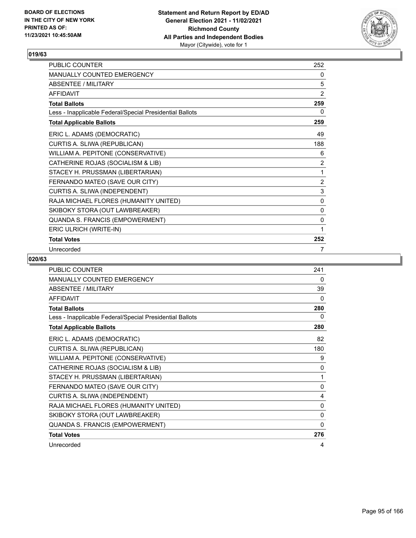

| <b>PUBLIC COUNTER</b>                                    | 252            |
|----------------------------------------------------------|----------------|
| <b>MANUALLY COUNTED EMERGENCY</b>                        | 0              |
| ABSENTEE / MILITARY                                      | 5              |
| <b>AFFIDAVIT</b>                                         | 2              |
| <b>Total Ballots</b>                                     | 259            |
| Less - Inapplicable Federal/Special Presidential Ballots | 0              |
| <b>Total Applicable Ballots</b>                          | 259            |
| ERIC L. ADAMS (DEMOCRATIC)                               | 49             |
| CURTIS A. SLIWA (REPUBLICAN)                             | 188            |
| WILLIAM A. PEPITONE (CONSERVATIVE)                       | 6              |
| CATHERINE ROJAS (SOCIALISM & LIB)                        | 2              |
| STACEY H. PRUSSMAN (LIBERTARIAN)                         | 1              |
| FERNANDO MATEO (SAVE OUR CITY)                           | $\overline{2}$ |
| CURTIS A. SLIWA (INDEPENDENT)                            | $\mathsf 3$    |
| RAJA MICHAEL FLORES (HUMANITY UNITED)                    | 0              |
| SKIBOKY STORA (OUT LAWBREAKER)                           | 0              |
| QUANDA S. FRANCIS (EMPOWERMENT)                          | 0              |
| ERIC ULRICH (WRITE-IN)                                   | 1              |
| <b>Total Votes</b>                                       | 252            |
| Unrecorded                                               | 7              |

| <b>PUBLIC COUNTER</b>                                    | 241 |
|----------------------------------------------------------|-----|
| MANUALLY COUNTED EMERGENCY                               | 0   |
| <b>ABSENTEE / MILITARY</b>                               | 39  |
| <b>AFFIDAVIT</b>                                         | 0   |
| <b>Total Ballots</b>                                     | 280 |
| Less - Inapplicable Federal/Special Presidential Ballots | 0   |
| <b>Total Applicable Ballots</b>                          | 280 |
| ERIC L. ADAMS (DEMOCRATIC)                               | 82  |
| CURTIS A. SLIWA (REPUBLICAN)                             | 180 |
| WILLIAM A. PEPITONE (CONSERVATIVE)                       | 9   |
| CATHERINE ROJAS (SOCIALISM & LIB)                        | 0   |
| STACEY H. PRUSSMAN (LIBERTARIAN)                         | 1   |
| FERNANDO MATEO (SAVE OUR CITY)                           | 0   |
| CURTIS A. SLIWA (INDEPENDENT)                            | 4   |
| RAJA MICHAEL FLORES (HUMANITY UNITED)                    | 0   |
| SKIBOKY STORA (OUT LAWBREAKER)                           | 0   |
| QUANDA S. FRANCIS (EMPOWERMENT)                          | 0   |
| <b>Total Votes</b>                                       | 276 |
| Unrecorded                                               | 4   |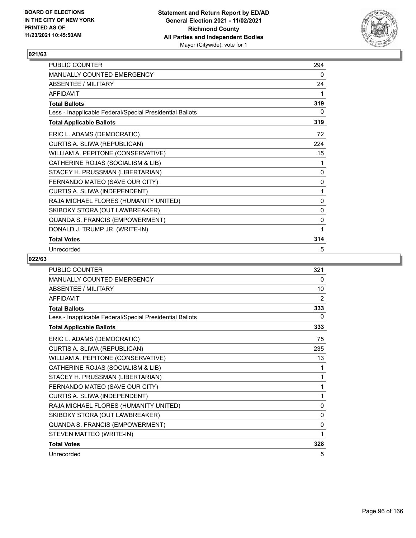

| <b>PUBLIC COUNTER</b>                                    | 294 |
|----------------------------------------------------------|-----|
| <b>MANUALLY COUNTED EMERGENCY</b>                        | 0   |
| ABSENTEE / MILITARY                                      | 24  |
| <b>AFFIDAVIT</b>                                         | 1   |
| <b>Total Ballots</b>                                     | 319 |
| Less - Inapplicable Federal/Special Presidential Ballots | 0   |
| <b>Total Applicable Ballots</b>                          | 319 |
| ERIC L. ADAMS (DEMOCRATIC)                               | 72  |
| CURTIS A. SLIWA (REPUBLICAN)                             | 224 |
| WILLIAM A. PEPITONE (CONSERVATIVE)                       | 15  |
| CATHERINE ROJAS (SOCIALISM & LIB)                        | 1   |
| STACEY H. PRUSSMAN (LIBERTARIAN)                         | 0   |
| FERNANDO MATEO (SAVE OUR CITY)                           | 0   |
| CURTIS A. SLIWA (INDEPENDENT)                            | 1   |
| RAJA MICHAEL FLORES (HUMANITY UNITED)                    | 0   |
| SKIBOKY STORA (OUT LAWBREAKER)                           | 0   |
| QUANDA S. FRANCIS (EMPOWERMENT)                          | 0   |
| DONALD J. TRUMP JR. (WRITE-IN)                           | 1   |
| <b>Total Votes</b>                                       | 314 |
| Unrecorded                                               | 5   |

| PUBLIC COUNTER                                           | 321            |
|----------------------------------------------------------|----------------|
| <b>MANUALLY COUNTED EMERGENCY</b>                        | 0              |
| <b>ABSENTEE / MILITARY</b>                               | 10             |
| <b>AFFIDAVIT</b>                                         | $\overline{2}$ |
| <b>Total Ballots</b>                                     | 333            |
| Less - Inapplicable Federal/Special Presidential Ballots | 0              |
| <b>Total Applicable Ballots</b>                          | 333            |
| ERIC L. ADAMS (DEMOCRATIC)                               | 75             |
| CURTIS A. SLIWA (REPUBLICAN)                             | 235            |
| WILLIAM A. PEPITONE (CONSERVATIVE)                       | 13             |
| CATHERINE ROJAS (SOCIALISM & LIB)                        | 1              |
| STACEY H. PRUSSMAN (LIBERTARIAN)                         | 1              |
| FERNANDO MATEO (SAVE OUR CITY)                           | 1              |
| CURTIS A. SLIWA (INDEPENDENT)                            | 1              |
| RAJA MICHAEL FLORES (HUMANITY UNITED)                    | 0              |
| SKIBOKY STORA (OUT LAWBREAKER)                           | 0              |
| QUANDA S. FRANCIS (EMPOWERMENT)                          | 0              |
| STEVEN MATTEO (WRITE-IN)                                 | 1              |
| <b>Total Votes</b>                                       | 328            |
| Unrecorded                                               | 5              |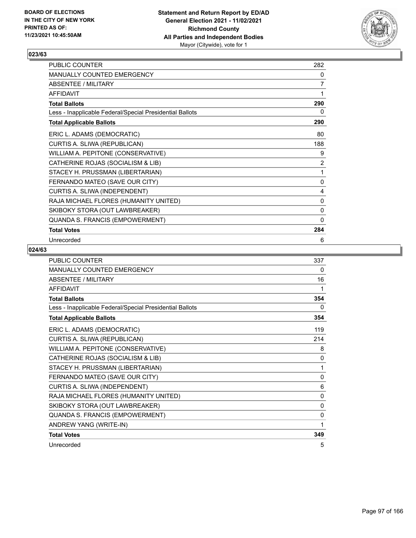

| PUBLIC COUNTER                                           | 282          |
|----------------------------------------------------------|--------------|
| MANUALLY COUNTED EMERGENCY                               | 0            |
| <b>ABSENTEE / MILITARY</b>                               | 7            |
| <b>AFFIDAVIT</b>                                         | 1            |
| <b>Total Ballots</b>                                     | 290          |
| Less - Inapplicable Federal/Special Presidential Ballots | 0            |
| <b>Total Applicable Ballots</b>                          | 290          |
| ERIC L. ADAMS (DEMOCRATIC)                               | 80           |
| CURTIS A. SLIWA (REPUBLICAN)                             | 188          |
| WILLIAM A. PEPITONE (CONSERVATIVE)                       | 9            |
| CATHERINE ROJAS (SOCIALISM & LIB)                        | 2            |
| STACEY H. PRUSSMAN (LIBERTARIAN)                         | 1            |
| FERNANDO MATEO (SAVE OUR CITY)                           | 0            |
| CURTIS A. SLIWA (INDEPENDENT)                            | 4            |
| RAJA MICHAEL FLORES (HUMANITY UNITED)                    | 0            |
| SKIBOKY STORA (OUT LAWBREAKER)                           | 0            |
| QUANDA S. FRANCIS (EMPOWERMENT)                          | $\mathbf{0}$ |
| <b>Total Votes</b>                                       | 284          |
| Unrecorded                                               | 6            |

| <b>PUBLIC COUNTER</b>                                    | 337          |
|----------------------------------------------------------|--------------|
| <b>MANUALLY COUNTED EMERGENCY</b>                        | 0            |
| <b>ABSENTEE / MILITARY</b>                               | 16           |
| <b>AFFIDAVIT</b>                                         | 1            |
| <b>Total Ballots</b>                                     | 354          |
| Less - Inapplicable Federal/Special Presidential Ballots | 0            |
| <b>Total Applicable Ballots</b>                          | 354          |
| ERIC L. ADAMS (DEMOCRATIC)                               | 119          |
| CURTIS A. SLIWA (REPUBLICAN)                             | 214          |
| WILLIAM A. PEPITONE (CONSERVATIVE)                       | 8            |
| CATHERINE ROJAS (SOCIALISM & LIB)                        | $\mathbf{0}$ |
| STACEY H. PRUSSMAN (LIBERTARIAN)                         | 1            |
| FERNANDO MATEO (SAVE OUR CITY)                           | 0            |
| CURTIS A. SLIWA (INDEPENDENT)                            | 6            |
| RAJA MICHAEL FLORES (HUMANITY UNITED)                    | $\mathbf{0}$ |
| SKIBOKY STORA (OUT LAWBREAKER)                           | 0            |
| QUANDA S. FRANCIS (EMPOWERMENT)                          | $\mathbf{0}$ |
| ANDREW YANG (WRITE-IN)                                   | 1            |
| <b>Total Votes</b>                                       | 349          |
| Unrecorded                                               | 5            |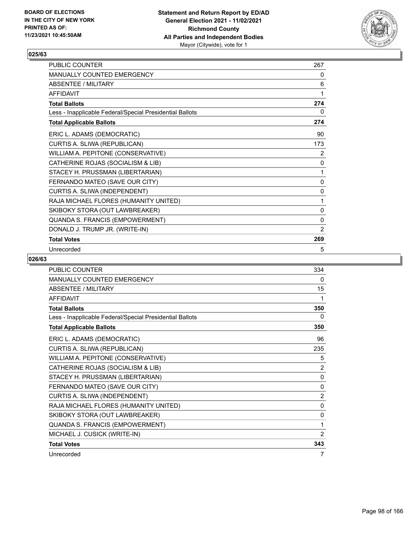

| <b>PUBLIC COUNTER</b>                                    | 267 |
|----------------------------------------------------------|-----|
| <b>MANUALLY COUNTED EMERGENCY</b>                        | 0   |
| ABSENTEE / MILITARY                                      | 6   |
| <b>AFFIDAVIT</b>                                         | 1   |
| <b>Total Ballots</b>                                     | 274 |
| Less - Inapplicable Federal/Special Presidential Ballots | 0   |
| <b>Total Applicable Ballots</b>                          | 274 |
| ERIC L. ADAMS (DEMOCRATIC)                               | 90  |
| CURTIS A. SLIWA (REPUBLICAN)                             | 173 |
| WILLIAM A. PEPITONE (CONSERVATIVE)                       | 2   |
| CATHERINE ROJAS (SOCIALISM & LIB)                        | 0   |
| STACEY H. PRUSSMAN (LIBERTARIAN)                         | 1   |
| FERNANDO MATEO (SAVE OUR CITY)                           | 0   |
| CURTIS A. SLIWA (INDEPENDENT)                            | 0   |
| RAJA MICHAEL FLORES (HUMANITY UNITED)                    | 1   |
| SKIBOKY STORA (OUT LAWBREAKER)                           | 0   |
| QUANDA S. FRANCIS (EMPOWERMENT)                          | 0   |
| DONALD J. TRUMP JR. (WRITE-IN)                           | 2   |
| <b>Total Votes</b>                                       | 269 |
| Unrecorded                                               | 5   |

| <b>PUBLIC COUNTER</b>                                    | 334            |
|----------------------------------------------------------|----------------|
| MANUALLY COUNTED EMERGENCY                               | 0              |
| <b>ABSENTEE / MILITARY</b>                               | 15             |
| <b>AFFIDAVIT</b>                                         | 1              |
| <b>Total Ballots</b>                                     | 350            |
| Less - Inapplicable Federal/Special Presidential Ballots | 0              |
| <b>Total Applicable Ballots</b>                          | 350            |
| ERIC L. ADAMS (DEMOCRATIC)                               | 96             |
| CURTIS A. SLIWA (REPUBLICAN)                             | 235            |
| WILLIAM A. PEPITONE (CONSERVATIVE)                       | 5              |
| CATHERINE ROJAS (SOCIALISM & LIB)                        | $\overline{2}$ |
| STACEY H. PRUSSMAN (LIBERTARIAN)                         | 0              |
| FERNANDO MATEO (SAVE OUR CITY)                           | $\mathbf{0}$   |
| CURTIS A. SLIWA (INDEPENDENT)                            | 2              |
| RAJA MICHAEL FLORES (HUMANITY UNITED)                    | 0              |
| SKIBOKY STORA (OUT LAWBREAKER)                           | 0              |
| QUANDA S. FRANCIS (EMPOWERMENT)                          | 1              |
| MICHAEL J. CUSICK (WRITE-IN)                             | 2              |
| <b>Total Votes</b>                                       | 343            |
| Unrecorded                                               | 7              |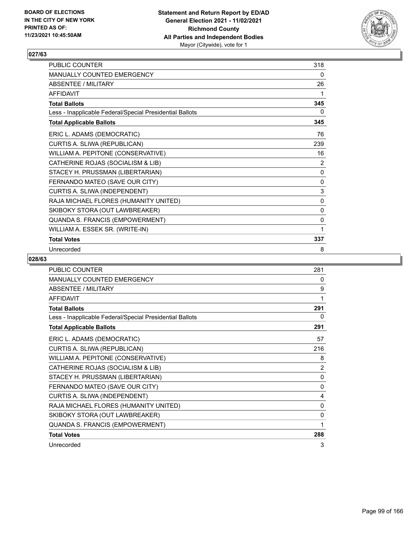

| PUBLIC COUNTER                                           | 318 |
|----------------------------------------------------------|-----|
| <b>MANUALLY COUNTED EMERGENCY</b>                        | 0   |
| ABSENTEE / MILITARY                                      | 26  |
| <b>AFFIDAVIT</b>                                         | 1   |
| <b>Total Ballots</b>                                     | 345 |
| Less - Inapplicable Federal/Special Presidential Ballots | 0   |
| <b>Total Applicable Ballots</b>                          | 345 |
| ERIC L. ADAMS (DEMOCRATIC)                               | 76  |
| CURTIS A. SLIWA (REPUBLICAN)                             | 239 |
| WILLIAM A. PEPITONE (CONSERVATIVE)                       | 16  |
| CATHERINE ROJAS (SOCIALISM & LIB)                        | 2   |
| STACEY H. PRUSSMAN (LIBERTARIAN)                         | 0   |
| FERNANDO MATEO (SAVE OUR CITY)                           | 0   |
| CURTIS A. SLIWA (INDEPENDENT)                            | 3   |
| RAJA MICHAEL FLORES (HUMANITY UNITED)                    | 0   |
| SKIBOKY STORA (OUT LAWBREAKER)                           | 0   |
| QUANDA S. FRANCIS (EMPOWERMENT)                          | 0   |
| WILLIAM A. ESSEK SR. (WRITE-IN)                          | 1   |
| <b>Total Votes</b>                                       | 337 |
| Unrecorded                                               | 8   |

| <b>PUBLIC COUNTER</b>                                    | 281          |
|----------------------------------------------------------|--------------|
| <b>MANUALLY COUNTED EMERGENCY</b>                        | 0            |
| <b>ABSENTEE / MILITARY</b>                               | 9            |
| <b>AFFIDAVIT</b>                                         | 1            |
| <b>Total Ballots</b>                                     | 291          |
| Less - Inapplicable Federal/Special Presidential Ballots | 0            |
| <b>Total Applicable Ballots</b>                          | 291          |
| ERIC L. ADAMS (DEMOCRATIC)                               | 57           |
| CURTIS A. SLIWA (REPUBLICAN)                             | 216          |
| WILLIAM A. PEPITONE (CONSERVATIVE)                       | 8            |
| CATHERINE ROJAS (SOCIALISM & LIB)                        | 2            |
| STACEY H. PRUSSMAN (LIBERTARIAN)                         | 0            |
| FERNANDO MATEO (SAVE OUR CITY)                           | $\mathbf{0}$ |
| CURTIS A. SLIWA (INDEPENDENT)                            | 4            |
| RAJA MICHAEL FLORES (HUMANITY UNITED)                    | 0            |
| SKIBOKY STORA (OUT LAWBREAKER)                           | 0            |
| QUANDA S. FRANCIS (EMPOWERMENT)                          | 1            |
| <b>Total Votes</b>                                       | 288          |
| Unrecorded                                               | 3            |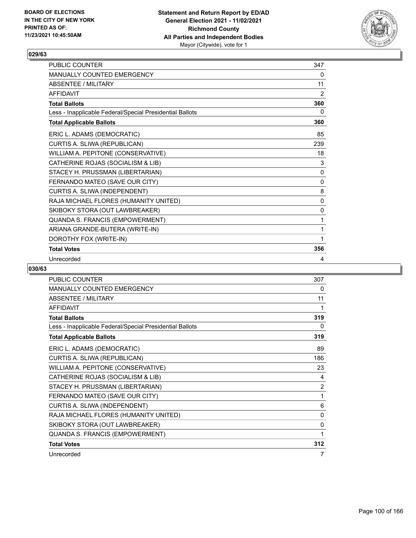

| <b>PUBLIC COUNTER</b>                                    | 347          |
|----------------------------------------------------------|--------------|
| <b>MANUALLY COUNTED EMERGENCY</b>                        | 0            |
| ABSENTEE / MII ITARY                                     | 11           |
| AFFIDAVIT                                                | 2            |
| <b>Total Ballots</b>                                     | 360          |
| Less - Inapplicable Federal/Special Presidential Ballots | 0            |
| <b>Total Applicable Ballots</b>                          | 360          |
| ERIC L. ADAMS (DEMOCRATIC)                               | 85           |
| CURTIS A. SLIWA (REPUBLICAN)                             | 239          |
| WILLIAM A. PEPITONE (CONSERVATIVE)                       | 18           |
| CATHERINE ROJAS (SOCIALISM & LIB)                        | 3            |
| STACEY H. PRUSSMAN (LIBERTARIAN)                         | $\mathbf{0}$ |
| FERNANDO MATEO (SAVE OUR CITY)                           | 0            |
| CURTIS A. SLIWA (INDEPENDENT)                            | 8            |
| RAJA MICHAEL FLORES (HUMANITY UNITED)                    | $\mathbf{0}$ |
| SKIBOKY STORA (OUT LAWBREAKER)                           | $\mathbf{0}$ |
| QUANDA S. FRANCIS (EMPOWERMENT)                          | 1            |
| ARIANA GRANDE-BUTERA (WRITE-IN)                          | 1            |
| DOROTHY FOX (WRITE-IN)                                   | 1            |
| <b>Total Votes</b>                                       | 356          |
| Unrecorded                                               | 4            |

| PUBLIC COUNTER                                           | 307 |
|----------------------------------------------------------|-----|
| <b>MANUALLY COUNTED EMERGENCY</b>                        | 0   |
| <b>ABSENTEE / MILITARY</b>                               | 11  |
| <b>AFFIDAVIT</b>                                         | 1   |
| <b>Total Ballots</b>                                     | 319 |
| Less - Inapplicable Federal/Special Presidential Ballots | 0   |
| <b>Total Applicable Ballots</b>                          | 319 |
| ERIC L. ADAMS (DEMOCRATIC)                               | 89  |
| CURTIS A. SLIWA (REPUBLICAN)                             | 186 |
| WILLIAM A. PEPITONE (CONSERVATIVE)                       | 23  |
| CATHERINE ROJAS (SOCIALISM & LIB)                        | 4   |
| STACEY H. PRUSSMAN (LIBERTARIAN)                         | 2   |
| FERNANDO MATEO (SAVE OUR CITY)                           | 1   |
| CURTIS A. SLIWA (INDEPENDENT)                            | 6   |
| RAJA MICHAEL FLORES (HUMANITY UNITED)                    | 0   |
| SKIBOKY STORA (OUT LAWBREAKER)                           | 0   |
| QUANDA S. FRANCIS (EMPOWERMENT)                          | 1   |
| <b>Total Votes</b>                                       | 312 |
| Unrecorded                                               | 7   |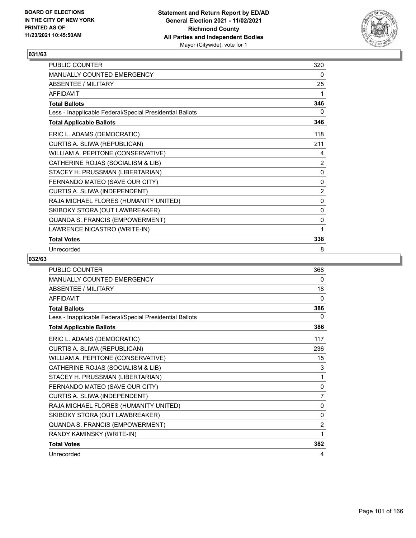

| <b>PUBLIC COUNTER</b>                                    | 320 |
|----------------------------------------------------------|-----|
| <b>MANUALLY COUNTED EMERGENCY</b>                        | 0   |
| ABSENTEE / MILITARY                                      | 25  |
| <b>AFFIDAVIT</b>                                         | 1   |
| <b>Total Ballots</b>                                     | 346 |
| Less - Inapplicable Federal/Special Presidential Ballots | 0   |
| <b>Total Applicable Ballots</b>                          | 346 |
| ERIC L. ADAMS (DEMOCRATIC)                               | 118 |
| CURTIS A. SLIWA (REPUBLICAN)                             | 211 |
| WILLIAM A. PEPITONE (CONSERVATIVE)                       | 4   |
| CATHERINE ROJAS (SOCIALISM & LIB)                        | 2   |
| STACEY H. PRUSSMAN (LIBERTARIAN)                         | 0   |
| FERNANDO MATEO (SAVE OUR CITY)                           | 0   |
| CURTIS A. SLIWA (INDEPENDENT)                            | 2   |
| RAJA MICHAEL FLORES (HUMANITY UNITED)                    | 0   |
| SKIBOKY STORA (OUT LAWBREAKER)                           | 0   |
| QUANDA S. FRANCIS (EMPOWERMENT)                          | 0   |
| LAWRENCE NICASTRO (WRITE-IN)                             | 1   |
| <b>Total Votes</b>                                       | 338 |
| Unrecorded                                               | 8   |

| <b>PUBLIC COUNTER</b>                                    | 368          |
|----------------------------------------------------------|--------------|
| MANUALLY COUNTED EMERGENCY                               | 0            |
| <b>ABSENTEE / MILITARY</b>                               | 18           |
| <b>AFFIDAVIT</b>                                         | $\mathbf{0}$ |
| <b>Total Ballots</b>                                     | 386          |
| Less - Inapplicable Federal/Special Presidential Ballots | 0            |
| <b>Total Applicable Ballots</b>                          | 386          |
| ERIC L. ADAMS (DEMOCRATIC)                               | 117          |
| CURTIS A. SLIWA (REPUBLICAN)                             | 236          |
| WILLIAM A. PEPITONE (CONSERVATIVE)                       | 15           |
| CATHERINE ROJAS (SOCIALISM & LIB)                        | 3            |
| STACEY H. PRUSSMAN (LIBERTARIAN)                         | 1            |
| FERNANDO MATEO (SAVE OUR CITY)                           | $\mathbf{0}$ |
| CURTIS A. SLIWA (INDEPENDENT)                            | 7            |
| RAJA MICHAEL FLORES (HUMANITY UNITED)                    | 0            |
| SKIBOKY STORA (OUT LAWBREAKER)                           | 0            |
| QUANDA S. FRANCIS (EMPOWERMENT)                          | 2            |
| RANDY KAMINSKY (WRITE-IN)                                | 1            |
| <b>Total Votes</b>                                       | 382          |
| Unrecorded                                               | 4            |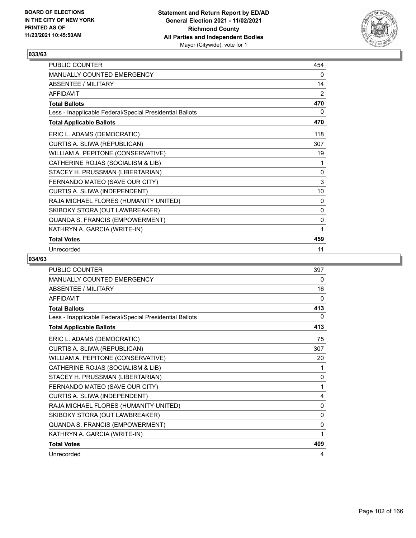

| <b>PUBLIC COUNTER</b>                                    | 454 |
|----------------------------------------------------------|-----|
| <b>MANUALLY COUNTED EMERGENCY</b>                        | 0   |
| ABSENTEE / MILITARY                                      | 14  |
| <b>AFFIDAVIT</b>                                         | 2   |
| <b>Total Ballots</b>                                     | 470 |
| Less - Inapplicable Federal/Special Presidential Ballots | 0   |
| <b>Total Applicable Ballots</b>                          | 470 |
| ERIC L. ADAMS (DEMOCRATIC)                               | 118 |
| CURTIS A. SLIWA (REPUBLICAN)                             | 307 |
| WILLIAM A. PEPITONE (CONSERVATIVE)                       | 19  |
| CATHERINE ROJAS (SOCIALISM & LIB)                        | 1   |
| STACEY H. PRUSSMAN (LIBERTARIAN)                         | 0   |
| FERNANDO MATEO (SAVE OUR CITY)                           | 3   |
| CURTIS A. SLIWA (INDEPENDENT)                            | 10  |
| RAJA MICHAEL FLORES (HUMANITY UNITED)                    | 0   |
| SKIBOKY STORA (OUT LAWBREAKER)                           | 0   |
| QUANDA S. FRANCIS (EMPOWERMENT)                          | 0   |
| KATHRYN A. GARCIA (WRITE-IN)                             | 1   |
| <b>Total Votes</b>                                       | 459 |
| Unrecorded                                               | 11  |

| <b>PUBLIC COUNTER</b>                                    | 397      |
|----------------------------------------------------------|----------|
| MANUALLY COUNTED EMERGENCY                               | 0        |
| <b>ABSENTEE / MILITARY</b>                               | 16       |
| <b>AFFIDAVIT</b>                                         | $\Omega$ |
| <b>Total Ballots</b>                                     | 413      |
| Less - Inapplicable Federal/Special Presidential Ballots | $\Omega$ |
| <b>Total Applicable Ballots</b>                          | 413      |
| ERIC L. ADAMS (DEMOCRATIC)                               | 75       |
| CURTIS A. SLIWA (REPUBLICAN)                             | 307      |
| WILLIAM A. PEPITONE (CONSERVATIVE)                       | 20       |
| CATHERINE ROJAS (SOCIALISM & LIB)                        | 1        |
| STACEY H. PRUSSMAN (LIBERTARIAN)                         | 0        |
| FERNANDO MATEO (SAVE OUR CITY)                           | 1        |
| CURTIS A. SLIWA (INDEPENDENT)                            | 4        |
| RAJA MICHAEL FLORES (HUMANITY UNITED)                    | $\Omega$ |
| SKIBOKY STORA (OUT LAWBREAKER)                           | 0        |
| QUANDA S. FRANCIS (EMPOWERMENT)                          | 0        |
| KATHRYN A. GARCIA (WRITE-IN)                             | 1        |
| <b>Total Votes</b>                                       | 409      |
| Unrecorded                                               | 4        |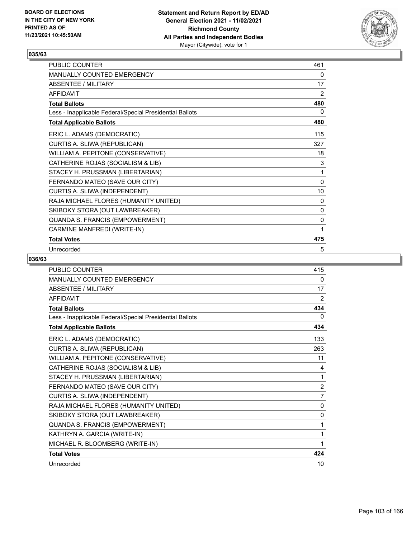

| PUBLIC COUNTER                                           | 461 |
|----------------------------------------------------------|-----|
| MANUALLY COUNTED EMERGENCY                               | 0   |
| <b>ABSENTEE / MILITARY</b>                               | 17  |
| <b>AFFIDAVIT</b>                                         | 2   |
| <b>Total Ballots</b>                                     | 480 |
| Less - Inapplicable Federal/Special Presidential Ballots | 0   |
| <b>Total Applicable Ballots</b>                          | 480 |
| ERIC L. ADAMS (DEMOCRATIC)                               | 115 |
| CURTIS A. SLIWA (REPUBLICAN)                             | 327 |
| WILLIAM A. PEPITONE (CONSERVATIVE)                       | 18  |
| CATHERINE ROJAS (SOCIALISM & LIB)                        | 3   |
| STACEY H. PRUSSMAN (LIBERTARIAN)                         | 1   |
| FERNANDO MATEO (SAVE OUR CITY)                           | 0   |
| CURTIS A. SLIWA (INDEPENDENT)                            | 10  |
| RAJA MICHAEL FLORES (HUMANITY UNITED)                    | 0   |
| SKIBOKY STORA (OUT LAWBREAKER)                           | 0   |
| QUANDA S. FRANCIS (EMPOWERMENT)                          | 0   |
| CARMINE MANFREDI (WRITE-IN)                              | 1   |
| <b>Total Votes</b>                                       | 475 |
| Unrecorded                                               | 5   |

| PUBLIC COUNTER                                           | 415            |
|----------------------------------------------------------|----------------|
| MANUALLY COUNTED EMERGENCY                               | 0              |
| <b>ABSENTEE / MILITARY</b>                               | 17             |
| <b>AFFIDAVIT</b>                                         | $\overline{2}$ |
| <b>Total Ballots</b>                                     | 434            |
| Less - Inapplicable Federal/Special Presidential Ballots | 0              |
| <b>Total Applicable Ballots</b>                          | 434            |
| ERIC L. ADAMS (DEMOCRATIC)                               | 133            |
| CURTIS A. SLIWA (REPUBLICAN)                             | 263            |
| WILLIAM A. PEPITONE (CONSERVATIVE)                       | 11             |
| CATHERINE ROJAS (SOCIALISM & LIB)                        | 4              |
| STACEY H. PRUSSMAN (LIBERTARIAN)                         | 1              |
| FERNANDO MATEO (SAVE OUR CITY)                           | 2              |
| CURTIS A. SLIWA (INDEPENDENT)                            | $\overline{7}$ |
| RAJA MICHAEL FLORES (HUMANITY UNITED)                    | 0              |
| SKIBOKY STORA (OUT LAWBREAKER)                           | $\mathbf{0}$   |
| QUANDA S. FRANCIS (EMPOWERMENT)                          | 1              |
| KATHRYN A. GARCIA (WRITE-IN)                             | 1              |
| MICHAEL R. BLOOMBERG (WRITE-IN)                          | 1              |
| <b>Total Votes</b>                                       | 424            |
| Unrecorded                                               | 10             |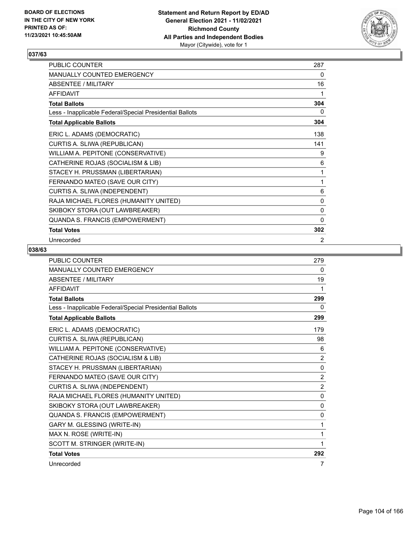

| PUBLIC COUNTER                                           | 287          |
|----------------------------------------------------------|--------------|
| MANUALLY COUNTED EMERGENCY                               | 0            |
| ABSENTEE / MILITARY                                      | 16           |
| <b>AFFIDAVIT</b>                                         | 1            |
| <b>Total Ballots</b>                                     | 304          |
| Less - Inapplicable Federal/Special Presidential Ballots | 0            |
| <b>Total Applicable Ballots</b>                          | 304          |
| ERIC L. ADAMS (DEMOCRATIC)                               | 138          |
| CURTIS A. SLIWA (REPUBLICAN)                             | 141          |
| WILLIAM A. PEPITONE (CONSERVATIVE)                       | 9            |
| CATHERINE ROJAS (SOCIALISM & LIB)                        | 6            |
| STACEY H. PRUSSMAN (LIBERTARIAN)                         | 1            |
| FERNANDO MATEO (SAVE OUR CITY)                           | 1            |
| CURTIS A. SLIWA (INDEPENDENT)                            | 6            |
| RAJA MICHAEL FLORES (HUMANITY UNITED)                    | 0            |
| SKIBOKY STORA (OUT LAWBREAKER)                           | 0            |
| QUANDA S. FRANCIS (EMPOWERMENT)                          | $\mathbf{0}$ |
| <b>Total Votes</b>                                       | 302          |
| Unrecorded                                               | 2            |

| <b>PUBLIC COUNTER</b>                                    | 279            |
|----------------------------------------------------------|----------------|
| MANUALLY COUNTED EMERGENCY                               | $\Omega$       |
| ABSENTEE / MILITARY                                      | 19             |
| <b>AFFIDAVIT</b>                                         | 1              |
| <b>Total Ballots</b>                                     | 299            |
| Less - Inapplicable Federal/Special Presidential Ballots | 0              |
| <b>Total Applicable Ballots</b>                          | 299            |
| ERIC L. ADAMS (DEMOCRATIC)                               | 179            |
| CURTIS A. SLIWA (REPUBLICAN)                             | 98             |
| WILLIAM A. PEPITONE (CONSERVATIVE)                       | 6              |
| CATHERINE ROJAS (SOCIALISM & LIB)                        | $\overline{2}$ |
| STACEY H. PRUSSMAN (LIBERTARIAN)                         | $\mathbf{0}$   |
| FERNANDO MATEO (SAVE OUR CITY)                           | 2              |
| CURTIS A. SLIWA (INDEPENDENT)                            | $\overline{2}$ |
| RAJA MICHAEL FLORES (HUMANITY UNITED)                    | 0              |
| SKIBOKY STORA (OUT LAWBREAKER)                           | $\Omega$       |
| QUANDA S. FRANCIS (EMPOWERMENT)                          | 0              |
| GARY M. GLESSING (WRITE-IN)                              | 1              |
| MAX N. ROSE (WRITE-IN)                                   | 1              |
| SCOTT M. STRINGER (WRITE-IN)                             | 1              |
| <b>Total Votes</b>                                       | 292            |
| Unrecorded                                               | 7              |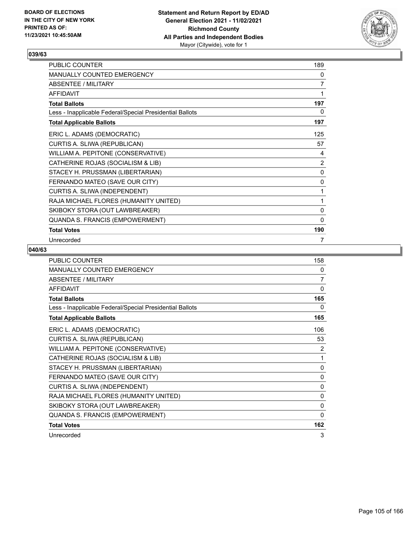

| PUBLIC COUNTER                                           | 189            |
|----------------------------------------------------------|----------------|
| MANUALLY COUNTED EMERGENCY                               | 0              |
| ABSENTEE / MILITARY                                      | $\overline{7}$ |
| <b>AFFIDAVIT</b>                                         | 1              |
| <b>Total Ballots</b>                                     | 197            |
| Less - Inapplicable Federal/Special Presidential Ballots | 0              |
| <b>Total Applicable Ballots</b>                          | 197            |
| ERIC L. ADAMS (DEMOCRATIC)                               | 125            |
| CURTIS A. SLIWA (REPUBLICAN)                             | 57             |
| WILLIAM A. PEPITONE (CONSERVATIVE)                       | 4              |
| CATHERINE ROJAS (SOCIALISM & LIB)                        | 2              |
| STACEY H. PRUSSMAN (LIBERTARIAN)                         | $\pmb{0}$      |
| FERNANDO MATEO (SAVE OUR CITY)                           | 0              |
| CURTIS A. SLIWA (INDEPENDENT)                            | 1              |
| RAJA MICHAEL FLORES (HUMANITY UNITED)                    | 1              |
| SKIBOKY STORA (OUT LAWBREAKER)                           | 0              |
| QUANDA S. FRANCIS (EMPOWERMENT)                          | $\mathbf{0}$   |
| <b>Total Votes</b>                                       | 190            |
| Unrecorded                                               | 7              |

| <b>PUBLIC COUNTER</b>                                    | 158          |
|----------------------------------------------------------|--------------|
| <b>MANUALLY COUNTED EMERGENCY</b>                        | 0            |
| ABSENTEE / MILITARY                                      | 7            |
| <b>AFFIDAVIT</b>                                         | $\mathbf{0}$ |
| <b>Total Ballots</b>                                     | 165          |
| Less - Inapplicable Federal/Special Presidential Ballots | 0            |
| <b>Total Applicable Ballots</b>                          | 165          |
| ERIC L. ADAMS (DEMOCRATIC)                               | 106          |
| CURTIS A. SLIWA (REPUBLICAN)                             | 53           |
| WILLIAM A. PEPITONE (CONSERVATIVE)                       | 2            |
| CATHERINE ROJAS (SOCIALISM & LIB)                        | 1            |
| STACEY H. PRUSSMAN (LIBERTARIAN)                         | $\mathbf{0}$ |
| FERNANDO MATEO (SAVE OUR CITY)                           | 0            |
| CURTIS A. SLIWA (INDEPENDENT)                            | $\mathbf{0}$ |
| RAJA MICHAEL FLORES (HUMANITY UNITED)                    | 0            |
| SKIBOKY STORA (OUT LAWBREAKER)                           | 0            |
| QUANDA S. FRANCIS (EMPOWERMENT)                          | $\mathbf{0}$ |
| <b>Total Votes</b>                                       | 162          |
| Unrecorded                                               | 3            |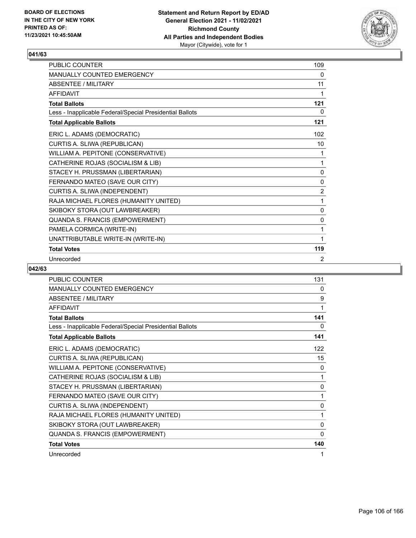

| <b>PUBLIC COUNTER</b>                                    | 109            |
|----------------------------------------------------------|----------------|
| <b>MANUALLY COUNTED EMERGENCY</b>                        | 0              |
| ABSENTEE / MII ITARY                                     | 11             |
| AFFIDAVIT                                                | 1              |
| <b>Total Ballots</b>                                     | 121            |
| Less - Inapplicable Federal/Special Presidential Ballots | 0              |
| <b>Total Applicable Ballots</b>                          | 121            |
| ERIC L. ADAMS (DEMOCRATIC)                               | 102            |
| CURTIS A. SLIWA (REPUBLICAN)                             | 10             |
| WILLIAM A. PEPITONE (CONSERVATIVE)                       | 1              |
| CATHERINE ROJAS (SOCIALISM & LIB)                        | 1              |
| STACEY H. PRUSSMAN (LIBERTARIAN)                         | 0              |
| FERNANDO MATEO (SAVE OUR CITY)                           | 0              |
| CURTIS A. SLIWA (INDEPENDENT)                            | $\overline{2}$ |
| RAJA MICHAEL FLORES (HUMANITY UNITED)                    | 1              |
| SKIBOKY STORA (OUT LAWBREAKER)                           | $\mathbf{0}$   |
| QUANDA S. FRANCIS (EMPOWERMENT)                          | $\mathbf{0}$   |
| PAMELA CORMICA (WRITE-IN)                                | 1              |
| UNATTRIBUTABLE WRITE-IN (WRITE-IN)                       | 1              |
| <b>Total Votes</b>                                       | 119            |
| Unrecorded                                               | 2              |

| PUBLIC COUNTER                                           | 131      |
|----------------------------------------------------------|----------|
| MANUALLY COUNTED EMERGENCY                               | 0        |
| <b>ABSENTEE / MILITARY</b>                               | 9        |
| <b>AFFIDAVIT</b>                                         | 1        |
| <b>Total Ballots</b>                                     | 141      |
| Less - Inapplicable Federal/Special Presidential Ballots | 0        |
| <b>Total Applicable Ballots</b>                          | 141      |
| ERIC L. ADAMS (DEMOCRATIC)                               | 122      |
| CURTIS A. SLIWA (REPUBLICAN)                             | 15       |
| WILLIAM A. PEPITONE (CONSERVATIVE)                       | 0        |
| CATHERINE ROJAS (SOCIALISM & LIB)                        | 1        |
| STACEY H. PRUSSMAN (LIBERTARIAN)                         | 0        |
| FERNANDO MATEO (SAVE OUR CITY)                           | 1        |
| CURTIS A. SLIWA (INDEPENDENT)                            | 0        |
| RAJA MICHAEL FLORES (HUMANITY UNITED)                    | 1        |
| SKIBOKY STORA (OUT LAWBREAKER)                           | 0        |
| QUANDA S. FRANCIS (EMPOWERMENT)                          | $\Omega$ |
| <b>Total Votes</b>                                       | 140      |
| Unrecorded                                               |          |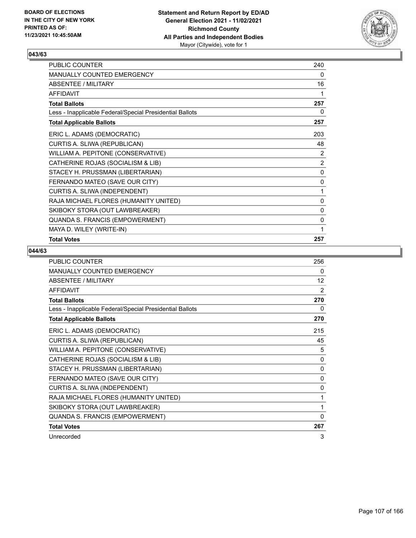

| PUBLIC COUNTER                                           | 240 |
|----------------------------------------------------------|-----|
| <b>MANUALLY COUNTED EMERGENCY</b>                        | 0   |
| <b>ABSENTEE / MILITARY</b>                               | 16  |
| <b>AFFIDAVIT</b>                                         | 1   |
| <b>Total Ballots</b>                                     | 257 |
| Less - Inapplicable Federal/Special Presidential Ballots | 0   |
| <b>Total Applicable Ballots</b>                          | 257 |
| ERIC L. ADAMS (DEMOCRATIC)                               | 203 |
| CURTIS A. SLIWA (REPUBLICAN)                             | 48  |
| WILLIAM A. PEPITONE (CONSERVATIVE)                       | 2   |
| CATHERINE ROJAS (SOCIALISM & LIB)                        | 2   |
| STACEY H. PRUSSMAN (LIBERTARIAN)                         | 0   |
| FERNANDO MATEO (SAVE OUR CITY)                           | 0   |
| CURTIS A. SLIWA (INDEPENDENT)                            | 1   |
| RAJA MICHAEL FLORES (HUMANITY UNITED)                    | 0   |
| SKIBOKY STORA (OUT LAWBREAKER)                           | 0   |
| QUANDA S. FRANCIS (EMPOWERMENT)                          | 0   |
| MAYA D. WILEY (WRITE-IN)                                 | 1   |
| <b>Total Votes</b>                                       | 257 |

| <b>PUBLIC COUNTER</b>                                    | 256 |
|----------------------------------------------------------|-----|
| <b>MANUALLY COUNTED EMERGENCY</b>                        | 0   |
| <b>ABSENTEE / MILITARY</b>                               | 12  |
| <b>AFFIDAVIT</b>                                         | 2   |
| <b>Total Ballots</b>                                     | 270 |
| Less - Inapplicable Federal/Special Presidential Ballots | 0   |
| <b>Total Applicable Ballots</b>                          | 270 |
| ERIC L. ADAMS (DEMOCRATIC)                               | 215 |
| CURTIS A. SLIWA (REPUBLICAN)                             | 45  |
| WILLIAM A. PEPITONE (CONSERVATIVE)                       | 5   |
| CATHERINE ROJAS (SOCIALISM & LIB)                        | 0   |
| STACEY H. PRUSSMAN (LIBERTARIAN)                         | 0   |
| FERNANDO MATEO (SAVE OUR CITY)                           | 0   |
| CURTIS A. SLIWA (INDEPENDENT)                            | 0   |
| RAJA MICHAEL FLORES (HUMANITY UNITED)                    | 1   |
| SKIBOKY STORA (OUT LAWBREAKER)                           | 1   |
| QUANDA S. FRANCIS (EMPOWERMENT)                          | 0   |
| <b>Total Votes</b>                                       | 267 |
| Unrecorded                                               | 3   |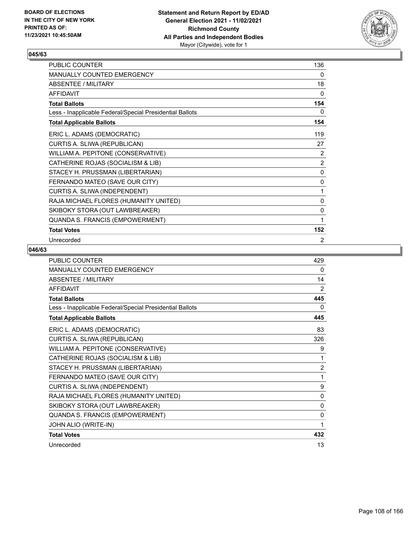

| PUBLIC COUNTER                                           | 136       |
|----------------------------------------------------------|-----------|
| MANUALLY COUNTED EMERGENCY                               | 0         |
| ABSENTEE / MILITARY                                      | 18        |
| <b>AFFIDAVIT</b>                                         | $\Omega$  |
| <b>Total Ballots</b>                                     | 154       |
| Less - Inapplicable Federal/Special Presidential Ballots | 0         |
| <b>Total Applicable Ballots</b>                          | 154       |
| ERIC L. ADAMS (DEMOCRATIC)                               | 119       |
| CURTIS A. SLIWA (REPUBLICAN)                             | 27        |
| WILLIAM A. PEPITONE (CONSERVATIVE)                       | 2         |
| CATHERINE ROJAS (SOCIALISM & LIB)                        | 2         |
| STACEY H. PRUSSMAN (LIBERTARIAN)                         | $\pmb{0}$ |
| FERNANDO MATEO (SAVE OUR CITY)                           | 0         |
| CURTIS A. SLIWA (INDEPENDENT)                            | 1         |
| RAJA MICHAEL FLORES (HUMANITY UNITED)                    | 0         |
| SKIBOKY STORA (OUT LAWBREAKER)                           | 0         |
| QUANDA S. FRANCIS (EMPOWERMENT)                          | 1         |
| <b>Total Votes</b>                                       | 152       |
| Unrecorded                                               | 2         |

| PUBLIC COUNTER                                           | 429            |
|----------------------------------------------------------|----------------|
| MANUALLY COUNTED EMERGENCY                               | 0              |
| <b>ABSENTEE / MILITARY</b>                               | 14             |
| <b>AFFIDAVIT</b>                                         | 2              |
| <b>Total Ballots</b>                                     | 445            |
| Less - Inapplicable Federal/Special Presidential Ballots | 0              |
| <b>Total Applicable Ballots</b>                          | 445            |
| ERIC L. ADAMS (DEMOCRATIC)                               | 83             |
| CURTIS A. SLIWA (REPUBLICAN)                             | 326            |
| WILLIAM A. PEPITONE (CONSERVATIVE)                       | 9              |
| CATHERINE ROJAS (SOCIALISM & LIB)                        | 1              |
| STACEY H. PRUSSMAN (LIBERTARIAN)                         | $\overline{2}$ |
| FERNANDO MATEO (SAVE OUR CITY)                           | 1              |
| CURTIS A. SLIWA (INDEPENDENT)                            | 9              |
| RAJA MICHAEL FLORES (HUMANITY UNITED)                    | $\mathbf{0}$   |
| SKIBOKY STORA (OUT LAWBREAKER)                           | 0              |
| QUANDA S. FRANCIS (EMPOWERMENT)                          | $\mathbf{0}$   |
| JOHN ALIO (WRITE-IN)                                     | 1              |
| <b>Total Votes</b>                                       | 432            |
| Unrecorded                                               | 13             |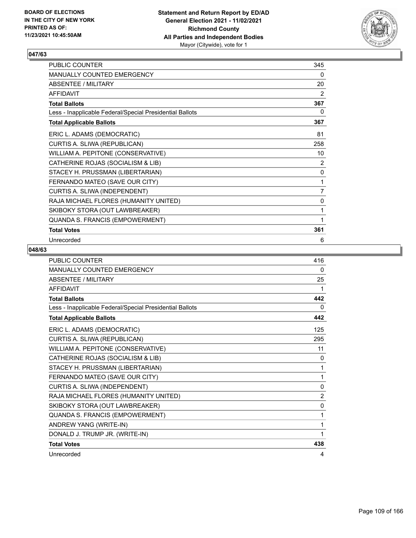

| PUBLIC COUNTER                                           | 345 |
|----------------------------------------------------------|-----|
| MANUALLY COUNTED EMERGENCY                               | 0   |
| ABSENTEE / MILITARY                                      | 20  |
| <b>AFFIDAVIT</b>                                         | 2   |
| <b>Total Ballots</b>                                     | 367 |
| Less - Inapplicable Federal/Special Presidential Ballots | 0   |
| <b>Total Applicable Ballots</b>                          | 367 |
| ERIC L. ADAMS (DEMOCRATIC)                               | 81  |
| CURTIS A. SLIWA (REPUBLICAN)                             | 258 |
| WILLIAM A. PEPITONE (CONSERVATIVE)                       | 10  |
| CATHERINE ROJAS (SOCIALISM & LIB)                        | 2   |
| STACEY H. PRUSSMAN (LIBERTARIAN)                         | 0   |
| FERNANDO MATEO (SAVE OUR CITY)                           | 1   |
| CURTIS A. SLIWA (INDEPENDENT)                            | 7   |
| RAJA MICHAEL FLORES (HUMANITY UNITED)                    | 0   |
| SKIBOKY STORA (OUT LAWBREAKER)                           | 1   |
| QUANDA S. FRANCIS (EMPOWERMENT)                          | 1   |
| <b>Total Votes</b>                                       | 361 |
| Unrecorded                                               | 6   |

| PUBLIC COUNTER                                           | 416            |
|----------------------------------------------------------|----------------|
| MANUALLY COUNTED EMERGENCY                               | 0              |
| <b>ABSENTEE / MILITARY</b>                               | 25             |
| <b>AFFIDAVIT</b>                                         | 1              |
| <b>Total Ballots</b>                                     | 442            |
| Less - Inapplicable Federal/Special Presidential Ballots | 0              |
| <b>Total Applicable Ballots</b>                          | 442            |
| ERIC L. ADAMS (DEMOCRATIC)                               | 125            |
| CURTIS A. SLIWA (REPUBLICAN)                             | 295            |
| WILLIAM A. PEPITONE (CONSERVATIVE)                       | 11             |
| CATHERINE ROJAS (SOCIALISM & LIB)                        | 0              |
| STACEY H. PRUSSMAN (LIBERTARIAN)                         | 1              |
| FERNANDO MATEO (SAVE OUR CITY)                           | 1              |
| CURTIS A. SLIWA (INDEPENDENT)                            | $\mathbf{0}$   |
| RAJA MICHAEL FLORES (HUMANITY UNITED)                    | $\overline{2}$ |
| SKIBOKY STORA (OUT LAWBREAKER)                           | $\mathbf{0}$   |
| QUANDA S. FRANCIS (EMPOWERMENT)                          | 1              |
| ANDREW YANG (WRITE-IN)                                   | 1              |
| DONALD J. TRUMP JR. (WRITE-IN)                           | 1              |
| <b>Total Votes</b>                                       | 438            |
| Unrecorded                                               | 4              |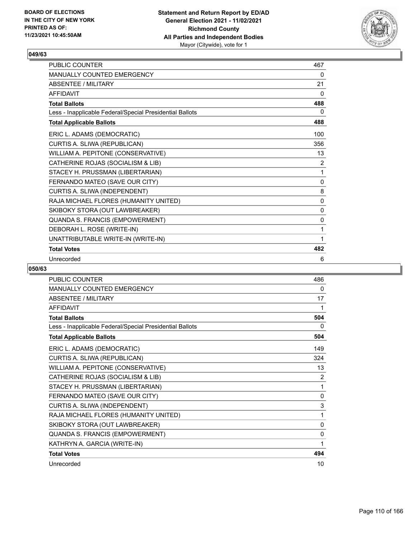

| <b>PUBLIC COUNTER</b>                                    | 467          |
|----------------------------------------------------------|--------------|
| MANUALLY COUNTED EMERGENCY                               | 0            |
| ABSENTEE / MILITARY                                      | 21           |
| <b>AFFIDAVIT</b>                                         | 0            |
| <b>Total Ballots</b>                                     | 488          |
| Less - Inapplicable Federal/Special Presidential Ballots | 0            |
| <b>Total Applicable Ballots</b>                          | 488          |
| ERIC L. ADAMS (DEMOCRATIC)                               | 100          |
| CURTIS A. SLIWA (REPUBLICAN)                             | 356          |
| WILLIAM A. PEPITONE (CONSERVATIVE)                       | 13           |
| CATHERINE ROJAS (SOCIALISM & LIB)                        | 2            |
| STACEY H. PRUSSMAN (LIBERTARIAN)                         | 1            |
| FERNANDO MATEO (SAVE OUR CITY)                           | 0            |
| CURTIS A. SLIWA (INDEPENDENT)                            | 8            |
| RAJA MICHAEL FLORES (HUMANITY UNITED)                    | 0            |
| SKIBOKY STORA (OUT LAWBREAKER)                           | 0            |
| QUANDA S. FRANCIS (EMPOWERMENT)                          | $\mathbf{0}$ |
| DEBORAH L. ROSE (WRITE-IN)                               | 1            |
| UNATTRIBUTABLE WRITE-IN (WRITE-IN)                       | 1            |
| <b>Total Votes</b>                                       | 482          |
| Unrecorded                                               | 6            |

| <b>PUBLIC COUNTER</b>                                    | 486 |
|----------------------------------------------------------|-----|
| <b>MANUALLY COUNTED EMERGENCY</b>                        | 0   |
| <b>ABSENTEE / MILITARY</b>                               | 17  |
| <b>AFFIDAVIT</b>                                         | 1   |
| <b>Total Ballots</b>                                     | 504 |
| Less - Inapplicable Federal/Special Presidential Ballots | 0   |
| <b>Total Applicable Ballots</b>                          | 504 |
| ERIC L. ADAMS (DEMOCRATIC)                               | 149 |
| CURTIS A. SLIWA (REPUBLICAN)                             | 324 |
| WILLIAM A. PEPITONE (CONSERVATIVE)                       | 13  |
| CATHERINE ROJAS (SOCIALISM & LIB)                        | 2   |
| STACEY H. PRUSSMAN (LIBERTARIAN)                         | 1   |
| FERNANDO MATEO (SAVE OUR CITY)                           | 0   |
| CURTIS A. SLIWA (INDEPENDENT)                            | 3   |
| RAJA MICHAEL FLORES (HUMANITY UNITED)                    | 1   |
| SKIBOKY STORA (OUT LAWBREAKER)                           | 0   |
| QUANDA S. FRANCIS (EMPOWERMENT)                          | 0   |
| KATHRYN A. GARCIA (WRITE-IN)                             | 1   |
| <b>Total Votes</b>                                       | 494 |
| Unrecorded                                               | 10  |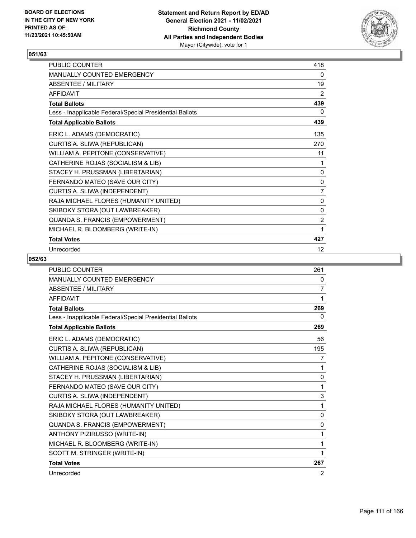

| <b>PUBLIC COUNTER</b>                                    | 418            |
|----------------------------------------------------------|----------------|
| <b>MANUALLY COUNTED EMERGENCY</b>                        | 0              |
| ABSENTEE / MILITARY                                      | 19             |
| <b>AFFIDAVIT</b>                                         | 2              |
| <b>Total Ballots</b>                                     | 439            |
| Less - Inapplicable Federal/Special Presidential Ballots | 0              |
| <b>Total Applicable Ballots</b>                          | 439            |
| ERIC L. ADAMS (DEMOCRATIC)                               | 135            |
| CURTIS A. SLIWA (REPUBLICAN)                             | 270            |
| WILLIAM A. PEPITONE (CONSERVATIVE)                       | 11             |
| CATHERINE ROJAS (SOCIALISM & LIB)                        | 1              |
| STACEY H. PRUSSMAN (LIBERTARIAN)                         | 0              |
| FERNANDO MATEO (SAVE OUR CITY)                           | 0              |
| CURTIS A. SLIWA (INDEPENDENT)                            | $\overline{7}$ |
| RAJA MICHAEL FLORES (HUMANITY UNITED)                    | 0              |
| SKIBOKY STORA (OUT LAWBREAKER)                           | 0              |
| QUANDA S. FRANCIS (EMPOWERMENT)                          | $\overline{2}$ |
| MICHAEL R. BLOOMBERG (WRITE-IN)                          | 1              |
| <b>Total Votes</b>                                       | 427            |
| Unrecorded                                               | 12             |

| <b>PUBLIC COUNTER</b>                                    | 261            |
|----------------------------------------------------------|----------------|
| <b>MANUALLY COUNTED EMERGENCY</b>                        | 0              |
| <b>ABSENTEE / MILITARY</b>                               | 7              |
| <b>AFFIDAVIT</b>                                         | 1              |
| <b>Total Ballots</b>                                     | 269            |
| Less - Inapplicable Federal/Special Presidential Ballots | 0              |
| <b>Total Applicable Ballots</b>                          | 269            |
| ERIC L. ADAMS (DEMOCRATIC)                               | 56             |
| CURTIS A. SLIWA (REPUBLICAN)                             | 195            |
| WILLIAM A. PEPITONE (CONSERVATIVE)                       | 7              |
| CATHERINE ROJAS (SOCIALISM & LIB)                        | 1              |
| STACEY H. PRUSSMAN (LIBERTARIAN)                         | 0              |
| FERNANDO MATEO (SAVE OUR CITY)                           | 1              |
| CURTIS A. SLIWA (INDEPENDENT)                            | 3              |
| RAJA MICHAEL FLORES (HUMANITY UNITED)                    | 1              |
| SKIBOKY STORA (OUT LAWBREAKER)                           | $\Omega$       |
| QUANDA S. FRANCIS (EMPOWERMENT)                          | $\Omega$       |
| ANTHONY PIZIRUSSO (WRITE-IN)                             | 1              |
| MICHAEL R. BLOOMBERG (WRITE-IN)                          | 1              |
| SCOTT M. STRINGER (WRITE-IN)                             | 1              |
| <b>Total Votes</b>                                       | 267            |
| Unrecorded                                               | $\overline{2}$ |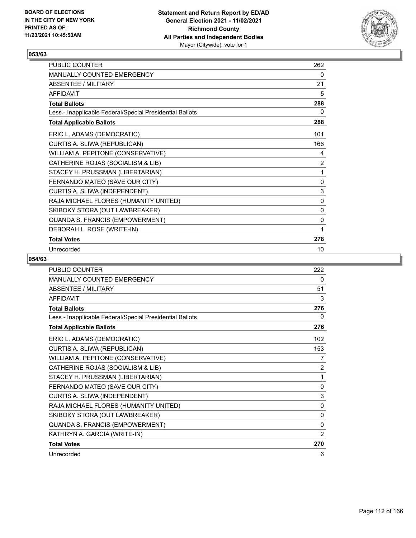

| <b>PUBLIC COUNTER</b>                                    | 262 |
|----------------------------------------------------------|-----|
| <b>MANUALLY COUNTED EMERGENCY</b>                        | 0   |
| ABSENTEE / MILITARY                                      | 21  |
| <b>AFFIDAVIT</b>                                         | 5   |
| <b>Total Ballots</b>                                     | 288 |
| Less - Inapplicable Federal/Special Presidential Ballots | 0   |
| <b>Total Applicable Ballots</b>                          | 288 |
| ERIC L. ADAMS (DEMOCRATIC)                               | 101 |
| CURTIS A. SLIWA (REPUBLICAN)                             | 166 |
| WILLIAM A. PEPITONE (CONSERVATIVE)                       | 4   |
| CATHERINE ROJAS (SOCIALISM & LIB)                        | 2   |
| STACEY H. PRUSSMAN (LIBERTARIAN)                         | 1   |
| FERNANDO MATEO (SAVE OUR CITY)                           | 0   |
| CURTIS A. SLIWA (INDEPENDENT)                            | 3   |
| RAJA MICHAEL FLORES (HUMANITY UNITED)                    | 0   |
| SKIBOKY STORA (OUT LAWBREAKER)                           | 0   |
| QUANDA S. FRANCIS (EMPOWERMENT)                          | 0   |
| DEBORAH L. ROSE (WRITE-IN)                               | 1   |
| <b>Total Votes</b>                                       | 278 |
| Unrecorded                                               | 10  |

| <b>PUBLIC COUNTER</b>                                    | 222          |
|----------------------------------------------------------|--------------|
| MANUALLY COUNTED EMERGENCY                               | 0            |
| <b>ABSENTEE / MILITARY</b>                               | 51           |
| <b>AFFIDAVIT</b>                                         | 3            |
| <b>Total Ballots</b>                                     | 276          |
| Less - Inapplicable Federal/Special Presidential Ballots | 0            |
| <b>Total Applicable Ballots</b>                          | 276          |
| ERIC L. ADAMS (DEMOCRATIC)                               | 102          |
| CURTIS A. SLIWA (REPUBLICAN)                             | 153          |
| WILLIAM A. PEPITONE (CONSERVATIVE)                       | 7            |
| CATHERINE ROJAS (SOCIALISM & LIB)                        | 2            |
| STACEY H. PRUSSMAN (LIBERTARIAN)                         | 1            |
| FERNANDO MATEO (SAVE OUR CITY)                           | 0            |
| CURTIS A. SLIWA (INDEPENDENT)                            | 3            |
| RAJA MICHAEL FLORES (HUMANITY UNITED)                    | 0            |
| SKIBOKY STORA (OUT LAWBREAKER)                           | $\mathbf{0}$ |
| QUANDA S. FRANCIS (EMPOWERMENT)                          | 0            |
| KATHRYN A. GARCIA (WRITE-IN)                             | 2            |
| <b>Total Votes</b>                                       | 270          |
| Unrecorded                                               | 6            |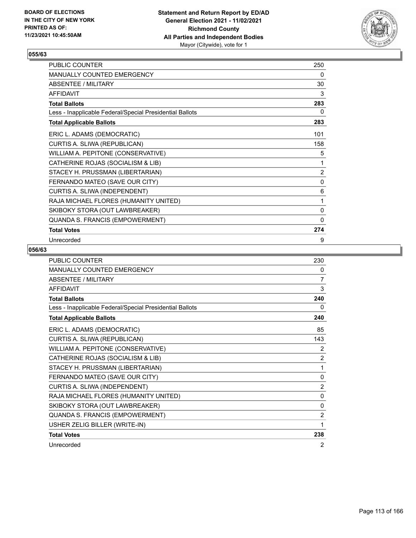

| PUBLIC COUNTER                                           | 250            |
|----------------------------------------------------------|----------------|
| MANUALLY COUNTED EMERGENCY                               | 0              |
| ABSENTEE / MILITARY                                      | 30             |
| <b>AFFIDAVIT</b>                                         | 3              |
| <b>Total Ballots</b>                                     | 283            |
| Less - Inapplicable Federal/Special Presidential Ballots | 0              |
| <b>Total Applicable Ballots</b>                          | 283            |
| ERIC L. ADAMS (DEMOCRATIC)                               | 101            |
| CURTIS A. SLIWA (REPUBLICAN)                             | 158            |
| WILLIAM A. PEPITONE (CONSERVATIVE)                       | 5              |
| CATHERINE ROJAS (SOCIALISM & LIB)                        | 1              |
| STACEY H. PRUSSMAN (LIBERTARIAN)                         | $\overline{2}$ |
| FERNANDO MATEO (SAVE OUR CITY)                           | 0              |
| CURTIS A. SLIWA (INDEPENDENT)                            | 6              |
| RAJA MICHAEL FLORES (HUMANITY UNITED)                    | 1              |
| SKIBOKY STORA (OUT LAWBREAKER)                           | 0              |
| QUANDA S. FRANCIS (EMPOWERMENT)                          | $\mathbf{0}$   |
| <b>Total Votes</b>                                       | 274            |
| Unrecorded                                               | 9              |

| PUBLIC COUNTER                                           | 230            |
|----------------------------------------------------------|----------------|
| MANUALLY COUNTED EMERGENCY                               | 0              |
| <b>ABSENTEE / MILITARY</b>                               | 7              |
| <b>AFFIDAVIT</b>                                         | 3              |
| <b>Total Ballots</b>                                     | 240            |
| Less - Inapplicable Federal/Special Presidential Ballots | 0              |
| <b>Total Applicable Ballots</b>                          | 240            |
| ERIC L. ADAMS (DEMOCRATIC)                               | 85             |
| CURTIS A. SLIWA (REPUBLICAN)                             | 143            |
| WILLIAM A. PEPITONE (CONSERVATIVE)                       | $\overline{2}$ |
| CATHERINE ROJAS (SOCIALISM & LIB)                        | $\overline{2}$ |
| STACEY H. PRUSSMAN (LIBERTARIAN)                         | 1              |
| FERNANDO MATEO (SAVE OUR CITY)                           | 0              |
| CURTIS A. SLIWA (INDEPENDENT)                            | $\overline{2}$ |
| RAJA MICHAEL FLORES (HUMANITY UNITED)                    | $\mathbf{0}$   |
| SKIBOKY STORA (OUT LAWBREAKER)                           | 0              |
| QUANDA S. FRANCIS (EMPOWERMENT)                          | $\overline{2}$ |
| USHER ZELIG BILLER (WRITE-IN)                            | 1              |
| <b>Total Votes</b>                                       | 238            |
| Unrecorded                                               | 2              |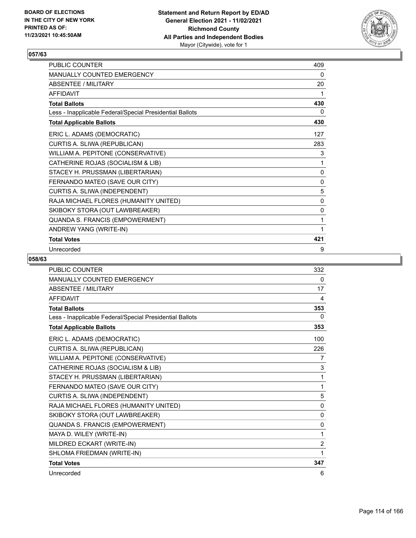

| <b>PUBLIC COUNTER</b>                                    | 409          |
|----------------------------------------------------------|--------------|
| <b>MANUALLY COUNTED EMERGENCY</b>                        | 0            |
| ABSENTEE / MILITARY                                      | 20           |
| <b>AFFIDAVIT</b>                                         | 1            |
| <b>Total Ballots</b>                                     | 430          |
| Less - Inapplicable Federal/Special Presidential Ballots | 0            |
| <b>Total Applicable Ballots</b>                          | 430          |
| ERIC L. ADAMS (DEMOCRATIC)                               | 127          |
| CURTIS A. SLIWA (REPUBLICAN)                             | 283          |
| WILLIAM A. PEPITONE (CONSERVATIVE)                       | 3            |
| CATHERINE ROJAS (SOCIALISM & LIB)                        | 1            |
| STACEY H. PRUSSMAN (LIBERTARIAN)                         | 0            |
| FERNANDO MATEO (SAVE OUR CITY)                           | $\mathbf{0}$ |
| CURTIS A. SLIWA (INDEPENDENT)                            | 5            |
| RAJA MICHAEL FLORES (HUMANITY UNITED)                    | 0            |
| SKIBOKY STORA (OUT LAWBREAKER)                           | 0            |
| QUANDA S. FRANCIS (EMPOWERMENT)                          | 1            |
| ANDREW YANG (WRITE-IN)                                   | 1            |
| <b>Total Votes</b>                                       | 421          |
| Unrecorded                                               | 9            |

| <b>PUBLIC COUNTER</b>                                    | 332            |
|----------------------------------------------------------|----------------|
| <b>MANUALLY COUNTED EMERGENCY</b>                        | 0              |
| <b>ABSENTEE / MILITARY</b>                               | 17             |
| <b>AFFIDAVIT</b>                                         | 4              |
| <b>Total Ballots</b>                                     | 353            |
| Less - Inapplicable Federal/Special Presidential Ballots | 0              |
| <b>Total Applicable Ballots</b>                          | 353            |
| ERIC L. ADAMS (DEMOCRATIC)                               | 100            |
| CURTIS A. SLIWA (REPUBLICAN)                             | 226            |
| WILLIAM A. PEPITONE (CONSERVATIVE)                       | 7              |
| CATHERINE ROJAS (SOCIALISM & LIB)                        | 3              |
| STACEY H. PRUSSMAN (LIBERTARIAN)                         | 1              |
| FERNANDO MATEO (SAVE OUR CITY)                           | 1              |
| CURTIS A. SLIWA (INDEPENDENT)                            | 5              |
| RAJA MICHAEL FLORES (HUMANITY UNITED)                    | 0              |
| SKIBOKY STORA (OUT LAWBREAKER)                           | 0              |
| QUANDA S. FRANCIS (EMPOWERMENT)                          | $\Omega$       |
| MAYA D. WILEY (WRITE-IN)                                 | 1              |
| MILDRED ECKART (WRITE-IN)                                | $\overline{2}$ |
| SHLOMA FRIEDMAN (WRITE-IN)                               | 1              |
| <b>Total Votes</b>                                       | 347            |
| Unrecorded                                               | 6              |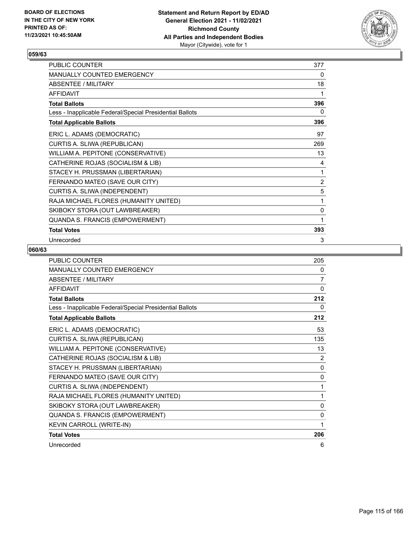

| PUBLIC COUNTER                                           | 377 |
|----------------------------------------------------------|-----|
| MANUALLY COUNTED EMERGENCY                               | 0   |
| ABSENTEE / MILITARY                                      | 18  |
| <b>AFFIDAVIT</b>                                         | 1   |
| <b>Total Ballots</b>                                     | 396 |
| Less - Inapplicable Federal/Special Presidential Ballots | 0   |
| <b>Total Applicable Ballots</b>                          | 396 |
| ERIC L. ADAMS (DEMOCRATIC)                               | 97  |
| CURTIS A. SLIWA (REPUBLICAN)                             | 269 |
| WILLIAM A. PEPITONE (CONSERVATIVE)                       | 13  |
| CATHERINE ROJAS (SOCIALISM & LIB)                        | 4   |
| STACEY H. PRUSSMAN (LIBERTARIAN)                         | 1   |
| FERNANDO MATEO (SAVE OUR CITY)                           | 2   |
| CURTIS A. SLIWA (INDEPENDENT)                            | 5   |
| RAJA MICHAEL FLORES (HUMANITY UNITED)                    | 1   |
| SKIBOKY STORA (OUT LAWBREAKER)                           | 0   |
| QUANDA S. FRANCIS (EMPOWERMENT)                          | 1   |
| <b>Total Votes</b>                                       | 393 |
| Unrecorded                                               | 3   |

| <b>PUBLIC COUNTER</b>                                    | 205            |
|----------------------------------------------------------|----------------|
| <b>MANUALLY COUNTED EMERGENCY</b>                        | 0              |
| <b>ABSENTEE / MILITARY</b>                               | 7              |
| <b>AFFIDAVIT</b>                                         | $\mathbf{0}$   |
| <b>Total Ballots</b>                                     | 212            |
| Less - Inapplicable Federal/Special Presidential Ballots | 0              |
| <b>Total Applicable Ballots</b>                          | 212            |
| ERIC L. ADAMS (DEMOCRATIC)                               | 53             |
| CURTIS A. SLIWA (REPUBLICAN)                             | 135            |
| WILLIAM A. PEPITONE (CONSERVATIVE)                       | 13             |
| CATHERINE ROJAS (SOCIALISM & LIB)                        | $\overline{2}$ |
| STACEY H. PRUSSMAN (LIBERTARIAN)                         | $\mathbf{0}$   |
| FERNANDO MATEO (SAVE OUR CITY)                           | 0              |
| CURTIS A. SLIWA (INDEPENDENT)                            | 1              |
| RAJA MICHAEL FLORES (HUMANITY UNITED)                    | 1              |
| SKIBOKY STORA (OUT LAWBREAKER)                           | 0              |
| QUANDA S. FRANCIS (EMPOWERMENT)                          | $\mathbf{0}$   |
| KEVIN CARROLL (WRITE-IN)                                 | 1              |
| <b>Total Votes</b>                                       | 206            |
| Unrecorded                                               | 6              |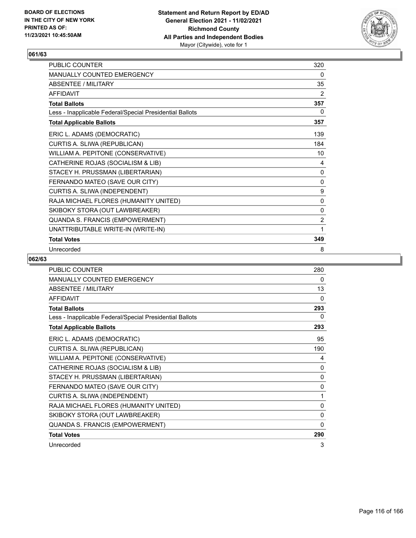

| <b>PUBLIC COUNTER</b>                                    | 320            |
|----------------------------------------------------------|----------------|
| <b>MANUALLY COUNTED EMERGENCY</b>                        | 0              |
| ABSENTEE / MILITARY                                      | 35             |
| <b>AFFIDAVIT</b>                                         | 2              |
| <b>Total Ballots</b>                                     | 357            |
| Less - Inapplicable Federal/Special Presidential Ballots | 0              |
| <b>Total Applicable Ballots</b>                          | 357            |
| ERIC L. ADAMS (DEMOCRATIC)                               | 139            |
| CURTIS A. SLIWA (REPUBLICAN)                             | 184            |
| WILLIAM A. PEPITONE (CONSERVATIVE)                       | 10             |
| CATHERINE ROJAS (SOCIALISM & LIB)                        | 4              |
| STACEY H. PRUSSMAN (LIBERTARIAN)                         | 0              |
| FERNANDO MATEO (SAVE OUR CITY)                           | 0              |
| CURTIS A. SLIWA (INDEPENDENT)                            | 9              |
| RAJA MICHAEL FLORES (HUMANITY UNITED)                    | 0              |
| SKIBOKY STORA (OUT LAWBREAKER)                           | 0              |
| QUANDA S. FRANCIS (EMPOWERMENT)                          | $\overline{2}$ |
| UNATTRIBUTABLE WRITE-IN (WRITE-IN)                       | 1              |
| <b>Total Votes</b>                                       | 349            |
| Unrecorded                                               | 8              |

| <b>PUBLIC COUNTER</b>                                    | 280          |
|----------------------------------------------------------|--------------|
| <b>MANUALLY COUNTED EMERGENCY</b>                        | 0            |
| <b>ABSENTEE / MILITARY</b>                               | 13           |
| <b>AFFIDAVIT</b>                                         | 0            |
| <b>Total Ballots</b>                                     | 293          |
| Less - Inapplicable Federal/Special Presidential Ballots | 0            |
| <b>Total Applicable Ballots</b>                          | 293          |
| ERIC L. ADAMS (DEMOCRATIC)                               | 95           |
| CURTIS A. SLIWA (REPUBLICAN)                             | 190          |
| WILLIAM A. PEPITONE (CONSERVATIVE)                       | 4            |
| CATHERINE ROJAS (SOCIALISM & LIB)                        | 0            |
| STACEY H. PRUSSMAN (LIBERTARIAN)                         | 0            |
| FERNANDO MATEO (SAVE OUR CITY)                           | $\mathbf{0}$ |
| CURTIS A. SLIWA (INDEPENDENT)                            | 1            |
| RAJA MICHAEL FLORES (HUMANITY UNITED)                    | 0            |
| SKIBOKY STORA (OUT LAWBREAKER)                           | 0            |
| QUANDA S. FRANCIS (EMPOWERMENT)                          | 0            |
| <b>Total Votes</b>                                       | 290          |
| Unrecorded                                               | 3            |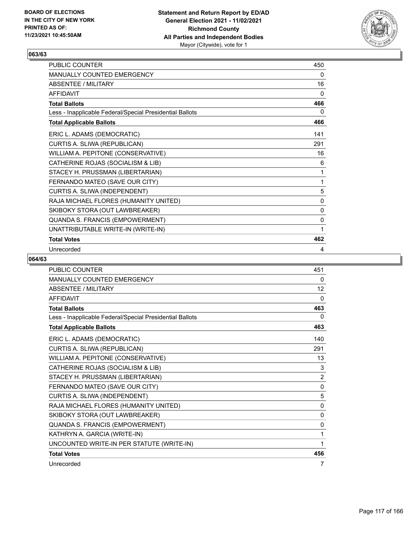

| <b>PUBLIC COUNTER</b>                                    | 450 |
|----------------------------------------------------------|-----|
| <b>MANUALLY COUNTED EMERGENCY</b>                        | 0   |
| ABSENTEE / MILITARY                                      | 16  |
| <b>AFFIDAVIT</b>                                         | 0   |
| <b>Total Ballots</b>                                     | 466 |
| Less - Inapplicable Federal/Special Presidential Ballots | 0   |
| <b>Total Applicable Ballots</b>                          | 466 |
| ERIC L. ADAMS (DEMOCRATIC)                               | 141 |
| CURTIS A. SLIWA (REPUBLICAN)                             | 291 |
| WILLIAM A. PEPITONE (CONSERVATIVE)                       | 16  |
| CATHERINE ROJAS (SOCIALISM & LIB)                        | 6   |
| STACEY H. PRUSSMAN (LIBERTARIAN)                         | 1   |
| FERNANDO MATEO (SAVE OUR CITY)                           | 1   |
| CURTIS A. SLIWA (INDEPENDENT)                            | 5   |
| RAJA MICHAEL FLORES (HUMANITY UNITED)                    | 0   |
| SKIBOKY STORA (OUT LAWBREAKER)                           | 0   |
| QUANDA S. FRANCIS (EMPOWERMENT)                          | 0   |
| UNATTRIBUTABLE WRITE-IN (WRITE-IN)                       | 1   |
| <b>Total Votes</b>                                       | 462 |
| Unrecorded                                               | 4   |

| <b>PUBLIC COUNTER</b>                                    | 451            |
|----------------------------------------------------------|----------------|
| MANUALLY COUNTED EMERGENCY                               | 0              |
| <b>ABSENTEE / MILITARY</b>                               | 12             |
| <b>AFFIDAVIT</b>                                         | $\Omega$       |
| <b>Total Ballots</b>                                     | 463            |
| Less - Inapplicable Federal/Special Presidential Ballots | 0              |
| <b>Total Applicable Ballots</b>                          | 463            |
| ERIC L. ADAMS (DEMOCRATIC)                               | 140            |
| CURTIS A. SLIWA (REPUBLICAN)                             | 291            |
| WILLIAM A. PEPITONE (CONSERVATIVE)                       | 13             |
| CATHERINE ROJAS (SOCIALISM & LIB)                        | 3              |
| STACEY H. PRUSSMAN (LIBERTARIAN)                         | $\overline{2}$ |
| FERNANDO MATEO (SAVE OUR CITY)                           | 0              |
| CURTIS A. SLIWA (INDEPENDENT)                            | 5              |
| RAJA MICHAEL FLORES (HUMANITY UNITED)                    | $\mathbf{0}$   |
| SKIBOKY STORA (OUT LAWBREAKER)                           | $\mathbf{0}$   |
| QUANDA S. FRANCIS (EMPOWERMENT)                          | 0              |
| KATHRYN A. GARCIA (WRITE-IN)                             | 1              |
| UNCOUNTED WRITE-IN PER STATUTE (WRITE-IN)                | 1              |
| <b>Total Votes</b>                                       | 456            |
| Unrecorded                                               | 7              |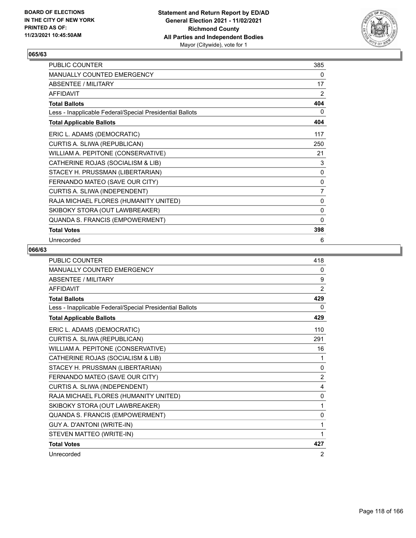

| PUBLIC COUNTER                                           | 385          |
|----------------------------------------------------------|--------------|
| MANUALLY COUNTED EMERGENCY                               | 0            |
| ABSENTEE / MILITARY                                      | 17           |
| <b>AFFIDAVIT</b>                                         | 2            |
| <b>Total Ballots</b>                                     | 404          |
| Less - Inapplicable Federal/Special Presidential Ballots | 0            |
| <b>Total Applicable Ballots</b>                          | 404          |
| ERIC L. ADAMS (DEMOCRATIC)                               | 117          |
| CURTIS A. SLIWA (REPUBLICAN)                             | 250          |
| WILLIAM A. PEPITONE (CONSERVATIVE)                       | 21           |
| CATHERINE ROJAS (SOCIALISM & LIB)                        | 3            |
| STACEY H. PRUSSMAN (LIBERTARIAN)                         | $\pmb{0}$    |
| FERNANDO MATEO (SAVE OUR CITY)                           | $\pmb{0}$    |
| CURTIS A. SLIWA (INDEPENDENT)                            | 7            |
| RAJA MICHAEL FLORES (HUMANITY UNITED)                    | 0            |
| SKIBOKY STORA (OUT LAWBREAKER)                           | 0            |
| QUANDA S. FRANCIS (EMPOWERMENT)                          | $\mathbf{0}$ |
| <b>Total Votes</b>                                       | 398          |
| Unrecorded                                               | 6            |

| <b>PUBLIC COUNTER</b>                                    | 418            |
|----------------------------------------------------------|----------------|
| MANUALLY COUNTED EMERGENCY                               | 0              |
| <b>ABSENTEE / MILITARY</b>                               | 9              |
| <b>AFFIDAVIT</b>                                         | 2              |
| <b>Total Ballots</b>                                     | 429            |
| Less - Inapplicable Federal/Special Presidential Ballots | 0              |
| <b>Total Applicable Ballots</b>                          | 429            |
| ERIC L. ADAMS (DEMOCRATIC)                               | 110            |
| CURTIS A. SLIWA (REPUBLICAN)                             | 291            |
| WILLIAM A. PEPITONE (CONSERVATIVE)                       | 16             |
| CATHERINE ROJAS (SOCIALISM & LIB)                        | 1              |
| STACEY H. PRUSSMAN (LIBERTARIAN)                         | 0              |
| FERNANDO MATEO (SAVE OUR CITY)                           | $\overline{2}$ |
| CURTIS A. SLIWA (INDEPENDENT)                            | 4              |
| RAJA MICHAEL FLORES (HUMANITY UNITED)                    | $\Omega$       |
| SKIBOKY STORA (OUT LAWBREAKER)                           | 1              |
| QUANDA S. FRANCIS (EMPOWERMENT)                          | $\mathbf{0}$   |
| GUY A. D'ANTONI (WRITE-IN)                               | 1              |
| STEVEN MATTEO (WRITE-IN)                                 | 1              |
| <b>Total Votes</b>                                       | 427            |
| Unrecorded                                               | 2              |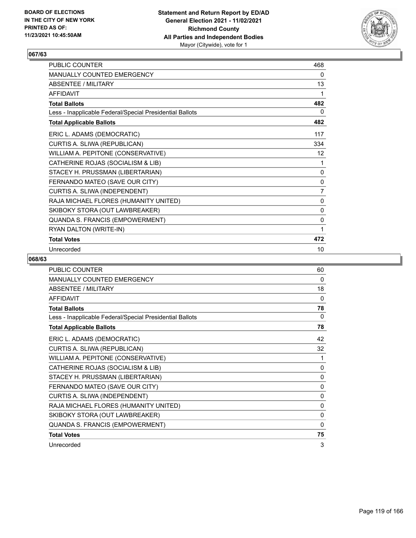

| PUBLIC COUNTER                                           | 468            |
|----------------------------------------------------------|----------------|
| <b>MANUALLY COUNTED EMERGENCY</b>                        | 0              |
| <b>ABSENTEE / MILITARY</b>                               | 13             |
| <b>AFFIDAVIT</b>                                         | 1              |
| <b>Total Ballots</b>                                     | 482            |
| Less - Inapplicable Federal/Special Presidential Ballots | 0              |
| <b>Total Applicable Ballots</b>                          | 482            |
| ERIC L. ADAMS (DEMOCRATIC)                               | 117            |
| CURTIS A. SLIWA (REPUBLICAN)                             | 334            |
| WILLIAM A. PEPITONE (CONSERVATIVE)                       | 12             |
| CATHERINE ROJAS (SOCIALISM & LIB)                        | 1              |
| STACEY H. PRUSSMAN (LIBERTARIAN)                         | 0              |
| FERNANDO MATEO (SAVE OUR CITY)                           | $\mathbf 0$    |
| CURTIS A. SLIWA (INDEPENDENT)                            | $\overline{7}$ |
| RAJA MICHAEL FLORES (HUMANITY UNITED)                    | 0              |
| SKIBOKY STORA (OUT LAWBREAKER)                           | 0              |
| QUANDA S. FRANCIS (EMPOWERMENT)                          | 0              |
| RYAN DALTON (WRITE-IN)                                   | 1              |
| <b>Total Votes</b>                                       | 472            |
| Unrecorded                                               | 10             |

| <b>PUBLIC COUNTER</b>                                    | 60           |
|----------------------------------------------------------|--------------|
| MANUALLY COUNTED EMERGENCY                               | 0            |
| <b>ABSENTEE / MILITARY</b>                               | 18           |
| <b>AFFIDAVIT</b>                                         | 0            |
| <b>Total Ballots</b>                                     | 78           |
| Less - Inapplicable Federal/Special Presidential Ballots | $\Omega$     |
| <b>Total Applicable Ballots</b>                          | 78           |
| ERIC L. ADAMS (DEMOCRATIC)                               | 42           |
| CURTIS A. SLIWA (REPUBLICAN)                             | 32           |
| WILLIAM A. PEPITONE (CONSERVATIVE)                       | 1            |
| CATHERINE ROJAS (SOCIALISM & LIB)                        | 0            |
| STACEY H. PRUSSMAN (LIBERTARIAN)                         | 0            |
| FERNANDO MATEO (SAVE OUR CITY)                           | 0            |
| CURTIS A. SLIWA (INDEPENDENT)                            | $\mathbf{0}$ |
| RAJA MICHAEL FLORES (HUMANITY UNITED)                    | 0            |
| SKIBOKY STORA (OUT LAWBREAKER)                           | 0            |
| QUANDA S. FRANCIS (EMPOWERMENT)                          | 0            |
| <b>Total Votes</b>                                       | 75           |
| Unrecorded                                               | 3            |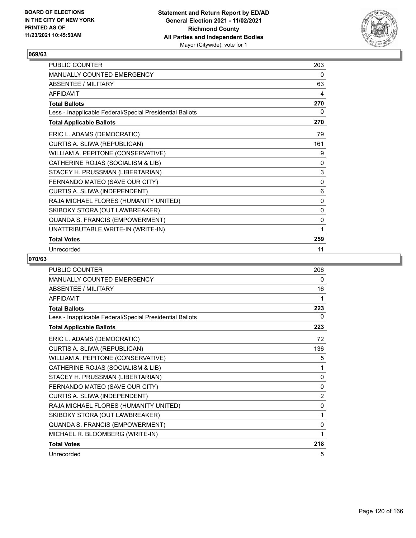

| PUBLIC COUNTER                                           | 203 |
|----------------------------------------------------------|-----|
| <b>MANUALLY COUNTED EMERGENCY</b>                        | 0   |
| <b>ABSENTEE / MILITARY</b>                               | 63  |
| <b>AFFIDAVIT</b>                                         | 4   |
| <b>Total Ballots</b>                                     | 270 |
| Less - Inapplicable Federal/Special Presidential Ballots | 0   |
| <b>Total Applicable Ballots</b>                          | 270 |
| ERIC L. ADAMS (DEMOCRATIC)                               | 79  |
| CURTIS A. SLIWA (REPUBLICAN)                             | 161 |
| WILLIAM A. PEPITONE (CONSERVATIVE)                       | 9   |
| CATHERINE ROJAS (SOCIALISM & LIB)                        | 0   |
| STACEY H. PRUSSMAN (LIBERTARIAN)                         | 3   |
| FERNANDO MATEO (SAVE OUR CITY)                           | 0   |
| CURTIS A. SLIWA (INDEPENDENT)                            | 6   |
| RAJA MICHAEL FLORES (HUMANITY UNITED)                    | 0   |
| SKIBOKY STORA (OUT LAWBREAKER)                           | 0   |
| QUANDA S. FRANCIS (EMPOWERMENT)                          | 0   |
| UNATTRIBUTABLE WRITE-IN (WRITE-IN)                       | 1   |
| <b>Total Votes</b>                                       | 259 |
| Unrecorded                                               | 11  |

| <b>PUBLIC COUNTER</b>                                    | 206          |
|----------------------------------------------------------|--------------|
| <b>MANUALLY COUNTED EMERGENCY</b>                        | 0            |
| <b>ABSENTEE / MILITARY</b>                               | 16           |
| <b>AFFIDAVIT</b>                                         | 1            |
| <b>Total Ballots</b>                                     | 223          |
| Less - Inapplicable Federal/Special Presidential Ballots | 0            |
| <b>Total Applicable Ballots</b>                          | 223          |
| ERIC L. ADAMS (DEMOCRATIC)                               | 72           |
| CURTIS A. SLIWA (REPUBLICAN)                             | 136          |
| WILLIAM A. PEPITONE (CONSERVATIVE)                       | 5            |
| CATHERINE ROJAS (SOCIALISM & LIB)                        | 1            |
| STACEY H. PRUSSMAN (LIBERTARIAN)                         | $\mathbf{0}$ |
| FERNANDO MATEO (SAVE OUR CITY)                           | $\mathbf{0}$ |
| CURTIS A. SLIWA (INDEPENDENT)                            | 2            |
| RAJA MICHAEL FLORES (HUMANITY UNITED)                    | $\Omega$     |
| SKIBOKY STORA (OUT LAWBREAKER)                           | 1            |
| QUANDA S. FRANCIS (EMPOWERMENT)                          | 0            |
| MICHAEL R. BLOOMBERG (WRITE-IN)                          | 1            |
| <b>Total Votes</b>                                       | 218          |
| Unrecorded                                               | 5            |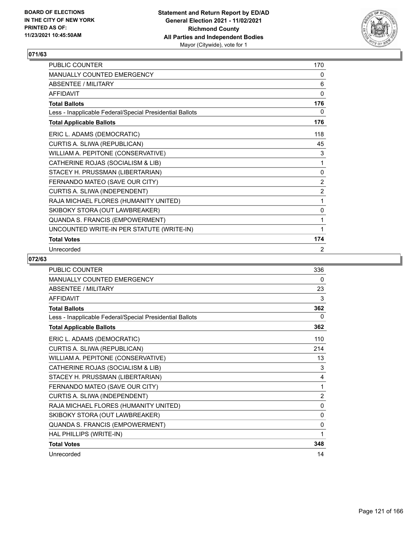

| <b>PUBLIC COUNTER</b>                                    | 170            |
|----------------------------------------------------------|----------------|
| <b>MANUALLY COUNTED EMERGENCY</b>                        | 0              |
| ABSENTEE / MILITARY                                      | 6              |
| <b>AFFIDAVIT</b>                                         | 0              |
| <b>Total Ballots</b>                                     | 176            |
| Less - Inapplicable Federal/Special Presidential Ballots | 0              |
| <b>Total Applicable Ballots</b>                          | 176            |
| ERIC L. ADAMS (DEMOCRATIC)                               | 118            |
| CURTIS A. SLIWA (REPUBLICAN)                             | 45             |
| WILLIAM A. PEPITONE (CONSERVATIVE)                       | 3              |
| CATHERINE ROJAS (SOCIALISM & LIB)                        | 1              |
| STACEY H. PRUSSMAN (LIBERTARIAN)                         | 0              |
| FERNANDO MATEO (SAVE OUR CITY)                           | $\overline{2}$ |
| CURTIS A. SLIWA (INDEPENDENT)                            | 2              |
| RAJA MICHAEL FLORES (HUMANITY UNITED)                    | 1              |
| SKIBOKY STORA (OUT LAWBREAKER)                           | 0              |
| QUANDA S. FRANCIS (EMPOWERMENT)                          | 1              |
| UNCOUNTED WRITE-IN PER STATUTE (WRITE-IN)                | 1              |
| <b>Total Votes</b>                                       | 174            |
| Unrecorded                                               | 2              |

| <b>PUBLIC COUNTER</b>                                    | 336          |
|----------------------------------------------------------|--------------|
| <b>MANUALLY COUNTED EMERGENCY</b>                        | 0            |
| <b>ABSENTEE / MILITARY</b>                               | 23           |
| <b>AFFIDAVIT</b>                                         | 3            |
| <b>Total Ballots</b>                                     | 362          |
| Less - Inapplicable Federal/Special Presidential Ballots | 0            |
| <b>Total Applicable Ballots</b>                          | 362          |
| ERIC L. ADAMS (DEMOCRATIC)                               | 110          |
| CURTIS A. SLIWA (REPUBLICAN)                             | 214          |
| WILLIAM A. PEPITONE (CONSERVATIVE)                       | 13           |
| CATHERINE ROJAS (SOCIALISM & LIB)                        | 3            |
| STACEY H. PRUSSMAN (LIBERTARIAN)                         | 4            |
| FERNANDO MATEO (SAVE OUR CITY)                           | 1            |
| CURTIS A. SLIWA (INDEPENDENT)                            | 2            |
| RAJA MICHAEL FLORES (HUMANITY UNITED)                    | 0            |
| SKIBOKY STORA (OUT LAWBREAKER)                           | $\mathbf{0}$ |
| QUANDA S. FRANCIS (EMPOWERMENT)                          | 0            |
| HAL PHILLIPS (WRITE-IN)                                  | 1            |
| <b>Total Votes</b>                                       | 348          |
| Unrecorded                                               | 14           |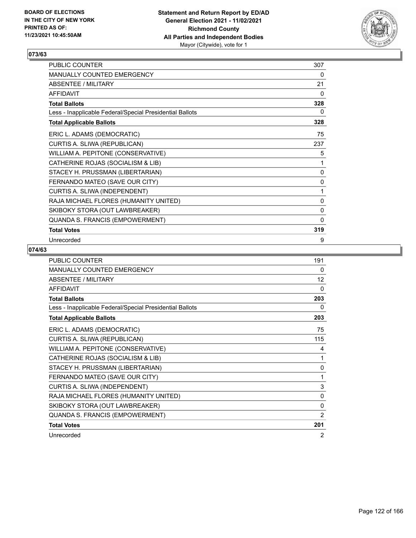

| PUBLIC COUNTER                                           | 307 |
|----------------------------------------------------------|-----|
| MANUALLY COUNTED EMERGENCY                               | 0   |
| ABSENTEE / MILITARY                                      | 21  |
| <b>AFFIDAVIT</b>                                         | 0   |
| <b>Total Ballots</b>                                     | 328 |
| Less - Inapplicable Federal/Special Presidential Ballots | 0   |
| <b>Total Applicable Ballots</b>                          | 328 |
| ERIC L. ADAMS (DEMOCRATIC)                               | 75  |
| CURTIS A. SLIWA (REPUBLICAN)                             | 237 |
| WILLIAM A. PEPITONE (CONSERVATIVE)                       | 5   |
| CATHERINE ROJAS (SOCIALISM & LIB)                        | 1   |
| STACEY H. PRUSSMAN (LIBERTARIAN)                         | 0   |
| FERNANDO MATEO (SAVE OUR CITY)                           | 0   |
| CURTIS A. SLIWA (INDEPENDENT)                            | 1   |
| RAJA MICHAEL FLORES (HUMANITY UNITED)                    | 0   |
| SKIBOKY STORA (OUT LAWBREAKER)                           | 0   |
| QUANDA S. FRANCIS (EMPOWERMENT)                          | 0   |
| <b>Total Votes</b>                                       | 319 |
| Unrecorded                                               | 9   |

| <b>PUBLIC COUNTER</b>                                    | 191          |
|----------------------------------------------------------|--------------|
| <b>MANUALLY COUNTED EMERGENCY</b>                        | 0            |
| <b>ABSENTEE / MILITARY</b>                               | 12           |
| <b>AFFIDAVIT</b>                                         | 0            |
| <b>Total Ballots</b>                                     | 203          |
| Less - Inapplicable Federal/Special Presidential Ballots | 0            |
| <b>Total Applicable Ballots</b>                          | 203          |
| ERIC L. ADAMS (DEMOCRATIC)                               | 75           |
| CURTIS A. SLIWA (REPUBLICAN)                             | 115          |
| WILLIAM A. PEPITONE (CONSERVATIVE)                       | 4            |
| CATHERINE ROJAS (SOCIALISM & LIB)                        | 1            |
| STACEY H. PRUSSMAN (LIBERTARIAN)                         | $\mathbf 0$  |
| FERNANDO MATEO (SAVE OUR CITY)                           | 1            |
| CURTIS A. SLIWA (INDEPENDENT)                            | 3            |
| RAJA MICHAEL FLORES (HUMANITY UNITED)                    | 0            |
| SKIBOKY STORA (OUT LAWBREAKER)                           | $\mathbf{0}$ |
| QUANDA S. FRANCIS (EMPOWERMENT)                          | 2            |
| <b>Total Votes</b>                                       | 201          |
| Unrecorded                                               | 2            |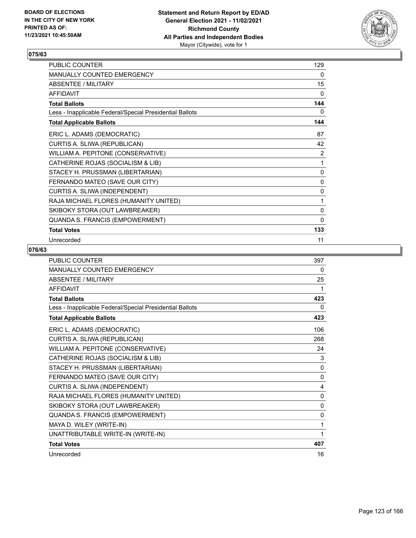

| PUBLIC COUNTER                                           | 129          |
|----------------------------------------------------------|--------------|
| MANUALLY COUNTED EMERGENCY                               | 0            |
| <b>ABSENTEE / MILITARY</b>                               | 15           |
| <b>AFFIDAVIT</b>                                         | 0            |
| <b>Total Ballots</b>                                     | 144          |
| Less - Inapplicable Federal/Special Presidential Ballots | 0            |
| <b>Total Applicable Ballots</b>                          | 144          |
| ERIC L. ADAMS (DEMOCRATIC)                               | 87           |
| CURTIS A. SLIWA (REPUBLICAN)                             | 42           |
| WILLIAM A. PEPITONE (CONSERVATIVE)                       | 2            |
| CATHERINE ROJAS (SOCIALISM & LIB)                        | 1            |
| STACEY H. PRUSSMAN (LIBERTARIAN)                         | 0            |
| FERNANDO MATEO (SAVE OUR CITY)                           | 0            |
| CURTIS A. SLIWA (INDEPENDENT)                            | 0            |
| RAJA MICHAEL FLORES (HUMANITY UNITED)                    | 1            |
| SKIBOKY STORA (OUT LAWBREAKER)                           | 0            |
| QUANDA S. FRANCIS (EMPOWERMENT)                          | $\mathbf{0}$ |
| <b>Total Votes</b>                                       | 133          |
| Unrecorded                                               | 11           |

| <b>PUBLIC COUNTER</b>                                    | 397          |
|----------------------------------------------------------|--------------|
| <b>MANUALLY COUNTED EMERGENCY</b>                        | 0            |
| <b>ABSENTEE / MILITARY</b>                               | 25           |
| <b>AFFIDAVIT</b>                                         | 1            |
| <b>Total Ballots</b>                                     | 423          |
| Less - Inapplicable Federal/Special Presidential Ballots | 0            |
| <b>Total Applicable Ballots</b>                          | 423          |
| ERIC L. ADAMS (DEMOCRATIC)                               | 106          |
| CURTIS A. SLIWA (REPUBLICAN)                             | 268          |
| WILLIAM A. PEPITONE (CONSERVATIVE)                       | 24           |
| CATHERINE ROJAS (SOCIALISM & LIB)                        | 3            |
| STACEY H. PRUSSMAN (LIBERTARIAN)                         | $\mathbf{0}$ |
| FERNANDO MATEO (SAVE OUR CITY)                           | 0            |
| CURTIS A. SLIWA (INDEPENDENT)                            | 4            |
| RAJA MICHAEL FLORES (HUMANITY UNITED)                    | $\mathbf{0}$ |
| SKIBOKY STORA (OUT LAWBREAKER)                           | $\mathbf{0}$ |
| QUANDA S. FRANCIS (EMPOWERMENT)                          | 0            |
| MAYA D. WILEY (WRITE-IN)                                 | 1            |
| UNATTRIBUTABLE WRITE-IN (WRITE-IN)                       | 1            |
| <b>Total Votes</b>                                       | 407          |
| Unrecorded                                               | 16           |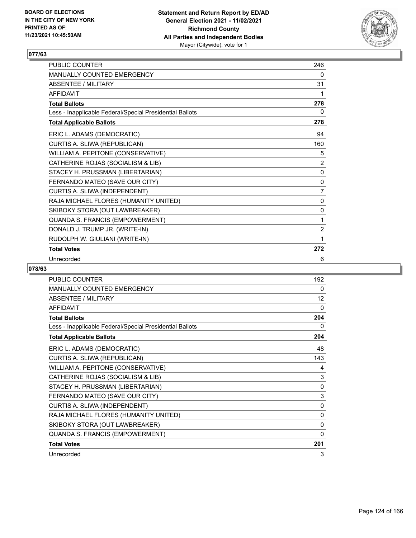

| <b>PUBLIC COUNTER</b>                                    | 246            |
|----------------------------------------------------------|----------------|
| <b>MANUALLY COUNTED EMERGENCY</b>                        | 0              |
| ABSENTEE / MII ITARY                                     | 31             |
| <b>AFFIDAVIT</b>                                         | 1              |
| <b>Total Ballots</b>                                     | 278            |
| Less - Inapplicable Federal/Special Presidential Ballots | 0              |
| <b>Total Applicable Ballots</b>                          | 278            |
| ERIC L. ADAMS (DEMOCRATIC)                               | 94             |
| CURTIS A. SLIWA (REPUBLICAN)                             | 160            |
| WILLIAM A. PEPITONE (CONSERVATIVE)                       | 5              |
| CATHERINE ROJAS (SOCIALISM & LIB)                        | $\overline{2}$ |
| STACEY H. PRUSSMAN (LIBERTARIAN)                         | 0              |
| FERNANDO MATEO (SAVE OUR CITY)                           | 0              |
| CURTIS A. SLIWA (INDEPENDENT)                            | 7              |
| RAJA MICHAEL FLORES (HUMANITY UNITED)                    | $\mathbf{0}$   |
| SKIBOKY STORA (OUT LAWBREAKER)                           | $\mathbf{0}$   |
| QUANDA S. FRANCIS (EMPOWERMENT)                          | 1              |
| DONALD J. TRUMP JR. (WRITE-IN)                           | 2              |
| RUDOLPH W. GIULIANI (WRITE-IN)                           | 1              |
| <b>Total Votes</b>                                       | 272            |
| Unrecorded                                               | 6              |

| PUBLIC COUNTER                                           | 192         |
|----------------------------------------------------------|-------------|
| MANUALLY COUNTED EMERGENCY                               | 0           |
| <b>ABSENTEE / MILITARY</b>                               | 12          |
| <b>AFFIDAVIT</b>                                         | 0           |
| <b>Total Ballots</b>                                     | 204         |
| Less - Inapplicable Federal/Special Presidential Ballots | 0           |
| <b>Total Applicable Ballots</b>                          | 204         |
| ERIC L. ADAMS (DEMOCRATIC)                               | 48          |
| CURTIS A. SLIWA (REPUBLICAN)                             | 143         |
| WILLIAM A. PEPITONE (CONSERVATIVE)                       | 4           |
| CATHERINE ROJAS (SOCIALISM & LIB)                        | 3           |
| STACEY H. PRUSSMAN (LIBERTARIAN)                         | 0           |
| FERNANDO MATEO (SAVE OUR CITY)                           | $\mathsf 3$ |
| CURTIS A. SLIWA (INDEPENDENT)                            | 0           |
| RAJA MICHAEL FLORES (HUMANITY UNITED)                    | 0           |
| SKIBOKY STORA (OUT LAWBREAKER)                           | 0           |
| QUANDA S. FRANCIS (EMPOWERMENT)                          | $\Omega$    |
| <b>Total Votes</b>                                       | 201         |
| Unrecorded                                               | 3           |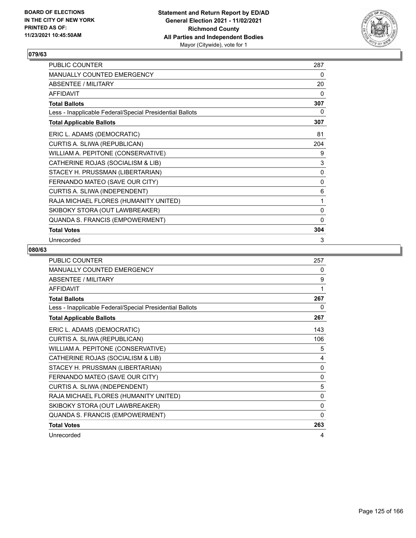

| PUBLIC COUNTER                                           | 287          |
|----------------------------------------------------------|--------------|
| MANUALLY COUNTED EMERGENCY                               | 0            |
| <b>ABSENTEE / MILITARY</b>                               | 20           |
| <b>AFFIDAVIT</b>                                         | $\mathbf{0}$ |
| <b>Total Ballots</b>                                     | 307          |
| Less - Inapplicable Federal/Special Presidential Ballots | 0            |
| <b>Total Applicable Ballots</b>                          | 307          |
| ERIC L. ADAMS (DEMOCRATIC)                               | 81           |
| CURTIS A. SLIWA (REPUBLICAN)                             | 204          |
| WILLIAM A. PEPITONE (CONSERVATIVE)                       | 9            |
| CATHERINE ROJAS (SOCIALISM & LIB)                        | $\mathsf 3$  |
| STACEY H. PRUSSMAN (LIBERTARIAN)                         | 0            |
| FERNANDO MATEO (SAVE OUR CITY)                           | 0            |
| CURTIS A. SLIWA (INDEPENDENT)                            | 6            |
| RAJA MICHAEL FLORES (HUMANITY UNITED)                    | 1            |
| SKIBOKY STORA (OUT LAWBREAKER)                           | 0            |
| QUANDA S. FRANCIS (EMPOWERMENT)                          | $\mathbf{0}$ |
| <b>Total Votes</b>                                       | 304          |
| Unrecorded                                               | 3            |

| <b>PUBLIC COUNTER</b>                                    | 257          |
|----------------------------------------------------------|--------------|
| MANUALLY COUNTED EMERGENCY                               | 0            |
| <b>ABSENTEE / MILITARY</b>                               | 9            |
| <b>AFFIDAVIT</b>                                         | 1            |
| <b>Total Ballots</b>                                     | 267          |
| Less - Inapplicable Federal/Special Presidential Ballots | 0            |
| <b>Total Applicable Ballots</b>                          | 267          |
| ERIC L. ADAMS (DEMOCRATIC)                               | 143          |
| CURTIS A. SLIWA (REPUBLICAN)                             | 106          |
| WILLIAM A. PEPITONE (CONSERVATIVE)                       | 5            |
| CATHERINE ROJAS (SOCIALISM & LIB)                        | 4            |
| STACEY H. PRUSSMAN (LIBERTARIAN)                         | $\mathbf{0}$ |
| FERNANDO MATEO (SAVE OUR CITY)                           | $\mathbf{0}$ |
| CURTIS A. SLIWA (INDEPENDENT)                            | 5            |
| RAJA MICHAEL FLORES (HUMANITY UNITED)                    | $\mathbf{0}$ |
| SKIBOKY STORA (OUT LAWBREAKER)                           | 0            |
| QUANDA S. FRANCIS (EMPOWERMENT)                          | 0            |
| <b>Total Votes</b>                                       | 263          |
| Unrecorded                                               | 4            |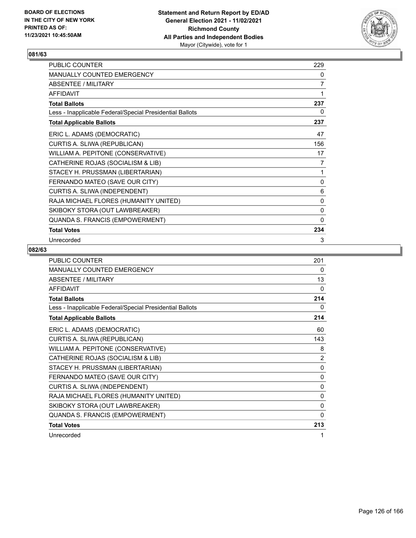

| PUBLIC COUNTER                                           | 229            |
|----------------------------------------------------------|----------------|
| MANUALLY COUNTED EMERGENCY                               | 0              |
| <b>ABSENTEE / MILITARY</b>                               | $\overline{7}$ |
| <b>AFFIDAVIT</b>                                         | 1              |
| <b>Total Ballots</b>                                     | 237            |
| Less - Inapplicable Federal/Special Presidential Ballots | 0              |
| <b>Total Applicable Ballots</b>                          | 237            |
| ERIC L. ADAMS (DEMOCRATIC)                               | 47             |
| CURTIS A. SLIWA (REPUBLICAN)                             | 156            |
| WILLIAM A. PEPITONE (CONSERVATIVE)                       | 17             |
| CATHERINE ROJAS (SOCIALISM & LIB)                        | 7              |
| STACEY H. PRUSSMAN (LIBERTARIAN)                         | 1              |
| FERNANDO MATEO (SAVE OUR CITY)                           | 0              |
| CURTIS A. SLIWA (INDEPENDENT)                            | 6              |
| RAJA MICHAEL FLORES (HUMANITY UNITED)                    | 0              |
| SKIBOKY STORA (OUT LAWBREAKER)                           | 0              |
| QUANDA S. FRANCIS (EMPOWERMENT)                          | $\mathbf{0}$   |
| <b>Total Votes</b>                                       | 234            |
| Unrecorded                                               | 3              |

| <b>PUBLIC COUNTER</b>                                    | 201            |
|----------------------------------------------------------|----------------|
| <b>MANUALLY COUNTED EMERGENCY</b>                        | 0              |
| <b>ABSENTEE / MILITARY</b>                               | 13             |
| <b>AFFIDAVIT</b>                                         | 0              |
| <b>Total Ballots</b>                                     | 214            |
| Less - Inapplicable Federal/Special Presidential Ballots | 0              |
| <b>Total Applicable Ballots</b>                          | 214            |
| ERIC L. ADAMS (DEMOCRATIC)                               | 60             |
| CURTIS A. SLIWA (REPUBLICAN)                             | 143            |
| WILLIAM A. PEPITONE (CONSERVATIVE)                       | 8              |
| CATHERINE ROJAS (SOCIALISM & LIB)                        | $\overline{2}$ |
| STACEY H. PRUSSMAN (LIBERTARIAN)                         | $\mathbf{0}$   |
| FERNANDO MATEO (SAVE OUR CITY)                           | 0              |
| CURTIS A. SLIWA (INDEPENDENT)                            | $\mathbf{0}$   |
| RAJA MICHAEL FLORES (HUMANITY UNITED)                    | 0              |
| SKIBOKY STORA (OUT LAWBREAKER)                           | 0              |
| QUANDA S. FRANCIS (EMPOWERMENT)                          | $\mathbf{0}$   |
| <b>Total Votes</b>                                       | 213            |
| Unrecorded                                               | 1              |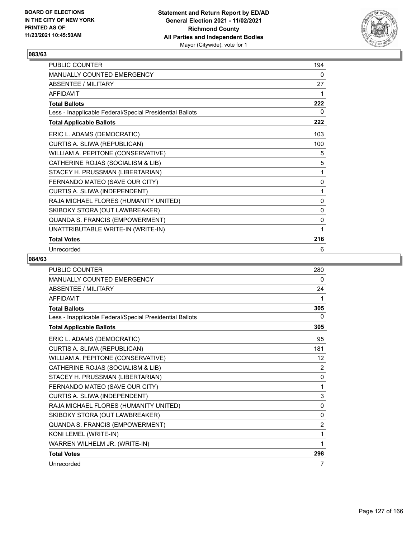

| <b>PUBLIC COUNTER</b>                                    | 194 |
|----------------------------------------------------------|-----|
| <b>MANUALLY COUNTED EMERGENCY</b>                        | 0   |
| ABSENTEE / MILITARY                                      | 27  |
| <b>AFFIDAVIT</b>                                         | 1   |
| <b>Total Ballots</b>                                     | 222 |
| Less - Inapplicable Federal/Special Presidential Ballots | 0   |
| <b>Total Applicable Ballots</b>                          | 222 |
| ERIC L. ADAMS (DEMOCRATIC)                               | 103 |
| CURTIS A. SLIWA (REPUBLICAN)                             | 100 |
| WILLIAM A. PEPITONE (CONSERVATIVE)                       | 5   |
| CATHERINE ROJAS (SOCIALISM & LIB)                        | 5   |
| STACEY H. PRUSSMAN (LIBERTARIAN)                         | 1   |
| FERNANDO MATEO (SAVE OUR CITY)                           | 0   |
| CURTIS A. SLIWA (INDEPENDENT)                            | 1   |
| RAJA MICHAEL FLORES (HUMANITY UNITED)                    | 0   |
| SKIBOKY STORA (OUT LAWBREAKER)                           | 0   |
| QUANDA S. FRANCIS (EMPOWERMENT)                          | 0   |
| UNATTRIBUTABLE WRITE-IN (WRITE-IN)                       | 1   |
| <b>Total Votes</b>                                       | 216 |
| Unrecorded                                               | 6   |

| <b>PUBLIC COUNTER</b>                                    | 280            |
|----------------------------------------------------------|----------------|
| MANUALLY COUNTED EMERGENCY                               | 0              |
| <b>ABSENTEE / MILITARY</b>                               | 24             |
| <b>AFFIDAVIT</b>                                         | 1              |
| <b>Total Ballots</b>                                     | 305            |
| Less - Inapplicable Federal/Special Presidential Ballots | 0              |
| <b>Total Applicable Ballots</b>                          | 305            |
| ERIC L. ADAMS (DEMOCRATIC)                               | 95             |
| CURTIS A. SLIWA (REPUBLICAN)                             | 181            |
| WILLIAM A. PEPITONE (CONSERVATIVE)                       | 12             |
| CATHERINE ROJAS (SOCIALISM & LIB)                        | $\overline{2}$ |
| STACEY H. PRUSSMAN (LIBERTARIAN)                         | 0              |
| FERNANDO MATEO (SAVE OUR CITY)                           | 1              |
| CURTIS A. SLIWA (INDEPENDENT)                            | 3              |
| RAJA MICHAEL FLORES (HUMANITY UNITED)                    | 0              |
| SKIBOKY STORA (OUT LAWBREAKER)                           | $\mathbf{0}$   |
| QUANDA S. FRANCIS (EMPOWERMENT)                          | 2              |
| KONI LEMEL (WRITE-IN)                                    | 1              |
| WARREN WILHELM JR. (WRITE-IN)                            | 1              |
| <b>Total Votes</b>                                       | 298            |
| Unrecorded                                               | 7              |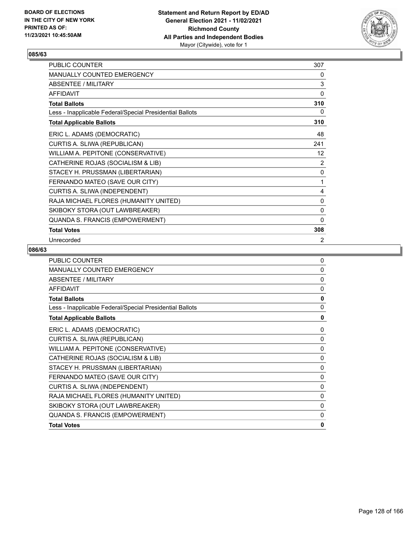

| PUBLIC COUNTER                                           | 307            |
|----------------------------------------------------------|----------------|
| MANUALLY COUNTED EMERGENCY                               | 0              |
| ABSENTEE / MILITARY                                      | $\mathsf 3$    |
| <b>AFFIDAVIT</b>                                         | $\Omega$       |
| <b>Total Ballots</b>                                     | 310            |
| Less - Inapplicable Federal/Special Presidential Ballots | 0              |
| <b>Total Applicable Ballots</b>                          | 310            |
| ERIC L. ADAMS (DEMOCRATIC)                               | 48             |
| CURTIS A. SLIWA (REPUBLICAN)                             | 241            |
| WILLIAM A. PEPITONE (CONSERVATIVE)                       | 12             |
| CATHERINE ROJAS (SOCIALISM & LIB)                        | $\overline{2}$ |
| STACEY H. PRUSSMAN (LIBERTARIAN)                         | 0              |
| FERNANDO MATEO (SAVE OUR CITY)                           | 1              |
| CURTIS A. SLIWA (INDEPENDENT)                            | 4              |
| RAJA MICHAEL FLORES (HUMANITY UNITED)                    | 0              |
| SKIBOKY STORA (OUT LAWBREAKER)                           | 0              |
| QUANDA S. FRANCIS (EMPOWERMENT)                          | $\mathbf{0}$   |
| <b>Total Votes</b>                                       | 308            |
| Unrecorded                                               | 2              |

| <b>PUBLIC COUNTER</b>                                    | $\mathbf 0$  |
|----------------------------------------------------------|--------------|
| <b>MANUALLY COUNTED EMERGENCY</b>                        | $\mathbf 0$  |
| ABSENTEE / MILITARY                                      | $\mathbf 0$  |
| <b>AFFIDAVIT</b>                                         | $\mathbf{0}$ |
| <b>Total Ballots</b>                                     | 0            |
| Less - Inapplicable Federal/Special Presidential Ballots | 0            |
| <b>Total Applicable Ballots</b>                          | 0            |
| ERIC L. ADAMS (DEMOCRATIC)                               | 0            |
| CURTIS A. SLIWA (REPUBLICAN)                             | 0            |
| WILLIAM A. PEPITONE (CONSERVATIVE)                       | 0            |
| CATHERINE ROJAS (SOCIALISM & LIB)                        | 0            |
| STACEY H. PRUSSMAN (LIBERTARIAN)                         | 0            |
| FERNANDO MATEO (SAVE OUR CITY)                           | 0            |
| CURTIS A. SLIWA (INDEPENDENT)                            | 0            |
| RAJA MICHAEL FLORES (HUMANITY UNITED)                    | 0            |
| SKIBOKY STORA (OUT LAWBREAKER)                           | 0            |
| QUANDA S. FRANCIS (EMPOWERMENT)                          | 0            |
| <b>Total Votes</b>                                       | $\mathbf{0}$ |
|                                                          |              |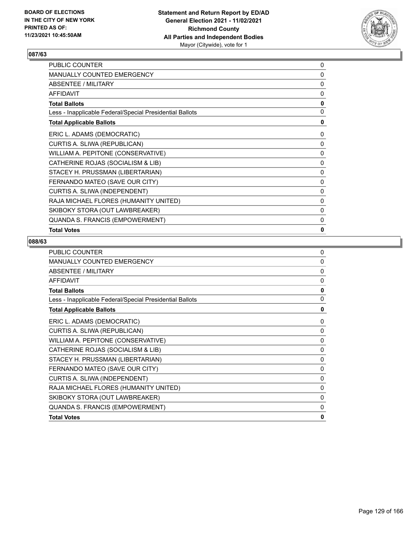

| PUBLIC COUNTER                                           | 0 |
|----------------------------------------------------------|---|
| <b>MANUALLY COUNTED EMERGENCY</b>                        | 0 |
| ABSENTEE / MILITARY                                      | 0 |
| <b>AFFIDAVIT</b>                                         | 0 |
| <b>Total Ballots</b>                                     | 0 |
| Less - Inapplicable Federal/Special Presidential Ballots | 0 |
| <b>Total Applicable Ballots</b>                          | 0 |
| ERIC L. ADAMS (DEMOCRATIC)                               | 0 |
| CURTIS A. SLIWA (REPUBLICAN)                             | 0 |
| WILLIAM A. PEPITONE (CONSERVATIVE)                       | 0 |
| CATHERINE ROJAS (SOCIALISM & LIB)                        | 0 |
| STACEY H. PRUSSMAN (LIBERTARIAN)                         | 0 |
| FERNANDO MATEO (SAVE OUR CITY)                           | 0 |
| CURTIS A. SLIWA (INDEPENDENT)                            | 0 |
| RAJA MICHAEL FLORES (HUMANITY UNITED)                    | 0 |
| SKIBOKY STORA (OUT LAWBREAKER)                           | 0 |
| QUANDA S. FRANCIS (EMPOWERMENT)                          | 0 |
| <b>Total Votes</b>                                       | 0 |

| <b>PUBLIC COUNTER</b>                                    | $\Omega$     |
|----------------------------------------------------------|--------------|
| <b>MANUALLY COUNTED EMERGENCY</b>                        | $\Omega$     |
| <b>ABSENTEE / MILITARY</b>                               | $\mathbf{0}$ |
| <b>AFFIDAVIT</b>                                         | $\Omega$     |
| <b>Total Ballots</b>                                     | $\mathbf{0}$ |
| Less - Inapplicable Federal/Special Presidential Ballots | 0            |
| <b>Total Applicable Ballots</b>                          | 0            |
| ERIC L. ADAMS (DEMOCRATIC)                               | 0            |
| CURTIS A. SLIWA (REPUBLICAN)                             | 0            |
| WILLIAM A. PEPITONE (CONSERVATIVE)                       | $\Omega$     |
| CATHERINE ROJAS (SOCIALISM & LIB)                        | 0            |
| STACEY H. PRUSSMAN (LIBERTARIAN)                         | 0            |
| FERNANDO MATEO (SAVE OUR CITY)                           | $\Omega$     |
| CURTIS A. SLIWA (INDEPENDENT)                            | 0            |
| RAJA MICHAEL FLORES (HUMANITY UNITED)                    | 0            |
| SKIBOKY STORA (OUT LAWBREAKER)                           | $\Omega$     |
| QUANDA S. FRANCIS (EMPOWERMENT)                          | 0            |
| <b>Total Votes</b>                                       | 0            |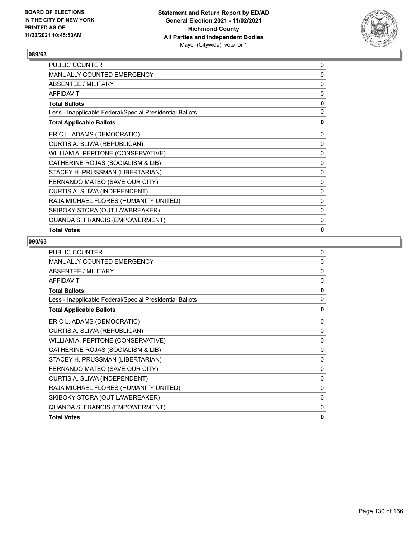

| PUBLIC COUNTER                                           | 0            |
|----------------------------------------------------------|--------------|
| <b>MANUALLY COUNTED EMERGENCY</b>                        | 0            |
| ABSENTEE / MILITARY                                      | 0            |
| <b>AFFIDAVIT</b>                                         | 0            |
| <b>Total Ballots</b>                                     | 0            |
| Less - Inapplicable Federal/Special Presidential Ballots | 0            |
| <b>Total Applicable Ballots</b>                          | 0            |
| ERIC L. ADAMS (DEMOCRATIC)                               | 0            |
| CURTIS A. SLIWA (REPUBLICAN)                             | 0            |
| WILLIAM A. PEPITONE (CONSERVATIVE)                       | 0            |
| CATHERINE ROJAS (SOCIALISM & LIB)                        | 0            |
| STACEY H. PRUSSMAN (LIBERTARIAN)                         | 0            |
| FERNANDO MATEO (SAVE OUR CITY)                           | 0            |
| CURTIS A. SLIWA (INDEPENDENT)                            | 0            |
| RAJA MICHAEL FLORES (HUMANITY UNITED)                    | 0            |
| SKIBOKY STORA (OUT LAWBREAKER)                           | 0            |
| QUANDA S. FRANCIS (EMPOWERMENT)                          | $\mathbf{0}$ |
| <b>Total Votes</b>                                       | 0            |

| <b>PUBLIC COUNTER</b>                                    | $\mathbf 0$ |
|----------------------------------------------------------|-------------|
| <b>MANUALLY COUNTED EMERGENCY</b>                        | $\mathbf 0$ |
| ABSENTEE / MILITARY                                      | $\Omega$    |
| <b>AFFIDAVIT</b>                                         | $\Omega$    |
| <b>Total Ballots</b>                                     | 0           |
| Less - Inapplicable Federal/Special Presidential Ballots | 0           |
| <b>Total Applicable Ballots</b>                          | $\mathbf 0$ |
| ERIC L. ADAMS (DEMOCRATIC)                               | 0           |
| CURTIS A. SLIWA (REPUBLICAN)                             | $\mathbf 0$ |
| WILLIAM A. PEPITONE (CONSERVATIVE)                       | 0           |
| CATHERINE ROJAS (SOCIALISM & LIB)                        | $\Omega$    |
| STACEY H. PRUSSMAN (LIBERTARIAN)                         | 0           |
| FERNANDO MATEO (SAVE OUR CITY)                           | $\mathbf 0$ |
| CURTIS A. SLIWA (INDEPENDENT)                            | $\mathbf 0$ |
| RAJA MICHAEL FLORES (HUMANITY UNITED)                    | $\mathbf 0$ |
| SKIBOKY STORA (OUT LAWBREAKER)                           | 0           |
| <b>QUANDA S. FRANCIS (EMPOWERMENT)</b>                   | $\mathbf 0$ |
| <b>Total Votes</b>                                       | 0           |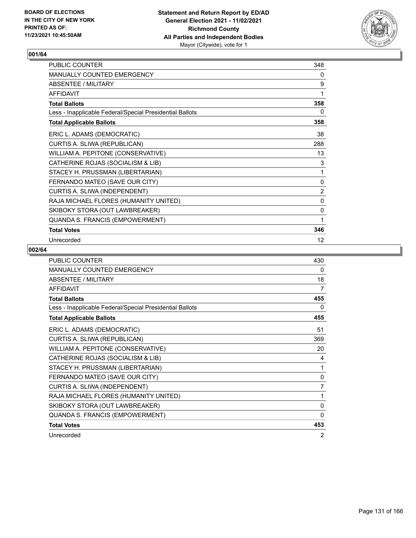

| PUBLIC COUNTER                                           | 348            |
|----------------------------------------------------------|----------------|
| MANUALLY COUNTED EMERGENCY                               | 0              |
| ABSENTEE / MILITARY                                      | 9              |
| <b>AFFIDAVIT</b>                                         | 1              |
| <b>Total Ballots</b>                                     | 358            |
| Less - Inapplicable Federal/Special Presidential Ballots | 0              |
| <b>Total Applicable Ballots</b>                          | 358            |
| ERIC L. ADAMS (DEMOCRATIC)                               | 38             |
| CURTIS A. SLIWA (REPUBLICAN)                             | 288            |
| WILLIAM A. PEPITONE (CONSERVATIVE)                       | 13             |
| CATHERINE ROJAS (SOCIALISM & LIB)                        | 3              |
| STACEY H. PRUSSMAN (LIBERTARIAN)                         | 1              |
| FERNANDO MATEO (SAVE OUR CITY)                           | $\mathbf 0$    |
| CURTIS A. SLIWA (INDEPENDENT)                            | $\overline{2}$ |
| RAJA MICHAEL FLORES (HUMANITY UNITED)                    | 0              |
| SKIBOKY STORA (OUT LAWBREAKER)                           | 0              |
| QUANDA S. FRANCIS (EMPOWERMENT)                          | 1              |
| <b>Total Votes</b>                                       | 346            |
| Unrecorded                                               | 12             |

| PUBLIC COUNTER                                           | 430          |
|----------------------------------------------------------|--------------|
| <b>MANUALLY COUNTED EMERGENCY</b>                        | 0            |
| ABSENTEE / MILITARY                                      | 18           |
| <b>AFFIDAVIT</b>                                         | 7            |
| <b>Total Ballots</b>                                     | 455          |
| Less - Inapplicable Federal/Special Presidential Ballots | 0            |
| <b>Total Applicable Ballots</b>                          | 455          |
| ERIC L. ADAMS (DEMOCRATIC)                               | 51           |
| CURTIS A. SLIWA (REPUBLICAN)                             | 369          |
| WILLIAM A. PEPITONE (CONSERVATIVE)                       | 20           |
| CATHERINE ROJAS (SOCIALISM & LIB)                        | 4            |
| STACEY H. PRUSSMAN (LIBERTARIAN)                         | 1            |
| FERNANDO MATEO (SAVE OUR CITY)                           | 0            |
| CURTIS A. SLIWA (INDEPENDENT)                            | 7            |
| RAJA MICHAEL FLORES (HUMANITY UNITED)                    | 1            |
| SKIBOKY STORA (OUT LAWBREAKER)                           | 0            |
| QUANDA S. FRANCIS (EMPOWERMENT)                          | $\mathbf{0}$ |
| <b>Total Votes</b>                                       | 453          |
| Unrecorded                                               | 2            |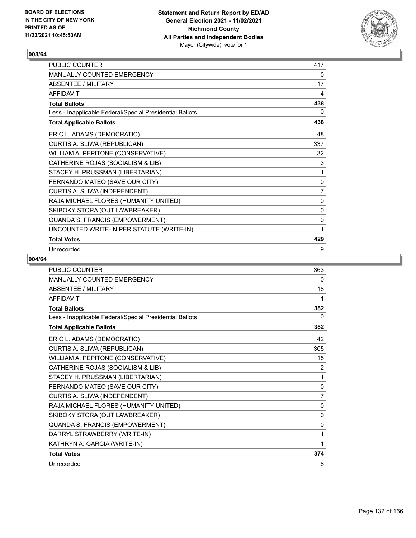

| PUBLIC COUNTER                                           | 417            |
|----------------------------------------------------------|----------------|
| MANUALLY COUNTED EMERGENCY                               | 0              |
| ABSENTEE / MILITARY                                      | 17             |
| <b>AFFIDAVIT</b>                                         | 4              |
| <b>Total Ballots</b>                                     | 438            |
| Less - Inapplicable Federal/Special Presidential Ballots | 0              |
| <b>Total Applicable Ballots</b>                          | 438            |
| ERIC L. ADAMS (DEMOCRATIC)                               | 48             |
| CURTIS A. SLIWA (REPUBLICAN)                             | 337            |
| WILLIAM A. PEPITONE (CONSERVATIVE)                       | 32             |
| CATHERINE ROJAS (SOCIALISM & LIB)                        | 3              |
| STACEY H. PRUSSMAN (LIBERTARIAN)                         | 1              |
| FERNANDO MATEO (SAVE OUR CITY)                           | 0              |
| CURTIS A. SLIWA (INDEPENDENT)                            | $\overline{7}$ |
| RAJA MICHAEL FLORES (HUMANITY UNITED)                    | 0              |
| SKIBOKY STORA (OUT LAWBREAKER)                           | 0              |
| QUANDA S. FRANCIS (EMPOWERMENT)                          | 0              |
| UNCOUNTED WRITE-IN PER STATUTE (WRITE-IN)                | 1              |
| <b>Total Votes</b>                                       | 429            |
| Unrecorded                                               | 9              |

| <b>PUBLIC COUNTER</b>                                    | 363            |
|----------------------------------------------------------|----------------|
| MANUALLY COUNTED EMERGENCY                               | 0              |
| <b>ABSENTEE / MILITARY</b>                               | 18             |
| <b>AFFIDAVIT</b>                                         | 1              |
| <b>Total Ballots</b>                                     | 382            |
| Less - Inapplicable Federal/Special Presidential Ballots | 0              |
| <b>Total Applicable Ballots</b>                          | 382            |
| ERIC L. ADAMS (DEMOCRATIC)                               | 42             |
| CURTIS A. SLIWA (REPUBLICAN)                             | 305            |
| WILLIAM A. PEPITONE (CONSERVATIVE)                       | 15             |
| CATHERINE ROJAS (SOCIALISM & LIB)                        | 2              |
| STACEY H. PRUSSMAN (LIBERTARIAN)                         | 1              |
| FERNANDO MATEO (SAVE OUR CITY)                           | 0              |
| CURTIS A. SLIWA (INDEPENDENT)                            | $\overline{7}$ |
| RAJA MICHAEL FLORES (HUMANITY UNITED)                    | $\mathbf{0}$   |
| SKIBOKY STORA (OUT LAWBREAKER)                           | $\mathbf{0}$   |
| QUANDA S. FRANCIS (EMPOWERMENT)                          | 0              |
| DARRYL STRAWBERRY (WRITE-IN)                             | 1              |
| KATHRYN A. GARCIA (WRITE-IN)                             | 1              |
| <b>Total Votes</b>                                       | 374            |
| Unrecorded                                               | 8              |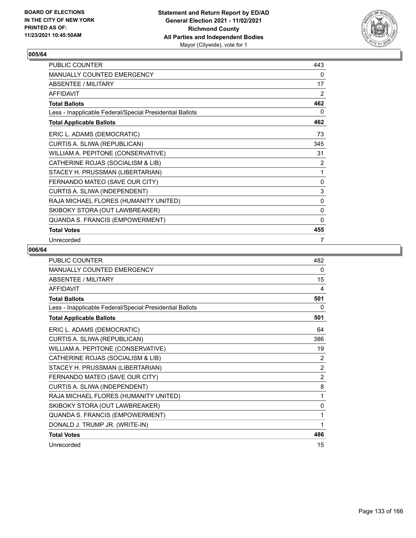

| PUBLIC COUNTER                                           | 443       |
|----------------------------------------------------------|-----------|
| MANUALLY COUNTED EMERGENCY                               | 0         |
| ABSENTEE / MILITARY                                      | 17        |
| <b>AFFIDAVIT</b>                                         | 2         |
| <b>Total Ballots</b>                                     | 462       |
| Less - Inapplicable Federal/Special Presidential Ballots | 0         |
| <b>Total Applicable Ballots</b>                          | 462       |
| ERIC L. ADAMS (DEMOCRATIC)                               | 73        |
| CURTIS A. SLIWA (REPUBLICAN)                             | 345       |
| WILLIAM A. PEPITONE (CONSERVATIVE)                       | 31        |
| CATHERINE ROJAS (SOCIALISM & LIB)                        | 2         |
| STACEY H. PRUSSMAN (LIBERTARIAN)                         | 1         |
| FERNANDO MATEO (SAVE OUR CITY)                           | $\pmb{0}$ |
| CURTIS A. SLIWA (INDEPENDENT)                            | 3         |
| RAJA MICHAEL FLORES (HUMANITY UNITED)                    | 0         |
| SKIBOKY STORA (OUT LAWBREAKER)                           | 0         |
| QUANDA S. FRANCIS (EMPOWERMENT)                          | 0         |
| <b>Total Votes</b>                                       | 455       |
| Unrecorded                                               | 7         |

| PUBLIC COUNTER                                           | 482            |
|----------------------------------------------------------|----------------|
| MANUALLY COUNTED EMERGENCY                               | 0              |
| ABSENTEE / MILITARY                                      | 15             |
| <b>AFFIDAVIT</b>                                         | 4              |
| <b>Total Ballots</b>                                     | 501            |
| Less - Inapplicable Federal/Special Presidential Ballots | 0              |
| <b>Total Applicable Ballots</b>                          | 501            |
| ERIC L. ADAMS (DEMOCRATIC)                               | 64             |
| CURTIS A. SLIWA (REPUBLICAN)                             | 386            |
| WILLIAM A. PEPITONE (CONSERVATIVE)                       | 19             |
| CATHERINE ROJAS (SOCIALISM & LIB)                        | 2              |
| STACEY H. PRUSSMAN (LIBERTARIAN)                         | $\overline{2}$ |
| FERNANDO MATEO (SAVE OUR CITY)                           | $\overline{2}$ |
| CURTIS A. SLIWA (INDEPENDENT)                            | 8              |
| RAJA MICHAEL FLORES (HUMANITY UNITED)                    | 1              |
| SKIBOKY STORA (OUT LAWBREAKER)                           | 0              |
| QUANDA S. FRANCIS (EMPOWERMENT)                          | 1              |
| DONALD J. TRUMP JR. (WRITE-IN)                           | 1              |
| <b>Total Votes</b>                                       | 486            |
| Unrecorded                                               | 15             |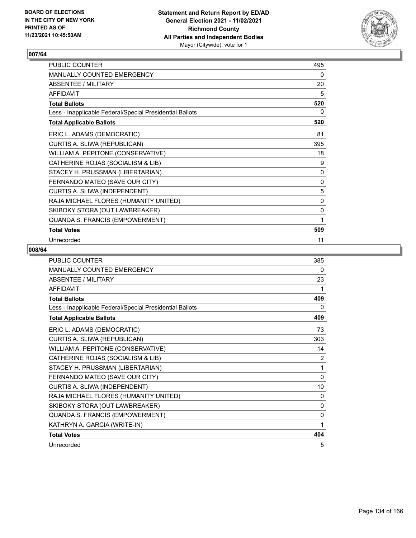

| PUBLIC COUNTER                                           | 495 |
|----------------------------------------------------------|-----|
| MANUALLY COUNTED EMERGENCY                               | 0   |
| ABSENTEE / MILITARY                                      | 20  |
| <b>AFFIDAVIT</b>                                         | 5   |
| <b>Total Ballots</b>                                     | 520 |
| Less - Inapplicable Federal/Special Presidential Ballots | 0   |
| <b>Total Applicable Ballots</b>                          | 520 |
| ERIC L. ADAMS (DEMOCRATIC)                               | 81  |
| CURTIS A. SLIWA (REPUBLICAN)                             | 395 |
| WILLIAM A. PEPITONE (CONSERVATIVE)                       | 18  |
| CATHERINE ROJAS (SOCIALISM & LIB)                        | 9   |
| STACEY H. PRUSSMAN (LIBERTARIAN)                         | 0   |
| FERNANDO MATEO (SAVE OUR CITY)                           | 0   |
| CURTIS A. SLIWA (INDEPENDENT)                            | 5   |
| RAJA MICHAEL FLORES (HUMANITY UNITED)                    | 0   |
| SKIBOKY STORA (OUT LAWBREAKER)                           | 0   |
| QUANDA S. FRANCIS (EMPOWERMENT)                          | 1   |
| <b>Total Votes</b>                                       | 509 |
| Unrecorded                                               | 11  |

| <b>PUBLIC COUNTER</b>                                    | 385            |
|----------------------------------------------------------|----------------|
| <b>MANUALLY COUNTED EMERGENCY</b>                        | 0              |
| <b>ABSENTEE / MILITARY</b>                               | 23             |
| <b>AFFIDAVIT</b>                                         | 1              |
| <b>Total Ballots</b>                                     | 409            |
| Less - Inapplicable Federal/Special Presidential Ballots | 0              |
| <b>Total Applicable Ballots</b>                          | 409            |
| ERIC L. ADAMS (DEMOCRATIC)                               | 73             |
| CURTIS A. SLIWA (REPUBLICAN)                             | 303            |
| WILLIAM A. PEPITONE (CONSERVATIVE)                       | 14             |
| CATHERINE ROJAS (SOCIALISM & LIB)                        | $\overline{2}$ |
| STACEY H. PRUSSMAN (LIBERTARIAN)                         | 1              |
| FERNANDO MATEO (SAVE OUR CITY)                           | $\Omega$       |
| CURTIS A. SLIWA (INDEPENDENT)                            | 10             |
| RAJA MICHAEL FLORES (HUMANITY UNITED)                    | $\mathbf{0}$   |
| SKIBOKY STORA (OUT LAWBREAKER)                           | $\Omega$       |
| QUANDA S. FRANCIS (EMPOWERMENT)                          | $\mathbf{0}$   |
| KATHRYN A. GARCIA (WRITE-IN)                             | 1              |
| <b>Total Votes</b>                                       | 404            |
| Unrecorded                                               | 5              |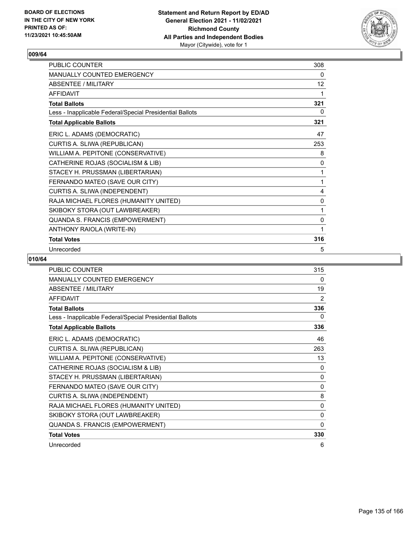

| <b>PUBLIC COUNTER</b>                                    | 308               |
|----------------------------------------------------------|-------------------|
| <b>MANUALLY COUNTED EMERGENCY</b>                        | 0                 |
| ABSENTEE / MILITARY                                      | $12 \overline{ }$ |
| <b>AFFIDAVIT</b>                                         | 1                 |
| <b>Total Ballots</b>                                     | 321               |
| Less - Inapplicable Federal/Special Presidential Ballots | 0                 |
| <b>Total Applicable Ballots</b>                          | 321               |
| ERIC L. ADAMS (DEMOCRATIC)                               | 47                |
| CURTIS A. SLIWA (REPUBLICAN)                             | 253               |
| WILLIAM A. PEPITONE (CONSERVATIVE)                       | 8                 |
| CATHERINE ROJAS (SOCIALISM & LIB)                        | 0                 |
| STACEY H. PRUSSMAN (LIBERTARIAN)                         | 1                 |
| FERNANDO MATEO (SAVE OUR CITY)                           | 1                 |
| CURTIS A. SLIWA (INDEPENDENT)                            | 4                 |
| RAJA MICHAEL FLORES (HUMANITY UNITED)                    | 0                 |
| SKIBOKY STORA (OUT LAWBREAKER)                           | 1                 |
| QUANDA S. FRANCIS (EMPOWERMENT)                          | 0                 |
| ANTHONY RAIOLA (WRITE-IN)                                | 1                 |
| <b>Total Votes</b>                                       | 316               |
| Unrecorded                                               | 5                 |

| <b>PUBLIC COUNTER</b>                                    | 315      |
|----------------------------------------------------------|----------|
| <b>MANUALLY COUNTED EMERGENCY</b>                        | 0        |
| <b>ABSENTEE / MILITARY</b>                               | 19       |
| <b>AFFIDAVIT</b>                                         | 2        |
| <b>Total Ballots</b>                                     | 336      |
| Less - Inapplicable Federal/Special Presidential Ballots | 0        |
| <b>Total Applicable Ballots</b>                          | 336      |
| ERIC L. ADAMS (DEMOCRATIC)                               | 46       |
| CURTIS A. SLIWA (REPUBLICAN)                             | 263      |
| WILLIAM A. PEPITONE (CONSERVATIVE)                       | 13       |
| CATHERINE ROJAS (SOCIALISM & LIB)                        | 0        |
| STACEY H. PRUSSMAN (LIBERTARIAN)                         | 0        |
| FERNANDO MATEO (SAVE OUR CITY)                           | $\Omega$ |
| CURTIS A. SLIWA (INDEPENDENT)                            | 8        |
| RAJA MICHAEL FLORES (HUMANITY UNITED)                    | 0        |
| SKIBOKY STORA (OUT LAWBREAKER)                           | $\Omega$ |
| QUANDA S. FRANCIS (EMPOWERMENT)                          | 0        |
| <b>Total Votes</b>                                       | 330      |
| Unrecorded                                               | 6        |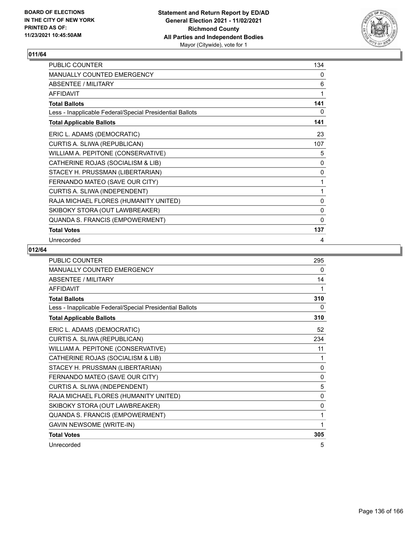

| <b>PUBLIC COUNTER</b>                                    | 134          |
|----------------------------------------------------------|--------------|
| <b>MANUALLY COUNTED EMERGENCY</b>                        | 0            |
| ABSENTEE / MILITARY                                      | 6            |
| <b>AFFIDAVIT</b>                                         | 1            |
| <b>Total Ballots</b>                                     | 141          |
| Less - Inapplicable Federal/Special Presidential Ballots | 0            |
| <b>Total Applicable Ballots</b>                          | 141          |
| ERIC L. ADAMS (DEMOCRATIC)                               | 23           |
| CURTIS A. SLIWA (REPUBLICAN)                             | 107          |
| WILLIAM A. PEPITONE (CONSERVATIVE)                       | 5            |
| CATHERINE ROJAS (SOCIALISM & LIB)                        | 0            |
| STACEY H. PRUSSMAN (LIBERTARIAN)                         | 0            |
| FERNANDO MATEO (SAVE OUR CITY)                           | 1            |
| CURTIS A. SLIWA (INDEPENDENT)                            | 1            |
| RAJA MICHAEL FLORES (HUMANITY UNITED)                    | 0            |
| SKIBOKY STORA (OUT LAWBREAKER)                           | $\mathbf 0$  |
| QUANDA S. FRANCIS (EMPOWERMENT)                          | $\mathbf{0}$ |
| <b>Total Votes</b>                                       | 137          |
| Unrecorded                                               | 4            |

| PUBLIC COUNTER                                           | 295          |
|----------------------------------------------------------|--------------|
| MANUALLY COUNTED EMERGENCY                               | 0            |
| ABSENTEE / MILITARY                                      | 14           |
| <b>AFFIDAVIT</b>                                         | 1            |
| <b>Total Ballots</b>                                     | 310          |
| Less - Inapplicable Federal/Special Presidential Ballots | 0            |
| <b>Total Applicable Ballots</b>                          | 310          |
| ERIC L. ADAMS (DEMOCRATIC)                               | 52           |
| CURTIS A. SLIWA (REPUBLICAN)                             | 234          |
| WILLIAM A. PEPITONE (CONSERVATIVE)                       | 11           |
| CATHERINE ROJAS (SOCIALISM & LIB)                        | 1            |
| STACEY H. PRUSSMAN (LIBERTARIAN)                         | $\mathbf{0}$ |
| FERNANDO MATEO (SAVE OUR CITY)                           | 0            |
| CURTIS A. SLIWA (INDEPENDENT)                            | 5            |
| RAJA MICHAEL FLORES (HUMANITY UNITED)                    | $\mathbf{0}$ |
| SKIBOKY STORA (OUT LAWBREAKER)                           | 0            |
| QUANDA S. FRANCIS (EMPOWERMENT)                          | 1            |
| <b>GAVIN NEWSOME (WRITE-IN)</b>                          | $\mathbf{1}$ |
| <b>Total Votes</b>                                       | 305          |
| Unrecorded                                               | 5            |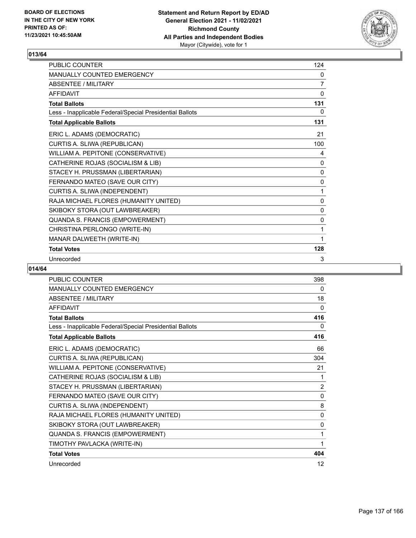

| <b>PUBLIC COUNTER</b>                                    | 124          |
|----------------------------------------------------------|--------------|
| <b>MANUALLY COUNTED EMERGENCY</b>                        | 0            |
| <b>ABSENTEE / MILITARY</b>                               | 7            |
| <b>AFFIDAVIT</b>                                         | 0            |
| <b>Total Ballots</b>                                     | 131          |
| Less - Inapplicable Federal/Special Presidential Ballots | 0            |
| <b>Total Applicable Ballots</b>                          | 131          |
| ERIC L. ADAMS (DEMOCRATIC)                               | 21           |
| CURTIS A. SLIWA (REPUBLICAN)                             | 100          |
| WILLIAM A. PEPITONE (CONSERVATIVE)                       | 4            |
| CATHERINE ROJAS (SOCIALISM & LIB)                        | 0            |
| STACEY H. PRUSSMAN (LIBERTARIAN)                         | 0            |
| FERNANDO MATEO (SAVE OUR CITY)                           | 0            |
| CURTIS A. SLIWA (INDEPENDENT)                            | 1            |
| RAJA MICHAEL FLORES (HUMANITY UNITED)                    | 0            |
| SKIBOKY STORA (OUT LAWBREAKER)                           | 0            |
| QUANDA S. FRANCIS (EMPOWERMENT)                          | $\mathbf{0}$ |
| CHRISTINA PERLONGO (WRITE-IN)                            | 1            |
| MANAR DALWEETH (WRITE-IN)                                | 1            |
| <b>Total Votes</b>                                       | 128          |
| Unrecorded                                               | 3            |

| PUBLIC COUNTER                                           | 398            |
|----------------------------------------------------------|----------------|
| <b>MANUALLY COUNTED EMERGENCY</b>                        | $\Omega$       |
| ABSENTEE / MILITARY                                      | 18             |
| <b>AFFIDAVIT</b>                                         | $\Omega$       |
| <b>Total Ballots</b>                                     | 416            |
| Less - Inapplicable Federal/Special Presidential Ballots | 0              |
| <b>Total Applicable Ballots</b>                          | 416            |
| ERIC L. ADAMS (DEMOCRATIC)                               | 66             |
| CURTIS A. SLIWA (REPUBLICAN)                             | 304            |
| WILLIAM A. PEPITONE (CONSERVATIVE)                       | 21             |
| CATHERINE ROJAS (SOCIALISM & LIB)                        | 1              |
| STACEY H. PRUSSMAN (LIBERTARIAN)                         | $\overline{2}$ |
| FERNANDO MATEO (SAVE OUR CITY)                           | 0              |
| CURTIS A. SLIWA (INDEPENDENT)                            | 8              |
| RAJA MICHAEL FLORES (HUMANITY UNITED)                    | 0              |
| SKIBOKY STORA (OUT LAWBREAKER)                           | 0              |
| QUANDA S. FRANCIS (EMPOWERMENT)                          | 1              |
| TIMOTHY PAVLACKA (WRITE-IN)                              | 1              |
| <b>Total Votes</b>                                       | 404            |
| Unrecorded                                               | 12             |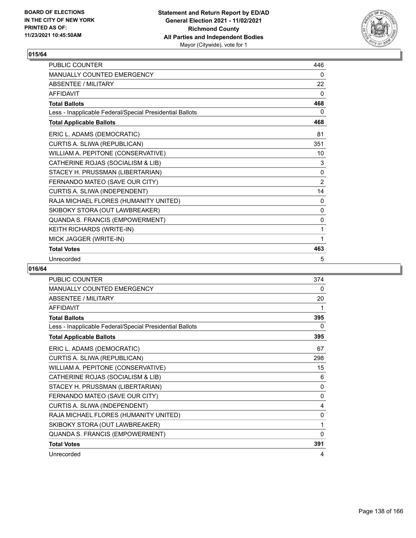

| <b>PUBLIC COUNTER</b>                                    | 446            |
|----------------------------------------------------------|----------------|
| <b>MANUALLY COUNTED EMERGENCY</b>                        | 0              |
| ABSENTEE / MII ITARY                                     | 22             |
| <b>AFFIDAVIT</b>                                         | $\mathbf{0}$   |
| <b>Total Ballots</b>                                     | 468            |
| Less - Inapplicable Federal/Special Presidential Ballots | 0              |
| <b>Total Applicable Ballots</b>                          | 468            |
| ERIC L. ADAMS (DEMOCRATIC)                               | 81             |
| CURTIS A. SLIWA (REPUBLICAN)                             | 351            |
| WILLIAM A. PEPITONE (CONSERVATIVE)                       | 10             |
| CATHERINE ROJAS (SOCIALISM & LIB)                        | 3              |
| STACEY H. PRUSSMAN (LIBERTARIAN)                         | $\mathbf{0}$   |
| FERNANDO MATEO (SAVE OUR CITY)                           | $\overline{2}$ |
| CURTIS A. SLIWA (INDEPENDENT)                            | 14             |
| RAJA MICHAEL FLORES (HUMANITY UNITED)                    | $\mathbf{0}$   |
| SKIBOKY STORA (OUT LAWBREAKER)                           | $\mathbf{0}$   |
| QUANDA S. FRANCIS (EMPOWERMENT)                          | $\mathbf{0}$   |
| KEITH RICHARDS (WRITE-IN)                                | 1              |
| MICK JAGGER (WRITE-IN)                                   | 1              |
| <b>Total Votes</b>                                       | 463            |
| Unrecorded                                               | 5              |

| <b>PUBLIC COUNTER</b>                                    | 374            |
|----------------------------------------------------------|----------------|
| <b>MANUALLY COUNTED EMERGENCY</b>                        | 0              |
| <b>ABSENTEE / MILITARY</b>                               | 20             |
| <b>AFFIDAVIT</b>                                         | 1              |
| <b>Total Ballots</b>                                     | 395            |
| Less - Inapplicable Federal/Special Presidential Ballots | 0              |
| <b>Total Applicable Ballots</b>                          | 395            |
| ERIC L. ADAMS (DEMOCRATIC)                               | 67             |
| CURTIS A. SLIWA (REPUBLICAN)                             | 298            |
| WILLIAM A. PEPITONE (CONSERVATIVE)                       | 15             |
| CATHERINE ROJAS (SOCIALISM & LIB)                        | 6              |
| STACEY H. PRUSSMAN (LIBERTARIAN)                         | 0              |
| FERNANDO MATEO (SAVE OUR CITY)                           | 0              |
| CURTIS A. SLIWA (INDEPENDENT)                            | $\overline{4}$ |
| RAJA MICHAEL FLORES (HUMANITY UNITED)                    | $\mathbf 0$    |
| SKIBOKY STORA (OUT LAWBREAKER)                           | 1              |
| QUANDA S. FRANCIS (EMPOWERMENT)                          | 0              |
| <b>Total Votes</b>                                       | 391            |
| Unrecorded                                               | 4              |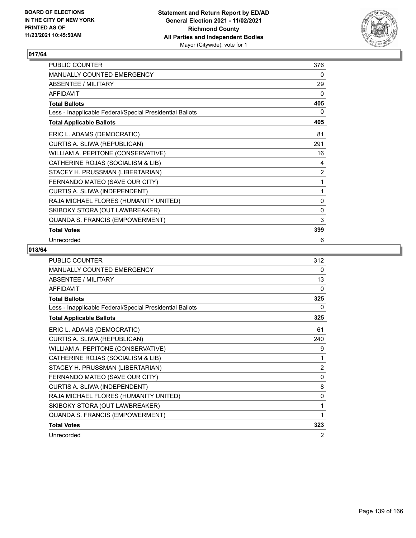

| PUBLIC COUNTER                                           | 376          |
|----------------------------------------------------------|--------------|
| MANUALLY COUNTED EMERGENCY                               | 0            |
| ABSENTEE / MILITARY                                      | 29           |
| <b>AFFIDAVIT</b>                                         | 0            |
| <b>Total Ballots</b>                                     | 405          |
| Less - Inapplicable Federal/Special Presidential Ballots | 0            |
| <b>Total Applicable Ballots</b>                          | 405          |
| ERIC L. ADAMS (DEMOCRATIC)                               | 81           |
| CURTIS A. SLIWA (REPUBLICAN)                             | 291          |
| WILLIAM A. PEPITONE (CONSERVATIVE)                       | 16           |
| CATHERINE ROJAS (SOCIALISM & LIB)                        | 4            |
| STACEY H. PRUSSMAN (LIBERTARIAN)                         | 2            |
| FERNANDO MATEO (SAVE OUR CITY)                           | 1            |
| CURTIS A. SLIWA (INDEPENDENT)                            | 1            |
| RAJA MICHAEL FLORES (HUMANITY UNITED)                    | 0            |
| SKIBOKY STORA (OUT LAWBREAKER)                           | $\mathbf{0}$ |
| QUANDA S. FRANCIS (EMPOWERMENT)                          | 3            |
| <b>Total Votes</b>                                       | 399          |
| Unrecorded                                               | 6            |

| <b>PUBLIC COUNTER</b>                                    | 312            |
|----------------------------------------------------------|----------------|
| <b>MANUALLY COUNTED EMERGENCY</b>                        | 0              |
| ABSENTEE / MILITARY                                      | 13             |
| <b>AFFIDAVIT</b>                                         | 0              |
| <b>Total Ballots</b>                                     | 325            |
| Less - Inapplicable Federal/Special Presidential Ballots | 0              |
| <b>Total Applicable Ballots</b>                          | 325            |
| ERIC L. ADAMS (DEMOCRATIC)                               | 61             |
| CURTIS A. SLIWA (REPUBLICAN)                             | 240            |
| WILLIAM A. PEPITONE (CONSERVATIVE)                       | 9              |
| CATHERINE ROJAS (SOCIALISM & LIB)                        | 1              |
| STACEY H. PRUSSMAN (LIBERTARIAN)                         | $\overline{2}$ |
| FERNANDO MATEO (SAVE OUR CITY)                           | 0              |
| CURTIS A. SLIWA (INDEPENDENT)                            | 8              |
| RAJA MICHAEL FLORES (HUMANITY UNITED)                    | 0              |
| SKIBOKY STORA (OUT LAWBREAKER)                           | 1              |
| QUANDA S. FRANCIS (EMPOWERMENT)                          | 1              |
| <b>Total Votes</b>                                       | 323            |
| Unrecorded                                               | 2              |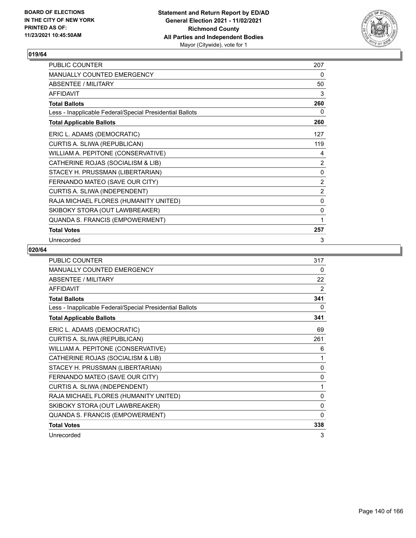

| PUBLIC COUNTER                                           | 207            |
|----------------------------------------------------------|----------------|
| <b>MANUALLY COUNTED EMERGENCY</b>                        | 0              |
| ABSENTEE / MILITARY                                      | 50             |
| <b>AFFIDAVIT</b>                                         | 3              |
| <b>Total Ballots</b>                                     | 260            |
| Less - Inapplicable Federal/Special Presidential Ballots | 0              |
| <b>Total Applicable Ballots</b>                          | 260            |
| ERIC L. ADAMS (DEMOCRATIC)                               | 127            |
| CURTIS A. SLIWA (REPUBLICAN)                             | 119            |
| WILLIAM A. PEPITONE (CONSERVATIVE)                       | 4              |
| CATHERINE ROJAS (SOCIALISM & LIB)                        | 2              |
| STACEY H. PRUSSMAN (LIBERTARIAN)                         | 0              |
| FERNANDO MATEO (SAVE OUR CITY)                           | 2              |
| CURTIS A. SLIWA (INDEPENDENT)                            | $\overline{2}$ |
| RAJA MICHAEL FLORES (HUMANITY UNITED)                    | 0              |
| SKIBOKY STORA (OUT LAWBREAKER)                           | $\mathbf 0$    |
| QUANDA S. FRANCIS (EMPOWERMENT)                          | 1              |
| <b>Total Votes</b>                                       | 257            |
| Unrecorded                                               | 3              |

| <b>PUBLIC COUNTER</b>                                    | 317          |
|----------------------------------------------------------|--------------|
| <b>MANUALLY COUNTED EMERGENCY</b>                        | $\Omega$     |
| ABSENTEE / MILITARY                                      | 22           |
| <b>AFFIDAVIT</b>                                         | 2            |
| <b>Total Ballots</b>                                     | 341          |
| Less - Inapplicable Federal/Special Presidential Ballots | 0            |
| <b>Total Applicable Ballots</b>                          | 341          |
| ERIC L. ADAMS (DEMOCRATIC)                               | 69           |
| CURTIS A. SLIWA (REPUBLICAN)                             | 261          |
| WILLIAM A. PEPITONE (CONSERVATIVE)                       | 6            |
| CATHERINE ROJAS (SOCIALISM & LIB)                        | 1            |
| STACEY H. PRUSSMAN (LIBERTARIAN)                         | $\mathbf{0}$ |
| FERNANDO MATEO (SAVE OUR CITY)                           | 0            |
| CURTIS A. SLIWA (INDEPENDENT)                            | 1            |
| RAJA MICHAEL FLORES (HUMANITY UNITED)                    | 0            |
| SKIBOKY STORA (OUT LAWBREAKER)                           | 0            |
| QUANDA S. FRANCIS (EMPOWERMENT)                          | $\Omega$     |
| <b>Total Votes</b>                                       | 338          |
| Unrecorded                                               | 3            |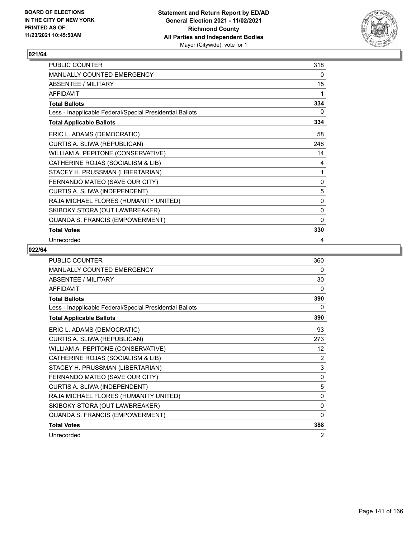

| PUBLIC COUNTER                                           | 318          |
|----------------------------------------------------------|--------------|
| MANUALLY COUNTED EMERGENCY                               | 0            |
| ABSENTEE / MILITARY                                      | 15           |
| <b>AFFIDAVIT</b>                                         | 1            |
| <b>Total Ballots</b>                                     | 334          |
| Less - Inapplicable Federal/Special Presidential Ballots | 0            |
| <b>Total Applicable Ballots</b>                          | 334          |
| ERIC L. ADAMS (DEMOCRATIC)                               | 58           |
| CURTIS A. SLIWA (REPUBLICAN)                             | 248          |
| WILLIAM A. PEPITONE (CONSERVATIVE)                       | 14           |
| CATHERINE ROJAS (SOCIALISM & LIB)                        | 4            |
| STACEY H. PRUSSMAN (LIBERTARIAN)                         | 1            |
| FERNANDO MATEO (SAVE OUR CITY)                           | 0            |
| CURTIS A. SLIWA (INDEPENDENT)                            | 5            |
| RAJA MICHAEL FLORES (HUMANITY UNITED)                    | 0            |
| SKIBOKY STORA (OUT LAWBREAKER)                           | 0            |
| QUANDA S. FRANCIS (EMPOWERMENT)                          | $\mathbf{0}$ |
| <b>Total Votes</b>                                       | 330          |
| Unrecorded                                               | 4            |

| <b>PUBLIC COUNTER</b>                                    | 360          |
|----------------------------------------------------------|--------------|
| MANUALLY COUNTED EMERGENCY                               | 0            |
| ABSENTEE / MILITARY                                      | 30           |
| <b>AFFIDAVIT</b>                                         | 0            |
| <b>Total Ballots</b>                                     | 390          |
| Less - Inapplicable Federal/Special Presidential Ballots | 0            |
| <b>Total Applicable Ballots</b>                          | 390          |
| ERIC L. ADAMS (DEMOCRATIC)                               | 93           |
| CURTIS A. SLIWA (REPUBLICAN)                             | 273          |
| WILLIAM A. PEPITONE (CONSERVATIVE)                       | 12           |
| CATHERINE ROJAS (SOCIALISM & LIB)                        | 2            |
| STACEY H. PRUSSMAN (LIBERTARIAN)                         | 3            |
| FERNANDO MATEO (SAVE OUR CITY)                           | 0            |
| CURTIS A. SLIWA (INDEPENDENT)                            | 5            |
| RAJA MICHAEL FLORES (HUMANITY UNITED)                    | 0            |
| SKIBOKY STORA (OUT LAWBREAKER)                           | $\mathbf{0}$ |
| QUANDA S. FRANCIS (EMPOWERMENT)                          | 0            |
| <b>Total Votes</b>                                       | 388          |
| Unrecorded                                               | 2            |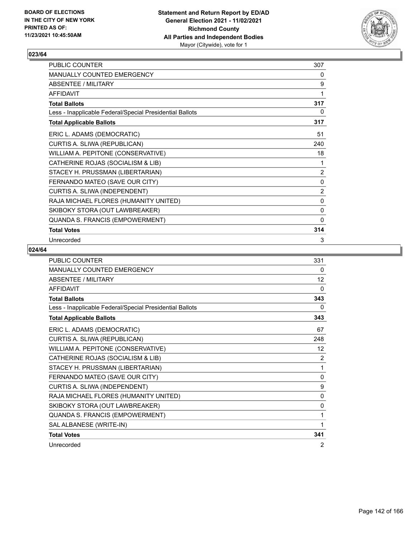

| PUBLIC COUNTER                                           | 307          |
|----------------------------------------------------------|--------------|
| MANUALLY COUNTED EMERGENCY                               | 0            |
| ABSENTEE / MILITARY                                      | 9            |
| <b>AFFIDAVIT</b>                                         | 1            |
| <b>Total Ballots</b>                                     | 317          |
| Less - Inapplicable Federal/Special Presidential Ballots | 0            |
| <b>Total Applicable Ballots</b>                          | 317          |
| ERIC L. ADAMS (DEMOCRATIC)                               | 51           |
| CURTIS A. SLIWA (REPUBLICAN)                             | 240          |
| WILLIAM A. PEPITONE (CONSERVATIVE)                       | 18           |
| CATHERINE ROJAS (SOCIALISM & LIB)                        | 1            |
| STACEY H. PRUSSMAN (LIBERTARIAN)                         | 2            |
| FERNANDO MATEO (SAVE OUR CITY)                           | $\pmb{0}$    |
| CURTIS A. SLIWA (INDEPENDENT)                            | 2            |
| RAJA MICHAEL FLORES (HUMANITY UNITED)                    | 0            |
| SKIBOKY STORA (OUT LAWBREAKER)                           | 0            |
| QUANDA S. FRANCIS (EMPOWERMENT)                          | $\mathbf{0}$ |
| <b>Total Votes</b>                                       | 314          |
| Unrecorded                                               | 3            |

| <b>PUBLIC COUNTER</b>                                    | 331          |
|----------------------------------------------------------|--------------|
| MANUALLY COUNTED EMERGENCY                               | 0            |
| ABSENTEE / MILITARY                                      | 12           |
| <b>AFFIDAVIT</b>                                         | $\Omega$     |
| <b>Total Ballots</b>                                     | 343          |
| Less - Inapplicable Federal/Special Presidential Ballots | 0            |
| <b>Total Applicable Ballots</b>                          | 343          |
| ERIC L. ADAMS (DEMOCRATIC)                               | 67           |
| CURTIS A. SLIWA (REPUBLICAN)                             | 248          |
| WILLIAM A. PEPITONE (CONSERVATIVE)                       | 12           |
| CATHERINE ROJAS (SOCIALISM & LIB)                        | 2            |
| STACEY H. PRUSSMAN (LIBERTARIAN)                         | 1            |
| FERNANDO MATEO (SAVE OUR CITY)                           | $\mathbf{0}$ |
| CURTIS A. SLIWA (INDEPENDENT)                            | 9            |
| RAJA MICHAEL FLORES (HUMANITY UNITED)                    | $\mathbf 0$  |
| SKIBOKY STORA (OUT LAWBREAKER)                           | $\mathbf{0}$ |
| QUANDA S. FRANCIS (EMPOWERMENT)                          | 1            |
| SAL ALBANESE (WRITE-IN)                                  | 1            |
| <b>Total Votes</b>                                       | 341          |
| Unrecorded                                               | 2            |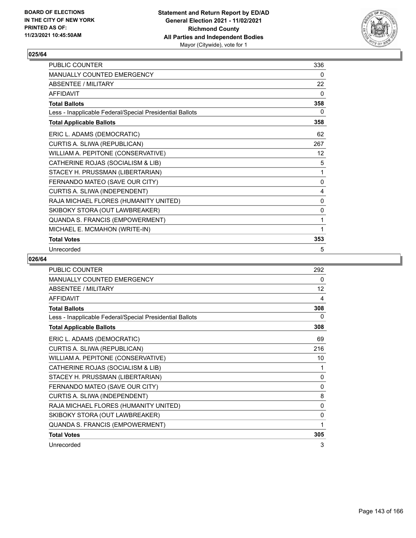

| PUBLIC COUNTER                                           | 336 |
|----------------------------------------------------------|-----|
| <b>MANUALLY COUNTED EMERGENCY</b>                        | 0   |
| <b>ABSENTEE / MILITARY</b>                               | 22  |
| <b>AFFIDAVIT</b>                                         | 0   |
| <b>Total Ballots</b>                                     | 358 |
| Less - Inapplicable Federal/Special Presidential Ballots | 0   |
| <b>Total Applicable Ballots</b>                          | 358 |
| ERIC L. ADAMS (DEMOCRATIC)                               | 62  |
| CURTIS A. SLIWA (REPUBLICAN)                             | 267 |
| WILLIAM A. PEPITONE (CONSERVATIVE)                       | 12  |
| CATHERINE ROJAS (SOCIALISM & LIB)                        | 5   |
| STACEY H. PRUSSMAN (LIBERTARIAN)                         | 1   |
| FERNANDO MATEO (SAVE OUR CITY)                           | 0   |
| CURTIS A. SLIWA (INDEPENDENT)                            | 4   |
| RAJA MICHAEL FLORES (HUMANITY UNITED)                    | 0   |
| SKIBOKY STORA (OUT LAWBREAKER)                           | 0   |
| QUANDA S. FRANCIS (EMPOWERMENT)                          | 1   |
| MICHAEL E. MCMAHON (WRITE-IN)                            | 1   |
| <b>Total Votes</b>                                       | 353 |
| Unrecorded                                               | 5   |

| <b>PUBLIC COUNTER</b>                                    | 292          |
|----------------------------------------------------------|--------------|
| <b>MANUALLY COUNTED EMERGENCY</b>                        | 0            |
| <b>ABSENTEE / MILITARY</b>                               | 12           |
| <b>AFFIDAVIT</b>                                         | 4            |
| <b>Total Ballots</b>                                     | 308          |
| Less - Inapplicable Federal/Special Presidential Ballots | 0            |
| <b>Total Applicable Ballots</b>                          | 308          |
| ERIC L. ADAMS (DEMOCRATIC)                               | 69           |
| CURTIS A. SLIWA (REPUBLICAN)                             | 216          |
| WILLIAM A. PEPITONE (CONSERVATIVE)                       | 10           |
| CATHERINE ROJAS (SOCIALISM & LIB)                        | 1            |
| STACEY H. PRUSSMAN (LIBERTARIAN)                         | 0            |
| FERNANDO MATEO (SAVE OUR CITY)                           | $\mathbf{0}$ |
| CURTIS A. SLIWA (INDEPENDENT)                            | 8            |
| RAJA MICHAEL FLORES (HUMANITY UNITED)                    | 0            |
| SKIBOKY STORA (OUT LAWBREAKER)                           | 0            |
| QUANDA S. FRANCIS (EMPOWERMENT)                          | 1            |
| <b>Total Votes</b>                                       | 305          |
| Unrecorded                                               | 3            |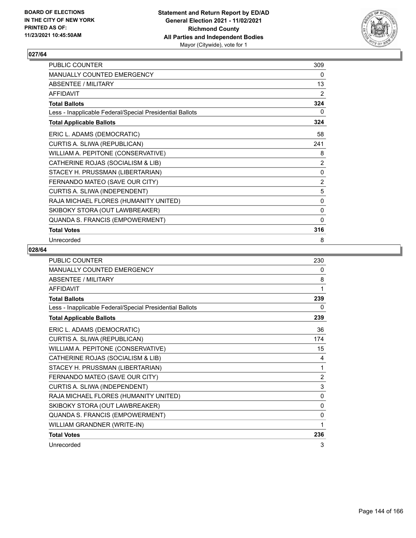

| PUBLIC COUNTER                                           | 309 |
|----------------------------------------------------------|-----|
| MANUALLY COUNTED EMERGENCY                               | 0   |
| ABSENTEE / MILITARY                                      | 13  |
| <b>AFFIDAVIT</b>                                         | 2   |
| <b>Total Ballots</b>                                     | 324 |
| Less - Inapplicable Federal/Special Presidential Ballots | 0   |
| <b>Total Applicable Ballots</b>                          | 324 |
| ERIC L. ADAMS (DEMOCRATIC)                               | 58  |
| CURTIS A. SLIWA (REPUBLICAN)                             | 241 |
| WILLIAM A. PEPITONE (CONSERVATIVE)                       | 8   |
| CATHERINE ROJAS (SOCIALISM & LIB)                        | 2   |
| STACEY H. PRUSSMAN (LIBERTARIAN)                         | 0   |
| FERNANDO MATEO (SAVE OUR CITY)                           | 2   |
| CURTIS A. SLIWA (INDEPENDENT)                            | 5   |
| RAJA MICHAEL FLORES (HUMANITY UNITED)                    | 0   |
| SKIBOKY STORA (OUT LAWBREAKER)                           | 0   |
| QUANDA S. FRANCIS (EMPOWERMENT)                          | 0   |
| <b>Total Votes</b>                                       | 316 |
| Unrecorded                                               | 8   |

| PUBLIC COUNTER                                           | 230          |
|----------------------------------------------------------|--------------|
| MANUALLY COUNTED EMERGENCY                               | 0            |
| ABSENTEE / MILITARY                                      | 8            |
| <b>AFFIDAVIT</b>                                         | 1            |
| <b>Total Ballots</b>                                     | 239          |
| Less - Inapplicable Federal/Special Presidential Ballots | 0            |
| <b>Total Applicable Ballots</b>                          | 239          |
| ERIC L. ADAMS (DEMOCRATIC)                               | 36           |
| CURTIS A. SLIWA (REPUBLICAN)                             | 174          |
| WILLIAM A. PEPITONE (CONSERVATIVE)                       | 15           |
| CATHERINE ROJAS (SOCIALISM & LIB)                        | 4            |
| STACEY H. PRUSSMAN (LIBERTARIAN)                         | 1            |
| FERNANDO MATEO (SAVE OUR CITY)                           | 2            |
| CURTIS A. SLIWA (INDEPENDENT)                            | 3            |
| RAJA MICHAEL FLORES (HUMANITY UNITED)                    | $\mathbf{0}$ |
| SKIBOKY STORA (OUT LAWBREAKER)                           | 0            |
| QUANDA S. FRANCIS (EMPOWERMENT)                          | $\mathbf{0}$ |
| WILLIAM GRANDNER (WRITE-IN)                              | 1            |
| <b>Total Votes</b>                                       | 236          |
| Unrecorded                                               | 3            |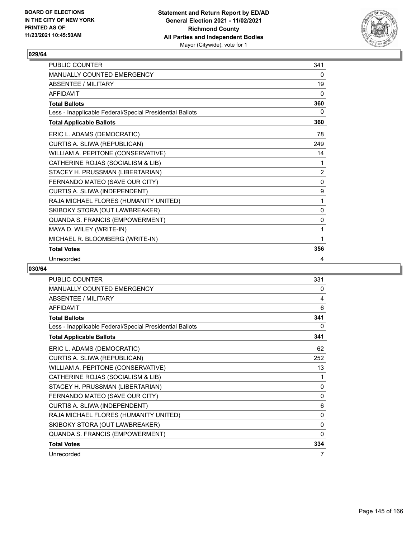

| <b>PUBLIC COUNTER</b>                                    | 341            |
|----------------------------------------------------------|----------------|
| <b>MANUALLY COUNTED EMERGENCY</b>                        | 0              |
| ABSENTEE / MII ITARY                                     | 19             |
| <b>AFFIDAVIT</b>                                         | $\mathbf{0}$   |
| <b>Total Ballots</b>                                     | 360            |
| Less - Inapplicable Federal/Special Presidential Ballots | 0              |
| <b>Total Applicable Ballots</b>                          | 360            |
| ERIC L. ADAMS (DEMOCRATIC)                               | 78             |
| CURTIS A. SLIWA (REPUBLICAN)                             | 249            |
| WILLIAM A. PEPITONE (CONSERVATIVE)                       | 14             |
| CATHERINE ROJAS (SOCIALISM & LIB)                        | 1              |
| STACEY H. PRUSSMAN (LIBERTARIAN)                         | $\overline{2}$ |
| FERNANDO MATEO (SAVE OUR CITY)                           | 0              |
| CURTIS A. SLIWA (INDEPENDENT)                            | 9              |
| RAJA MICHAEL FLORES (HUMANITY UNITED)                    | 1              |
| SKIBOKY STORA (OUT LAWBREAKER)                           | $\mathbf{0}$   |
| QUANDA S. FRANCIS (EMPOWERMENT)                          | $\mathbf{0}$   |
| MAYA D. WILEY (WRITE-IN)                                 | 1              |
| MICHAEL R. BLOOMBERG (WRITE-IN)                          | 1              |
| <b>Total Votes</b>                                       | 356            |
| Unrecorded                                               | 4              |

| PUBLIC COUNTER                                           | 331      |
|----------------------------------------------------------|----------|
| MANUALLY COUNTED EMERGENCY                               | 0        |
| <b>ABSENTEE / MILITARY</b>                               | 4        |
| <b>AFFIDAVIT</b>                                         | 6        |
| <b>Total Ballots</b>                                     | 341      |
| Less - Inapplicable Federal/Special Presidential Ballots | 0        |
| <b>Total Applicable Ballots</b>                          | 341      |
| ERIC L. ADAMS (DEMOCRATIC)                               | 62       |
| CURTIS A. SLIWA (REPUBLICAN)                             | 252      |
| WILLIAM A. PEPITONE (CONSERVATIVE)                       | 13       |
| CATHERINE ROJAS (SOCIALISM & LIB)                        | 1        |
| STACEY H. PRUSSMAN (LIBERTARIAN)                         | 0        |
| FERNANDO MATEO (SAVE OUR CITY)                           | 0        |
| CURTIS A. SLIWA (INDEPENDENT)                            | 6        |
| RAJA MICHAEL FLORES (HUMANITY UNITED)                    | 0        |
| SKIBOKY STORA (OUT LAWBREAKER)                           | 0        |
| QUANDA S. FRANCIS (EMPOWERMENT)                          | $\Omega$ |
| <b>Total Votes</b>                                       | 334      |
| Unrecorded                                               | 7        |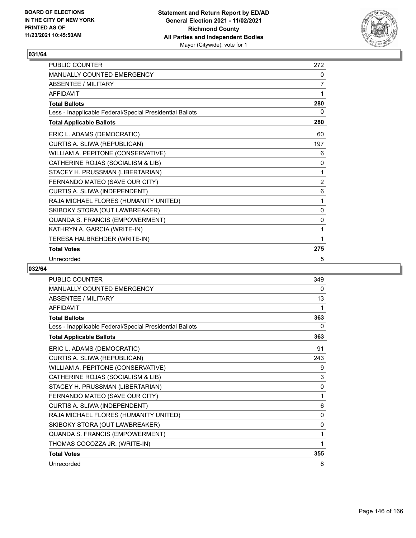

| <b>PUBLIC COUNTER</b>                                    | 272            |
|----------------------------------------------------------|----------------|
| <b>MANUALLY COUNTED EMERGENCY</b>                        | 0              |
| <b>ABSENTEE / MILITARY</b>                               | 7              |
| <b>AFFIDAVIT</b>                                         | 1              |
| <b>Total Ballots</b>                                     | 280            |
| Less - Inapplicable Federal/Special Presidential Ballots | 0              |
| <b>Total Applicable Ballots</b>                          | 280            |
| ERIC L. ADAMS (DEMOCRATIC)                               | 60             |
| CURTIS A. SLIWA (REPUBLICAN)                             | 197            |
| WILLIAM A. PEPITONE (CONSERVATIVE)                       | 6              |
| CATHERINE ROJAS (SOCIALISM & LIB)                        | 0              |
| STACEY H. PRUSSMAN (LIBERTARIAN)                         | 1              |
| FERNANDO MATEO (SAVE OUR CITY)                           | $\overline{2}$ |
| CURTIS A. SLIWA (INDEPENDENT)                            | 6              |
| RAJA MICHAEL FLORES (HUMANITY UNITED)                    | 1              |
| SKIBOKY STORA (OUT LAWBREAKER)                           | 0              |
| QUANDA S. FRANCIS (EMPOWERMENT)                          | 0              |
| KATHRYN A. GARCIA (WRITE-IN)                             | 1              |
| TERESA HALBREHDER (WRITE-IN)                             | 1              |
| <b>Total Votes</b>                                       | 275            |
| Unrecorded                                               | 5              |

| PUBLIC COUNTER                                           | 349      |
|----------------------------------------------------------|----------|
| <b>MANUALLY COUNTED EMERGENCY</b>                        | $\Omega$ |
| <b>ABSENTEE / MILITARY</b>                               | 13       |
| <b>AFFIDAVIT</b>                                         | 1        |
| <b>Total Ballots</b>                                     | 363      |
| Less - Inapplicable Federal/Special Presidential Ballots | 0        |
| <b>Total Applicable Ballots</b>                          | 363      |
| ERIC L. ADAMS (DEMOCRATIC)                               | 91       |
| CURTIS A. SLIWA (REPUBLICAN)                             | 243      |
| WILLIAM A. PEPITONE (CONSERVATIVE)                       | 9        |
| CATHERINE ROJAS (SOCIALISM & LIB)                        | 3        |
| STACEY H. PRUSSMAN (LIBERTARIAN)                         | 0        |
| FERNANDO MATEO (SAVE OUR CITY)                           | 1        |
| CURTIS A. SLIWA (INDEPENDENT)                            | 6        |
| RAJA MICHAEL FLORES (HUMANITY UNITED)                    | 0        |
| SKIBOKY STORA (OUT LAWBREAKER)                           | 0        |
| QUANDA S. FRANCIS (EMPOWERMENT)                          | 1        |
| THOMAS COCOZZA JR. (WRITE-IN)                            | 1        |
| <b>Total Votes</b>                                       | 355      |
| Unrecorded                                               | 8        |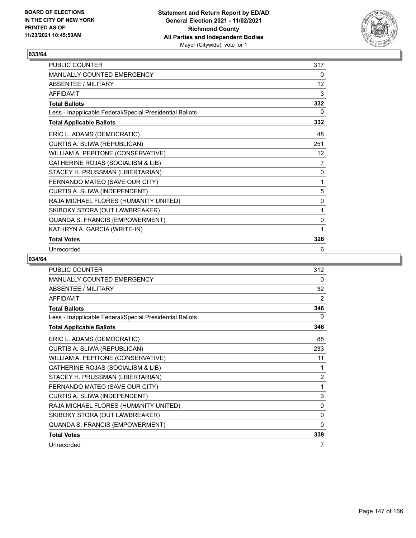

| <b>PUBLIC COUNTER</b>                                    | 317               |
|----------------------------------------------------------|-------------------|
| <b>MANUALLY COUNTED EMERGENCY</b>                        | 0                 |
| ABSENTEE / MILITARY                                      | $12 \overline{ }$ |
| <b>AFFIDAVIT</b>                                         | 3                 |
| <b>Total Ballots</b>                                     | 332               |
| Less - Inapplicable Federal/Special Presidential Ballots | 0                 |
| <b>Total Applicable Ballots</b>                          | 332               |
| ERIC L. ADAMS (DEMOCRATIC)                               | 48                |
| CURTIS A. SLIWA (REPUBLICAN)                             | 251               |
| WILLIAM A. PEPITONE (CONSERVATIVE)                       | 12                |
| CATHERINE ROJAS (SOCIALISM & LIB)                        | 7                 |
| STACEY H. PRUSSMAN (LIBERTARIAN)                         | 0                 |
| FERNANDO MATEO (SAVE OUR CITY)                           | 1                 |
| CURTIS A. SLIWA (INDEPENDENT)                            | 5                 |
| RAJA MICHAEL FLORES (HUMANITY UNITED)                    | 0                 |
| SKIBOKY STORA (OUT LAWBREAKER)                           | 1                 |
| QUANDA S. FRANCIS (EMPOWERMENT)                          | 0                 |
| KATHRYN A. GARCIA (WRITE-IN)                             | 1                 |
| <b>Total Votes</b>                                       | 326               |
| Unrecorded                                               | 6                 |

| <b>PUBLIC COUNTER</b>                                    | 312            |
|----------------------------------------------------------|----------------|
| <b>MANUALLY COUNTED EMERGENCY</b>                        | 0              |
| <b>ABSENTEE / MILITARY</b>                               | 32             |
| <b>AFFIDAVIT</b>                                         | 2              |
| <b>Total Ballots</b>                                     | 346            |
| Less - Inapplicable Federal/Special Presidential Ballots | 0              |
| <b>Total Applicable Ballots</b>                          | 346            |
| ERIC L. ADAMS (DEMOCRATIC)                               | 88             |
| CURTIS A. SLIWA (REPUBLICAN)                             | 233            |
| WILLIAM A. PEPITONE (CONSERVATIVE)                       | 11             |
| CATHERINE ROJAS (SOCIALISM & LIB)                        | 1              |
| STACEY H. PRUSSMAN (LIBERTARIAN)                         | $\overline{2}$ |
| FERNANDO MATEO (SAVE OUR CITY)                           | 1              |
| CURTIS A. SLIWA (INDEPENDENT)                            | 3              |
| RAJA MICHAEL FLORES (HUMANITY UNITED)                    | $\mathbf{0}$   |
| SKIBOKY STORA (OUT LAWBREAKER)                           | 0              |
| QUANDA S. FRANCIS (EMPOWERMENT)                          | 0              |
| <b>Total Votes</b>                                       | 339            |
| Unrecorded                                               | 7              |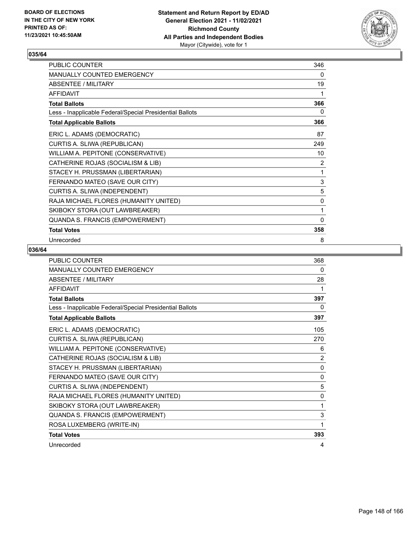

| PUBLIC COUNTER                                           | 346          |
|----------------------------------------------------------|--------------|
| MANUALLY COUNTED EMERGENCY                               | 0            |
| <b>ABSENTEE / MILITARY</b>                               | 19           |
| <b>AFFIDAVIT</b>                                         | 1            |
| <b>Total Ballots</b>                                     | 366          |
| Less - Inapplicable Federal/Special Presidential Ballots | 0            |
| <b>Total Applicable Ballots</b>                          | 366          |
| ERIC L. ADAMS (DEMOCRATIC)                               | 87           |
| CURTIS A. SLIWA (REPUBLICAN)                             | 249          |
| WILLIAM A. PEPITONE (CONSERVATIVE)                       | 10           |
| CATHERINE ROJAS (SOCIALISM & LIB)                        | 2            |
| STACEY H. PRUSSMAN (LIBERTARIAN)                         | 1            |
| FERNANDO MATEO (SAVE OUR CITY)                           | $\sqrt{3}$   |
| CURTIS A. SLIWA (INDEPENDENT)                            | 5            |
| RAJA MICHAEL FLORES (HUMANITY UNITED)                    | 0            |
| SKIBOKY STORA (OUT LAWBREAKER)                           | 1            |
| QUANDA S. FRANCIS (EMPOWERMENT)                          | $\mathbf{0}$ |
| <b>Total Votes</b>                                       | 358          |
| Unrecorded                                               | 8            |

| <b>PUBLIC COUNTER</b>                                    | 368            |
|----------------------------------------------------------|----------------|
| MANUALLY COUNTED EMERGENCY                               | 0              |
| <b>ABSENTEE / MILITARY</b>                               | 28             |
| <b>AFFIDAVIT</b>                                         | 1              |
| <b>Total Ballots</b>                                     | 397            |
| Less - Inapplicable Federal/Special Presidential Ballots | 0              |
| <b>Total Applicable Ballots</b>                          | 397            |
| ERIC L. ADAMS (DEMOCRATIC)                               | 105            |
| CURTIS A. SLIWA (REPUBLICAN)                             | 270            |
| WILLIAM A. PEPITONE (CONSERVATIVE)                       | 6              |
| CATHERINE ROJAS (SOCIALISM & LIB)                        | $\overline{2}$ |
| STACEY H. PRUSSMAN (LIBERTARIAN)                         | 0              |
| FERNANDO MATEO (SAVE OUR CITY)                           | $\mathbf{0}$   |
| CURTIS A. SLIWA (INDEPENDENT)                            | 5              |
| RAJA MICHAEL FLORES (HUMANITY UNITED)                    | $\mathbf 0$    |
| SKIBOKY STORA (OUT LAWBREAKER)                           | 1              |
| QUANDA S. FRANCIS (EMPOWERMENT)                          | 3              |
| ROSA LUXEMBERG (WRITE-IN)                                | 1              |
| <b>Total Votes</b>                                       | 393            |
| Unrecorded                                               | 4              |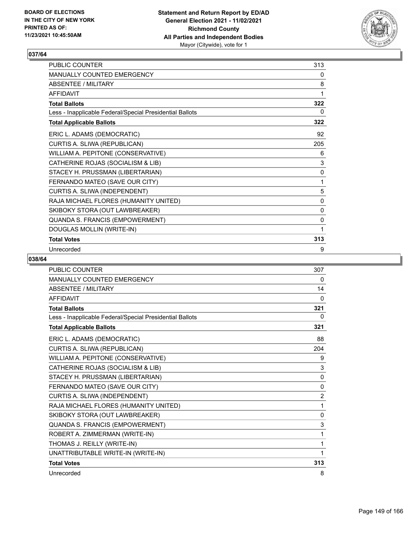

| <b>PUBLIC COUNTER</b>                                    | 313 |
|----------------------------------------------------------|-----|
| <b>MANUALLY COUNTED EMERGENCY</b>                        | 0   |
| ABSENTEE / MILITARY                                      | 8   |
| <b>AFFIDAVIT</b>                                         | 1   |
| <b>Total Ballots</b>                                     | 322 |
| Less - Inapplicable Federal/Special Presidential Ballots | 0   |
| <b>Total Applicable Ballots</b>                          | 322 |
| ERIC L. ADAMS (DEMOCRATIC)                               | 92  |
| CURTIS A. SLIWA (REPUBLICAN)                             | 205 |
| WILLIAM A. PEPITONE (CONSERVATIVE)                       | 6   |
| CATHERINE ROJAS (SOCIALISM & LIB)                        | 3   |
| STACEY H. PRUSSMAN (LIBERTARIAN)                         | 0   |
| FERNANDO MATEO (SAVE OUR CITY)                           | 1   |
| CURTIS A. SLIWA (INDEPENDENT)                            | 5   |
| RAJA MICHAEL FLORES (HUMANITY UNITED)                    | 0   |
| SKIBOKY STORA (OUT LAWBREAKER)                           | 0   |
| QUANDA S. FRANCIS (EMPOWERMENT)                          | 0   |
| DOUGLAS MOLLIN (WRITE-IN)                                | 1   |
| <b>Total Votes</b>                                       | 313 |
| Unrecorded                                               | 9   |

| <b>PUBLIC COUNTER</b>                                    | 307            |
|----------------------------------------------------------|----------------|
| <b>MANUALLY COUNTED EMERGENCY</b>                        | $\Omega$       |
| <b>ABSENTEE / MILITARY</b>                               | 14             |
| <b>AFFIDAVIT</b>                                         | $\Omega$       |
| <b>Total Ballots</b>                                     | 321            |
| Less - Inapplicable Federal/Special Presidential Ballots | 0              |
| <b>Total Applicable Ballots</b>                          | 321            |
| ERIC L. ADAMS (DEMOCRATIC)                               | 88             |
| CURTIS A. SLIWA (REPUBLICAN)                             | 204            |
| WILLIAM A. PEPITONE (CONSERVATIVE)                       | 9              |
| CATHERINE ROJAS (SOCIALISM & LIB)                        | 3              |
| STACEY H. PRUSSMAN (LIBERTARIAN)                         | 0              |
| FERNANDO MATEO (SAVE OUR CITY)                           | 0              |
| CURTIS A. SLIWA (INDEPENDENT)                            | $\overline{2}$ |
| RAJA MICHAEL FLORES (HUMANITY UNITED)                    | 1              |
| SKIBOKY STORA (OUT LAWBREAKER)                           | $\Omega$       |
| QUANDA S. FRANCIS (EMPOWERMENT)                          | 3              |
| ROBERT A. ZIMMERMAN (WRITE-IN)                           | 1              |
| THOMAS J. REILLY (WRITE-IN)                              | 1              |
| UNATTRIBUTABLE WRITE-IN (WRITE-IN)                       | 1              |
| <b>Total Votes</b>                                       | 313            |
| Unrecorded                                               | 8              |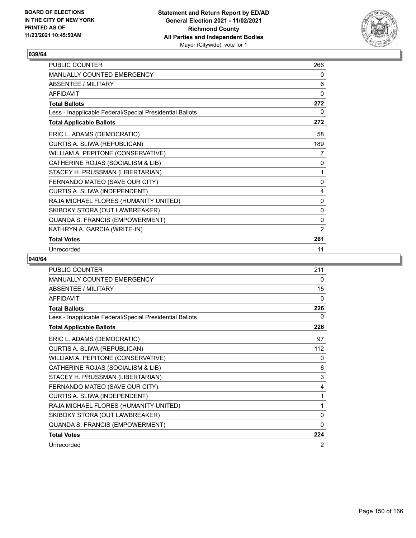

| <b>PUBLIC COUNTER</b>                                    | 266 |
|----------------------------------------------------------|-----|
| <b>MANUALLY COUNTED EMERGENCY</b>                        | 0   |
| ABSENTEE / MILITARY                                      | 6   |
| <b>AFFIDAVIT</b>                                         | 0   |
| <b>Total Ballots</b>                                     | 272 |
| Less - Inapplicable Federal/Special Presidential Ballots | 0   |
| <b>Total Applicable Ballots</b>                          | 272 |
| ERIC L. ADAMS (DEMOCRATIC)                               | 58  |
| CURTIS A. SLIWA (REPUBLICAN)                             | 189 |
| WILLIAM A. PEPITONE (CONSERVATIVE)                       | 7   |
| CATHERINE ROJAS (SOCIALISM & LIB)                        | 0   |
| STACEY H. PRUSSMAN (LIBERTARIAN)                         | 1   |
| FERNANDO MATEO (SAVE OUR CITY)                           | 0   |
| CURTIS A. SLIWA (INDEPENDENT)                            | 4   |
| RAJA MICHAEL FLORES (HUMANITY UNITED)                    | 0   |
| SKIBOKY STORA (OUT LAWBREAKER)                           | 0   |
| QUANDA S. FRANCIS (EMPOWERMENT)                          | 0   |
| KATHRYN A. GARCIA (WRITE-IN)                             | 2   |
| <b>Total Votes</b>                                       | 261 |
| Unrecorded                                               | 11  |

| <b>PUBLIC COUNTER</b>                                    | 211          |
|----------------------------------------------------------|--------------|
| <b>MANUALLY COUNTED EMERGENCY</b>                        | 0            |
| <b>ABSENTEE / MILITARY</b>                               | 15           |
| <b>AFFIDAVIT</b>                                         | 0            |
| <b>Total Ballots</b>                                     | 226          |
| Less - Inapplicable Federal/Special Presidential Ballots | 0            |
| <b>Total Applicable Ballots</b>                          | 226          |
| ERIC L. ADAMS (DEMOCRATIC)                               | 97           |
| CURTIS A. SLIWA (REPUBLICAN)                             | 112          |
| WILLIAM A. PEPITONE (CONSERVATIVE)                       | 0            |
| CATHERINE ROJAS (SOCIALISM & LIB)                        | 6            |
| STACEY H. PRUSSMAN (LIBERTARIAN)                         | 3            |
| FERNANDO MATEO (SAVE OUR CITY)                           | 4            |
| CURTIS A. SLIWA (INDEPENDENT)                            | 1            |
| RAJA MICHAEL FLORES (HUMANITY UNITED)                    | 1            |
| SKIBOKY STORA (OUT LAWBREAKER)                           | 0            |
| QUANDA S. FRANCIS (EMPOWERMENT)                          | $\mathbf{0}$ |
| <b>Total Votes</b>                                       | 224          |
| Unrecorded                                               | 2            |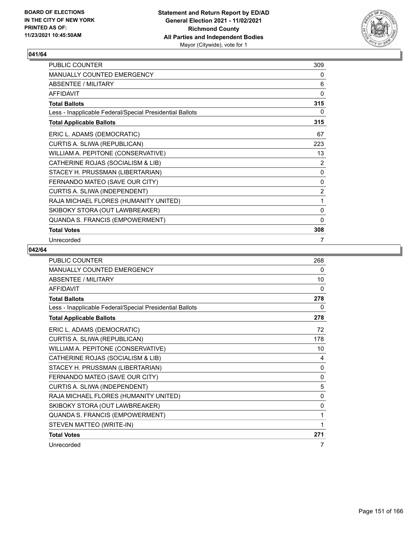

| PUBLIC COUNTER                                           | 309            |
|----------------------------------------------------------|----------------|
| MANUALLY COUNTED EMERGENCY                               | 0              |
| ABSENTEE / MILITARY                                      | 6              |
| <b>AFFIDAVIT</b>                                         | $\Omega$       |
| <b>Total Ballots</b>                                     | 315            |
| Less - Inapplicable Federal/Special Presidential Ballots | 0              |
| <b>Total Applicable Ballots</b>                          | 315            |
| ERIC L. ADAMS (DEMOCRATIC)                               | 67             |
| CURTIS A. SLIWA (REPUBLICAN)                             | 223            |
| WILLIAM A. PEPITONE (CONSERVATIVE)                       | 13             |
| CATHERINE ROJAS (SOCIALISM & LIB)                        | 2              |
| STACEY H. PRUSSMAN (LIBERTARIAN)                         | 0              |
| FERNANDO MATEO (SAVE OUR CITY)                           | 0              |
| CURTIS A. SLIWA (INDEPENDENT)                            | $\overline{2}$ |
| RAJA MICHAEL FLORES (HUMANITY UNITED)                    | 1              |
| SKIBOKY STORA (OUT LAWBREAKER)                           | 0              |
| QUANDA S. FRANCIS (EMPOWERMENT)                          | $\mathbf{0}$   |
| <b>Total Votes</b>                                       | 308            |
| Unrecorded                                               | 7              |

| PUBLIC COUNTER                                           | 268          |
|----------------------------------------------------------|--------------|
| MANUALLY COUNTED EMERGENCY                               | 0            |
| <b>ABSENTEE / MILITARY</b>                               | 10           |
| <b>AFFIDAVIT</b>                                         | 0            |
| <b>Total Ballots</b>                                     | 278          |
| Less - Inapplicable Federal/Special Presidential Ballots | 0            |
| <b>Total Applicable Ballots</b>                          | 278          |
| ERIC L. ADAMS (DEMOCRATIC)                               | 72           |
| CURTIS A. SLIWA (REPUBLICAN)                             | 178          |
| WILLIAM A. PEPITONE (CONSERVATIVE)                       | 10           |
| CATHERINE ROJAS (SOCIALISM & LIB)                        | 4            |
| STACEY H. PRUSSMAN (LIBERTARIAN)                         | $\mathbf{0}$ |
| FERNANDO MATEO (SAVE OUR CITY)                           | 0            |
| CURTIS A. SLIWA (INDEPENDENT)                            | 5            |
| RAJA MICHAEL FLORES (HUMANITY UNITED)                    | $\mathbf{0}$ |
| SKIBOKY STORA (OUT LAWBREAKER)                           | 0            |
| QUANDA S. FRANCIS (EMPOWERMENT)                          | 1            |
| STEVEN MATTEO (WRITE-IN)                                 | 1            |
| <b>Total Votes</b>                                       | 271          |
| Unrecorded                                               | 7            |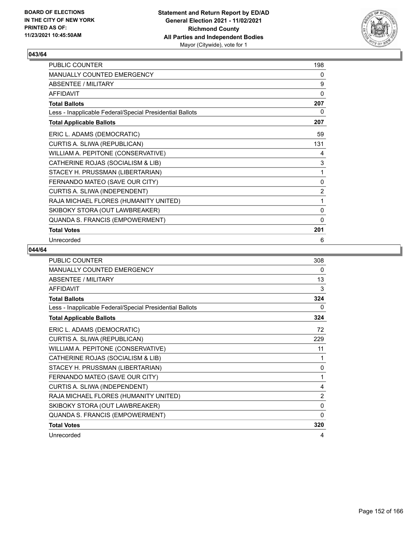

| PUBLIC COUNTER                                           | 198            |
|----------------------------------------------------------|----------------|
| MANUALLY COUNTED EMERGENCY                               | 0              |
| ABSENTEE / MILITARY                                      | 9              |
| <b>AFFIDAVIT</b>                                         | $\Omega$       |
| <b>Total Ballots</b>                                     | 207            |
| Less - Inapplicable Federal/Special Presidential Ballots | 0              |
| <b>Total Applicable Ballots</b>                          | 207            |
| ERIC L. ADAMS (DEMOCRATIC)                               | 59             |
| CURTIS A. SLIWA (REPUBLICAN)                             | 131            |
| WILLIAM A. PEPITONE (CONSERVATIVE)                       | 4              |
| CATHERINE ROJAS (SOCIALISM & LIB)                        | 3              |
| STACEY H. PRUSSMAN (LIBERTARIAN)                         | 1              |
| FERNANDO MATEO (SAVE OUR CITY)                           | $\mathbf 0$    |
| CURTIS A. SLIWA (INDEPENDENT)                            | $\overline{2}$ |
| RAJA MICHAEL FLORES (HUMANITY UNITED)                    | 1              |
| SKIBOKY STORA (OUT LAWBREAKER)                           | 0              |
| QUANDA S. FRANCIS (EMPOWERMENT)                          | $\mathbf{0}$   |
| <b>Total Votes</b>                                       | 201            |
| Unrecorded                                               | 6              |

| <b>PUBLIC COUNTER</b>                                    | 308            |
|----------------------------------------------------------|----------------|
| <b>MANUALLY COUNTED EMERGENCY</b>                        | 0              |
| <b>ABSENTEE / MILITARY</b>                               | 13             |
| <b>AFFIDAVIT</b>                                         | 3              |
| <b>Total Ballots</b>                                     | 324            |
| Less - Inapplicable Federal/Special Presidential Ballots | 0              |
| <b>Total Applicable Ballots</b>                          | 324            |
| ERIC L. ADAMS (DEMOCRATIC)                               | 72             |
| CURTIS A. SLIWA (REPUBLICAN)                             | 229            |
| WILLIAM A. PEPITONE (CONSERVATIVE)                       | 11             |
| CATHERINE ROJAS (SOCIALISM & LIB)                        | 1              |
| STACEY H. PRUSSMAN (LIBERTARIAN)                         | 0              |
| FERNANDO MATEO (SAVE OUR CITY)                           | 1              |
| CURTIS A. SLIWA (INDEPENDENT)                            | 4              |
| RAJA MICHAEL FLORES (HUMANITY UNITED)                    | $\overline{2}$ |
| SKIBOKY STORA (OUT LAWBREAKER)                           | 0              |
| QUANDA S. FRANCIS (EMPOWERMENT)                          | 0              |
| <b>Total Votes</b>                                       | 320            |
| Unrecorded                                               | 4              |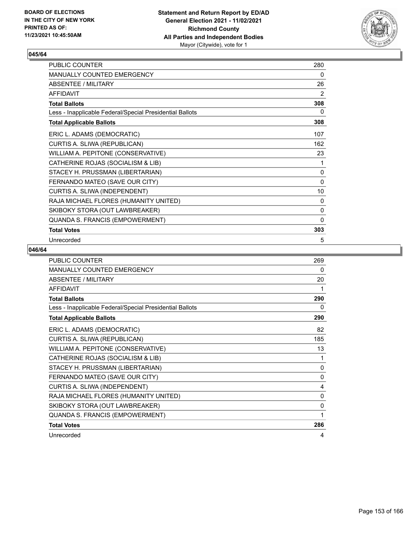

| PUBLIC COUNTER                                           | 280          |
|----------------------------------------------------------|--------------|
| MANUALLY COUNTED EMERGENCY                               | 0            |
| <b>ABSENTEE / MILITARY</b>                               | 26           |
| <b>AFFIDAVIT</b>                                         | 2            |
| <b>Total Ballots</b>                                     | 308          |
| Less - Inapplicable Federal/Special Presidential Ballots | 0            |
| <b>Total Applicable Ballots</b>                          | 308          |
| ERIC L. ADAMS (DEMOCRATIC)                               | 107          |
| CURTIS A. SLIWA (REPUBLICAN)                             | 162          |
| WILLIAM A. PEPITONE (CONSERVATIVE)                       | 23           |
| CATHERINE ROJAS (SOCIALISM & LIB)                        | 1            |
| STACEY H. PRUSSMAN (LIBERTARIAN)                         | 0            |
| FERNANDO MATEO (SAVE OUR CITY)                           | 0            |
| CURTIS A. SLIWA (INDEPENDENT)                            | 10           |
| RAJA MICHAEL FLORES (HUMANITY UNITED)                    | 0            |
| SKIBOKY STORA (OUT LAWBREAKER)                           | 0            |
| QUANDA S. FRANCIS (EMPOWERMENT)                          | $\mathbf{0}$ |
| <b>Total Votes</b>                                       | 303          |
| Unrecorded                                               | 5            |

| <b>PUBLIC COUNTER</b>                                    | 269          |
|----------------------------------------------------------|--------------|
| MANUALLY COUNTED EMERGENCY                               | 0            |
| <b>ABSENTEE / MILITARY</b>                               | 20           |
| <b>AFFIDAVIT</b>                                         | 1            |
| <b>Total Ballots</b>                                     | 290          |
| Less - Inapplicable Federal/Special Presidential Ballots | 0            |
| <b>Total Applicable Ballots</b>                          | 290          |
| ERIC L. ADAMS (DEMOCRATIC)                               | 82           |
| CURTIS A. SLIWA (REPUBLICAN)                             | 185          |
| WILLIAM A. PEPITONE (CONSERVATIVE)                       | 13           |
| CATHERINE ROJAS (SOCIALISM & LIB)                        | 1            |
| STACEY H. PRUSSMAN (LIBERTARIAN)                         | $\mathbf{0}$ |
| FERNANDO MATEO (SAVE OUR CITY)                           | 0            |
| CURTIS A. SLIWA (INDEPENDENT)                            | 4            |
| RAJA MICHAEL FLORES (HUMANITY UNITED)                    | 0            |
| SKIBOKY STORA (OUT LAWBREAKER)                           | 0            |
| QUANDA S. FRANCIS (EMPOWERMENT)                          | 1            |
| <b>Total Votes</b>                                       | 286          |
| Unrecorded                                               | 4            |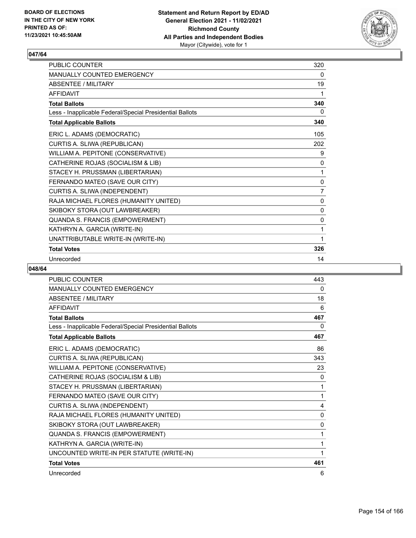

| <b>PUBLIC COUNTER</b>                                    | 320          |
|----------------------------------------------------------|--------------|
| <b>MANUALLY COUNTED EMERGENCY</b>                        | 0            |
| ABSENTEE / MII ITARY                                     | 19           |
| <b>AFFIDAVIT</b>                                         | 1            |
| <b>Total Ballots</b>                                     | 340          |
| Less - Inapplicable Federal/Special Presidential Ballots | 0            |
| <b>Total Applicable Ballots</b>                          | 340          |
| ERIC L. ADAMS (DEMOCRATIC)                               | 105          |
| CURTIS A. SLIWA (REPUBLICAN)                             | 202          |
| WILLIAM A. PEPITONE (CONSERVATIVE)                       | 9            |
| CATHERINE ROJAS (SOCIALISM & LIB)                        | 0            |
| STACEY H. PRUSSMAN (LIBERTARIAN)                         | 1            |
| FERNANDO MATEO (SAVE OUR CITY)                           | 0            |
| CURTIS A. SLIWA (INDEPENDENT)                            | 7            |
| RAJA MICHAEL FLORES (HUMANITY UNITED)                    | $\mathbf{0}$ |
| SKIBOKY STORA (OUT LAWBREAKER)                           | $\mathbf{0}$ |
| QUANDA S. FRANCIS (EMPOWERMENT)                          | $\mathbf{0}$ |
| KATHRYN A. GARCIA (WRITE-IN)                             | 1            |
| UNATTRIBUTABLE WRITE-IN (WRITE-IN)                       | 1            |
| <b>Total Votes</b>                                       | 326          |
| Unrecorded                                               | 14           |

| PUBLIC COUNTER                                           | 443 |
|----------------------------------------------------------|-----|
| <b>MANUALLY COUNTED EMERGENCY</b>                        | 0   |
| <b>ABSENTEE / MILITARY</b>                               | 18  |
| <b>AFFIDAVIT</b>                                         | 6   |
| <b>Total Ballots</b>                                     | 467 |
| Less - Inapplicable Federal/Special Presidential Ballots | 0   |
| <b>Total Applicable Ballots</b>                          | 467 |
| ERIC L. ADAMS (DEMOCRATIC)                               | 86  |
| CURTIS A. SLIWA (REPUBLICAN)                             | 343 |
| WILLIAM A. PEPITONE (CONSERVATIVE)                       | 23  |
| CATHERINE ROJAS (SOCIALISM & LIB)                        | 0   |
| STACEY H. PRUSSMAN (LIBERTARIAN)                         | 1   |
| FERNANDO MATEO (SAVE OUR CITY)                           | 1   |
| CURTIS A. SLIWA (INDEPENDENT)                            | 4   |
| RAJA MICHAEL FLORES (HUMANITY UNITED)                    | 0   |
| SKIBOKY STORA (OUT LAWBREAKER)                           | 0   |
| QUANDA S. FRANCIS (EMPOWERMENT)                          | 1   |
| KATHRYN A. GARCIA (WRITE-IN)                             | 1   |
| UNCOUNTED WRITE-IN PER STATUTE (WRITE-IN)                | 1   |
| <b>Total Votes</b>                                       | 461 |
| Unrecorded                                               | 6   |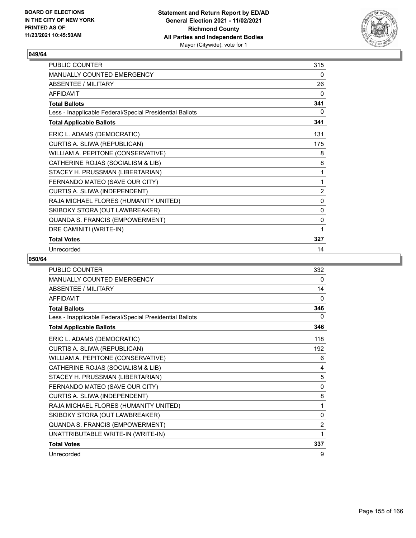

| <b>PUBLIC COUNTER</b>                                    | 315 |
|----------------------------------------------------------|-----|
| <b>MANUALLY COUNTED EMERGENCY</b>                        | 0   |
| ABSENTEE / MILITARY                                      | 26  |
| <b>AFFIDAVIT</b>                                         | 0   |
| <b>Total Ballots</b>                                     | 341 |
| Less - Inapplicable Federal/Special Presidential Ballots | 0   |
| <b>Total Applicable Ballots</b>                          | 341 |
| ERIC L. ADAMS (DEMOCRATIC)                               | 131 |
| CURTIS A. SLIWA (REPUBLICAN)                             | 175 |
| WILLIAM A. PEPITONE (CONSERVATIVE)                       | 8   |
| CATHERINE ROJAS (SOCIALISM & LIB)                        | 8   |
| STACEY H. PRUSSMAN (LIBERTARIAN)                         | 1   |
| FERNANDO MATEO (SAVE OUR CITY)                           | 1   |
| CURTIS A. SLIWA (INDEPENDENT)                            | 2   |
| RAJA MICHAEL FLORES (HUMANITY UNITED)                    | 0   |
| SKIBOKY STORA (OUT LAWBREAKER)                           | 0   |
| QUANDA S. FRANCIS (EMPOWERMENT)                          | 0   |
| DRE CAMINITI (WRITE-IN)                                  | 1   |
| <b>Total Votes</b>                                       | 327 |
| Unrecorded                                               | 14  |

| <b>PUBLIC COUNTER</b>                                    | 332            |
|----------------------------------------------------------|----------------|
| <b>MANUALLY COUNTED EMERGENCY</b>                        | 0              |
| <b>ABSENTEE / MILITARY</b>                               | 14             |
| <b>AFFIDAVIT</b>                                         | $\Omega$       |
| <b>Total Ballots</b>                                     | 346            |
| Less - Inapplicable Federal/Special Presidential Ballots | 0              |
| <b>Total Applicable Ballots</b>                          | 346            |
| ERIC L. ADAMS (DEMOCRATIC)                               | 118            |
| CURTIS A. SLIWA (REPUBLICAN)                             | 192            |
| WILLIAM A. PEPITONE (CONSERVATIVE)                       | 6              |
| CATHERINE ROJAS (SOCIALISM & LIB)                        | 4              |
| STACEY H. PRUSSMAN (LIBERTARIAN)                         | 5              |
| FERNANDO MATEO (SAVE OUR CITY)                           | 0              |
| CURTIS A. SLIWA (INDEPENDENT)                            | 8              |
| RAJA MICHAEL FLORES (HUMANITY UNITED)                    | 1              |
| SKIBOKY STORA (OUT LAWBREAKER)                           | 0              |
| QUANDA S. FRANCIS (EMPOWERMENT)                          | $\overline{2}$ |
| UNATTRIBUTABLE WRITE-IN (WRITE-IN)                       | 1              |
| <b>Total Votes</b>                                       | 337            |
| Unrecorded                                               | 9              |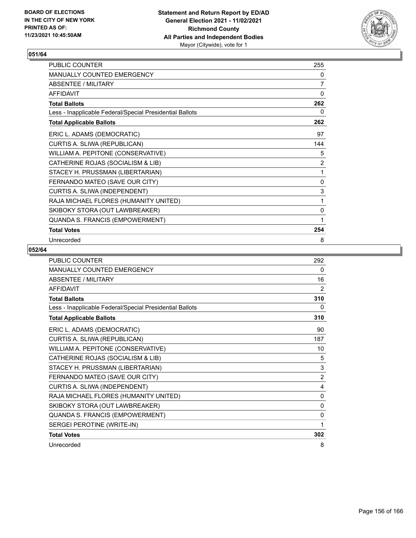

| PUBLIC COUNTER                                           | 255            |
|----------------------------------------------------------|----------------|
| MANUALLY COUNTED EMERGENCY                               | 0              |
| ABSENTEE / MILITARY                                      | $\overline{7}$ |
| <b>AFFIDAVIT</b>                                         | $\mathbf{0}$   |
| <b>Total Ballots</b>                                     | 262            |
| Less - Inapplicable Federal/Special Presidential Ballots | 0              |
| <b>Total Applicable Ballots</b>                          | 262            |
| ERIC L. ADAMS (DEMOCRATIC)                               | 97             |
| CURTIS A. SLIWA (REPUBLICAN)                             | 144            |
| WILLIAM A. PEPITONE (CONSERVATIVE)                       | 5              |
| CATHERINE ROJAS (SOCIALISM & LIB)                        | $\overline{2}$ |
| STACEY H. PRUSSMAN (LIBERTARIAN)                         | 1              |
| FERNANDO MATEO (SAVE OUR CITY)                           | 0              |
| CURTIS A. SLIWA (INDEPENDENT)                            | 3              |
| RAJA MICHAEL FLORES (HUMANITY UNITED)                    | 1              |
| SKIBOKY STORA (OUT LAWBREAKER)                           | 0              |
| QUANDA S. FRANCIS (EMPOWERMENT)                          | 1              |
| <b>Total Votes</b>                                       | 254            |
| Unrecorded                                               | 8              |

| PUBLIC COUNTER                                           | 292            |
|----------------------------------------------------------|----------------|
| MANUALLY COUNTED EMERGENCY                               | 0              |
| <b>ABSENTEE / MILITARY</b>                               | 16             |
| <b>AFFIDAVIT</b>                                         | $\overline{2}$ |
| <b>Total Ballots</b>                                     | 310            |
| Less - Inapplicable Federal/Special Presidential Ballots | 0              |
| <b>Total Applicable Ballots</b>                          | 310            |
| ERIC L. ADAMS (DEMOCRATIC)                               | 90             |
| CURTIS A. SLIWA (REPUBLICAN)                             | 187            |
| WILLIAM A. PEPITONE (CONSERVATIVE)                       | 10             |
| CATHERINE ROJAS (SOCIALISM & LIB)                        | 5              |
| STACEY H. PRUSSMAN (LIBERTARIAN)                         | 3              |
| FERNANDO MATEO (SAVE OUR CITY)                           | 2              |
| CURTIS A. SLIWA (INDEPENDENT)                            | 4              |
| RAJA MICHAEL FLORES (HUMANITY UNITED)                    | $\mathbf{0}$   |
| SKIBOKY STORA (OUT LAWBREAKER)                           | 0              |
| QUANDA S. FRANCIS (EMPOWERMENT)                          | $\mathbf{0}$   |
| SERGEI PEROTINE (WRITE-IN)                               | 1              |
| <b>Total Votes</b>                                       | 302            |
| Unrecorded                                               | 8              |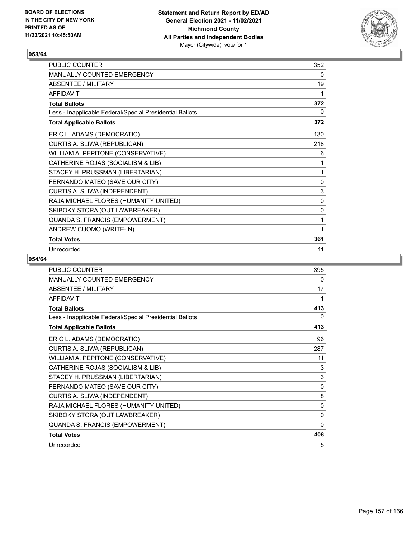

| PUBLIC COUNTER                                           | 352          |
|----------------------------------------------------------|--------------|
| <b>MANUALLY COUNTED EMERGENCY</b>                        | $\mathbf{0}$ |
| <b>ABSENTEE / MILITARY</b>                               | 19           |
| <b>AFFIDAVIT</b>                                         | 1            |
| <b>Total Ballots</b>                                     | 372          |
| Less - Inapplicable Federal/Special Presidential Ballots | 0            |
| <b>Total Applicable Ballots</b>                          | 372          |
| ERIC L. ADAMS (DEMOCRATIC)                               | 130          |
| CURTIS A. SLIWA (REPUBLICAN)                             | 218          |
| WILLIAM A. PEPITONE (CONSERVATIVE)                       | 6            |
| CATHERINE ROJAS (SOCIALISM & LIB)                        | 1            |
| STACEY H. PRUSSMAN (LIBERTARIAN)                         | 1            |
| FERNANDO MATEO (SAVE OUR CITY)                           | $\mathbf 0$  |
| CURTIS A. SLIWA (INDEPENDENT)                            | 3            |
| RAJA MICHAEL FLORES (HUMANITY UNITED)                    | 0            |
| SKIBOKY STORA (OUT LAWBREAKER)                           | 0            |
| QUANDA S. FRANCIS (EMPOWERMENT)                          | 1            |
| ANDREW CUOMO (WRITE-IN)                                  | 1            |
| <b>Total Votes</b>                                       | 361          |
| Unrecorded                                               | 11           |

| <b>PUBLIC COUNTER</b>                                    | 395          |
|----------------------------------------------------------|--------------|
| <b>MANUALLY COUNTED EMERGENCY</b>                        | 0            |
| <b>ABSENTEE / MILITARY</b>                               | 17           |
| <b>AFFIDAVIT</b>                                         | 1            |
| <b>Total Ballots</b>                                     | 413          |
| Less - Inapplicable Federal/Special Presidential Ballots | 0            |
| <b>Total Applicable Ballots</b>                          | 413          |
| ERIC L. ADAMS (DEMOCRATIC)                               | 96           |
| CURTIS A. SLIWA (REPUBLICAN)                             | 287          |
| WILLIAM A. PEPITONE (CONSERVATIVE)                       | 11           |
| CATHERINE ROJAS (SOCIALISM & LIB)                        | 3            |
| STACEY H. PRUSSMAN (LIBERTARIAN)                         | 3            |
| FERNANDO MATEO (SAVE OUR CITY)                           | $\Omega$     |
| CURTIS A. SLIWA (INDEPENDENT)                            | 8            |
| RAJA MICHAEL FLORES (HUMANITY UNITED)                    | $\mathbf{0}$ |
| SKIBOKY STORA (OUT LAWBREAKER)                           | $\Omega$     |
| QUANDA S. FRANCIS (EMPOWERMENT)                          | 0            |
| <b>Total Votes</b>                                       | 408          |
| Unrecorded                                               | 5            |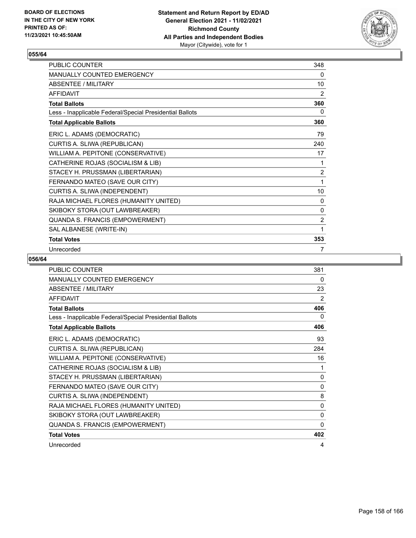

| <b>PUBLIC COUNTER</b>                                    | 348            |
|----------------------------------------------------------|----------------|
| <b>MANUALLY COUNTED EMERGENCY</b>                        | 0              |
| ABSENTEE / MILITARY                                      | 10             |
| <b>AFFIDAVIT</b>                                         | 2              |
| <b>Total Ballots</b>                                     | 360            |
| Less - Inapplicable Federal/Special Presidential Ballots | 0              |
| <b>Total Applicable Ballots</b>                          | 360            |
| ERIC L. ADAMS (DEMOCRATIC)                               | 79             |
| CURTIS A. SLIWA (REPUBLICAN)                             | 240            |
| WILLIAM A. PEPITONE (CONSERVATIVE)                       | 17             |
| CATHERINE ROJAS (SOCIALISM & LIB)                        | 1              |
| STACEY H. PRUSSMAN (LIBERTARIAN)                         | $\overline{2}$ |
| FERNANDO MATEO (SAVE OUR CITY)                           | 1              |
| CURTIS A. SLIWA (INDEPENDENT)                            | 10             |
| RAJA MICHAEL FLORES (HUMANITY UNITED)                    | 0              |
| SKIBOKY STORA (OUT LAWBREAKER)                           | 0              |
| QUANDA S. FRANCIS (EMPOWERMENT)                          | $\overline{2}$ |
| SAL ALBANESE (WRITE-IN)                                  | 1              |
| <b>Total Votes</b>                                       | 353            |
| Unrecorded                                               | 7              |

| <b>PUBLIC COUNTER</b>                                    | 381          |
|----------------------------------------------------------|--------------|
| <b>MANUALLY COUNTED EMERGENCY</b>                        | 0            |
| <b>ABSENTEE / MILITARY</b>                               | 23           |
| <b>AFFIDAVIT</b>                                         | 2            |
| <b>Total Ballots</b>                                     | 406          |
| Less - Inapplicable Federal/Special Presidential Ballots | 0            |
| <b>Total Applicable Ballots</b>                          | 406          |
| ERIC L. ADAMS (DEMOCRATIC)                               | 93           |
| CURTIS A. SLIWA (REPUBLICAN)                             | 284          |
| WILLIAM A. PEPITONE (CONSERVATIVE)                       | 16           |
| CATHERINE ROJAS (SOCIALISM & LIB)                        | 1            |
| STACEY H. PRUSSMAN (LIBERTARIAN)                         | $\mathbf{0}$ |
| FERNANDO MATEO (SAVE OUR CITY)                           | $\mathbf{0}$ |
| CURTIS A. SLIWA (INDEPENDENT)                            | 8            |
| RAJA MICHAEL FLORES (HUMANITY UNITED)                    | 0            |
| SKIBOKY STORA (OUT LAWBREAKER)                           | $\Omega$     |
| QUANDA S. FRANCIS (EMPOWERMENT)                          | $\Omega$     |
| <b>Total Votes</b>                                       | 402          |
| Unrecorded                                               | 4            |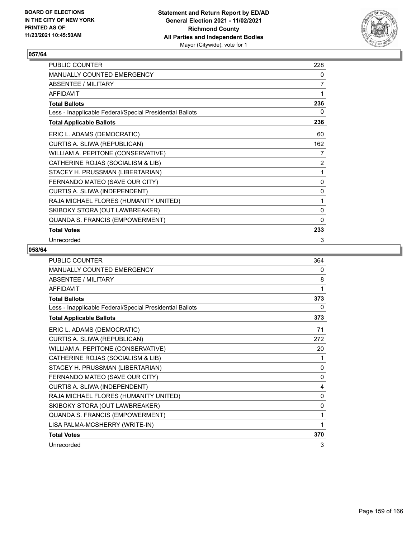

| PUBLIC COUNTER                                           | 228            |
|----------------------------------------------------------|----------------|
| MANUALLY COUNTED EMERGENCY                               | 0              |
| <b>ABSENTEE / MILITARY</b>                               | $\overline{7}$ |
| <b>AFFIDAVIT</b>                                         | 1              |
| <b>Total Ballots</b>                                     | 236            |
| Less - Inapplicable Federal/Special Presidential Ballots | 0              |
| <b>Total Applicable Ballots</b>                          | 236            |
| ERIC L. ADAMS (DEMOCRATIC)                               | 60             |
| CURTIS A. SLIWA (REPUBLICAN)                             | 162            |
| WILLIAM A. PEPITONE (CONSERVATIVE)                       | 7              |
| CATHERINE ROJAS (SOCIALISM & LIB)                        | 2              |
| STACEY H. PRUSSMAN (LIBERTARIAN)                         | 1              |
| FERNANDO MATEO (SAVE OUR CITY)                           | 0              |
| CURTIS A. SLIWA (INDEPENDENT)                            | 0              |
| RAJA MICHAEL FLORES (HUMANITY UNITED)                    | 1              |
| SKIBOKY STORA (OUT LAWBREAKER)                           | 0              |
| QUANDA S. FRANCIS (EMPOWERMENT)                          | $\mathbf{0}$   |
| <b>Total Votes</b>                                       | 233            |
| Unrecorded                                               | 3              |

| <b>PUBLIC COUNTER</b>                                    | 364          |
|----------------------------------------------------------|--------------|
| <b>MANUALLY COUNTED EMERGENCY</b>                        | 0            |
| <b>ABSENTEE / MILITARY</b>                               | 8            |
| AFFIDAVIT                                                | 1            |
| <b>Total Ballots</b>                                     | 373          |
| Less - Inapplicable Federal/Special Presidential Ballots | 0            |
| <b>Total Applicable Ballots</b>                          | 373          |
| ERIC L. ADAMS (DEMOCRATIC)                               | 71           |
| CURTIS A. SLIWA (REPUBLICAN)                             | 272          |
| WILLIAM A. PEPITONE (CONSERVATIVE)                       | 20           |
| CATHERINE ROJAS (SOCIALISM & LIB)                        | 1            |
| STACEY H. PRUSSMAN (LIBERTARIAN)                         | $\mathbf{0}$ |
| FERNANDO MATEO (SAVE OUR CITY)                           | 0            |
| CURTIS A. SLIWA (INDEPENDENT)                            | 4            |
| RAJA MICHAEL FLORES (HUMANITY UNITED)                    | 0            |
| SKIBOKY STORA (OUT LAWBREAKER)                           | $\mathbf{0}$ |
| QUANDA S. FRANCIS (EMPOWERMENT)                          | 1            |
| LISA PALMA-MCSHERRY (WRITE-IN)                           | 1            |
| <b>Total Votes</b>                                       | 370          |
| Unrecorded                                               | 3            |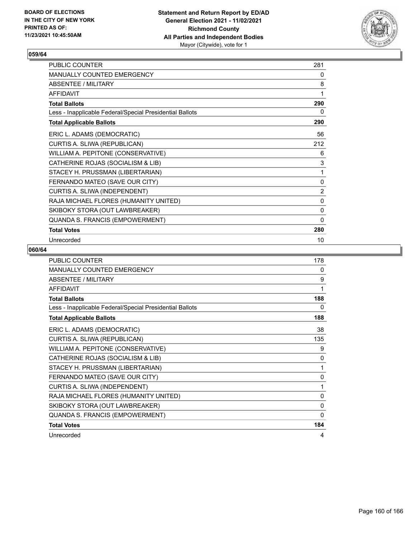

| PUBLIC COUNTER                                           | 281 |
|----------------------------------------------------------|-----|
| MANUALLY COUNTED EMERGENCY                               | 0   |
| <b>ABSENTEE / MILITARY</b>                               | 8   |
| <b>AFFIDAVIT</b>                                         | 1   |
| <b>Total Ballots</b>                                     | 290 |
| Less - Inapplicable Federal/Special Presidential Ballots | 0   |
| <b>Total Applicable Ballots</b>                          | 290 |
| ERIC L. ADAMS (DEMOCRATIC)                               | 56  |
| CURTIS A. SLIWA (REPUBLICAN)                             | 212 |
| WILLIAM A. PEPITONE (CONSERVATIVE)                       | 6   |
| CATHERINE ROJAS (SOCIALISM & LIB)                        | 3   |
| STACEY H. PRUSSMAN (LIBERTARIAN)                         | 1   |
| FERNANDO MATEO (SAVE OUR CITY)                           | 0   |
| CURTIS A. SLIWA (INDEPENDENT)                            | 2   |
| RAJA MICHAEL FLORES (HUMANITY UNITED)                    | 0   |
| SKIBOKY STORA (OUT LAWBREAKER)                           | 0   |
| QUANDA S. FRANCIS (EMPOWERMENT)                          | 0   |
| <b>Total Votes</b>                                       | 280 |
| Unrecorded                                               | 10  |

| PUBLIC COUNTER                                           | 178          |
|----------------------------------------------------------|--------------|
| <b>MANUALLY COUNTED EMERGENCY</b>                        | 0            |
| <b>ABSENTEE / MILITARY</b>                               | 9            |
| <b>AFFIDAVIT</b>                                         | 1            |
| <b>Total Ballots</b>                                     | 188          |
| Less - Inapplicable Federal/Special Presidential Ballots | 0            |
| <b>Total Applicable Ballots</b>                          | 188          |
| ERIC L. ADAMS (DEMOCRATIC)                               | 38           |
| CURTIS A. SLIWA (REPUBLICAN)                             | 135          |
| WILLIAM A. PEPITONE (CONSERVATIVE)                       | 9            |
| CATHERINE ROJAS (SOCIALISM & LIB)                        | 0            |
| STACEY H. PRUSSMAN (LIBERTARIAN)                         | 1            |
| FERNANDO MATEO (SAVE OUR CITY)                           | $\mathbf{0}$ |
| CURTIS A. SLIWA (INDEPENDENT)                            | 1            |
| RAJA MICHAEL FLORES (HUMANITY UNITED)                    | 0            |
| SKIBOKY STORA (OUT LAWBREAKER)                           | $\mathbf{0}$ |
| QUANDA S. FRANCIS (EMPOWERMENT)                          | $\mathbf{0}$ |
| <b>Total Votes</b>                                       | 184          |
| Unrecorded                                               | 4            |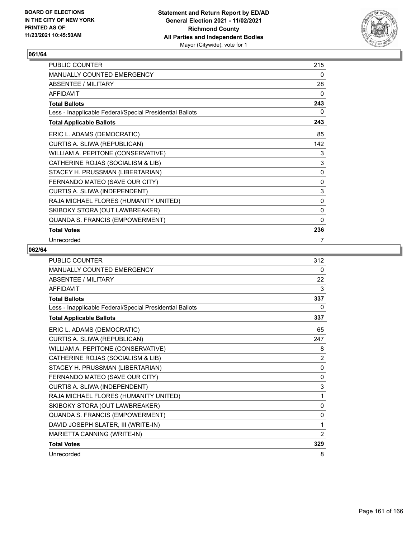

| PUBLIC COUNTER                                           | 215          |
|----------------------------------------------------------|--------------|
| MANUALLY COUNTED EMERGENCY                               | 0            |
| ABSENTEE / MILITARY                                      | 28           |
| <b>AFFIDAVIT</b>                                         | 0            |
| <b>Total Ballots</b>                                     | 243          |
| Less - Inapplicable Federal/Special Presidential Ballots | 0            |
| <b>Total Applicable Ballots</b>                          | 243          |
| ERIC L. ADAMS (DEMOCRATIC)                               | 85           |
| CURTIS A. SLIWA (REPUBLICAN)                             | 142          |
| WILLIAM A. PEPITONE (CONSERVATIVE)                       | 3            |
| CATHERINE ROJAS (SOCIALISM & LIB)                        | $\mathsf 3$  |
| STACEY H. PRUSSMAN (LIBERTARIAN)                         | $\pmb{0}$    |
| FERNANDO MATEO (SAVE OUR CITY)                           | $\pmb{0}$    |
| CURTIS A. SLIWA (INDEPENDENT)                            | 3            |
| RAJA MICHAEL FLORES (HUMANITY UNITED)                    | 0            |
| SKIBOKY STORA (OUT LAWBREAKER)                           | 0            |
| QUANDA S. FRANCIS (EMPOWERMENT)                          | $\mathbf{0}$ |
| <b>Total Votes</b>                                       | 236          |
| Unrecorded                                               | 7            |

| PUBLIC COUNTER                                           | 312            |
|----------------------------------------------------------|----------------|
| <b>MANUALLY COUNTED EMERGENCY</b>                        | 0              |
| <b>ABSENTEE / MILITARY</b>                               | 22             |
| <b>AFFIDAVIT</b>                                         | 3              |
| <b>Total Ballots</b>                                     | 337            |
| Less - Inapplicable Federal/Special Presidential Ballots | 0              |
| <b>Total Applicable Ballots</b>                          | 337            |
| ERIC L. ADAMS (DEMOCRATIC)                               | 65             |
| CURTIS A. SLIWA (REPUBLICAN)                             | 247            |
| WILLIAM A. PEPITONE (CONSERVATIVE)                       | 8              |
| CATHERINE ROJAS (SOCIALISM & LIB)                        | $\overline{2}$ |
| STACEY H. PRUSSMAN (LIBERTARIAN)                         | $\mathbf{0}$   |
| FERNANDO MATEO (SAVE OUR CITY)                           | 0              |
| CURTIS A. SLIWA (INDEPENDENT)                            | 3              |
| RAJA MICHAEL FLORES (HUMANITY UNITED)                    | 1              |
| SKIBOKY STORA (OUT LAWBREAKER)                           | 0              |
| QUANDA S. FRANCIS (EMPOWERMENT)                          | 0              |
| DAVID JOSEPH SLATER, III (WRITE-IN)                      | 1              |
| MARIETTA CANNING (WRITE-IN)                              | $\overline{2}$ |
| <b>Total Votes</b>                                       | 329            |
| Unrecorded                                               | 8              |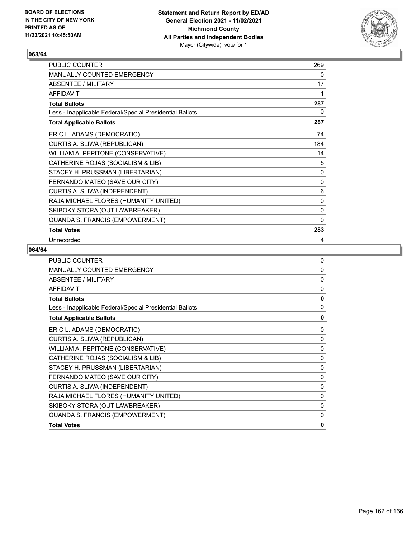

| PUBLIC COUNTER                                           | 269          |
|----------------------------------------------------------|--------------|
| MANUALLY COUNTED EMERGENCY                               | 0            |
| ABSENTEE / MILITARY                                      | 17           |
| <b>AFFIDAVIT</b>                                         | 1            |
| <b>Total Ballots</b>                                     | 287          |
| Less - Inapplicable Federal/Special Presidential Ballots | 0            |
| <b>Total Applicable Ballots</b>                          | 287          |
| ERIC L. ADAMS (DEMOCRATIC)                               | 74           |
| CURTIS A. SLIWA (REPUBLICAN)                             | 184          |
| WILLIAM A. PEPITONE (CONSERVATIVE)                       | 14           |
| CATHERINE ROJAS (SOCIALISM & LIB)                        | 5            |
| STACEY H. PRUSSMAN (LIBERTARIAN)                         | 0            |
| FERNANDO MATEO (SAVE OUR CITY)                           | 0            |
| CURTIS A. SLIWA (INDEPENDENT)                            | 6            |
| RAJA MICHAEL FLORES (HUMANITY UNITED)                    | 0            |
| SKIBOKY STORA (OUT LAWBREAKER)                           | 0            |
| QUANDA S. FRANCIS (EMPOWERMENT)                          | $\mathbf{0}$ |
| <b>Total Votes</b>                                       | 283          |
| Unrecorded                                               | 4            |

| <b>PUBLIC COUNTER</b>                                    | $\Omega$     |
|----------------------------------------------------------|--------------|
| <b>MANUALLY COUNTED EMERGENCY</b>                        | $\mathbf{0}$ |
| ABSENTEE / MILITARY                                      | $\mathbf{0}$ |
| <b>AFFIDAVIT</b>                                         | $\mathbf{0}$ |
| <b>Total Ballots</b>                                     | 0            |
| Less - Inapplicable Federal/Special Presidential Ballots | $\mathbf{0}$ |
| <b>Total Applicable Ballots</b>                          | 0            |
| ERIC L. ADAMS (DEMOCRATIC)                               | 0            |
| CURTIS A. SLIWA (REPUBLICAN)                             | 0            |
| WILLIAM A. PEPITONE (CONSERVATIVE)                       | 0            |
| CATHERINE ROJAS (SOCIALISM & LIB)                        | 0            |
| STACEY H. PRUSSMAN (LIBERTARIAN)                         | 0            |
| FERNANDO MATEO (SAVE OUR CITY)                           | 0            |
| CURTIS A. SLIWA (INDEPENDENT)                            | $\Omega$     |
| RAJA MICHAEL FLORES (HUMANITY UNITED)                    | $\Omega$     |
| SKIBOKY STORA (OUT LAWBREAKER)                           | $\Omega$     |
| QUANDA S. FRANCIS (EMPOWERMENT)                          | $\Omega$     |
| <b>Total Votes</b>                                       | $\mathbf{0}$ |
|                                                          |              |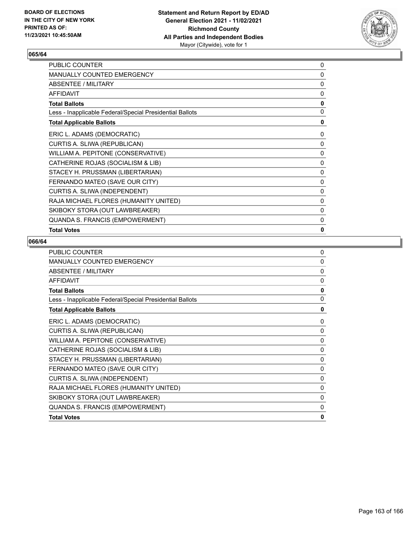

| PUBLIC COUNTER                                           | 0 |
|----------------------------------------------------------|---|
| <b>MANUALLY COUNTED EMERGENCY</b>                        | 0 |
| ABSENTEE / MILITARY                                      | 0 |
| <b>AFFIDAVIT</b>                                         | 0 |
| <b>Total Ballots</b>                                     | 0 |
| Less - Inapplicable Federal/Special Presidential Ballots | 0 |
| <b>Total Applicable Ballots</b>                          | 0 |
| ERIC L. ADAMS (DEMOCRATIC)                               | 0 |
| CURTIS A. SLIWA (REPUBLICAN)                             | 0 |
| WILLIAM A. PEPITONE (CONSERVATIVE)                       | 0 |
| CATHERINE ROJAS (SOCIALISM & LIB)                        | 0 |
| STACEY H. PRUSSMAN (LIBERTARIAN)                         | 0 |
| FERNANDO MATEO (SAVE OUR CITY)                           | 0 |
| CURTIS A. SLIWA (INDEPENDENT)                            | 0 |
| RAJA MICHAEL FLORES (HUMANITY UNITED)                    | 0 |
| SKIBOKY STORA (OUT LAWBREAKER)                           | 0 |
| QUANDA S. FRANCIS (EMPOWERMENT)                          | 0 |
| <b>Total Votes</b>                                       | 0 |

| <b>PUBLIC COUNTER</b>                                    | 0        |
|----------------------------------------------------------|----------|
| MANUALLY COUNTED EMERGENCY                               | 0        |
| ABSENTEE / MILITARY                                      | $\Omega$ |
| <b>AFFIDAVIT</b>                                         | $\Omega$ |
| <b>Total Ballots</b>                                     | 0        |
| Less - Inapplicable Federal/Special Presidential Ballots | 0        |
| <b>Total Applicable Ballots</b>                          | 0        |
| ERIC L. ADAMS (DEMOCRATIC)                               | 0        |
| CURTIS A. SLIWA (REPUBLICAN)                             | 0        |
| WILLIAM A. PEPITONE (CONSERVATIVE)                       | 0        |
| CATHERINE ROJAS (SOCIALISM & LIB)                        | 0        |
| STACEY H. PRUSSMAN (LIBERTARIAN)                         | 0        |
| FERNANDO MATEO (SAVE OUR CITY)                           | 0        |
| CURTIS A. SLIWA (INDEPENDENT)                            | 0        |
| RAJA MICHAEL FLORES (HUMANITY UNITED)                    | 0        |
| SKIBOKY STORA (OUT LAWBREAKER)                           | 0        |
| QUANDA S. FRANCIS (EMPOWERMENT)                          | 0        |
| <b>Total Votes</b>                                       | 0        |
|                                                          |          |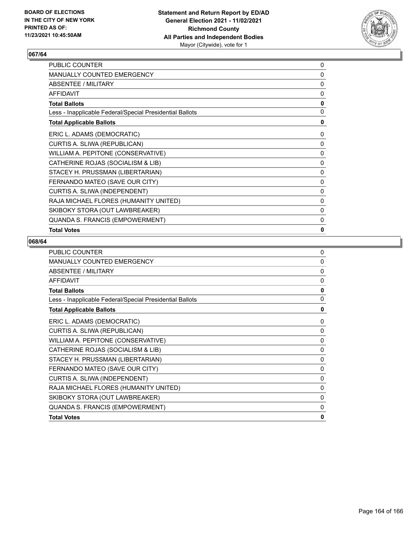

| PUBLIC COUNTER                                           | 0 |
|----------------------------------------------------------|---|
| <b>MANUALLY COUNTED EMERGENCY</b>                        | 0 |
| ABSENTEE / MILITARY                                      | 0 |
| <b>AFFIDAVIT</b>                                         | 0 |
| <b>Total Ballots</b>                                     | 0 |
| Less - Inapplicable Federal/Special Presidential Ballots | 0 |
| <b>Total Applicable Ballots</b>                          | 0 |
| ERIC L. ADAMS (DEMOCRATIC)                               | 0 |
| CURTIS A. SLIWA (REPUBLICAN)                             | 0 |
| WILLIAM A. PEPITONE (CONSERVATIVE)                       | 0 |
| CATHERINE ROJAS (SOCIALISM & LIB)                        | 0 |
| STACEY H. PRUSSMAN (LIBERTARIAN)                         | 0 |
| FERNANDO MATEO (SAVE OUR CITY)                           | 0 |
| CURTIS A. SLIWA (INDEPENDENT)                            | 0 |
| RAJA MICHAEL FLORES (HUMANITY UNITED)                    | 0 |
| SKIBOKY STORA (OUT LAWBREAKER)                           | 0 |
| QUANDA S. FRANCIS (EMPOWERMENT)                          | 0 |
| <b>Total Votes</b>                                       | 0 |

| <b>PUBLIC COUNTER</b>                                    | 0        |
|----------------------------------------------------------|----------|
| MANUALLY COUNTED EMERGENCY                               | $\Omega$ |
| ABSENTEE / MILITARY                                      | $\Omega$ |
| <b>AFFIDAVIT</b>                                         | $\Omega$ |
| <b>Total Ballots</b>                                     | 0        |
| Less - Inapplicable Federal/Special Presidential Ballots | 0        |
| <b>Total Applicable Ballots</b>                          | 0        |
| ERIC L. ADAMS (DEMOCRATIC)                               | 0        |
| CURTIS A. SLIWA (REPUBLICAN)                             | 0        |
| WILLIAM A. PEPITONE (CONSERVATIVE)                       | 0        |
| CATHERINE ROJAS (SOCIALISM & LIB)                        | 0        |
| STACEY H. PRUSSMAN (LIBERTARIAN)                         | 0        |
| FERNANDO MATEO (SAVE OUR CITY)                           | 0        |
| CURTIS A. SLIWA (INDEPENDENT)                            | 0        |
| RAJA MICHAEL FLORES (HUMANITY UNITED)                    | 0        |
| SKIBOKY STORA (OUT LAWBREAKER)                           | 0        |
| QUANDA S. FRANCIS (EMPOWERMENT)                          | 0        |
| <b>Total Votes</b>                                       | 0        |
|                                                          |          |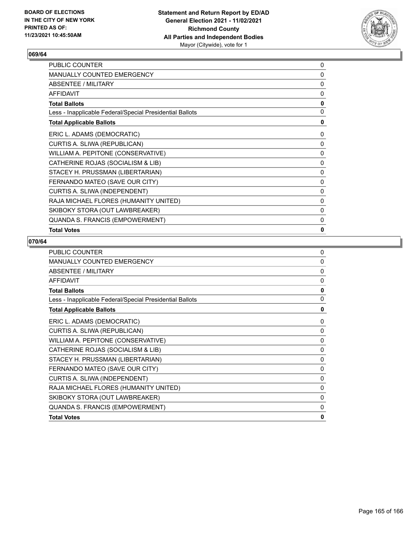

| PUBLIC COUNTER                                           | 0 |
|----------------------------------------------------------|---|
| <b>MANUALLY COUNTED EMERGENCY</b>                        | 0 |
| ABSENTEE / MILITARY                                      | 0 |
| <b>AFFIDAVIT</b>                                         | 0 |
| <b>Total Ballots</b>                                     | 0 |
| Less - Inapplicable Federal/Special Presidential Ballots | 0 |
| <b>Total Applicable Ballots</b>                          | 0 |
| ERIC L. ADAMS (DEMOCRATIC)                               | 0 |
| CURTIS A. SLIWA (REPUBLICAN)                             | 0 |
| WILLIAM A. PEPITONE (CONSERVATIVE)                       | 0 |
| CATHERINE ROJAS (SOCIALISM & LIB)                        | 0 |
| STACEY H. PRUSSMAN (LIBERTARIAN)                         | 0 |
| FERNANDO MATEO (SAVE OUR CITY)                           | 0 |
| CURTIS A. SLIWA (INDEPENDENT)                            | 0 |
| RAJA MICHAEL FLORES (HUMANITY UNITED)                    | 0 |
| SKIBOKY STORA (OUT LAWBREAKER)                           | 0 |
| QUANDA S. FRANCIS (EMPOWERMENT)                          | 0 |
| <b>Total Votes</b>                                       | 0 |

| <b>PUBLIC COUNTER</b>                                    | $\Omega$     |
|----------------------------------------------------------|--------------|
| <b>MANUALLY COUNTED EMERGENCY</b>                        | $\Omega$     |
| ABSENTEE / MILITARY                                      | 0            |
| <b>AFFIDAVIT</b>                                         | 0            |
| <b>Total Ballots</b>                                     | 0            |
| Less - Inapplicable Federal/Special Presidential Ballots | $\mathbf{0}$ |
| <b>Total Applicable Ballots</b>                          | 0            |
| ERIC L. ADAMS (DEMOCRATIC)                               | 0            |
| CURTIS A. SLIWA (REPUBLICAN)                             | 0            |
| WILLIAM A. PEPITONE (CONSERVATIVE)                       | 0            |
| CATHERINE ROJAS (SOCIALISM & LIB)                        | 0            |
| STACEY H. PRUSSMAN (LIBERTARIAN)                         | 0            |
| FERNANDO MATEO (SAVE OUR CITY)                           | 0            |
| CURTIS A. SLIWA (INDEPENDENT)                            | 0            |
| RAJA MICHAEL FLORES (HUMANITY UNITED)                    | 0            |
| SKIBOKY STORA (OUT LAWBREAKER)                           | 0            |
| QUANDA S. FRANCIS (EMPOWERMENT)                          | 0            |
| <b>Total Votes</b>                                       | $\mathbf{0}$ |
|                                                          |              |